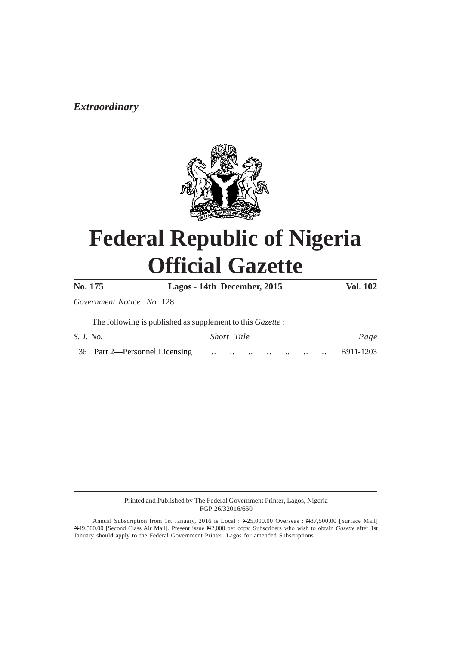# *Extraordinary*



# **Federal Republic of Nigeria Official Gazette**

| No. 175                                                           | Lagos - 14th December, 2015                                                                                                                                                                                                                                                 | Vol. 102  |
|-------------------------------------------------------------------|-----------------------------------------------------------------------------------------------------------------------------------------------------------------------------------------------------------------------------------------------------------------------------|-----------|
| Government Notice No. 128                                         |                                                                                                                                                                                                                                                                             |           |
| The following is published as supplement to this <i>Gazette</i> : |                                                                                                                                                                                                                                                                             |           |
| S. <i>I. No.</i>                                                  | Short Title                                                                                                                                                                                                                                                                 | Page      |
| 36 Part 2—Personnel Licensing                                     | $\cdots$ $\cdots$<br>and the contract of the contract of the contract of the contract of the contract of the contract of the contract of the contract of the contract of the contract of the contract of the contract of the contract of the contra<br>$\ddot{\phantom{a}}$ | B911-1203 |

Printed and Published by The Federal Government Printer, Lagos, Nigeria FGP 26/32016/650

Annual Subscription from 1st January, 2016 is Local : N25,000.00 Overseas : N37,500.00 [Surface Mail] N49,500.00 [Second Class Air Mail]. Present issue N2,000 per copy. Subscribers who wish to obtain *Gazette* after 1st January should apply to the Federal Government Printer, Lagos for amended Subscriptions.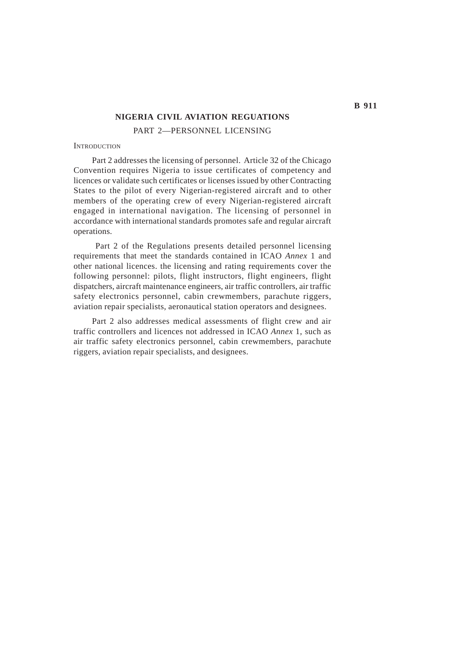#### **NIGERIA CIVIL AVIATION REGUATIONS**

PART 2—PERSONNEL LICENSING

#### **INTRODUCTION**

Part 2 addresses the licensing of personnel. Article 32 of the Chicago Convention requires Nigeria to issue certificates of competency and licences or validate such certificates or licenses issued by other Contracting States to the pilot of every Nigerian-registered aircraft and to other members of the operating crew of every Nigerian-registered aircraft engaged in international navigation. The licensing of personnel in accordance with international standards promotes safe and regular aircraft operations.

 Part 2 of the Regulations presents detailed personnel licensing requirements that meet the standards contained in ICAO *Annex* 1 and other national licences. the licensing and rating requirements cover the following personnel: pilots, flight instructors, flight engineers, flight dispatchers, aircraft maintenance engineers, air traffic controllers, air traffic safety electronics personnel, cabin crewmembers, parachute riggers, aviation repair specialists, aeronautical station operators and designees.

Part 2 also addresses medical assessments of flight crew and air traffic controllers and licences not addressed in ICAO *Annex* 1, such as air traffic safety electronics personnel, cabin crewmembers, parachute riggers, aviation repair specialists, and designees.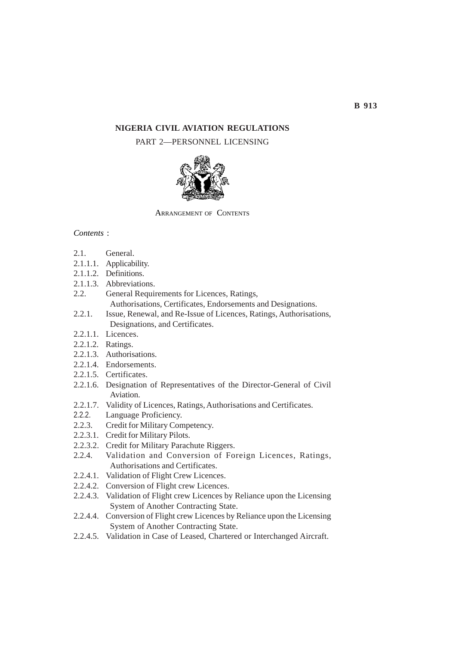# **NIGERIA CIVIL AVIATION REGULATIONS**

# PART 2—PERSONNEL LICENSING



ARRANGEMENT OF CONTENTS

# *Contents* :

- 2.1. General.
- 2.1.1.1. Applicability.
- 2.1.1.2. Definitions.
- 2.1.1.3. Abbreviations.
- 2.2. General Requirements for Licences, Ratings, Authorisations, Certificates, Endorsements and Designations.
- 2.2.1. Issue, Renewal, and Re-Issue of Licences, Ratings, Authorisations, Designations, and Certificates.
- 2.2.1.1. Licences.
- 2.2.1.2. Ratings.
- 2.2.1.3. Authorisations.
- 2.2.1.4. Endorsements.
- 2.2.1.5. Certificates.
- 2.2.1.6. Designation of Representatives of the Director-General of Civil Aviation.
- 2.2.1.7. Validity of Licences, Ratings, Authorisations and Certificates.
- 2.2.2. Language Proficiency.
- 2.2.3. Credit for Military Competency.
- 2.2.3.1. Credit for Military Pilots.
- 2.2.3.2. Credit for Military Parachute Riggers.
- 2.2.4. Validation and Conversion of Foreign Licences, Ratings, Authorisations and Certificates.
- 2.2.4.1. Validation of Flight Crew Licences.
- 2.2.4.2. Conversion of Flight crew Licences.
- 2.2.4.3. Validation of Flight crew Licences by Reliance upon the Licensing System of Another Contracting State.
- 2.2.4.4. Conversion of Flight crew Licences by Reliance upon the Licensing System of Another Contracting State.
- 2.2.4.5. Validation in Case of Leased, Chartered or Interchanged Aircraft.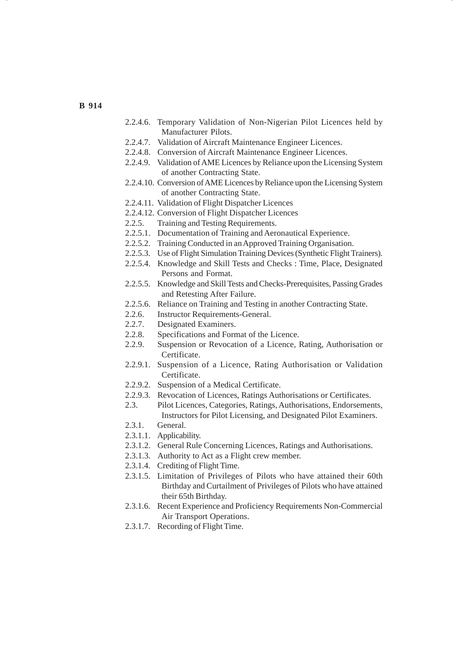- 2.2.4.6. Temporary Validation of Non-Nigerian Pilot Licences held by Manufacturer Pilots.
- 2.2.4.7. Validation of Aircraft Maintenance Engineer Licences.
- 2.2.4.8. Conversion of Aircraft Maintenance Engineer Licences.
- 2.2.4.9. Validation of AME Licences by Reliance upon the Licensing System of another Contracting State.
- 2.2.4.10. Conversion of AME Licences by Reliance upon the Licensing System of another Contracting State.
- 2.2.4.11. Validation of Flight Dispatcher Licences
- 2.2.4.12. Conversion of Flight Dispatcher Licences
- 2.2.5. Training and Testing Requirements.
- 2.2.5.1. Documentation of Training and Aeronautical Experience.
- 2.2.5.2. Training Conducted in an Approved Training Organisation.
- 2.2.5.3. Use of Flight Simulation Training Devices (Synthetic Flight Trainers).
- 2.2.5.4. Knowledge and Skill Tests and Checks : Time, Place, Designated Persons and Format.
- 2.2.5.5. Knowledge and Skill Tests and Checks-Prerequisites, Passing Grades and Retesting After Failure.
- 2.2.5.6. Reliance on Training and Testing in another Contracting State.
- 2.2.6. Instructor Requirements-General.
- 2.2.7. Designated Examiners.
- 2.2.8. Specifications and Format of the Licence.
- 2.2.9. Suspension or Revocation of a Licence, Rating, Authorisation or Certificate.
- 2.2.9.1. Suspension of a Licence, Rating Authorisation or Validation Certificate.
- 2.2.9.2. Suspension of a Medical Certificate.
- 2.2.9.3. Revocation of Licences, Ratings Authorisations or Certificates.
- 2.3. Pilot Licences, Categories, Ratings, Authorisations, Endorsements, Instructors for Pilot Licensing, and Designated Pilot Examiners.
- 2.3.1. General.
- 2.3.1.1. Applicability.
- 2.3.1.2. General Rule Concerning Licences, Ratings and Authorisations.
- 2.3.1.3. Authority to Act as a Flight crew member.
- 2.3.1.4. Crediting of Flight Time.
- 2.3.1.5. Limitation of Privileges of Pilots who have attained their 60th Birthday and Curtailment of Privileges of Pilots who have attained their 65th Birthday.
- 2.3.1.6. Recent Experience and Proficiency Requirements Non-Commercial Air Transport Operations.
- 2.3.1.7. Recording of Flight Time.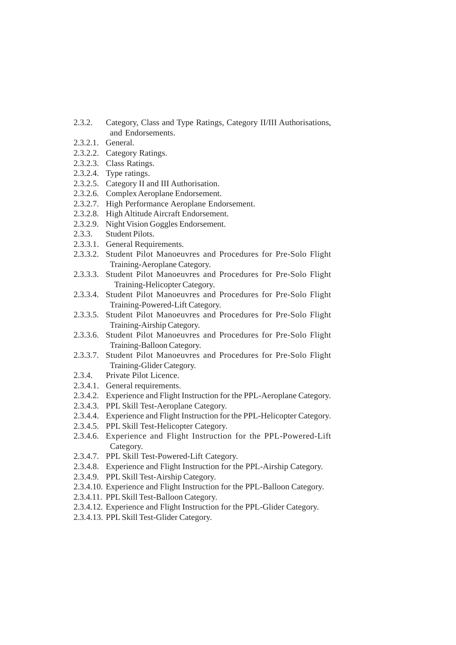- 2.3.2. Category, Class and Type Ratings, Category II/III Authorisations, and Endorsements.
- 2.3.2.1. General.
- 2.3.2.2. Category Ratings.
- 2.3.2.3. Class Ratings.
- 2.3.2.4. Type ratings.
- 2.3.2.5. Category II and III Authorisation.
- 2.3.2.6. Complex Aeroplane Endorsement.
- 2.3.2.7. High Performance Aeroplane Endorsement.
- 2.3.2.8. High Altitude Aircraft Endorsement.
- 2.3.2.9. Night Vision Goggles Endorsement.
- 2.3.3. Student Pilots.
- 2.3.3.1. General Requirements.
- 2.3.3.2. Student Pilot Manoeuvres and Procedures for Pre-Solo Flight Training-Aeroplane Category.
- 2.3.3.3. Student Pilot Manoeuvres and Procedures for Pre-Solo Flight Training-Helicopter Category.
- 2.3.3.4. Student Pilot Manoeuvres and Procedures for Pre-Solo Flight Training-Powered-Lift Category.
- 2.3.3.5. Student Pilot Manoeuvres and Procedures for Pre-Solo Flight Training-Airship Category.
- 2.3.3.6. Student Pilot Manoeuvres and Procedures for Pre-Solo Flight Training-Balloon Category.
- 2.3.3.7. Student Pilot Manoeuvres and Procedures for Pre-Solo Flight Training-Glider Category.
- 2.3.4. Private Pilot Licence.
- 2.3.4.1. General requirements.
- 2.3.4.2. Experience and Flight Instruction for the PPL-Aeroplane Category.
- 2.3.4.3. PPL Skill Test-Aeroplane Category.
- 2.3.4.4. Experience and Flight Instruction for the PPL-Helicopter Category.
- 2.3.4.5. PPL Skill Test-Helicopter Category.
- 2.3.4.6. Experience and Flight Instruction for the PPL-Powered-Lift Category.
- 2.3.4.7. PPL Skill Test-Powered-Lift Category.
- 2.3.4.8. Experience and Flight Instruction for the PPL-Airship Category.
- 2.3.4.9. PPL Skill Test-Airship Category.
- 2.3.4.10. Experience and Flight Instruction for the PPL-Balloon Category.
- 2.3.4.11. PPL Skill Test-Balloon Category.
- 2.3.4.12. Experience and Flight Instruction for the PPL-Glider Category.
- 2.3.4.13. PPL Skill Test-Glider Category.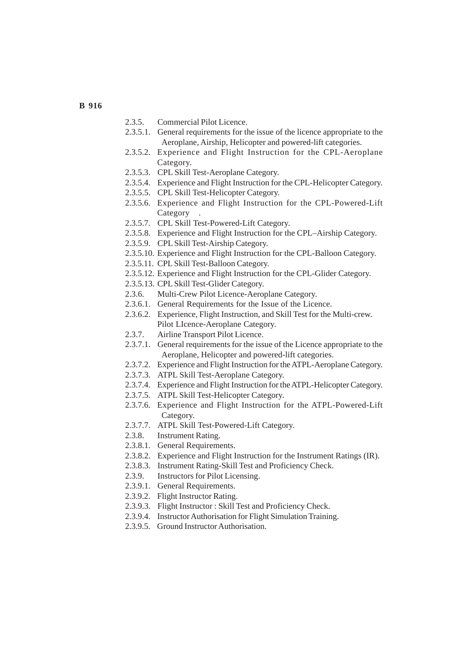- 2.3.5. Commercial Pilot Licence.
- 2.3.5.1. General requirements for the issue of the licence appropriate to the Aeroplane, Airship, Helicopter and powered-lift categories.
- 2.3.5.2. Experience and Flight Instruction for the CPL-Aeroplane Category.
- 2.3.5.3. CPL Skill Test-Aeroplane Category.
- 2.3.5.4. Experience and Flight Instruction for the CPL-Helicopter Category.
- 2.3.5.5. CPL Skill Test-Helicopter Category.
- 2.3.5.6. Experience and Flight Instruction for the CPL-Powered-Lift **Category**
- 2.3.5.7. CPL Skill Test-Powered-Lift Category.
- 2.3.5.8. Experience and Flight Instruction for the CPL–Airship Category.
- 2.3.5.9. CPL Skill Test-Airship Category.
- 2.3.5.10. Experience and Flight Instruction for the CPL-Balloon Category.
- 2.3.5.11. CPL Skill Test-Balloon Category.
- 2.3.5.12. Experience and Flight Instruction for the CPL-Glider Category.
- 2.3.5.13. CPL Skill Test-Glider Category.
- 2.3.6. Multi-Crew Pilot Licence-Aeroplane Category.
- 2.3.6.1. General Requirements for the Issue of the Licence.
- 2.3.6.2. Experience, Flight Instruction, and Skill Test for the Multi-crew. Pilot LIcence-Aeroplane Category.
- 2.3.7. Airline Transport Pilot Licence.
- 2.3.7.1. General requirements for the issue of the Licence appropriate to the Aeroplane, Helicopter and powered-lift categories.
- 2.3.7.2. Experience and Flight Instruction for the ATPL-Aeroplane Category.
- 2.3.7.3. ATPL Skill Test-Aeroplane Category.
- 2.3.7.4. Experience and Flight Instruction for the ATPL-Helicopter Category.
- 2.3.7.5. ATPL Skill Test-Helicopter Category.
- 2.3.7.6. Experience and Flight Instruction for the ATPL-Powered-Lift Category.
- 2.3.7.7. ATPL Skill Test-Powered-Lift Category.
- 2.3.8. Instrument Rating.
- 2.3.8.1. General Requirements.
- 2.3.8.2. Experience and Flight Instruction for the Instrument Ratings (IR).
- 2.3.8.3. Instrument Rating-Skill Test and Proficiency Check.
- 2.3.9. Instructors for Pilot Licensing.
- 2.3.9.1. General Requirements.
- 2.3.9.2. Flight Instructor Rating.
- 2.3.9.3. Flight Instructor : Skill Test and Proficiency Check.
- 2.3.9.4. Instructor Authorisation for Flight Simulation Training.
- 2.3.9.5. Ground Instructor Authorisation.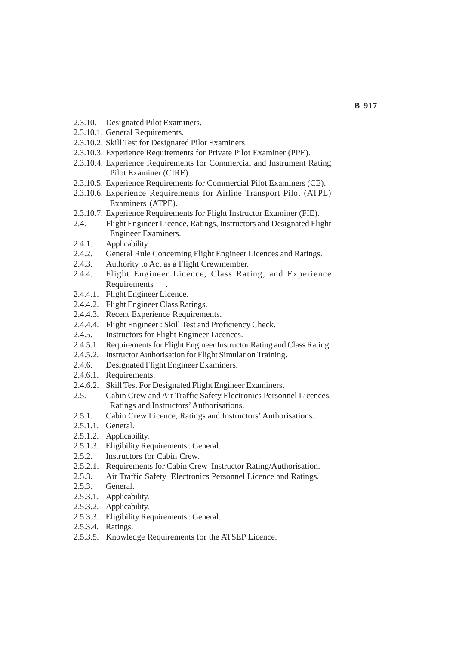- 2.3.10. Designated Pilot Examiners.
- 2.3.10.1. General Requirements.
- 2.3.10.2. Skill Test for Designated Pilot Examiners.
- 2.3.10.3. Experience Requirements for Private Pilot Examiner (PPE).
- 2.3.10.4. Experience Requirements for Commercial and Instrument Rating Pilot Examiner (CIRE).
- 2.3.10.5. Experience Requirements for Commercial Pilot Examiners (CE).
- 2.3.10.6. Experience Requirements for Airline Transport Pilot (ATPL) Examiners (ATPE).
- 2.3.10.7. Experience Requirements for Flight Instructor Examiner (FIE).
- 2.4. Flight Engineer Licence, Ratings, Instructors and Designated Flight Engineer Examiners.
- 2.4.1. Applicability.
- 2.4.2. General Rule Concerning Flight Engineer Licences and Ratings.
- 2.4.3. Authority to Act as a Flight Crewmember.
- 2.4.4. Flight Engineer Licence, Class Rating, and Experience **Requirements**
- 2.4.4.1. Flight Engineer Licence.
- 2.4.4.2. Flight Engineer Class Ratings.
- 2.4.4.3. Recent Experience Requirements.
- 2.4.4.4. Flight Engineer : Skill Test and Proficiency Check.
- 2.4.5. Instructors for Flight Engineer Licences.
- 2.4.5.1. Requirements for Flight Engineer Instructor Rating and Class Rating.
- 2.4.5.2. Instructor Authorisation for Flight Simulation Training.
- 2.4.6. Designated Flight Engineer Examiners.
- 2.4.6.1. Requirements.
- 2.4.6.2. Skill Test For Designated Flight Engineer Examiners.
- 2.5. Cabin Crew and Air Traffic Safety Electronics Personnel Licences, Ratings and Instructors' Authorisations.
- 2.5.1. Cabin Crew Licence, Ratings and Instructors' Authorisations.
- 2.5.1.1. General.
- 2.5.1.2. Applicability.
- 2.5.1.3. Eligibility Requirements : General.
- 2.5.2. Instructors for Cabin Crew.
- 2.5.2.1. Requirements for Cabin Crew Instructor Rating/Authorisation.
- 2.5.3. Air Traffic Safety Electronics Personnel Licence and Ratings.
- 2.5.3. General.
- 2.5.3.1. Applicability.
- 2.5.3.2. Applicability.
- 2.5.3.3. Eligibility Requirements : General.
- 2.5.3.4. Ratings.
- 2.5.3.5. Knowledge Requirements for the ATSEP Licence.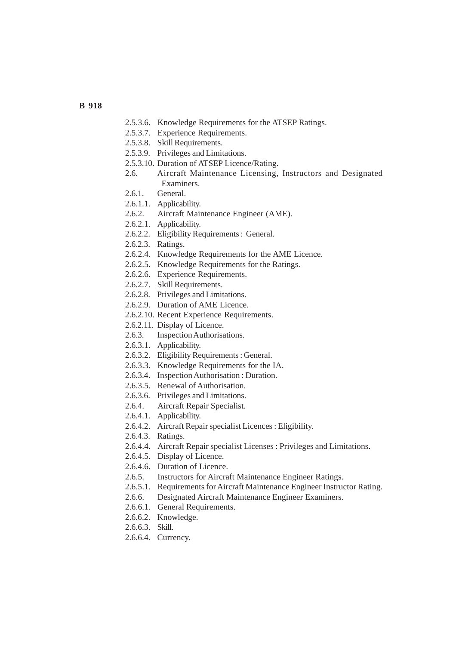- **B 918**
- 2.5.3.6. Knowledge Requirements for the ATSEP Ratings.
- 2.5.3.7. Experience Requirements.
- 2.5.3.8. Skill Requirements.
- 2.5.3.9. Privileges and Limitations.
- 2.5.3.10. Duration of ATSEP Licence/Rating.
- 2.6. Aircraft Maintenance Licensing, Instructors and Designated Examiners.
- 2.6.1. General.
- 2.6.1.1. Applicability.
- 2.6.2. Aircraft Maintenance Engineer (AME).
- 2.6.2.1. Applicability.
- 2.6.2.2. Eligibility Requirements : General.
- 2.6.2.3. Ratings.
- 2.6.2.4. Knowledge Requirements for the AME Licence.
- 2.6.2.5. Knowledge Requirements for the Ratings.
- 2.6.2.6. Experience Requirements.
- 2.6.2.7. Skill Requirements.
- 2.6.2.8. Privileges and Limitations.
- 2.6.2.9. Duration of AME Licence.
- 2.6.2.10. Recent Experience Requirements.
- 2.6.2.11. Display of Licence.
- 2.6.3. Inspection Authorisations.
- 2.6.3.1. Applicability.
- 2.6.3.2. Eligibility Requirements : General.
- 2.6.3.3. Knowledge Requirements for the IA.
- 2.6.3.4. Inspection Authorisation : Duration.
- 2.6.3.5. Renewal of Authorisation.
- 2.6.3.6. Privileges and Limitations.
- 2.6.4. Aircraft Repair Specialist.
- 2.6.4.1. Applicability.
- 2.6.4.2. Aircraft Repair specialist Licences : Eligibility.
- 2.6.4.3. Ratings.
- 2.6.4.4. Aircraft Repair specialist Licenses : Privileges and Limitations.
- 2.6.4.5. Display of Licence.
- 2.6.4.6. Duration of Licence.
- 2.6.5. Instructors for Aircraft Maintenance Engineer Ratings.
- 2.6.5.1. Requirements for Aircraft Maintenance Engineer Instructor Rating.
- 2.6.6. Designated Aircraft Maintenance Engineer Examiners.
- 2.6.6.1. General Requirements.
- 2.6.6.2. Knowledge.
- 2.6.6.3. Skill.
- 2.6.6.4. Currency.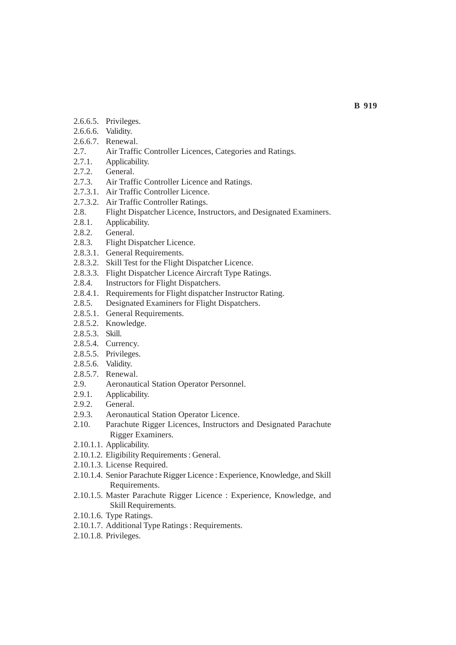- 2.6.6.5. Privileges.
- 2.6.6.6. Validity.
- 2.6.6.7. Renewal.
- 2.7. Air Traffic Controller Licences, Categories and Ratings.
- 2.7.1. Applicability.
- 2.7.2. General.
- 2.7.3. Air Traffic Controller Licence and Ratings.
- 2.7.3.1. Air Traffic Controller Licence.
- 2.7.3.2. Air Traffic Controller Ratings.
- 2.8. Flight Dispatcher Licence, Instructors, and Designated Examiners.
- 2.8.1. Applicability.
- 2.8.2. General.
- 2.8.3. Flight Dispatcher Licence.
- 2.8.3.1. General Requirements.
- 2.8.3.2. Skill Test for the Flight Dispatcher Licence.
- 2.8.3.3. Flight Dispatcher Licence Aircraft Type Ratings.
- 2.8.4. Instructors for Flight Dispatchers.
- 2.8.4.1. Requirements for Flight dispatcher Instructor Rating.
- 2.8.5. Designated Examiners for Flight Dispatchers.
- 2.8.5.1. General Requirements.
- 2.8.5.2. Knowledge.
- 2.8.5.3. Skill.
- 2.8.5.4. Currency.
- 2.8.5.5. Privileges.
- 2.8.5.6. Validity.
- 2.8.5.7. Renewal.
- 2.9. Aeronautical Station Operator Personnel.
- 2.9.1. Applicability.
- 2.9.2. General.
- 2.9.3. Aeronautical Station Operator Licence.
- 2.10. Parachute Rigger Licences, Instructors and Designated Parachute Rigger Examiners.
- 2.10.1.1. Applicability.
- 2.10.1.2. Eligibility Requirements : General.
- 2.10.1.3. License Required.
- 2.10.1.4. Senior Parachute Rigger Licence : Experience, Knowledge, and Skill Requirements.
- 2.10.1.5. Master Parachute Rigger Licence : Experience, Knowledge, and Skill Requirements.
- 2.10.1.6. Type Ratings.
- 2.10.1.7. Additional Type Ratings : Requirements.
- 2.10.1.8. Privileges.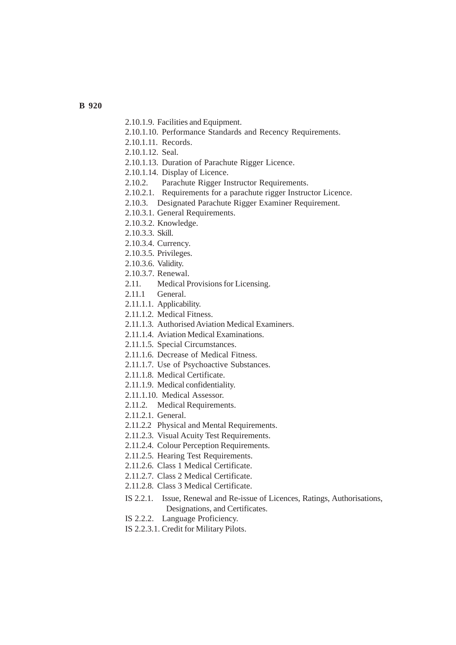- 2.10.1.9. Facilities and Equipment.
- 2.10.1.10. Performance Standards and Recency Requirements.
- 2.10.1.11. Records.
- 2.10.1.12. Seal.
- 2.10.1.13. Duration of Parachute Rigger Licence.
- 2.10.1.14. Display of Licence.
- 2.10.2. Parachute Rigger Instructor Requirements.
- 2.10.2.1. Requirements for a parachute rigger Instructor Licence.
- 2.10.3. Designated Parachute Rigger Examiner Requirement.
- 2.10.3.1. General Requirements.
- 2.10.3.2. Knowledge.
- 2.10.3.3. Skill.
- 2.10.3.4. Currency.
- 2.10.3.5. Privileges.
- 2.10.3.6. Validity.
- 2.10.3.7. Renewal.
- 2.11. Medical Provisions for Licensing.
- 2.11.1 General.
- 2.11.1.1. Applicability.
- 2.11.1.2. Medical Fitness.
- 2.11.1.3. Authorised Aviation Medical Examiners.
- 2.11.1.4. Aviation Medical Examinations.
- 2.11.1.5. Special Circumstances.
- 2.11.1.6. Decrease of Medical Fitness.
- 2.11.1.7. Use of Psychoactive Substances.
- 2.11.1.8. Medical Certificate.
- 2.11.1.9. Medical confidentiality.
- 2.11.1.10. Medical Assessor.
- 2.11.2. Medical Requirements.
- 2.11.2.1. General.
- 2.11.2.2 Physical and Mental Requirements.
- 2.11.2.3. Visual Acuity Test Requirements.
- 2.11.2.4. Colour Perception Requirements.
- 2.11.2.5. Hearing Test Requirements.
- 2.11.2.6. Class 1 Medical Certificate.
- 2.11.2.7. Class 2 Medical Certificate.
- 2.11.2.8. Class 3 Medical Certificate.
- IS 2.2.1. Issue, Renewal and Re-issue of Licences, Ratings, Authorisations, Designations, and Certificates.
- IS 2.2.2. Language Proficiency.
- IS 2.2.3.1. Credit for Military Pilots.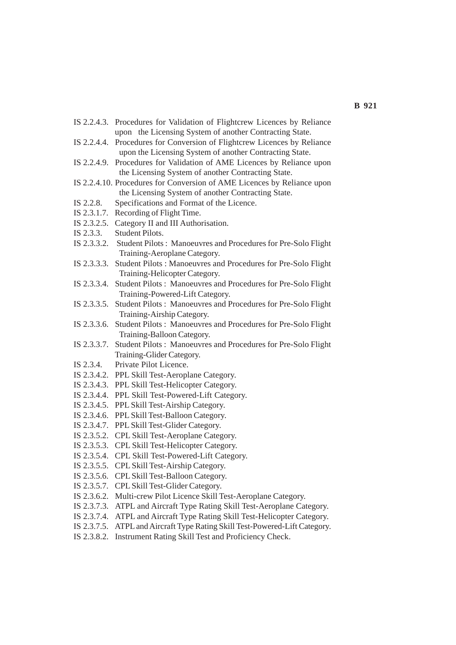- IS 2.2.4.3. Procedures for Validation of Flightcrew Licences by Reliance upon the Licensing System of another Contracting State.
- IS 2.2.4.4. Procedures for Conversion of Flightcrew Licences by Reliance upon the Licensing System of another Contracting State.
- IS 2.2.4.9. Procedures for Validation of AME Licences by Reliance upon the Licensing System of another Contracting State.
- IS 2.2.4.10. Procedures for Conversion of AME Licences by Reliance upon the Licensing System of another Contracting State.
- IS 2.2.8. Specifications and Format of the Licence.
- IS 2.3.1.7. Recording of Flight Time.
- IS 2.3.2.5. Category II and III Authorisation.
- IS 2.3.3. Student Pilots.
- IS 2.3.3.2. Student Pilots : Manoeuvres and Procedures for Pre-Solo Flight Training-Aeroplane Category.
- IS 2.3.3.3. Student Pilots : Manoeuvres and Procedures for Pre-Solo Flight Training-Helicopter Category.
- IS 2.3.3.4. Student Pilots : Manoeuvres and Procedures for Pre-Solo Flight Training-Powered-Lift Category.
- IS 2.3.3.5. Student Pilots : Manoeuvres and Procedures for Pre-Solo Flight Training-Airship Category.
- IS 2.3.3.6. Student Pilots : Manoeuvres and Procedures for Pre-Solo Flight Training-Balloon Category.
- IS 2.3.3.7. Student Pilots : Manoeuvres and Procedures for Pre-Solo Flight Training-Glider Category.
- IS 2.3.4. Private Pilot Licence.
- IS 2.3.4.2. PPL Skill Test-Aeroplane Category.
- IS 2.3.4.3. PPL Skill Test-Helicopter Category.
- IS 2.3.4.4. PPL Skill Test-Powered-Lift Category.
- IS 2.3.4.5. PPL Skill Test-Airship Category.
- IS 2.3.4.6. PPL Skill Test-Balloon Category.
- IS 2.3.4.7. PPL Skill Test-Glider Category.
- IS 2.3.5.2. CPL Skill Test-Aeroplane Category.
- IS 2.3.5.3. CPL Skill Test-Helicopter Category.
- IS 2.3.5.4. CPL Skill Test-Powered-Lift Category.
- IS 2.3.5.5. CPL Skill Test-Airship Category.
- IS 2.3.5.6. CPL Skill Test-Balloon Category.
- IS 2.3.5.7. CPL Skill Test-Glider Category.
- IS 2.3.6.2. Multi-crew Pilot Licence Skill Test-Aeroplane Category.
- IS 2.3.7.3. ATPL and Aircraft Type Rating Skill Test-Aeroplane Category.
- IS 2.3.7.4. ATPL and Aircraft Type Rating Skill Test-Helicopter Category.
- IS 2.3.7.5. ATPL and Aircraft Type Rating Skill Test-Powered-Lift Category.
- IS 2.3.8.2. Instrument Rating Skill Test and Proficiency Check.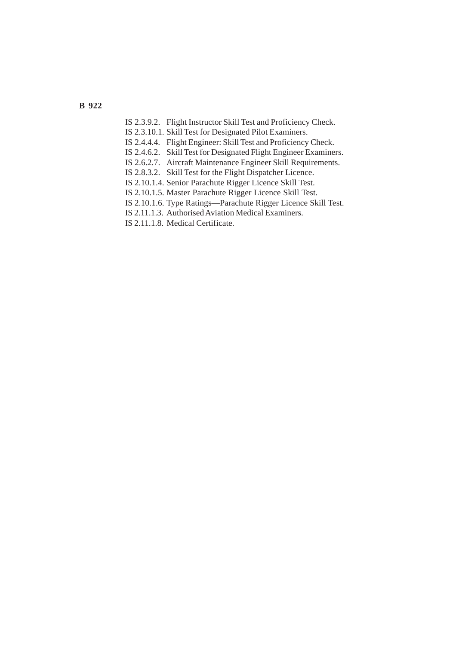- IS 2.3.9.2. Flight Instructor Skill Test and Proficiency Check.
- IS 2.3.10.1. Skill Test for Designated Pilot Examiners.
- IS 2.4.4.4. Flight Engineer: Skill Test and Proficiency Check.
- IS 2.4.6.2. Skill Test for Designated Flight Engineer Examiners.
- IS 2.6.2.7. Aircraft Maintenance Engineer Skill Requirements.
- IS 2.8.3.2. Skill Test for the Flight Dispatcher Licence.
- IS 2.10.1.4. Senior Parachute Rigger Licence Skill Test.
- IS 2.10.1.5. Master Parachute Rigger Licence Skill Test.
- IS 2.10.1.6. Type Ratings—Parachute Rigger Licence Skill Test.
- IS 2.11.1.3. Authorised Aviation Medical Examiners.
- IS 2.11.1.8. Medical Certificate.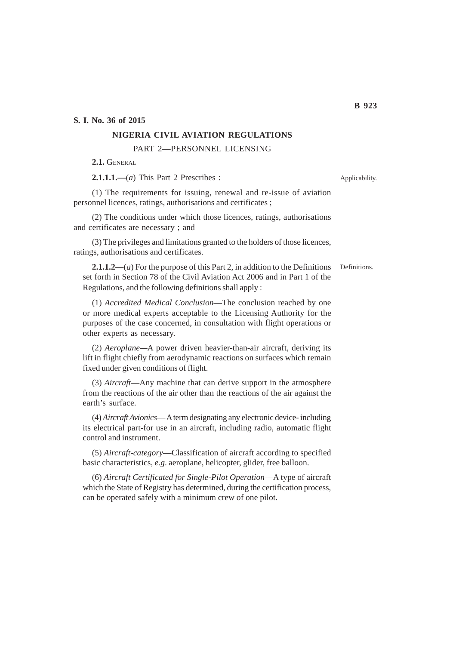**S. I. No. 36 of 2015**

#### **NIGERIA CIVIL AVIATION REGULATIONS**

PART 2—PERSONNEL LICENSING

**2.1.** GENERAL

**2.1.1.1.—**(*a*) This Part 2 Prescribes :

(1) The requirements for issuing, renewal and re-issue of aviation personnel licences, ratings, authorisations and certificates ;

(2) The conditions under which those licences, ratings, authorisations and certificates are necessary ; and

(3) The privileges and limitations granted to the holders of those licences, ratings, authorisations and certificates.

**2.1.1.2—**(*a*) For the purpose of this Part 2, in addition to the Definitions set forth in Section 78 of the Civil Aviation Act 2006 and in Part 1 of the Regulations, and the following definitions shall apply : Definitions.

(1) *Accredited Medical Conclusion*—The conclusion reached by one or more medical experts acceptable to the Licensing Authority for the purposes of the case concerned, in consultation with flight operations or other experts as necessary.

(2) *Aeroplane—*A power driven heavier-than-air aircraft, deriving its lift in flight chiefly from aerodynamic reactions on surfaces which remain fixed under given conditions of flight.

(3) *Aircraft*—Any machine that can derive support in the atmosphere from the reactions of the air other than the reactions of the air against the earth's surface.

(4) *Aircraft Avionics*— A term designating any electronic device- including its electrical part-for use in an aircraft, including radio, automatic flight control and instrument.

(5) *Aircraft*-*category*—Classification of aircraft according to specified basic characteristics, *e.g*. aeroplane, helicopter, glider, free balloon.

(6) *Aircraft Certificated for Single*-*Pilot Operation*—A type of aircraft which the State of Registry has determined, during the certification process, can be operated safely with a minimum crew of one pilot.

Applicability.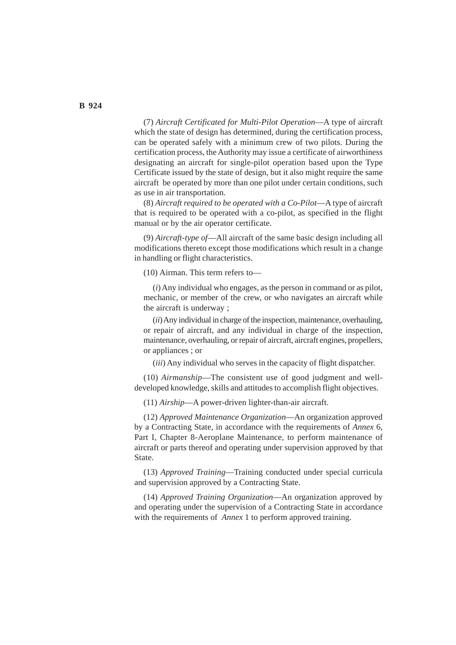(7) *Aircraft Certificated for Multi*-*Pilot Operation*—A type of aircraft which the state of design has determined, during the certification process, can be operated safely with a minimum crew of two pilots. During the certification process, the Authority may issue a certificate of airworthiness designating an aircraft for single-pilot operation based upon the Type Certificate issued by the state of design, but it also might require the same aircraft be operated by more than one pilot under certain conditions, such as use in air transportation.

(8) *Aircraft required to be operated with a Co*-*Pilot*—A type of aircraft that is required to be operated with a co-pilot, as specified in the flight manual or by the air operator certificate.

(9) *Aircraft*-*type of*—All aircraft of the same basic design including all modifications thereto except those modifications which result in a change in handling or flight characteristics.

(10) Airman. This term refers to—

(*i*) Any individual who engages, as the person in command or as pilot, mechanic, or member of the crew, or who navigates an aircraft while the aircraft is underway ;

(*ii*) Any individual in charge of the inspection, maintenance, overhauling, or repair of aircraft, and any individual in charge of the inspection, maintenance, overhauling, or repair of aircraft, aircraft engines, propellers, or appliances ; or

(*iii*) Any individual who serves in the capacity of flight dispatcher.

(10) *Airmanship*—The consistent use of good judgment and welldeveloped knowledge, skills and attitudes to accomplish flight objectives.

(11) *Airship*—A power-driven lighter-than-air aircraft.

(12) *Approved Maintenance Organization*—An organization approved by a Contracting State, in accordance with the requirements of *Annex* 6, Part I, Chapter 8-Aeroplane Maintenance, to perform maintenance of aircraft or parts thereof and operating under supervision approved by that State.

(13) *Approved Training*—Training conducted under special curricula and supervision approved by a Contracting State.

(14) *Approved Training Organization*—An organization approved by and operating under the supervision of a Contracting State in accordance with the requirements of *Annex* 1 to perform approved training.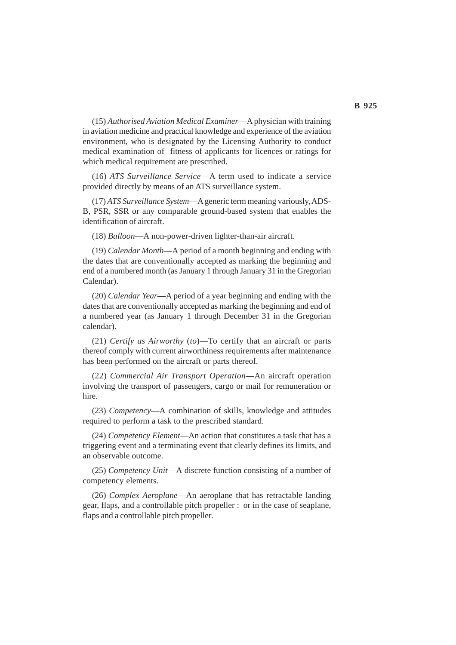(15) *Authorised Aviation Medical Examiner*—A physician with training in aviation medicine and practical knowledge and experience of the aviation environment, who is designated by the Licensing Authority to conduct medical examination of fitness of applicants for licences or ratings for which medical requirement are prescribed.

(16) *ATS Surveillance Service*—A term used to indicate a service provided directly by means of an ATS surveillance system.

(17) *ATS Surveillance System*—A generic term meaning variously, ADS-B, PSR, SSR or any comparable ground-based system that enables the identification of aircraft.

(18) *Balloon*—A non-power-driven lighter-than-air aircraft.

(19) *Calendar Month*—A period of a month beginning and ending with the dates that are conventionally accepted as marking the beginning and end of a numbered month (as January 1 through January 31 in the Gregorian Calendar).

(20) *Calendar Year*—A period of a year beginning and ending with the dates that are conventionally accepted as marking the beginning and end of a numbered year (as January 1 through December 31 in the Gregorian calendar).

(21) *Certify as Airworthy* (*to*)—To certify that an aircraft or parts thereof comply with current airworthiness requirements after maintenance has been performed on the aircraft or parts thereof.

(22) *Commercial Air Transport Operation*—An aircraft operation involving the transport of passengers, cargo or mail for remuneration or hire.

(23) *Competency*—A combination of skills, knowledge and attitudes required to perform a task to the prescribed standard.

(24) *Competency Element*—An action that constitutes a task that has a triggering event and a terminating event that clearly defines its limits, and an observable outcome.

(25) *Competency Unit*—A discrete function consisting of a number of competency elements.

(26) *Complex Aeroplane*—An aeroplane that has retractable landing gear, flaps, and a controllable pitch propeller : or in the case of seaplane, flaps and a controllable pitch propeller.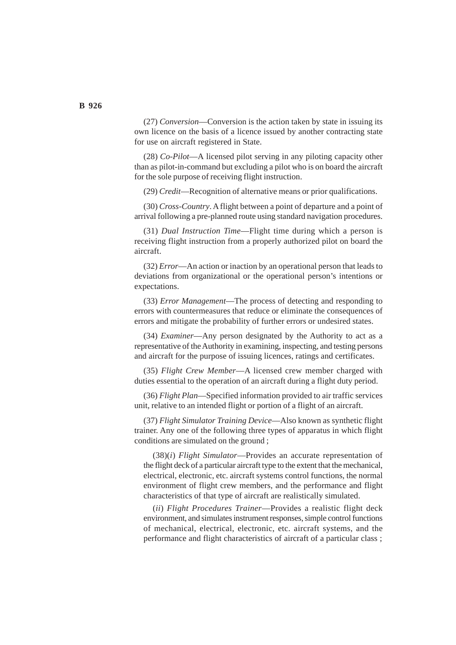(27) *Conversion*—Conversion is the action taken by state in issuing its own licence on the basis of a licence issued by another contracting state for use on aircraft registered in State.

(28) *Co-Pilot*—A licensed pilot serving in any piloting capacity other than as pilot-in-command but excluding a pilot who is on board the aircraft for the sole purpose of receiving flight instruction.

(29) *Credit*—Recognition of alternative means or prior qualifications.

(30) *Cross*-*Country*. A flight between a point of departure and a point of arrival following a pre-planned route using standard navigation procedures.

(31) *Dual Instruction Time*—Flight time during which a person is receiving flight instruction from a properly authorized pilot on board the aircraft.

(32) *Error*—An action or inaction by an operational person that leads to deviations from organizational or the operational person's intentions or expectations.

(33) *Error Management*—The process of detecting and responding to errors with countermeasures that reduce or eliminate the consequences of errors and mitigate the probability of further errors or undesired states.

(34) *Examiner*—Any person designated by the Authority to act as a representative of the Authority in examining, inspecting, and testing persons and aircraft for the purpose of issuing licences, ratings and certificates.

(35) *Flight Crew Member*—A licensed crew member charged with duties essential to the operation of an aircraft during a flight duty period.

(36) *Flight Plan*—Specified information provided to air traffic services unit, relative to an intended flight or portion of a flight of an aircraft.

(37) *Flight Simulator Training Device*—Also known as synthetic flight trainer. Any one of the following three types of apparatus in which flight conditions are simulated on the ground ;

(38)(*i*) *Flight Simulator*—Provides an accurate representation of the flight deck of a particular aircraft type to the extent that the mechanical, electrical, electronic, etc. aircraft systems control functions, the normal environment of flight crew members, and the performance and flight characteristics of that type of aircraft are realistically simulated.

(*ii*) *Flight Procedures Trainer*—Provides a realistic flight deck environment, and simulates instrument responses, simple control functions of mechanical, electrical, electronic, etc. aircraft systems, and the performance and flight characteristics of aircraft of a particular class ;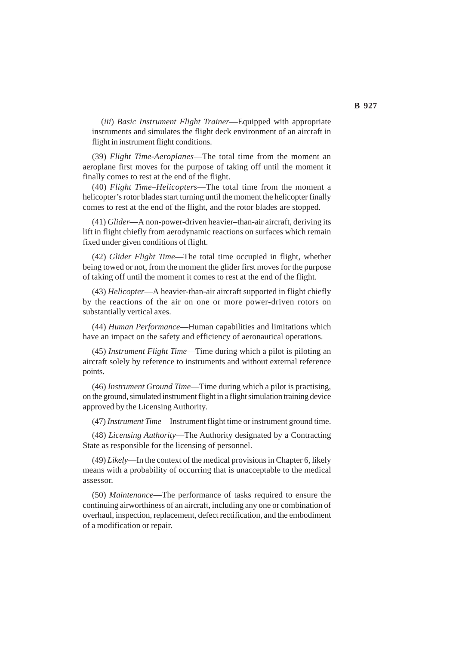(*iii*) *Basic Instrument Flight Trainer*—Equipped with appropriate instruments and simulates the flight deck environment of an aircraft in flight in instrument flight conditions.

(39) *Flight Time*-*Aeroplanes*—The total time from the moment an aeroplane first moves for the purpose of taking off until the moment it finally comes to rest at the end of the flight.

(40) *Flight Time*–*Helicopters*—The total time from the moment a helicopter's rotor blades start turning until the moment the helicopter finally comes to rest at the end of the flight, and the rotor blades are stopped.

(41) *Glider*—A non-power-driven heavier–than-air aircraft, deriving its lift in flight chiefly from aerodynamic reactions on surfaces which remain fixed under given conditions of flight.

(42) *Glider Flight Time*—The total time occupied in flight, whether being towed or not, from the moment the glider first moves for the purpose of taking off until the moment it comes to rest at the end of the flight.

(43) *Helicopter*—A heavier-than-air aircraft supported in flight chiefly by the reactions of the air on one or more power-driven rotors on substantially vertical axes.

(44) *Human Performance*—Human capabilities and limitations which have an impact on the safety and efficiency of aeronautical operations.

(45) *Instrument Flight Time*—Time during which a pilot is piloting an aircraft solely by reference to instruments and without external reference points.

(46) *Instrument Ground Time*—Time during which a pilot is practising, on the ground, simulated instrument flight in a flight simulation training device approved by the Licensing Authority.

(47) *Instrument Time*—Instrument flight time or instrument ground time.

(48) *Licensing Authority*—The Authority designated by a Contracting State as responsible for the licensing of personnel.

(49) *Likely*—In the context of the medical provisions in Chapter 6, likely means with a probability of occurring that is unacceptable to the medical assessor.

(50) *Maintenance*—The performance of tasks required to ensure the continuing airworthiness of an aircraft, including any one or combination of overhaul, inspection, replacement, defect rectification, and the embodiment of a modification or repair.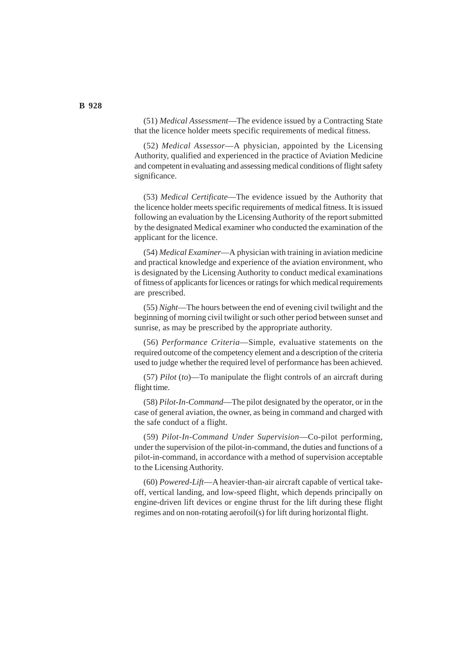(51) *Medical Assessment*—The evidence issued by a Contracting State that the licence holder meets specific requirements of medical fitness.

(52) *Medical Assessor*—A physician, appointed by the Licensing Authority, qualified and experienced in the practice of Aviation Medicine and competent in evaluating and assessing medical conditions of flight safety significance.

(53) *Medical Certificate*—The evidence issued by the Authority that the licence holder meets specific requirements of medical fitness. It is issued following an evaluation by the Licensing Authority of the report submitted by the designated Medical examiner who conducted the examination of the applicant for the licence.

(54) *Medical Examiner*—A physician with training in aviation medicine and practical knowledge and experience of the aviation environment, who is designated by the Licensing Authority to conduct medical examinations of fitness of applicants for licences or ratings for which medical requirements are prescribed.

(55) *Night*—The hours between the end of evening civil twilight and the beginning of morning civil twilight or such other period between sunset and sunrise, as may be prescribed by the appropriate authority.

(56) *Performance Criteria*—Simple, evaluative statements on the required outcome of the competency element and a description of the criteria used to judge whether the required level of performance has been achieved.

(57) *Pilot* (*to*)—To manipulate the flight controls of an aircraft during flight time.

(58) *Pilot*-*In*-*Command*—The pilot designated by the operator, or in the case of general aviation, the owner, as being in command and charged with the safe conduct of a flight.

(59) *Pilot*-*In*-*Command Under Supervision*—Co-pilot performing, under the supervision of the pilot-in-command, the duties and functions of a pilot-in-command, in accordance with a method of supervision acceptable to the Licensing Authority.

(60) *Powered*-*Lift*—A heavier-than-air aircraft capable of vertical takeoff, vertical landing, and low-speed flight, which depends principally on engine-driven lift devices or engine thrust for the lift during these flight regimes and on non-rotating aerofoil(s) for lift during horizontal flight.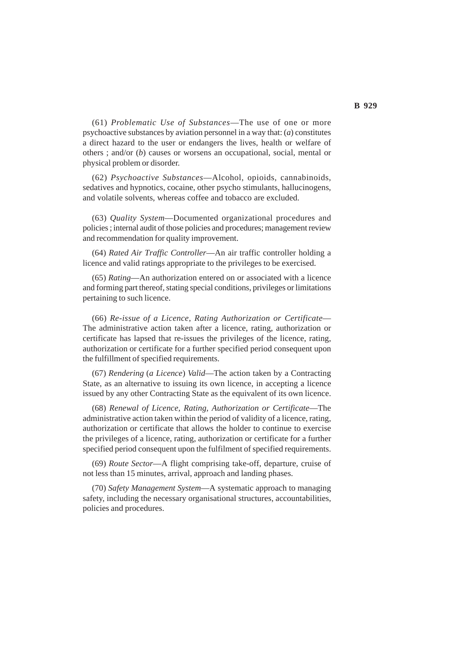(61) *Problematic Use of Substances*—The use of one or more psychoactive substances by aviation personnel in a way that: (*a*) constitutes a direct hazard to the user or endangers the lives, health or welfare of others ; and/or (*b*) causes or worsens an occupational, social, mental or physical problem or disorder.

(62) *Psychoactive Substances*—Alcohol, opioids, cannabinoids, sedatives and hypnotics, cocaine, other psycho stimulants, hallucinogens, and volatile solvents, whereas coffee and tobacco are excluded.

(63) *Quality System*—Documented organizational procedures and policies ; internal audit of those policies and procedures; management review and recommendation for quality improvement.

(64) *Rated Air Traffic Controller*—An air traffic controller holding a licence and valid ratings appropriate to the privileges to be exercised.

(65) *Rating*—An authorization entered on or associated with a licence and forming part thereof, stating special conditions, privileges or limitations pertaining to such licence.

(66) *Re*-*issue of a Licence*, *Rating Authorization or Certificate*— The administrative action taken after a licence, rating, authorization or certificate has lapsed that re-issues the privileges of the licence, rating, authorization or certificate for a further specified period consequent upon the fulfillment of specified requirements.

(67) *Rendering* (*a Licence*) *Valid*—The action taken by a Contracting State, as an alternative to issuing its own licence, in accepting a licence issued by any other Contracting State as the equivalent of its own licence.

(68) *Renewal of Licence, Rating, Authorization or Certificate*—The administrative action taken within the period of validity of a licence, rating, authorization or certificate that allows the holder to continue to exercise the privileges of a licence, rating, authorization or certificate for a further specified period consequent upon the fulfilment of specified requirements.

(69) *Route Sector*—A flight comprising take-off, departure, cruise of not less than 15 minutes, arrival, approach and landing phases.

(70) *Safety Management System*—A systematic approach to managing safety, including the necessary organisational structures, accountabilities, policies and procedures.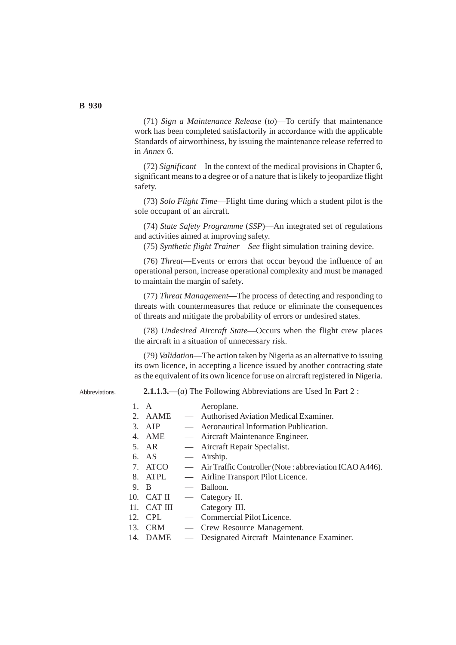(71) *Sign a Maintenance Release* (*to*)—To certify that maintenance work has been completed satisfactorily in accordance with the applicable Standards of airworthiness, by issuing the maintenance release referred to in *Annex* 6.

(72) *Significant*—In the context of the medical provisions in Chapter 6, significant means to a degree or of a nature that is likely to jeopardize flight safety.

(73) *Solo Flight Time*—Flight time during which a student pilot is the sole occupant of an aircraft.

(74) *State Safety Programme* (*SSP*)—An integrated set of regulations and activities aimed at improving safety.

(75) *Synthetic flight Trainer*—*See* flight simulation training device.

(76) *Threat*—Events or errors that occur beyond the influence of an operational person, increase operational complexity and must be managed to maintain the margin of safety.

(77) *Threat Management*—The process of detecting and responding to threats with countermeasures that reduce or eliminate the consequences of threats and mitigate the probability of errors or undesired states.

(78) *Undesired Aircraft State*—Occurs when the flight crew places the aircraft in a situation of unnecessary risk.

(79) *Validation*—The action taken by Nigeria as an alternative to issuing its own licence, in accepting a licence issued by another contracting state as the equivalent of its own licence for use on aircraft registered in Nigeria.

**Abbreviations** 

**2.1.1.3.—**(*a*) The Following Abbreviations are Used In Part 2 :

| $1_{-}$ | A           | — Aeroplane.                                             |
|---------|-------------|----------------------------------------------------------|
|         | 2. AAME     | — Authorised Aviation Medical Examiner.                  |
|         | $3.$ AIP    | — Aeronautical Information Publication.                  |
|         | 4. AME      | — Aircraft Maintenance Engineer.                         |
|         | 5. AR       | — Aircraft Repair Specialist.                            |
|         | 6. AS       | — Airship.                                               |
|         | 7. ATCO     | - Air Traffic Controller (Note: abbreviation ICAO A446). |
|         | 8. ATPL     | - Airline Transport Pilot Licence.                       |
| 9. B    |             | — Balloon.                                               |
|         | 10. CAT II  | — Category II.                                           |
|         | 11. CAT III | — Category III.                                          |
|         | 12. CPL     | - Commercial Pilot Licence.                              |
|         | 13. CRM     | — Crew Resource Management.                              |
|         |             | 14. DAME — Designated Aircraft Maintenance Examiner.     |
|         |             |                                                          |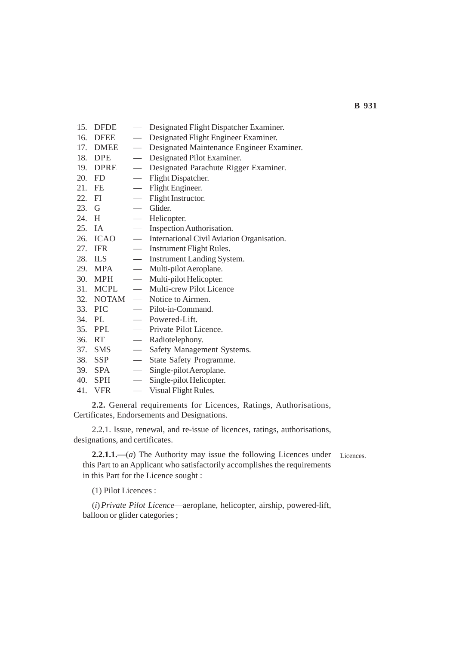- 15. DFDE Designated Flight Dispatcher Examiner.
- 16. DFEE Designated Flight Engineer Examiner.
- 17. DMEE Designated Maintenance Engineer Examiner.
- 18. DPE Designated Pilot Examiner.
- 19. DPRE Designated Parachute Rigger Examiner.
- 20. FD Flight Dispatcher.
- 21. FE Flight Engineer.
- 22. FI Flight Instructor.
- 23. G Glider.<br>24. H Helico
- Helicopter.
- 25. IA Inspection Authorisation.
- 26. ICAO International Civil Aviation Organisation.
- 27. IFR Instrument Flight Rules.
- 28. ILS Instrument Landing System.
- 29. MPA Multi-pilot Aeroplane.
- 30. MPH Multi-pilot Helicopter.
- 31. MCPL Multi-crew Pilot Licence
- 32. NOTAM Notice to Airmen.
- 33. PIC Pilot-in-Command.
- 34. PL Powered-Lift.
- 35. PPL Private Pilot Licence.
- 36. RT Radiotelephony.
- 37. SMS Safety Management Systems.
- 38. SSP State Safety Programme.
- 39. SPA Single-pilot Aeroplane.
- 40. SPH Single-pilot Helicopter.
- 41. VFR Visual Flight Rules.

**2.2.** General requirements for Licences, Ratings, Authorisations, Certificates, Endorsements and Designations.

2.2.1. Issue, renewal, and re-issue of licences, ratings, authorisations, designations, and certificates.

**2.2.1.1.—**(*a*) The Authority may issue the following Licences under this Part to an Applicant who satisfactorily accomplishes the requirements in this Part for the Licence sought :

Licences.

(1) Pilot Licences :

(*i*)*Private Pilot Licence*—aeroplane, helicopter, airship, powered-lift, balloon or glider categories ;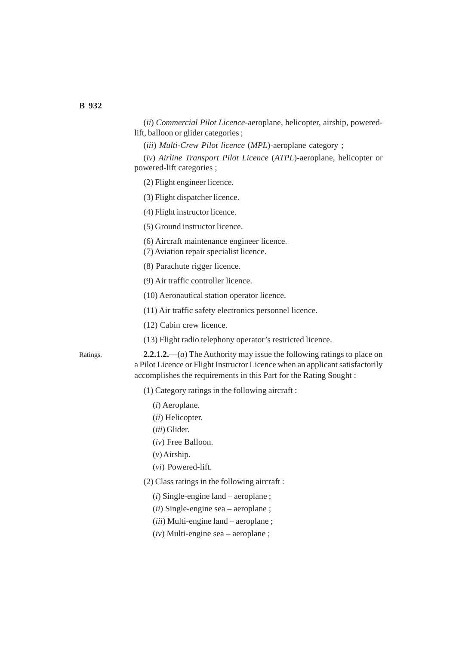(*ii*) *Commercial Pilot Licence*-aeroplane, helicopter, airship, poweredlift, balloon or glider categories ;

(*iii*) *Multi-Crew Pilot licence* (*MPL*)-aeroplane category ;

(*iv*) *Airline Transport Pilot Licence* (*ATPL*)-aeroplane, helicopter or powered-lift categories ;

(2) Flight engineer licence.

(3) Flight dispatcher licence.

(4) Flight instructor licence.

(5) Ground instructor licence.

(6) Aircraft maintenance engineer licence.

- (7) Aviation repair specialist licence.
- (8) Parachute rigger licence.
- (9) Air traffic controller licence.
- (10) Aeronautical station operator licence.

(11) Air traffic safety electronics personnel licence.

(12) Cabin crew licence.

(13) Flight radio telephony operator's restricted licence.

Ratings.

**2.2.1.2.—**(*a*) The Authority may issue the following ratings to place on a Pilot Licence or Flight Instructor Licence when an applicant satisfactorily accomplishes the requirements in this Part for the Rating Sought :

(1) Category ratings in the following aircraft :

- (*i*) Aeroplane.
- (*ii*) Helicopter.
- (*iii*) Glider.
- (*iv*) Free Balloon.
- (*v*) Airship.
- (*vi*) Powered-lift.
- (2) Class ratings in the following aircraft :
	- (*i*) Single-engine land aeroplane ;
	- (*ii*) Single-engine sea aeroplane ;
	- (*iii*) Multi-engine land aeroplane ;
	- (*iv*) Multi-engine sea aeroplane ;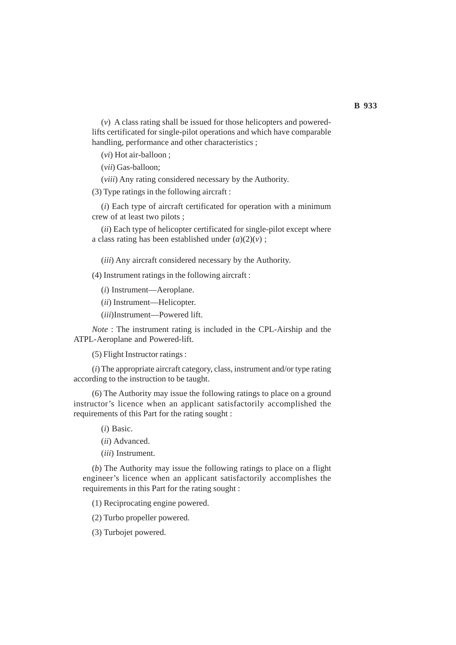(*v*) A class rating shall be issued for those helicopters and poweredlifts certificated for single-pilot operations and which have comparable handling, performance and other characteristics ;

(*vi*) Hot air-balloon ;

(*vii*) Gas-balloon;

(*viii*) Any rating considered necessary by the Authority.

(3) Type ratings in the following aircraft :

(*i*) Each type of aircraft certificated for operation with a minimum crew of at least two pilots ;

(*ii*) Each type of helicopter certificated for single-pilot except where a class rating has been established under  $(a)(2)(v)$ ;

(*iii*) Any aircraft considered necessary by the Authority.

(4) Instrument ratings in the following aircraft :

(*i*) Instrument—Aeroplane.

(*ii*) Instrument—Helicopter.

(*iii*)Instrument—Powered lift.

*Note* : The instrument rating is included in the CPL-Airship and the ATPL-Aeroplane and Powered-lift.

(5) Flight Instructor ratings :

(*i*) The appropriate aircraft category, class, instrument and/or type rating according to the instruction to be taught.

(6) The Authority may issue the following ratings to place on a ground instructor's licence when an applicant satisfactorily accomplished the requirements of this Part for the rating sought :

(*i*) Basic.

(*ii*) Advanced.

(*iii*) Instrument.

(*b*) The Authority may issue the following ratings to place on a flight engineer's licence when an applicant satisfactorily accomplishes the requirements in this Part for the rating sought :

(1) Reciprocating engine powered.

(2) Turbo propeller powered.

(3) Turbojet powered.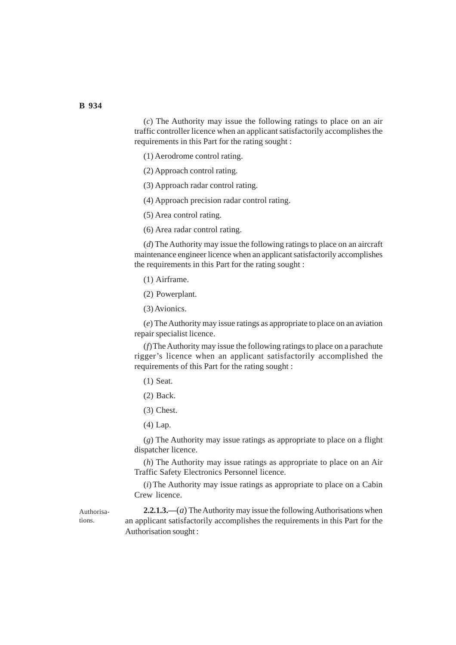(*c*) The Authority may issue the following ratings to place on an air traffic controller licence when an applicant satisfactorily accomplishes the requirements in this Part for the rating sought :

(1) Aerodrome control rating.

(2) Approach control rating.

(3) Approach radar control rating.

(4) Approach precision radar control rating.

(5) Area control rating.

(6) Area radar control rating.

(*d*) The Authority may issue the following ratings to place on an aircraft maintenance engineer licence when an applicant satisfactorily accomplishes the requirements in this Part for the rating sought :

(1) Airframe.

(2) Powerplant.

(3) Avionics.

(*e*) The Authority may issue ratings as appropriate to place on an aviation repair specialist licence.

(*f*)The Authority may issue the following ratings to place on a parachute rigger's licence when an applicant satisfactorily accomplished the requirements of this Part for the rating sought :

(1) Seat.

(2) Back.

(3) Chest.

(4) Lap.

(*g*) The Authority may issue ratings as appropriate to place on a flight dispatcher licence.

(*h*) The Authority may issue ratings as appropriate to place on an Air Traffic Safety Electronics Personnel licence.

(*i*) The Authority may issue ratings as appropriate to place on a Cabin Crew licence.

Authorisations.

**2.2.1.3.—**(*a*) The Authority may issue the following Authorisations when an applicant satisfactorily accomplishes the requirements in this Part for the Authorisation sought :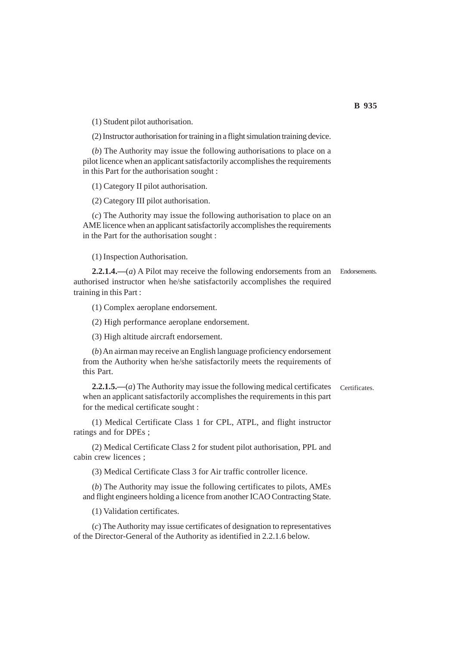(1) Student pilot authorisation.

(2) Instructor authorisation for training in a flight simulation training device.

(*b*) The Authority may issue the following authorisations to place on a pilot licence when an applicant satisfactorily accomplishes the requirements in this Part for the authorisation sought :

(1) Category II pilot authorisation.

(2) Category III pilot authorisation.

(*c*) The Authority may issue the following authorisation to place on an AME licence when an applicant satisfactorily accomplishes the requirements in the Part for the authorisation sought :

(1) Inspection Authorisation.

**2.2.1.4.—**(*a*) A Pilot may receive the following endorsements from an authorised instructor when he/she satisfactorily accomplishes the required training in this Part : Endorsements.

(1) Complex aeroplane endorsement.

(2) High performance aeroplane endorsement.

(3) High altitude aircraft endorsement.

(*b*) An airman may receive an English language proficiency endorsement from the Authority when he/she satisfactorily meets the requirements of this Part.

**2.2.1.5.—**(*a*) The Authority may issue the following medical certificates when an applicant satisfactorily accomplishes the requirements in this part for the medical certificate sought : Certificates.

(1) Medical Certificate Class 1 for CPL, ATPL, and flight instructor ratings and for DPEs ;

(2) Medical Certificate Class 2 for student pilot authorisation, PPL and cabin crew licences ;

(3) Medical Certificate Class 3 for Air traffic controller licence.

(*b*) The Authority may issue the following certificates to pilots, AMEs and flight engineers holding a licence from another ICAO Contracting State.

(1) Validation certificates.

(*c*) The Authority may issue certificates of designation to representatives of the Director-General of the Authority as identified in 2.2.1.6 below.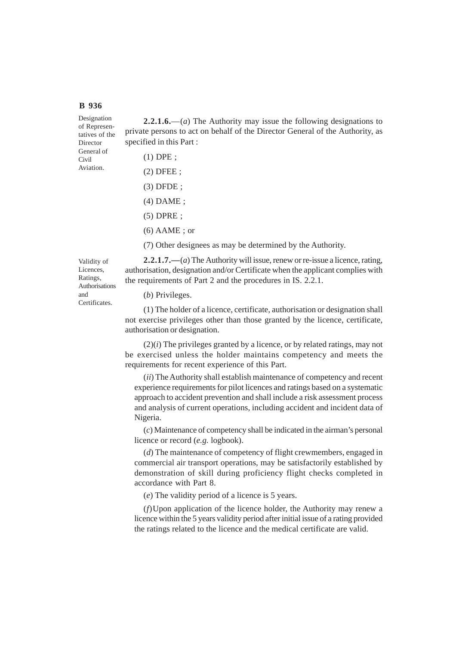Director

Civil Aviation.

**2.2.1.6.**—(*a*) The Authority may issue the following designations to private persons to act on behalf of the Director General of the Authority, as specified in this Part : Designation of Representatives of the General of

| $(1)$ DPE ;            |
|------------------------|
| $(2)$ DFEE ;           |
| $(3)$ DFDE;            |
| $(4)$ DAME ;           |
| $(5)$ DPRE ;           |
| $(6)$ AAME; or         |
| (7) Other designees as |

may be determined by the Authority.

Validity of Licences, Ratings, Authorisations and Certificates.

**2.2.1.7.—**(*a*) The Authority will issue, renew or re-issue a licence, rating, authorisation, designation and/or Certificate when the applicant complies with the requirements of Part 2 and the procedures in IS. 2.2.1.

# (*b*) Privileges.

(1) The holder of a licence, certificate, authorisation or designation shall not exercise privileges other than those granted by the licence, certificate, authorisation or designation.

(2)(*i*) The privileges granted by a licence, or by related ratings, may not be exercised unless the holder maintains competency and meets the requirements for recent experience of this Part.

(*ii*) The Authority shall establish maintenance of competency and recent experience requirements for pilot licences and ratings based on a systematic approach to accident prevention and shall include a risk assessment process and analysis of current operations, including accident and incident data of Nigeria.

(*c*) Maintenance of competency shall be indicated in the airman's personal licence or record (*e.g.* logbook).

(*d*) The maintenance of competency of flight crewmembers, engaged in commercial air transport operations, may be satisfactorily established by demonstration of skill during proficiency flight checks completed in accordance with Part 8.

(*e*) The validity period of a licence is 5 years.

(*f*)Upon application of the licence holder, the Authority may renew a licence within the 5 years validity period after initial issue of a rating provided the ratings related to the licence and the medical certificate are valid.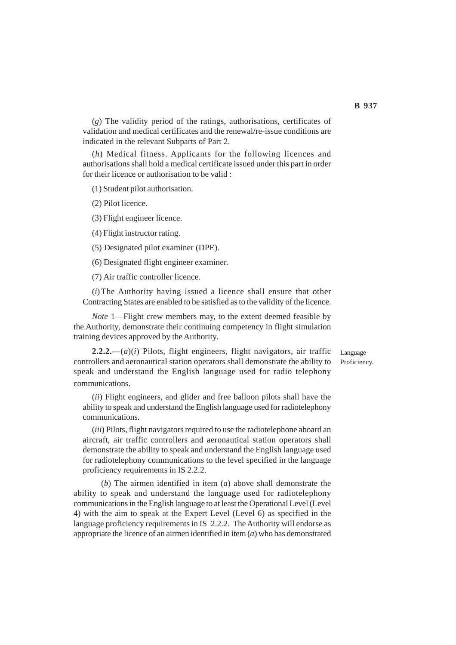(*g*) The validity period of the ratings, authorisations, certificates of validation and medical certificates and the renewal/re-issue conditions are indicated in the relevant Subparts of Part 2.

(*h*) Medical fitness. Applicants for the following licences and authorisations shall hold a medical certificate issued under this part in order for their licence or authorisation to be valid :

(1) Student pilot authorisation.

(2) Pilot licence.

(3) Flight engineer licence.

(4) Flight instructor rating.

(5) Designated pilot examiner (DPE).

(6) Designated flight engineer examiner.

(7) Air traffic controller licence.

(*i*) The Authority having issued a licence shall ensure that other Contracting States are enabled to be satisfied as to the validity of the licence.

*Note* 1—Flight crew members may, to the extent deemed feasible by the Authority, demonstrate their continuing competency in flight simulation training devices approved by the Authority.

**2.2.2.—**(*a*)(*i*) Pilots, flight engineers, flight navigators, air traffic controllers and aeronautical station operators shall demonstrate the ability to speak and understand the English language used for radio telephony communications.

(*ii*) Flight engineers, and glider and free balloon pilots shall have the ability to speak and understand the English language used for radiotelephony communications.

(*iii*) Pilots, flight navigators required to use the radiotelephone aboard an aircraft, air traffic controllers and aeronautical station operators shall demonstrate the ability to speak and understand the English language used for radiotelephony communications to the level specified in the language proficiency requirements in IS 2.2.2.

(*b*) The airmen identified in item (*a*) above shall demonstrate the ability to speak and understand the language used for radiotelephony communications in the English language to at least the Operational Level (Level 4) with the aim to speak at the Expert Level (Level 6) as specified in the language proficiency requirements in IS 2.2.2. The Authority will endorse as appropriate the licence of an airmen identified in item (*a*) who has demonstrated

Language Proficiency.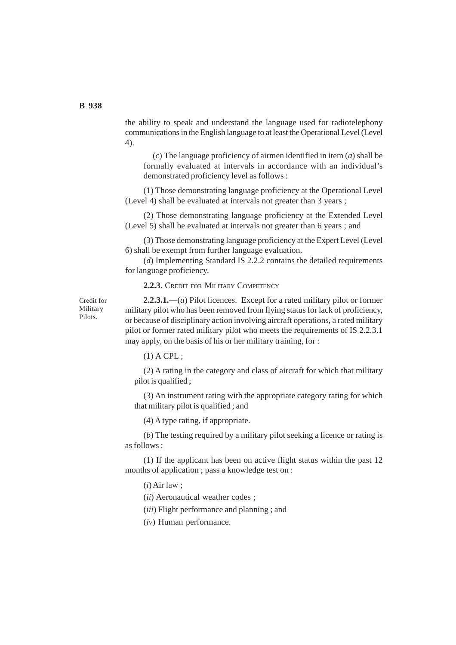the ability to speak and understand the language used for radiotelephony communications in the English language to at least the Operational Level (Level 4).

(*c*) The language proficiency of airmen identified in item (*a*) shall be formally evaluated at intervals in accordance with an individual's demonstrated proficiency level as follows :

(1) Those demonstrating language proficiency at the Operational Level (Level 4) shall be evaluated at intervals not greater than 3 years ;

(2) Those demonstrating language proficiency at the Extended Level (Level 5) shall be evaluated at intervals not greater than 6 years ; and

(3) Those demonstrating language proficiency at the Expert Level (Level 6) shall be exempt from further language evaluation.

(*d*) Implementing Standard IS 2.2.2 contains the detailed requirements for language proficiency.

**2.2.3.** CREDIT FOR MILITARY COMPETENCY

Credit for Military Pilots.

**2.2.3.1.—**(*a*) Pilot licences. Except for a rated military pilot or former military pilot who has been removed from flying status for lack of proficiency, or because of disciplinary action involving aircraft operations, a rated military pilot or former rated military pilot who meets the requirements of IS 2.2.3.1 may apply, on the basis of his or her military training, for :

 $(1)$  A CPL ;

(2) A rating in the category and class of aircraft for which that military pilot is qualified ;

(3) An instrument rating with the appropriate category rating for which that military pilot is qualified ; and

(4) A type rating, if appropriate.

(*b*) The testing required by a military pilot seeking a licence or rating is as follows :

(1) If the applicant has been on active flight status within the past 12 months of application ; pass a knowledge test on :

(*i*) Air law ;

(*ii*) Aeronautical weather codes ;

(*iii*) Flight performance and planning ; and

(*iv*) Human performance.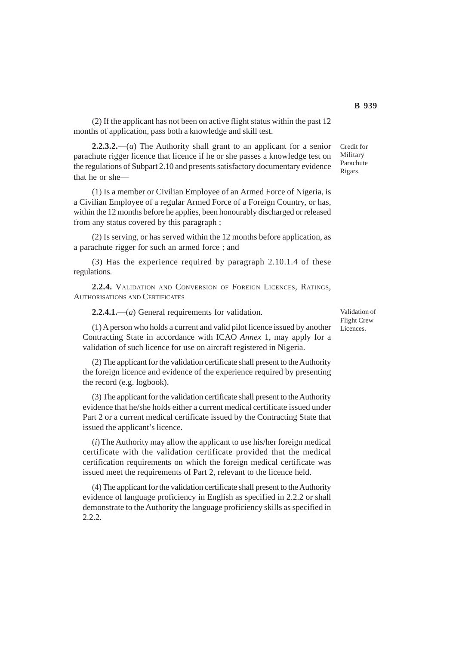(2) If the applicant has not been on active flight status within the past 12 months of application, pass both a knowledge and skill test.

**2.2.3.2.—**(*a*) The Authority shall grant to an applicant for a senior parachute rigger licence that licence if he or she passes a knowledge test on the regulations of Subpart 2.10 and presents satisfactory documentary evidence that he or she—

(1) Is a member or Civilian Employee of an Armed Force of Nigeria, is a Civilian Employee of a regular Armed Force of a Foreign Country, or has, within the 12 months before he applies, been honourably discharged or released from any status covered by this paragraph ;

(2) Is serving, or has served within the 12 months before application, as a parachute rigger for such an armed force ; and

(3) Has the experience required by paragraph 2.10.1.4 of these regulations.

**2.2.4.** VALIDATION AND CONVERSION OF FOREIGN LICENCES, RATINGS, AUTHORISATIONS AND CERTIFICATES

**2.2.4.1.—**(*a*) General requirements for validation.

(1) A person who holds a current and valid pilot licence issued by another Contracting State in accordance with ICAO *Annex* 1, may apply for a validation of such licence for use on aircraft registered in Nigeria.

(2) The applicant for the validation certificate shall present to the Authority the foreign licence and evidence of the experience required by presenting the record (e.g. logbook).

(3) The applicant for the validation certificate shall present to the Authority evidence that he/she holds either a current medical certificate issued under Part 2 or a current medical certificate issued by the Contracting State that issued the applicant's licence.

(*i*) The Authority may allow the applicant to use his/her foreign medical certificate with the validation certificate provided that the medical certification requirements on which the foreign medical certificate was issued meet the requirements of Part 2, relevant to the licence held.

(4) The applicant for the validation certificate shall present to the Authority evidence of language proficiency in English as specified in 2.2.2 or shall demonstrate to the Authority the language proficiency skills as specified in 2.2.2.

Validation of Flight Crew Licences.

Credit for Military Parachute Rigars.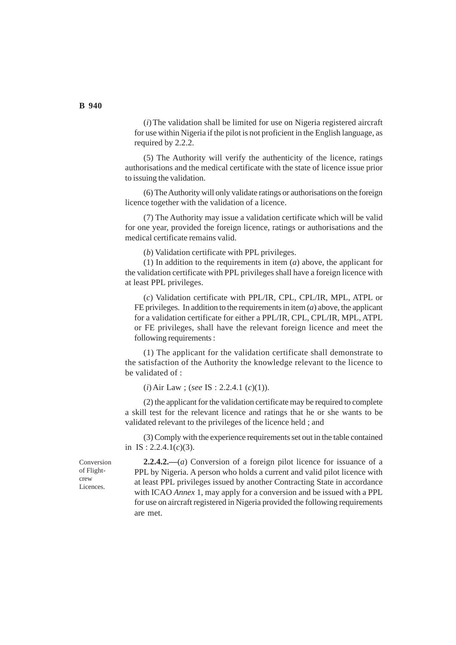(*i*) The validation shall be limited for use on Nigeria registered aircraft for use within Nigeria if the pilot is not proficient in the English language, as required by 2.2.2.

(5) The Authority will verify the authenticity of the licence, ratings authorisations and the medical certificate with the state of licence issue prior to issuing the validation.

(6) The Authority will only validate ratings or authorisations on the foreign licence together with the validation of a licence.

(7) The Authority may issue a validation certificate which will be valid for one year, provided the foreign licence, ratings or authorisations and the medical certificate remains valid.

(*b*) Validation certificate with PPL privileges.

(1) In addition to the requirements in item (*a*) above, the applicant for the validation certificate with PPL privileges shall have a foreign licence with at least PPL privileges.

(*c*) Validation certificate with PPL/IR, CPL, CPL/IR, MPL, ATPL or FE privileges. In addition to the requirements in item (*a*) above, the applicant for a validation certificate for either a PPL/IR, CPL, CPL/IR, MPL, ATPL or FE privileges, shall have the relevant foreign licence and meet the following requirements :

(1) The applicant for the validation certificate shall demonstrate to the satisfaction of the Authority the knowledge relevant to the licence to be validated of :

(*i*) Air Law ; (*see* IS : 2.2.4.1 (*c*)(1)).

(2) the applicant for the validation certificate may be required to complete a skill test for the relevant licence and ratings that he or she wants to be validated relevant to the privileges of the licence held ; and

(3) Comply with the experience requirements set out in the table contained in IS : 2.2.4.1(*c*)(3).

**2.2.4.2.—**(*a*) Conversion of a foreign pilot licence for issuance of a PPL by Nigeria. A person who holds a current and valid pilot licence with at least PPL privileges issued by another Contracting State in accordance with ICAO *Annex* 1, may apply for a conversion and be issued with a PPL for use on aircraft registered in Nigeria provided the following requirements are met.

Conversion of Flightcrew Licences.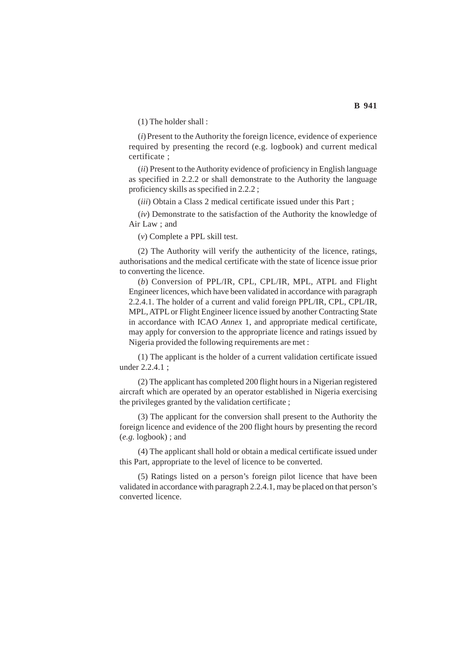(1) The holder shall :

(*i*) Present to the Authority the foreign licence, evidence of experience required by presenting the record (e.g. logbook) and current medical certificate ;

(*ii*) Present to the Authority evidence of proficiency in English language as specified in 2.2.2 or shall demonstrate to the Authority the language proficiency skills as specified in 2.2.2 ;

(*iii*) Obtain a Class 2 medical certificate issued under this Part ;

(*iv*) Demonstrate to the satisfaction of the Authority the knowledge of Air Law ; and

(*v*) Complete a PPL skill test.

(2) The Authority will verify the authenticity of the licence, ratings, authorisations and the medical certificate with the state of licence issue prior to converting the licence.

(*b*) Conversion of PPL/IR, CPL, CPL/IR, MPL, ATPL and Flight Engineer licences, which have been validated in accordance with paragraph 2.2.4.1. The holder of a current and valid foreign PPL/IR, CPL, CPL/IR, MPL, ATPL or Flight Engineer licence issued by another Contracting State in accordance with ICAO *Annex* 1, and appropriate medical certificate, may apply for conversion to the appropriate licence and ratings issued by Nigeria provided the following requirements are met :

(1) The applicant is the holder of a current validation certificate issued under 2.2.4.1 ;

(2) The applicant has completed 200 flight hours in a Nigerian registered aircraft which are operated by an operator established in Nigeria exercising the privileges granted by the validation certificate ;

(3) The applicant for the conversion shall present to the Authority the foreign licence and evidence of the 200 flight hours by presenting the record (*e.g.* logbook) ; and

(4) The applicant shall hold or obtain a medical certificate issued under this Part, appropriate to the level of licence to be converted.

(5) Ratings listed on a person's foreign pilot licence that have been validated in accordance with paragraph 2.2.4.1, may be placed on that person's converted licence.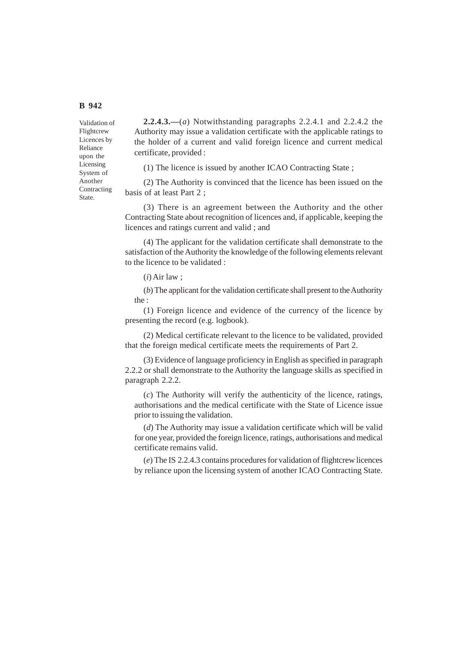Validation of Flightcrew Licences by Reliance upon the Licensing System of Another Contracting State.

**2.2.4.3.—**(*a*) Notwithstanding paragraphs 2.2.4.1 and 2.2.4.2 the Authority may issue a validation certificate with the applicable ratings to the holder of a current and valid foreign licence and current medical certificate, provided :

(1) The licence is issued by another ICAO Contracting State ;

(2) The Authority is convinced that the licence has been issued on the basis of at least Part 2 ;

(3) There is an agreement between the Authority and the other Contracting State about recognition of licences and, if applicable, keeping the licences and ratings current and valid ; and

(4) The applicant for the validation certificate shall demonstrate to the satisfaction of the Authority the knowledge of the following elements relevant to the licence to be validated :

(*i*) Air law ;

(*b*) The applicant for the validation certificate shall present to the Authority the :

(1) Foreign licence and evidence of the currency of the licence by presenting the record (e.g. logbook).

(2) Medical certificate relevant to the licence to be validated, provided that the foreign medical certificate meets the requirements of Part 2.

(3) Evidence of language proficiency in English as specified in paragraph 2.2.2 or shall demonstrate to the Authority the language skills as specified in paragraph 2.2.2.

(*c*) The Authority will verify the authenticity of the licence, ratings, authorisations and the medical certificate with the State of Licence issue prior to issuing the validation.

(*d*) The Authority may issue a validation certificate which will be valid for one year, provided the foreign licence, ratings, authorisations and medical certificate remains valid.

(*e*) The IS 2.2.4.3 contains procedures for validation of flightcrew licences by reliance upon the licensing system of another ICAO Contracting State.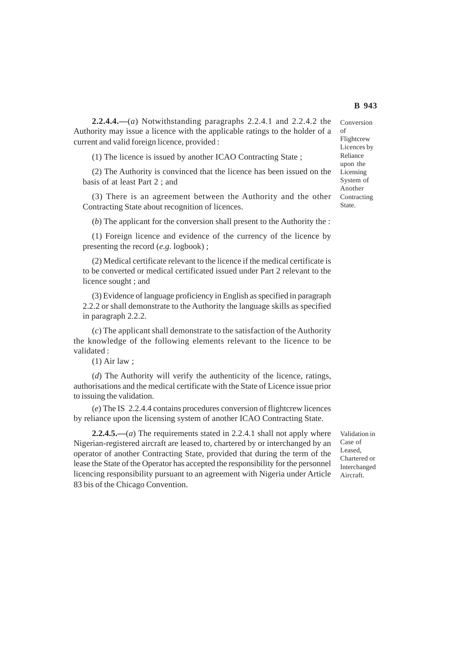**2.2.4.4.—**(*a*) Notwithstanding paragraphs 2.2.4.1 and 2.2.4.2 the Authority may issue a licence with the applicable ratings to the holder of a current and valid foreign licence, provided :

(1) The licence is issued by another ICAO Contracting State ;

(2) The Authority is convinced that the licence has been issued on the basis of at least Part 2 ; and

(3) There is an agreement between the Authority and the other Contracting State about recognition of licences.

(*b*) The applicant for the conversion shall present to the Authority the :

(1) Foreign licence and evidence of the currency of the licence by presenting the record (*e.g.* logbook) ;

(2) Medical certificate relevant to the licence if the medical certificate is to be converted or medical certificated issued under Part 2 relevant to the licence sought ; and

(3) Evidence of language proficiency in English as specified in paragraph 2.2.2 or shall demonstrate to the Authority the language skills as specified in paragraph 2.2.2.

(*c*) The applicant shall demonstrate to the satisfaction of the Authority the knowledge of the following elements relevant to the licence to be validated :

#### (1) Air law ;

(*d*) The Authority will verify the authenticity of the licence, ratings, authorisations and the medical certificate with the State of Licence issue prior to issuing the validation.

(*e*) The IS 2.2.4.4 contains procedures conversion of flightcrew licences by reliance upon the licensing system of another ICAO Contracting State.

**2.2.4.5.—**(*a*) The requirements stated in 2.2.4.1 shall not apply where Nigerian-registered aircraft are leased to, chartered by or interchanged by an operator of another Contracting State, provided that during the term of the lease the State of the Operator has accepted the responsibility for the personnel licencing responsibility pursuant to an agreement with Nigeria under Article 83 bis of the Chicago Convention.

Validation in Case of Leased, Chartered or Interchanged Aircraft.

Conversion of Flightcrew Licences by Reliance upon the Licensing System of Another Contracting State.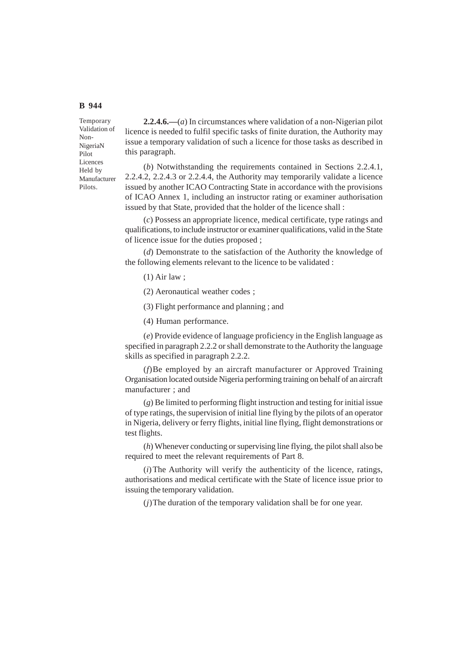Temporary Validation of Non-NigeriaN Pilot Licences Held by Manufacturer Pilots.

**2.2.4.6.—**(*a*) In circumstances where validation of a non-Nigerian pilot licence is needed to fulfil specific tasks of finite duration, the Authority may issue a temporary validation of such a licence for those tasks as described in this paragraph.

(*b*) Notwithstanding the requirements contained in Sections 2.2.4.1, 2.2.4.2, 2.2.4.3 or 2.2.4.4, the Authority may temporarily validate a licence issued by another ICAO Contracting State in accordance with the provisions of ICAO Annex 1, including an instructor rating or examiner authorisation issued by that State, provided that the holder of the licence shall :

(*c*) Possess an appropriate licence, medical certificate, type ratings and qualifications, to include instructor or examiner qualifications, valid in the State of licence issue for the duties proposed ;

(*d*) Demonstrate to the satisfaction of the Authority the knowledge of the following elements relevant to the licence to be validated :

(1) Air law ;

(2) Aeronautical weather codes ;

(3) Flight performance and planning ; and

(4) Human performance.

(*e*) Provide evidence of language proficiency in the English language as specified in paragraph 2.2.2 or shall demonstrate to the Authority the language skills as specified in paragraph 2.2.2.

(*f*)Be employed by an aircraft manufacturer or Approved Training Organisation located outside Nigeria performing training on behalf of an aircraft manufacturer ; and

(*g*) Be limited to performing flight instruction and testing for initial issue of type ratings, the supervision of initial line flying by the pilots of an operator in Nigeria, delivery or ferry flights, initial line flying, flight demonstrations or test flights.

(*h*) Whenever conducting or supervising line flying, the pilot shall also be required to meet the relevant requirements of Part 8.

(*i*) The Authority will verify the authenticity of the licence, ratings, authorisations and medical certificate with the State of licence issue prior to issuing the temporary validation.

(*j*)The duration of the temporary validation shall be for one year.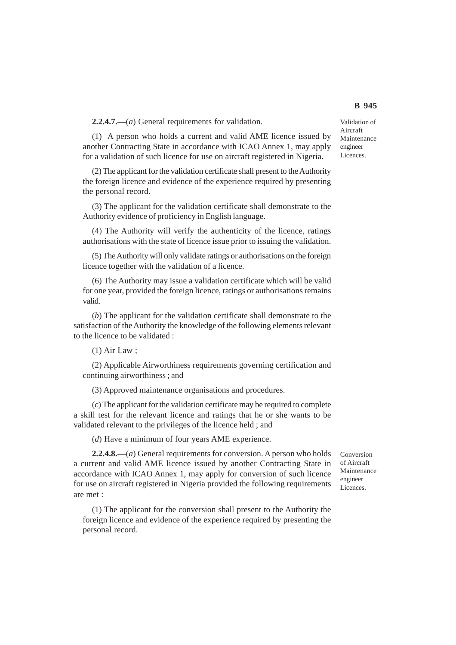**2.2.4.7.—**(*a*) General requirements for validation.

(1) A person who holds a current and valid AME licence issued by another Contracting State in accordance with ICAO Annex 1, may apply for a validation of such licence for use on aircraft registered in Nigeria.

(2) The applicant for the validation certificate shall present to the Authority the foreign licence and evidence of the experience required by presenting the personal record.

(3) The applicant for the validation certificate shall demonstrate to the Authority evidence of proficiency in English language.

(4) The Authority will verify the authenticity of the licence, ratings authorisations with the state of licence issue prior to issuing the validation.

(5) The Authority will only validate ratings or authorisations on the foreign licence together with the validation of a licence.

(6) The Authority may issue a validation certificate which will be valid for one year, provided the foreign licence, ratings or authorisations remains valid.

(*b*) The applicant for the validation certificate shall demonstrate to the satisfaction of the Authority the knowledge of the following elements relevant to the licence to be validated :

(1) Air Law ;

(2) Applicable Airworthiness requirements governing certification and continuing airworthiness ; and

(3) Approved maintenance organisations and procedures.

(*c*) The applicant for the validation certificate may be required to complete a skill test for the relevant licence and ratings that he or she wants to be validated relevant to the privileges of the licence held ; and

(*d*) Have a minimum of four years AME experience.

**2.2.4.8.—**(*a*) General requirements for conversion. A person who holds a current and valid AME licence issued by another Contracting State in accordance with ICAO Annex 1, may apply for conversion of such licence for use on aircraft registered in Nigeria provided the following requirements are met :

(1) The applicant for the conversion shall present to the Authority the foreign licence and evidence of the experience required by presenting the personal record.

Conversion of Aircraft Maintenance engineer Licences.

Validation of Aircraft Maintenance engineer Licences.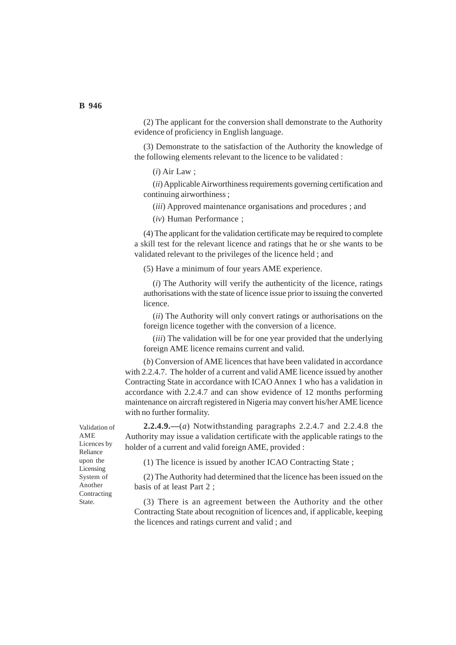(2) The applicant for the conversion shall demonstrate to the Authority evidence of proficiency in English language.

(3) Demonstrate to the satisfaction of the Authority the knowledge of the following elements relevant to the licence to be validated :

(*i*) Air Law ;

(*ii*) Applicable Airworthiness requirements governing certification and continuing airworthiness ;

(*iii*) Approved maintenance organisations and procedures ; and

(*iv*) Human Performance ;

(4) The applicant for the validation certificate may be required to complete a skill test for the relevant licence and ratings that he or she wants to be validated relevant to the privileges of the licence held ; and

(5) Have a minimum of four years AME experience.

(*i*) The Authority will verify the authenticity of the licence, ratings authorisations with the state of licence issue prior to issuing the converted licence.

(*ii*) The Authority will only convert ratings or authorisations on the foreign licence together with the conversion of a licence.

(*iii*) The validation will be for one year provided that the underlying foreign AME licence remains current and valid.

(*b*) Conversion of AME licences that have been validated in accordance with 2.2.4.7. The holder of a current and valid AME licence issued by another Contracting State in accordance with ICAO Annex 1 who has a validation in accordance with 2.2.4.7 and can show evidence of 12 months performing maintenance on aircraft registered in Nigeria may convert his/her AME licence with no further formality.

**2.2.4.9.—**(*a*) Notwithstanding paragraphs 2.2.4.7 and 2.2.4.8 the Authority may issue a validation certificate with the applicable ratings to the holder of a current and valid foreign AME, provided :

(1) The licence is issued by another ICAO Contracting State ;

(2) The Authority had determined that the licence has been issued on the basis of at least Part 2 ;

(3) There is an agreement between the Authority and the other Contracting State about recognition of licences and, if applicable, keeping the licences and ratings current and valid ; and

Validation of AME Licences by Reliance upon the Licensing System of Another Contracting State.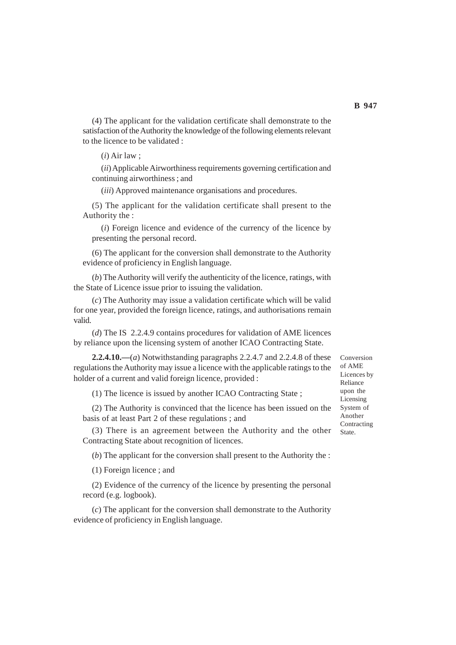(4) The applicant for the validation certificate shall demonstrate to the satisfaction of the Authority the knowledge of the following elements relevant to the licence to be validated :

(*i*) Air law ;

(*ii*) Applicable Airworthiness requirements governing certification and continuing airworthiness ; and

(*iii*) Approved maintenance organisations and procedures.

(5) The applicant for the validation certificate shall present to the Authority the :

(*i*) Foreign licence and evidence of the currency of the licence by presenting the personal record.

(6) The applicant for the conversion shall demonstrate to the Authority evidence of proficiency in English language.

(*b*) The Authority will verify the authenticity of the licence, ratings, with the State of Licence issue prior to issuing the validation.

(*c*) The Authority may issue a validation certificate which will be valid for one year, provided the foreign licence, ratings, and authorisations remain valid.

(*d*) The IS 2.2.4.9 contains procedures for validation of AME licences by reliance upon the licensing system of another ICAO Contracting State.

**2.2.4.10.—**(*a*) Notwithstanding paragraphs 2.2.4.7 and 2.2.4.8 of these regulations the Authority may issue a licence with the applicable ratings to the holder of a current and valid foreign licence, provided :

(1) The licence is issued by another ICAO Contracting State ;

(2) The Authority is convinced that the licence has been issued on the basis of at least Part 2 of these regulations ; and

(3) There is an agreement between the Authority and the other Contracting State about recognition of licences.

(*b*) The applicant for the conversion shall present to the Authority the :

(1) Foreign licence ; and

(2) Evidence of the currency of the licence by presenting the personal record (e.g. logbook).

(*c*) The applicant for the conversion shall demonstrate to the Authority evidence of proficiency in English language.

Conversion of AME Licences by Reliance upon the Licensing System of Another Contracting State.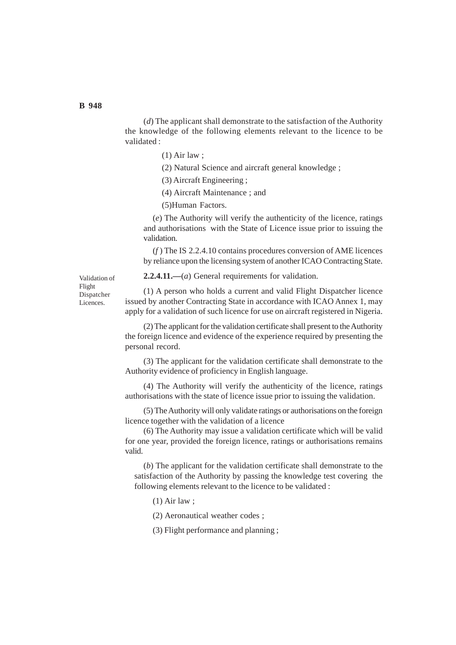(*d*) The applicant shall demonstrate to the satisfaction of the Authority the knowledge of the following elements relevant to the licence to be validated :

- (1) Air law ;
- (2) Natural Science and aircraft general knowledge ;
- (3) Aircraft Engineering ;
- (4) Aircraft Maintenance ; and
- (5)Human Factors.

(*e*) The Authority will verify the authenticity of the licence, ratings and authorisations with the State of Licence issue prior to issuing the validation.

(*f* ) The IS 2.2.4.10 contains procedures conversion of AME licences by reliance upon the licensing system of another ICAO Contracting State.

Validation of Flight Dispatcher Licences.

**2.2.4.11.—**(*a*) General requirements for validation.

(1) A person who holds a current and valid Flight Dispatcher licence issued by another Contracting State in accordance with ICAO Annex 1, may apply for a validation of such licence for use on aircraft registered in Nigeria.

(2) The applicant for the validation certificate shall present to the Authority the foreign licence and evidence of the experience required by presenting the personal record.

(3) The applicant for the validation certificate shall demonstrate to the Authority evidence of proficiency in English language.

(4) The Authority will verify the authenticity of the licence, ratings authorisations with the state of licence issue prior to issuing the validation.

(5) The Authority will only validate ratings or authorisations on the foreign licence together with the validation of a licence

(6) The Authority may issue a validation certificate which will be valid for one year, provided the foreign licence, ratings or authorisations remains valid.

(*b*) The applicant for the validation certificate shall demonstrate to the satisfaction of the Authority by passing the knowledge test covering the following elements relevant to the licence to be validated :

(1) Air law ;

(2) Aeronautical weather codes ;

(3) Flight performance and planning ;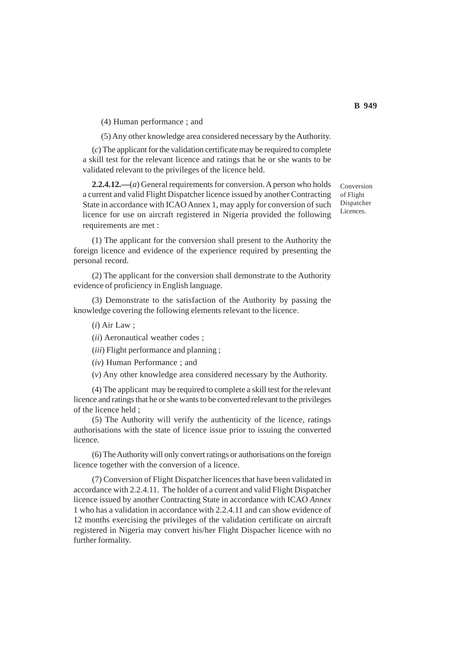(4) Human performance ; and

(5) Any other knowledge area considered necessary by the Authority.

(*c*) The applicant for the validation certificate may be required to complete a skill test for the relevant licence and ratings that he or she wants to be validated relevant to the privileges of the licence held.

**2.2.4.12.—**(*a*) General requirements for conversion. A person who holds a current and valid Flight Dispatcher licence issued by another Contracting State in accordance with ICAO Annex 1, may apply for conversion of such licence for use on aircraft registered in Nigeria provided the following requirements are met :

(1) The applicant for the conversion shall present to the Authority the foreign licence and evidence of the experience required by presenting the personal record.

(2) The applicant for the conversion shall demonstrate to the Authority evidence of proficiency in English language.

(3) Demonstrate to the satisfaction of the Authority by passing the knowledge covering the following elements relevant to the licence.

(*i*) Air Law ;

(*ii*) Aeronautical weather codes ;

(*iii*) Flight performance and planning ;

(*iv*) Human Performance ; and

(*v*) Any other knowledge area considered necessary by the Authority.

(4) The applicant may be required to complete a skill test for the relevant licence and ratings that he or she wants to be converted relevant to the privileges of the licence held ;

(5) The Authority will verify the authenticity of the licence, ratings authorisations with the state of licence issue prior to issuing the converted licence.

(6) The Authority will only convert ratings or authorisations on the foreign licence together with the conversion of a licence.

(7) Conversion of Flight Dispatcher licences that have been validated in accordance with 2.2.4.11. The holder of a current and valid Flight Dispatcher licence issued by another Contracting State in accordance with ICAO *Annex* 1 who has a validation in accordance with 2.2.4.11 and can show evidence of 12 months exercising the privileges of the validation certificate on aircraft registered in Nigeria may convert his/her Flight Dispacher licence with no further formality.

Conversion of Flight Dispatcher Licences.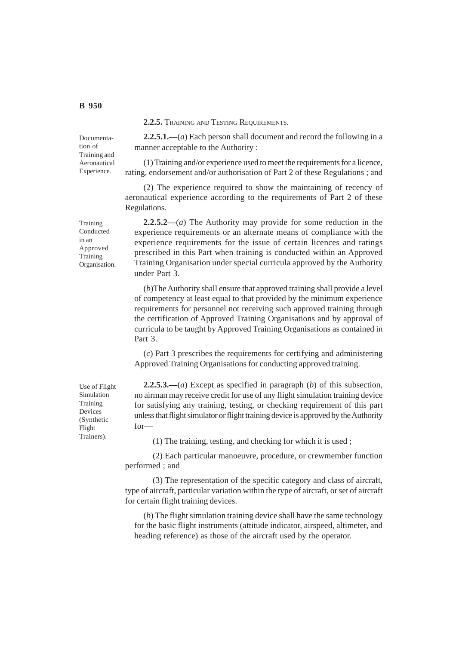**2.2.5.** TRAINING AND TESTING REQUIREMENTS.

Documentation of Training and Aeronautical Experience.

Training Conducted in an Approved Training Organisation.

**2.2.5.1.—**(*a*) Each person shall document and record the following in a manner acceptable to the Authority :

(1) Training and/or experience used to meet the requirements for a licence, rating, endorsement and/or authorisation of Part 2 of these Regulations ; and

(2) The experience required to show the maintaining of recency of aeronautical experience according to the requirements of Part 2 of these Regulations.

**2.2.5.2—**(*a*) The Authority may provide for some reduction in the experience requirements or an alternate means of compliance with the experience requirements for the issue of certain licences and ratings prescribed in this Part when training is conducted within an Approved Training Organisation under special curricula approved by the Authority under Part 3.

(*b*)The Authority shall ensure that approved training shall provide a level of competency at least equal to that provided by the minimum experience requirements for personnel not receiving such approved training through the certification of Approved Training Organisations and by approval of curricula to be taught by Approved Training Organisations as contained in Part 3.

(*c*) Part 3 prescribes the requirements for certifying and administering Approved Training Organisations for conducting approved training.

**2.2.5.3.—**(*a*) Except as specified in paragraph (*b*) of this subsection, no airman may receive credit for use of any flight simulation training device for satisfying any training, testing, or checking requirement of this part unless that flight simulator or flight training device is approved by the Authority for—

(1) The training, testing, and checking for which it is used ;

(2) Each particular manoeuvre, procedure, or crewmember function performed ; and

(3) The representation of the specific category and class of aircraft, type of aircraft, particular variation within the type of aircraft, or set of aircraft for certain flight training devices.

(*b*) The flight simulation training device shall have the same technology for the basic flight instruments (attitude indicator, airspeed, altimeter, and heading reference) as those of the aircraft used by the operator.

Use of Flight Simulation Training Devices (Synthetic Flight Trainers).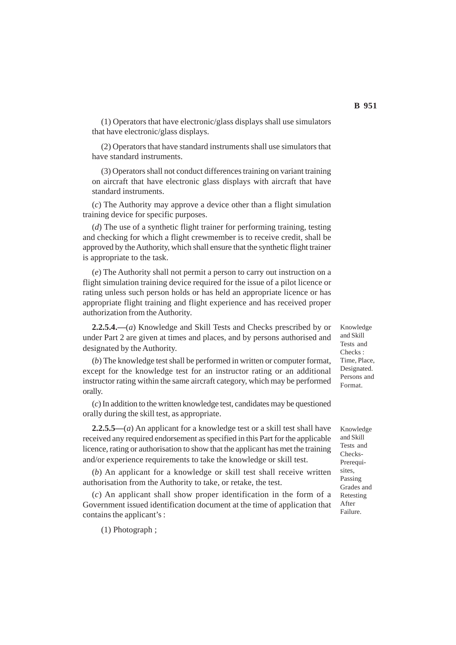(1) Operators that have electronic/glass displays shall use simulators that have electronic/glass displays.

(2) Operators that have standard instruments shall use simulators that have standard instruments.

(3) Operators shall not conduct differences training on variant training on aircraft that have electronic glass displays with aircraft that have standard instruments.

(*c*) The Authority may approve a device other than a flight simulation training device for specific purposes.

(*d*) The use of a synthetic flight trainer for performing training, testing and checking for which a flight crewmember is to receive credit, shall be approved by the Authority, which shall ensure that the synthetic flight trainer is appropriate to the task.

(*e*) The Authority shall not permit a person to carry out instruction on a flight simulation training device required for the issue of a pilot licence or rating unless such person holds or has held an appropriate licence or has appropriate flight training and flight experience and has received proper authorization from the Authority.

**2.2.5.4.—**(*a*) Knowledge and Skill Tests and Checks prescribed by or under Part 2 are given at times and places, and by persons authorised and designated by the Authority.

(*b*) The knowledge test shall be performed in written or computer format, except for the knowledge test for an instructor rating or an additional instructor rating within the same aircraft category, which may be performed orally.

(*c*) In addition to the written knowledge test, candidates may be questioned orally during the skill test, as appropriate.

**2.2.5.5—**(*a*) An applicant for a knowledge test or a skill test shall have received any required endorsement as specified in this Part for the applicable licence, rating or authorisation to show that the applicant has met the training and/or experience requirements to take the knowledge or skill test.

(*b*) An applicant for a knowledge or skill test shall receive written authorisation from the Authority to take, or retake, the test.

(*c*) An applicant shall show proper identification in the form of a Government issued identification document at the time of application that contains the applicant's :

(1) Photograph ;

Knowledge and Skill Tests and Checks : Time, Place, Designated. Persons and Format.

Knowledge and Skill Tests and Checks-Prerequisites, Passing Grades and Retesting After Failure.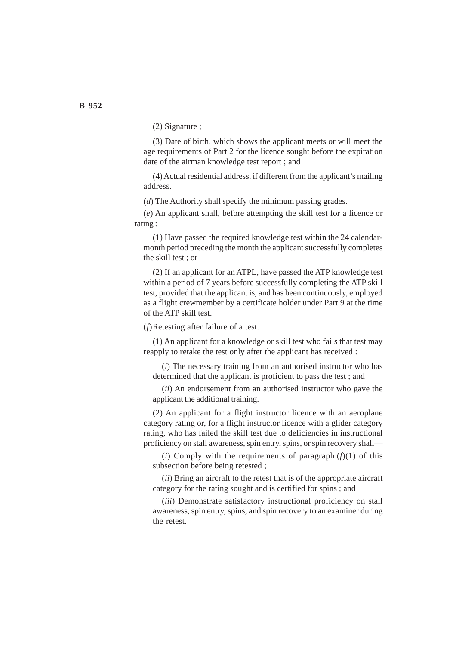(2) Signature ;

(3) Date of birth, which shows the applicant meets or will meet the age requirements of Part 2 for the licence sought before the expiration date of the airman knowledge test report ; and

(4) Actual residential address, if different from the applicant's mailing address.

(*d*) The Authority shall specify the minimum passing grades.

(*e*) An applicant shall, before attempting the skill test for a licence or rating :

(1) Have passed the required knowledge test within the 24 calendarmonth period preceding the month the applicant successfully completes the skill test ; or

(2) If an applicant for an ATPL, have passed the ATP knowledge test within a period of 7 years before successfully completing the ATP skill test, provided that the applicant is, and has been continuously, employed as a flight crewmember by a certificate holder under Part 9 at the time of the ATP skill test.

(*f*)Retesting after failure of a test.

(1) An applicant for a knowledge or skill test who fails that test may reapply to retake the test only after the applicant has received :

(*i*) The necessary training from an authorised instructor who has determined that the applicant is proficient to pass the test ; and

(*ii*) An endorsement from an authorised instructor who gave the applicant the additional training.

(2) An applicant for a flight instructor licence with an aeroplane category rating or, for a flight instructor licence with a glider category rating, who has failed the skill test due to deficiencies in instructional proficiency on stall awareness, spin entry, spins, or spin recovery shall—

(*i*) Comply with the requirements of paragraph  $(f)(1)$  of this subsection before being retested ;

(*ii*) Bring an aircraft to the retest that is of the appropriate aircraft category for the rating sought and is certified for spins ; and

(*iii*) Demonstrate satisfactory instructional proficiency on stall awareness, spin entry, spins, and spin recovery to an examiner during the retest.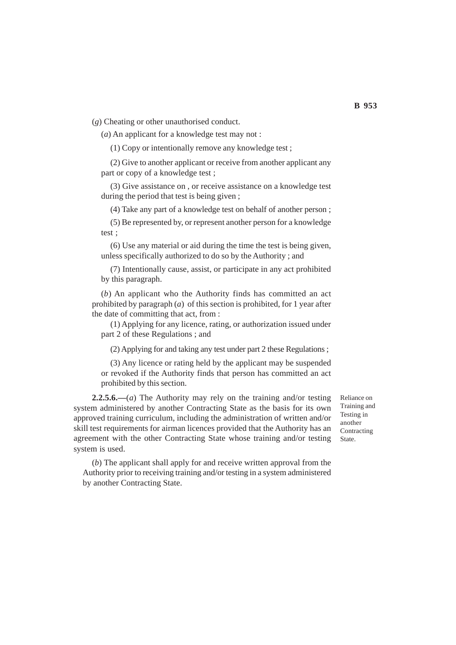(*g*) Cheating or other unauthorised conduct.

(*a*) An applicant for a knowledge test may not :

(1) Copy or intentionally remove any knowledge test ;

(2) Give to another applicant or receive from another applicant any part or copy of a knowledge test ;

(3) Give assistance on , or receive assistance on a knowledge test during the period that test is being given ;

(4) Take any part of a knowledge test on behalf of another person ;

(5) Be represented by, or represent another person for a knowledge test ;

(6) Use any material or aid during the time the test is being given, unless specifically authorized to do so by the Authority ; and

(7) Intentionally cause, assist, or participate in any act prohibited by this paragraph.

(*b*) An applicant who the Authority finds has committed an act prohibited by paragraph (*a*) of this section is prohibited, for 1 year after the date of committing that act, from :

(1) Applying for any licence, rating, or authorization issued under part 2 of these Regulations ; and

(2) Applying for and taking any test under part 2 these Regulations ;

(3) Any licence or rating held by the applicant may be suspended or revoked if the Authority finds that person has committed an act prohibited by this section.

**2.2.5.6.—**(*a*) The Authority may rely on the training and/or testing system administered by another Contracting State as the basis for its own approved training curriculum, including the administration of written and/or skill test requirements for airman licences provided that the Authority has an agreement with the other Contracting State whose training and/or testing system is used.

Reliance on Training and Testing in another Contracting State.

(*b*) The applicant shall apply for and receive written approval from the Authority prior to receiving training and/or testing in a system administered by another Contracting State.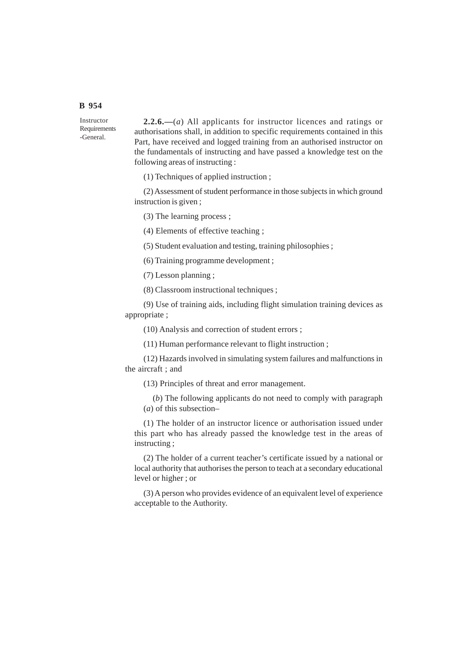# **B 954**

Instructor Requirements -General.

**2.2.6.—**(*a*) All applicants for instructor licences and ratings or authorisations shall, in addition to specific requirements contained in this Part, have received and logged training from an authorised instructor on the fundamentals of instructing and have passed a knowledge test on the following areas of instructing :

(1) Techniques of applied instruction ;

(2) Assessment of student performance in those subjects in which ground instruction is given ;

(3) The learning process ;

(4) Elements of effective teaching ;

(5) Student evaluation and testing, training philosophies ;

(6) Training programme development ;

(7) Lesson planning ;

(8) Classroom instructional techniques ;

(9) Use of training aids, including flight simulation training devices as appropriate ;

(10) Analysis and correction of student errors ;

(11) Human performance relevant to flight instruction ;

(12) Hazards involved in simulating system failures and malfunctions in the aircraft ; and

(13) Principles of threat and error management.

(*b*) The following applicants do not need to comply with paragraph (*a*) of this subsection–

(1) The holder of an instructor licence or authorisation issued under this part who has already passed the knowledge test in the areas of instructing ;

(2) The holder of a current teacher's certificate issued by a national or local authority that authorises the person to teach at a secondary educational level or higher ; or

(3) A person who provides evidence of an equivalent level of experience acceptable to the Authority.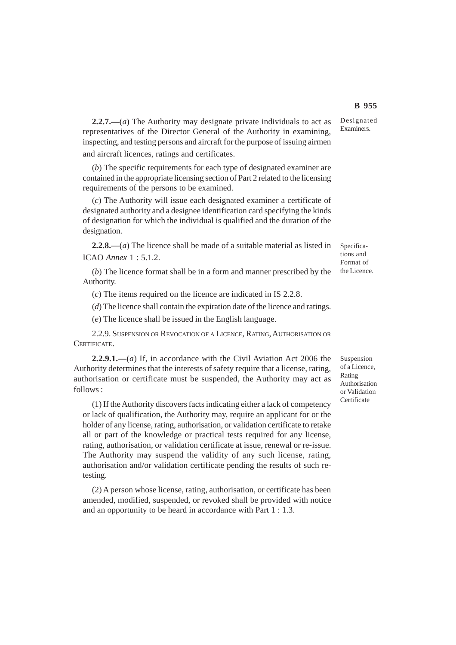**2.2.7.—**(*a*) The Authority may designate private individuals to act as representatives of the Director General of the Authority in examining, inspecting, and testing persons and aircraft for the purpose of issuing airmen and aircraft licences, ratings and certificates.

(*b*) The specific requirements for each type of designated examiner are contained in the appropriate licensing section of Part 2 related to the licensing requirements of the persons to be examined.

(*c*) The Authority will issue each designated examiner a certificate of designated authority and a designee identification card specifying the kinds of designation for which the individual is qualified and the duration of the designation.

**2.2.8.—**(*a*) The licence shall be made of a suitable material as listed in ICAO *Annex* 1 : 5.1.2.

(*b*) The licence format shall be in a form and manner prescribed by the Authority.

(*c*) The items required on the licence are indicated in IS 2.2.8.

(*d*) The licence shall contain the expiration date of the licence and ratings.

(*e*) The licence shall be issued in the English language.

2.2.9. SUSPENSION OR REVOCATION OF A LICENCE, RATING, AUTHORISATION OR CERTIFICATE.

**2.2.9.1.—**(*a*) If, in accordance with the Civil Aviation Act 2006 the Authority determines that the interests of safety require that a license, rating, authorisation or certificate must be suspended, the Authority may act as follows :

(1) If the Authority discovers facts indicating either a lack of competency or lack of qualification, the Authority may, require an applicant for or the holder of any license, rating, authorisation, or validation certificate to retake all or part of the knowledge or practical tests required for any license, rating, authorisation, or validation certificate at issue, renewal or re-issue. The Authority may suspend the validity of any such license, rating, authorisation and/or validation certificate pending the results of such retesting.

(2) A person whose license, rating, authorisation, or certificate has been amended, modified, suspended, or revoked shall be provided with notice and an opportunity to be heard in accordance with Part 1 : 1.3.

Suspension of a Licence, Rating Authorisation or Validation **Certificate** 

Specifications and Format of the Licence.

Designated Examiners.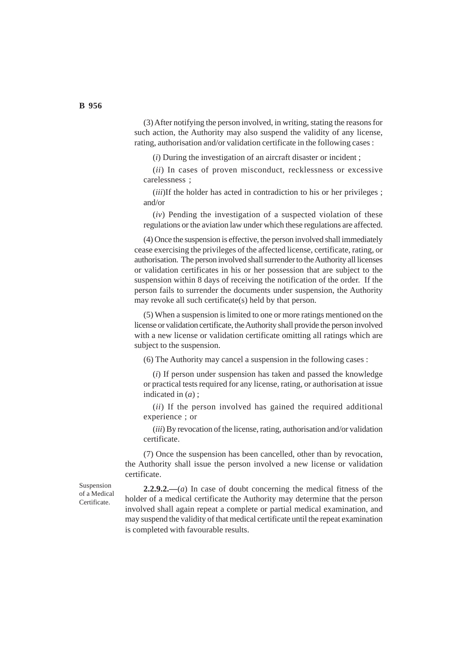(3) After notifying the person involved, in writing, stating the reasons for such action, the Authority may also suspend the validity of any license, rating, authorisation and/or validation certificate in the following cases :

(*i*) During the investigation of an aircraft disaster or incident ;

(*ii*) In cases of proven misconduct, recklessness or excessive carelessness ;

(*iii*)If the holder has acted in contradiction to his or her privileges; and/or

(*iv*) Pending the investigation of a suspected violation of these regulations or the aviation law under which these regulations are affected.

(4) Once the suspension is effective, the person involved shall immediately cease exercising the privileges of the affected license, certificate, rating, or authorisation. The person involved shall surrender to the Authority all licenses or validation certificates in his or her possession that are subject to the suspension within 8 days of receiving the notification of the order. If the person fails to surrender the documents under suspension, the Authority may revoke all such certificate(s) held by that person.

(5) When a suspension is limited to one or more ratings mentioned on the license or validation certificate, the Authority shall provide the person involved with a new license or validation certificate omitting all ratings which are subject to the suspension.

(6) The Authority may cancel a suspension in the following cases :

(*i*) If person under suspension has taken and passed the knowledge or practical tests required for any license, rating, or authorisation at issue indicated in (*a*) ;

(*ii*) If the person involved has gained the required additional experience ; or

(*iii*) By revocation of the license, rating, authorisation and/or validation certificate.

(7) Once the suspension has been cancelled, other than by revocation, the Authority shall issue the person involved a new license or validation certificate.

Suspension of a Medical Certificate.

**2.2.9.2.—**(*a*) In case of doubt concerning the medical fitness of the holder of a medical certificate the Authority may determine that the person involved shall again repeat a complete or partial medical examination, and may suspend the validity of that medical certificate until the repeat examination is completed with favourable results.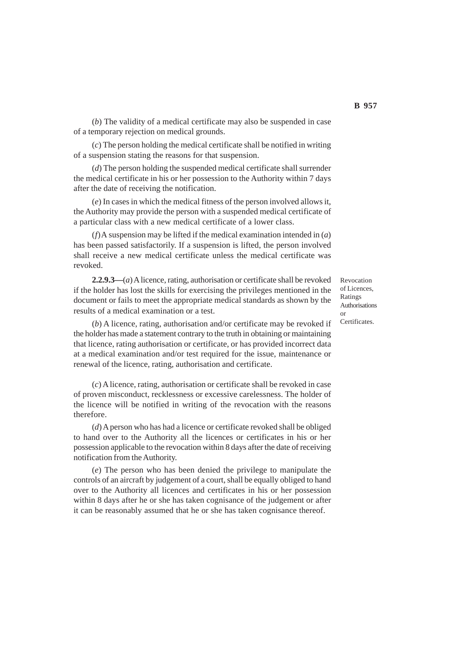(*b*) The validity of a medical certificate may also be suspended in case of a temporary rejection on medical grounds.

(*c*) The person holding the medical certificate shall be notified in writing of a suspension stating the reasons for that suspension.

(*d*) The person holding the suspended medical certificate shall surrender the medical certificate in his or her possession to the Authority within 7 days after the date of receiving the notification.

(*e*) In cases in which the medical fitness of the person involved allows it, the Authority may provide the person with a suspended medical certificate of a particular class with a new medical certificate of a lower class.

(*f*)A suspension may be lifted if the medical examination intended in (*a*) has been passed satisfactorily. If a suspension is lifted, the person involved shall receive a new medical certificate unless the medical certificate was revoked.

**2.2.9.3—**(*a*) A licence, rating, authorisation or certificate shall be revoked if the holder has lost the skills for exercising the privileges mentioned in the document or fails to meet the appropriate medical standards as shown by the results of a medical examination or a test.

(*b*) A licence, rating, authorisation and/or certificate may be revoked if the holder has made a statement contrary to the truth in obtaining or maintaining that licence, rating authorisation or certificate, or has provided incorrect data at a medical examination and/or test required for the issue, maintenance or renewal of the licence, rating, authorisation and certificate.

(*c*) A licence, rating, authorisation or certificate shall be revoked in case of proven misconduct, recklessness or excessive carelessness. The holder of the licence will be notified in writing of the revocation with the reasons therefore.

(*d*) A person who has had a licence or certificate revoked shall be obliged to hand over to the Authority all the licences or certificates in his or her possession applicable to the revocation within 8 days after the date of receiving notification from the Authority.

(*e*) The person who has been denied the privilege to manipulate the controls of an aircraft by judgement of a court, shall be equally obliged to hand over to the Authority all licences and certificates in his or her possession within 8 days after he or she has taken cognisance of the judgement or after it can be reasonably assumed that he or she has taken cognisance thereof.

Revocation of Licences, Ratings Authorisations or **Certificates**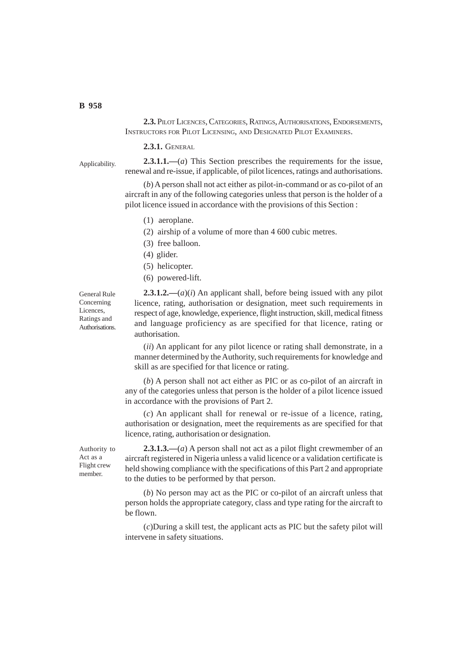**2.3.** PILOT LICENCES, CATEGORIES, RATINGS, AUTHORISATIONS, ENDORSEMENTS, INSTRUCTORS FOR PILOT LICENSING, AND DESIGNATED PILOT EXAMINERS.

**2.3.1.** GENERAL

Applicability.

**2.3.1.1.—**(*a*) This Section prescribes the requirements for the issue, renewal and re-issue, if applicable, of pilot licences, ratings and authorisations.

(*b*) A person shall not act either as pilot-in-command or as co-pilot of an aircraft in any of the following categories unless that person is the holder of a pilot licence issued in accordance with the provisions of this Section :

- (1) aeroplane.
- (2) airship of a volume of more than 4 600 cubic metres.
- (3) free balloon.
- (4) glider.
- (5) helicopter.
- (6) powered-lift.

General Rule Concerning Licences, Ratings and Authorisations.

**2.3.1.2.—**(*a*)(*i*) An applicant shall, before being issued with any pilot licence, rating, authorisation or designation, meet such requirements in respect of age, knowledge, experience, flight instruction, skill, medical fitness and language proficiency as are specified for that licence, rating or authorisation.

(*ii*) An applicant for any pilot licence or rating shall demonstrate, in a manner determined by the Authority, such requirements for knowledge and skill as are specified for that licence or rating.

(*b*) A person shall not act either as PIC or as co-pilot of an aircraft in any of the categories unless that person is the holder of a pilot licence issued in accordance with the provisions of Part 2.

(*c*) An applicant shall for renewal or re-issue of a licence, rating, authorisation or designation, meet the requirements as are specified for that licence, rating, authorisation or designation.

Authority to Act as a Flight crew member.

**2.3.1.3.—**(*a*) A person shall not act as a pilot flight crewmember of an aircraft registered in Nigeria unless a valid licence or a validation certificate is held showing compliance with the specifications of this Part 2 and appropriate to the duties to be performed by that person.

(*b*) No person may act as the PIC or co-pilot of an aircraft unless that person holds the appropriate category, class and type rating for the aircraft to be flown.

(*c*)During a skill test, the applicant acts as PIC but the safety pilot will intervene in safety situations.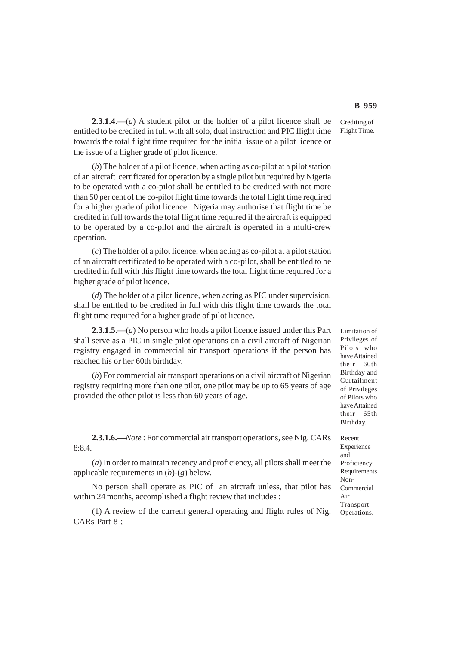**2.3.1.4.—**(*a*) A student pilot or the holder of a pilot licence shall be entitled to be credited in full with all solo, dual instruction and PIC flight time towards the total flight time required for the initial issue of a pilot licence or the issue of a higher grade of pilot licence.

(*b*) The holder of a pilot licence, when acting as co-pilot at a pilot station of an aircraft certificated for operation by a single pilot but required by Nigeria to be operated with a co-pilot shall be entitled to be credited with not more than 50 per cent of the co-pilot flight time towards the total flight time required for a higher grade of pilot licence. Nigeria may authorise that flight time be credited in full towards the total flight time required if the aircraft is equipped to be operated by a co-pilot and the aircraft is operated in a multi-crew operation.

(*c*) The holder of a pilot licence, when acting as co-pilot at a pilot station of an aircraft certificated to be operated with a co-pilot, shall be entitled to be credited in full with this flight time towards the total flight time required for a higher grade of pilot licence.

(*d*) The holder of a pilot licence, when acting as PIC under supervision, shall be entitled to be credited in full with this flight time towards the total flight time required for a higher grade of pilot licence.

**2.3.1.5.—**(*a*) No person who holds a pilot licence issued under this Part shall serve as a PIC in single pilot operations on a civil aircraft of Nigerian registry engaged in commercial air transport operations if the person has reached his or her 60th birthday.

(*b*) For commercial air transport operations on a civil aircraft of Nigerian registry requiring more than one pilot, one pilot may be up to 65 years of age provided the other pilot is less than 60 years of age.

**2.3.1.6.**—*Note* : For commercial air transport operations, see Nig. CARs 8:8.4.

(*a*) In order to maintain recency and proficiency, all pilots shall meet the applicable requirements in (*b*)-(*g*) below.

No person shall operate as PIC of an aircraft unless, that pilot has within 24 months, accomplished a flight review that includes :

(1) A review of the current general operating and flight rules of Nig. CARs Part 8 ;

Limitation of Privileges of Pilots who have Attained their 60th Birthday and Curtailment of Privileges of Pilots who have Attained their 65th Birthday.

Recent Experience and Proficiency Requirements Non-Commercial Air Transport Operations.

Crediting of Flight Time.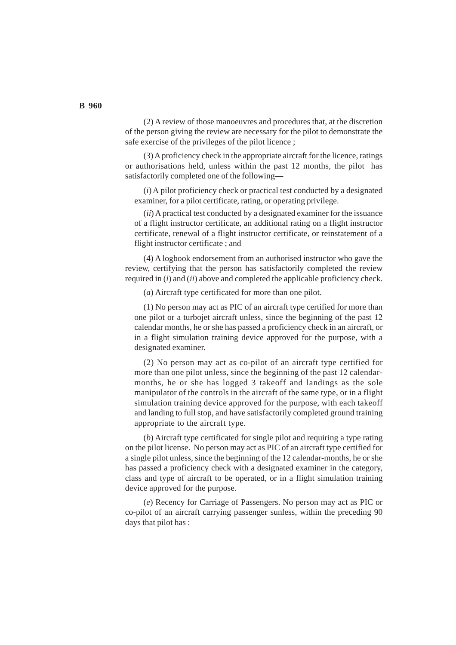(2) A review of those manoeuvres and procedures that, at the discretion of the person giving the review are necessary for the pilot to demonstrate the safe exercise of the privileges of the pilot licence ;

(3) A proficiency check in the appropriate aircraft for the licence, ratings or authorisations held, unless within the past 12 months, the pilot has satisfactorily completed one of the following—

(*i*) A pilot proficiency check or practical test conducted by a designated examiner, for a pilot certificate, rating, or operating privilege.

(*ii*) A practical test conducted by a designated examiner for the issuance of a flight instructor certificate, an additional rating on a flight instructor certificate, renewal of a flight instructor certificate, or reinstatement of a flight instructor certificate ; and

(4) A logbook endorsement from an authorised instructor who gave the review, certifying that the person has satisfactorily completed the review required in (*i*) and (*ii*) above and completed the applicable proficiency check.

(*a*) Aircraft type certificated for more than one pilot.

(1) No person may act as PIC of an aircraft type certified for more than one pilot or a turbojet aircraft unless, since the beginning of the past 12 calendar months, he or she has passed a proficiency check in an aircraft, or in a flight simulation training device approved for the purpose, with a designated examiner.

(2) No person may act as co-pilot of an aircraft type certified for more than one pilot unless, since the beginning of the past 12 calendarmonths, he or she has logged 3 takeoff and landings as the sole manipulator of the controls in the aircraft of the same type, or in a flight simulation training device approved for the purpose, with each takeoff and landing to full stop, and have satisfactorily completed ground training appropriate to the aircraft type.

(*b*) Aircraft type certificated for single pilot and requiring a type rating on the pilot license. No person may act as PIC of an aircraft type certified for a single pilot unless, since the beginning of the 12 calendar-months, he or she has passed a proficiency check with a designated examiner in the category, class and type of aircraft to be operated, or in a flight simulation training device approved for the purpose.

(*e*) Recency for Carriage of Passengers. No person may act as PIC or co-pilot of an aircraft carrying passenger sunless, within the preceding 90 days that pilot has :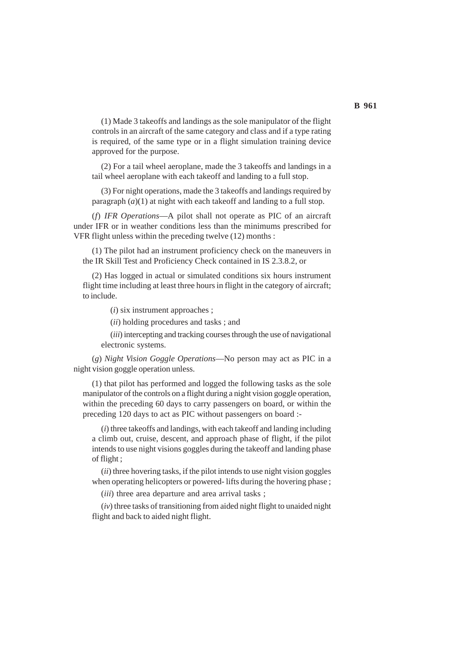(1) Made 3 takeoffs and landings as the sole manipulator of the flight controls in an aircraft of the same category and class and if a type rating is required, of the same type or in a flight simulation training device approved for the purpose.

(2) For a tail wheel aeroplane, made the 3 takeoffs and landings in a tail wheel aeroplane with each takeoff and landing to a full stop.

(3) For night operations, made the 3 takeoffs and landings required by paragraph  $(a)(1)$  at night with each takeoff and landing to a full stop.

(*f*) *IFR Operations*—A pilot shall not operate as PIC of an aircraft under IFR or in weather conditions less than the minimums prescribed for VFR flight unless within the preceding twelve (12) months :

(1) The pilot had an instrument proficiency check on the maneuvers in the IR Skill Test and Proficiency Check contained in IS 2.3.8.2, or

(2) Has logged in actual or simulated conditions six hours instrument flight time including at least three hours in flight in the category of aircraft; to include.

(*i*) six instrument approaches ;

(*ii*) holding procedures and tasks ; and

(*iii*) intercepting and tracking courses through the use of navigational electronic systems.

(*g*) *Night Vision Goggle Operations*—No person may act as PIC in a night vision goggle operation unless.

(1) that pilot has performed and logged the following tasks as the sole manipulator of the controls on a flight during a night vision goggle operation, within the preceding 60 days to carry passengers on board, or within the preceding 120 days to act as PIC without passengers on board :-

(*i*) three takeoffs and landings, with each takeoff and landing including a climb out, cruise, descent, and approach phase of flight, if the pilot intends to use night visions goggles during the takeoff and landing phase of flight ;

(*ii*) three hovering tasks, if the pilot intends to use night vision goggles when operating helicopters or powered- lifts during the hovering phase ;

(*iii*) three area departure and area arrival tasks ;

(*iv*) three tasks of transitioning from aided night flight to unaided night flight and back to aided night flight.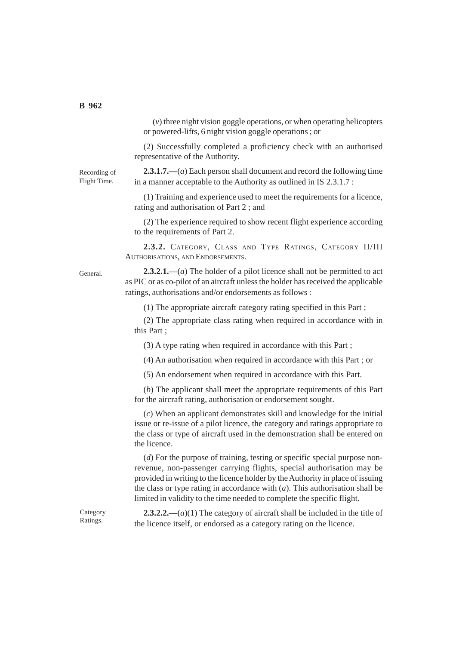(*v*) three night vision goggle operations, or when operating helicopters or powered-lifts, 6 night vision goggle operations ; or

(2) Successfully completed a proficiency check with an authorised representative of the Authority.

Recording of Flight Time.

**2.3.1.7.—**(*a*) Each person shall document and record the following time in a manner acceptable to the Authority as outlined in IS 2.3.1.7 :

(1) Training and experience used to meet the requirements for a licence, rating and authorisation of Part 2 ; and

(2) The experience required to show recent flight experience according to the requirements of Part 2.

**2.3.2.** CATEGORY, CLASS AND TYPE RATINGS, CATEGORY II/III AUTHORISATIONS, AND ENDORSEMENTS.

**2.3.2.1.—**(*a*) The holder of a pilot licence shall not be permitted to act as PIC or as co-pilot of an aircraft unless the holder has received the applicable ratings, authorisations and/or endorsements as follows :

(1) The appropriate aircraft category rating specified in this Part ;

(2) The appropriate class rating when required in accordance with in this Part ;

(3) A type rating when required in accordance with this Part ;

(4) An authorisation when required in accordance with this Part ; or

(5) An endorsement when required in accordance with this Part.

(*b*) The applicant shall meet the appropriate requirements of this Part for the aircraft rating, authorisation or endorsement sought.

(*c*) When an applicant demonstrates skill and knowledge for the initial issue or re-issue of a pilot licence, the category and ratings appropriate to the class or type of aircraft used in the demonstration shall be entered on the licence.

(*d*) For the purpose of training, testing or specific special purpose nonrevenue, non-passenger carrying flights, special authorisation may be provided in writing to the licence holder by the Authority in place of issuing the class or type rating in accordance with (*a*). This authorisation shall be limited in validity to the time needed to complete the specific flight.

Category Ratings.

**2.3.2.2.—**(*a*)(1) The category of aircraft shall be included in the title of the licence itself, or endorsed as a category rating on the licence.

General.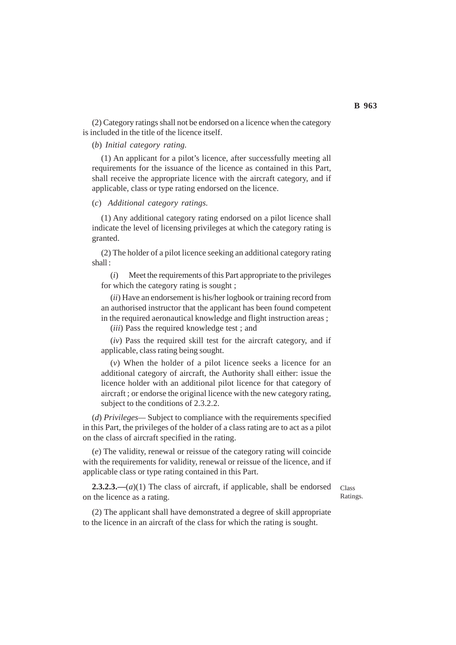(2) Category ratings shall not be endorsed on a licence when the category is included in the title of the licence itself.

## (*b*) *Initial category rating.*

(1) An applicant for a pilot's licence, after successfully meeting all requirements for the issuance of the licence as contained in this Part, shall receive the appropriate licence with the aircraft category, and if applicable, class or type rating endorsed on the licence.

#### (*c*) *Additional category ratings.*

(1) Any additional category rating endorsed on a pilot licence shall indicate the level of licensing privileges at which the category rating is granted.

(2) The holder of a pilot licence seeking an additional category rating shall :

(*i*) Meet the requirements of this Part appropriate to the privileges for which the category rating is sought ;

(*ii*) Have an endorsement is his/her logbook or training record from an authorised instructor that the applicant has been found competent in the required aeronautical knowledge and flight instruction areas ;

(*iii*) Pass the required knowledge test ; and

(*iv*) Pass the required skill test for the aircraft category, and if applicable, class rating being sought.

(*v*) When the holder of a pilot licence seeks a licence for an additional category of aircraft, the Authority shall either: issue the licence holder with an additional pilot licence for that category of aircraft ; or endorse the original licence with the new category rating, subject to the conditions of 2.3.2.2.

(*d*) *Privileges—* Subject to compliance with the requirements specified in this Part, the privileges of the holder of a class rating are to act as a pilot on the class of aircraft specified in the rating.

(*e*) The validity, renewal or reissue of the category rating will coincide with the requirements for validity, renewal or reissue of the licence, and if applicable class or type rating contained in this Part.

**2.3.2.3.—**(*a*)(1) The class of aircraft, if applicable, shall be endorsed on the licence as a rating.

Class Ratings.

(2) The applicant shall have demonstrated a degree of skill appropriate to the licence in an aircraft of the class for which the rating is sought.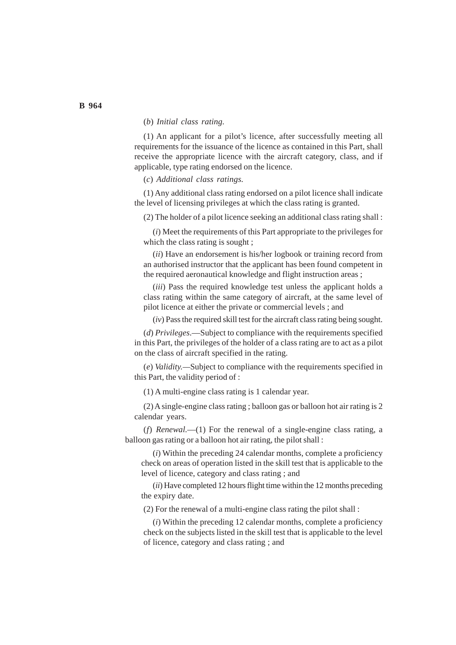# (*b*) *Initial class rating.*

(1) An applicant for a pilot's licence, after successfully meeting all requirements for the issuance of the licence as contained in this Part, shall receive the appropriate licence with the aircraft category, class, and if applicable, type rating endorsed on the licence.

(*c*) *Additional class ratings.*

(1) Any additional class rating endorsed on a pilot licence shall indicate the level of licensing privileges at which the class rating is granted.

(2) The holder of a pilot licence seeking an additional class rating shall :

(*i*) Meet the requirements of this Part appropriate to the privileges for which the class rating is sought ;

(*ii*) Have an endorsement is his/her logbook or training record from an authorised instructor that the applicant has been found competent in the required aeronautical knowledge and flight instruction areas ;

(*iii*) Pass the required knowledge test unless the applicant holds a class rating within the same category of aircraft, at the same level of pilot licence at either the private or commercial levels ; and

(*iv*) Pass the required skill test for the aircraft class rating being sought.

(*d*) *Privileges*.—Subject to compliance with the requirements specified in this Part, the privileges of the holder of a class rating are to act as a pilot on the class of aircraft specified in the rating.

(*e*) *Validity.—*Subject to compliance with the requirements specified in this Part, the validity period of :

(1) A multi-engine class rating is 1 calendar year.

(2) A single-engine class rating ; balloon gas or balloon hot air rating is 2 calendar years.

(*f*) *Renewal.*—(1) For the renewal of a single-engine class rating, a balloon gas rating or a balloon hot air rating, the pilot shall :

(*i*) Within the preceding 24 calendar months, complete a proficiency check on areas of operation listed in the skill test that is applicable to the level of licence, category and class rating ; and

(*ii*) Have completed 12 hours flight time within the 12 months preceding the expiry date.

(2) For the renewal of a multi-engine class rating the pilot shall :

(*i*) Within the preceding 12 calendar months, complete a proficiency check on the subjects listed in the skill test that is applicable to the level of licence, category and class rating ; and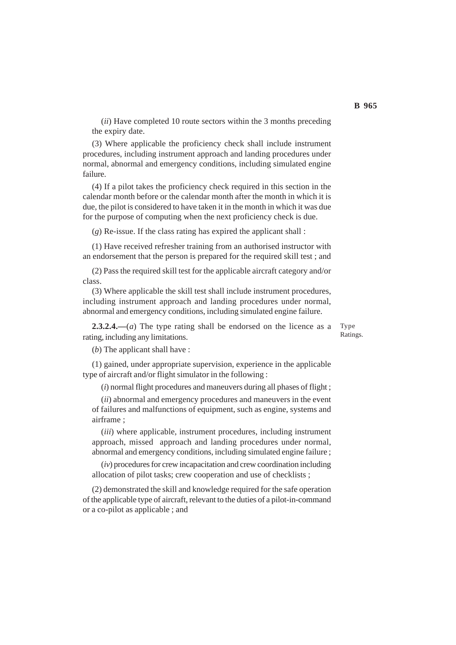(*ii*) Have completed 10 route sectors within the 3 months preceding the expiry date.

(3) Where applicable the proficiency check shall include instrument procedures, including instrument approach and landing procedures under normal, abnormal and emergency conditions, including simulated engine failure.

(4) If a pilot takes the proficiency check required in this section in the calendar month before or the calendar month after the month in which it is due, the pilot is considered to have taken it in the month in which it was due for the purpose of computing when the next proficiency check is due.

(*g*) Re-issue. If the class rating has expired the applicant shall :

(1) Have received refresher training from an authorised instructor with an endorsement that the person is prepared for the required skill test ; and

(2) Pass the required skill test for the applicable aircraft category and/or class.

(3) Where applicable the skill test shall include instrument procedures, including instrument approach and landing procedures under normal, abnormal and emergency conditions, including simulated engine failure.

**2.3.2.4.—**(*a*) The type rating shall be endorsed on the licence as a rating, including any limitations. Type Ratings.

(*b*) The applicant shall have :

(1) gained, under appropriate supervision, experience in the applicable type of aircraft and/or flight simulator in the following :

(*i*) normal flight procedures and maneuvers during all phases of flight ;

(*ii*) abnormal and emergency procedures and maneuvers in the event of failures and malfunctions of equipment, such as engine, systems and airframe ;

(*iii*) where applicable, instrument procedures, including instrument approach, missed approach and landing procedures under normal, abnormal and emergency conditions, including simulated engine failure ;

(*iv*) procedures for crew incapacitation and crew coordination including allocation of pilot tasks; crew cooperation and use of checklists ;

(2) demonstrated the skill and knowledge required for the safe operation of the applicable type of aircraft, relevant to the duties of a pilot-in-command or a co-pilot as applicable ; and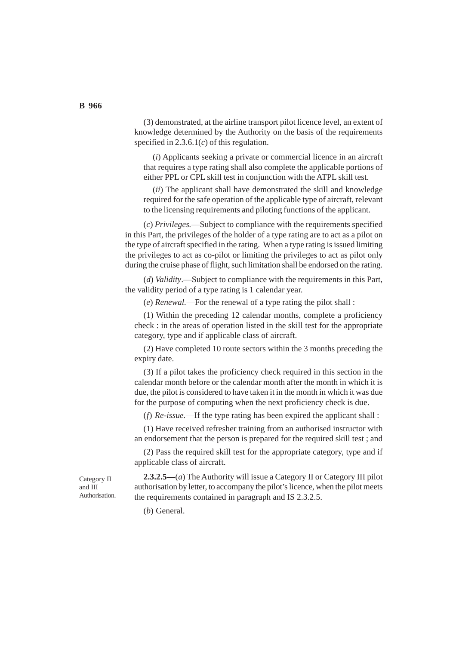(3) demonstrated, at the airline transport pilot licence level, an extent of knowledge determined by the Authority on the basis of the requirements specified in 2.3.6.1(*c*) of this regulation.

(*i*) Applicants seeking a private or commercial licence in an aircraft that requires a type rating shall also complete the applicable portions of either PPL or CPL skill test in conjunction with the ATPL skill test.

(*ii*) The applicant shall have demonstrated the skill and knowledge required for the safe operation of the applicable type of aircraft, relevant to the licensing requirements and piloting functions of the applicant.

(*c*) *Privileges.*—Subject to compliance with the requirements specified in this Part, the privileges of the holder of a type rating are to act as a pilot on the type of aircraft specified in the rating. When a type rating is issued limiting the privileges to act as co-pilot or limiting the privileges to act as pilot only during the cruise phase of flight, such limitation shall be endorsed on the rating.

(*d*) *Validity*.—Subject to compliance with the requirements in this Part, the validity period of a type rating is 1 calendar year.

(*e*) *Renewal.*—For the renewal of a type rating the pilot shall :

(1) Within the preceding 12 calendar months, complete a proficiency check : in the areas of operation listed in the skill test for the appropriate category, type and if applicable class of aircraft.

(2) Have completed 10 route sectors within the 3 months preceding the expiry date.

(3) If a pilot takes the proficiency check required in this section in the calendar month before or the calendar month after the month in which it is due, the pilot is considered to have taken it in the month in which it was due for the purpose of computing when the next proficiency check is due.

(*f*) *Re-issue.*—If the type rating has been expired the applicant shall :

(1) Have received refresher training from an authorised instructor with an endorsement that the person is prepared for the required skill test ; and

(2) Pass the required skill test for the appropriate category, type and if applicable class of aircraft.

Category II and III Authorisation.

**2.3.2.5—**(*a*) The Authority will issue a Category II or Category III pilot authorisation by letter, to accompany the pilot's licence, when the pilot meets the requirements contained in paragraph and IS 2.3.2.5.

(*b*) General.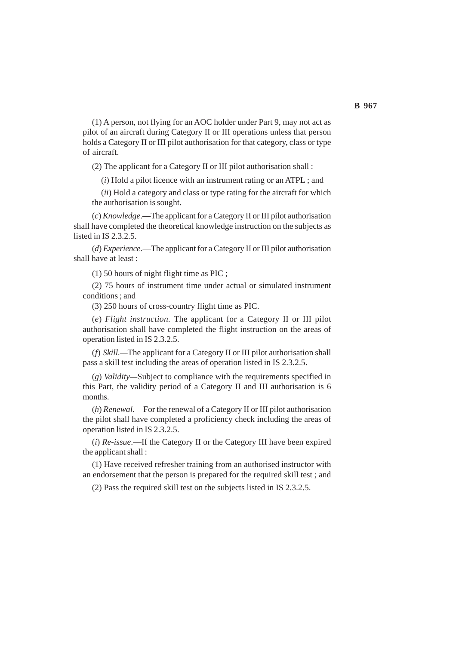(1) A person, not flying for an AOC holder under Part 9, may not act as pilot of an aircraft during Category II or III operations unless that person holds a Category II or III pilot authorisation for that category, class or type of aircraft.

(2) The applicant for a Category II or III pilot authorisation shall :

(*i*) Hold a pilot licence with an instrument rating or an ATPL ; and

(*ii*) Hold a category and class or type rating for the aircraft for which the authorisation is sought.

(*c*) *Knowledge*.—The applicant for a Category II or III pilot authorisation shall have completed the theoretical knowledge instruction on the subjects as listed in IS 2.3.2.5.

(*d*) *Experience*.—The applicant for a Category II or III pilot authorisation shall have at least :

(1) 50 hours of night flight time as PIC ;

(2) 75 hours of instrument time under actual or simulated instrument conditions ; and

(3) 250 hours of cross-country flight time as PIC.

(*e*) *Flight instruction.* The applicant for a Category II or III pilot authorisation shall have completed the flight instruction on the areas of operation listed in IS 2.3.2.5.

(*f*) *Skill.—*The applicant for a Category II or III pilot authorisation shall pass a skill test including the areas of operation listed in IS 2.3.2.5.

(*g*) *Validity—*Subject to compliance with the requirements specified in this Part, the validity period of a Category II and III authorisation is 6 months.

(*h*) *Renewal*.—For the renewal of a Category II or III pilot authorisation the pilot shall have completed a proficiency check including the areas of operation listed in IS 2.3.2.5.

(*i*) *Re-issue*.—If the Category II or the Category III have been expired the applicant shall :

(1) Have received refresher training from an authorised instructor with an endorsement that the person is prepared for the required skill test ; and

(2) Pass the required skill test on the subjects listed in IS 2.3.2.5.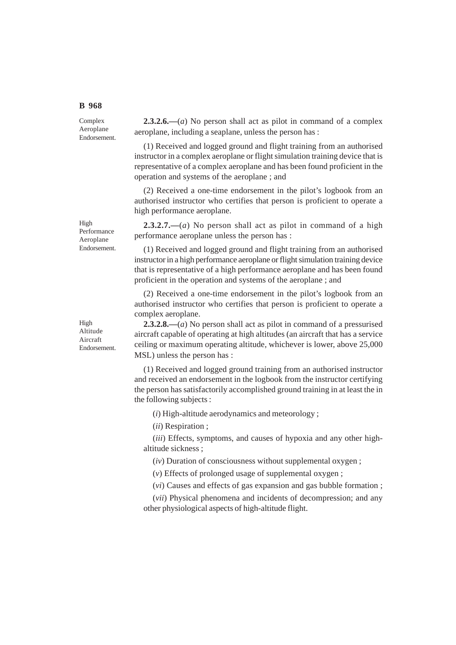# **B 968**

Complex Aeroplane Endorsement.

**2.3.2.6.—**(*a*) No person shall act as pilot in command of a complex aeroplane, including a seaplane, unless the person has :

(1) Received and logged ground and flight training from an authorised instructor in a complex aeroplane or flight simulation training device that is representative of a complex aeroplane and has been found proficient in the operation and systems of the aeroplane ; and

(2) Received a one-time endorsement in the pilot's logbook from an authorised instructor who certifies that person is proficient to operate a high performance aeroplane.

**2.3.2.7.—**(*a*) No person shall act as pilot in command of a high performance aeroplane unless the person has :

(1) Received and logged ground and flight training from an authorised instructor in a high performance aeroplane or flight simulation training device that is representative of a high performance aeroplane and has been found proficient in the operation and systems of the aeroplane ; and

(2) Received a one-time endorsement in the pilot's logbook from an authorised instructor who certifies that person is proficient to operate a complex aeroplane.

**2.3.2.8.—**(*a*) No person shall act as pilot in command of a pressurised aircraft capable of operating at high altitudes (an aircraft that has a service ceiling or maximum operating altitude, whichever is lower, above 25,000 MSL) unless the person has :

(1) Received and logged ground training from an authorised instructor and received an endorsement in the logbook from the instructor certifying the person has satisfactorily accomplished ground training in at least the in the following subjects :

(*i*) High-altitude aerodynamics and meteorology ;

(*ii*) Respiration ;

(*iii*) Effects, symptoms, and causes of hypoxia and any other highaltitude sickness ;

(*iv*) Duration of consciousness without supplemental oxygen ;

(*v*) Effects of prolonged usage of supplemental oxygen ;

(*vi*) Causes and effects of gas expansion and gas bubble formation ;

(*vii*) Physical phenomena and incidents of decompression; and any other physiological aspects of high-altitude flight.

Endorsement.

High Performance Aeroplane

High Altitude Aircraft Endorsement.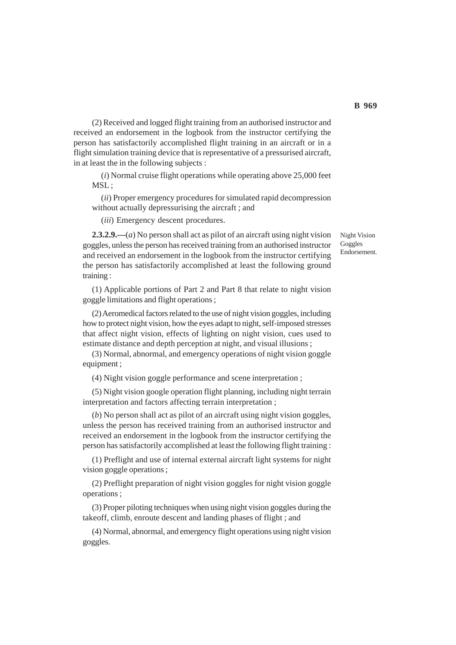(2) Received and logged flight training from an authorised instructor and received an endorsement in the logbook from the instructor certifying the person has satisfactorily accomplished flight training in an aircraft or in a flight simulation training device that is representative of a pressurised aircraft, in at least the in the following subjects :

(*i*) Normal cruise flight operations while operating above 25,000 feet MSL;

(*ii*) Proper emergency procedures for simulated rapid decompression without actually depressurising the aircraft ; and

(*iii*) Emergency descent procedures.

**2.3.2.9.—**(*a*) No person shall act as pilot of an aircraft using night vision goggles, unless the person has received training from an authorised instructor and received an endorsement in the logbook from the instructor certifying the person has satisfactorily accomplished at least the following ground training :

(1) Applicable portions of Part 2 and Part 8 that relate to night vision goggle limitations and flight operations ;

(2) Aeromedical factors related to the use of night vision goggles, including how to protect night vision, how the eyes adapt to night, self-imposed stresses that affect night vision, effects of lighting on night vision, cues used to estimate distance and depth perception at night, and visual illusions ;

(3) Normal, abnormal, and emergency operations of night vision goggle equipment ;

(4) Night vision goggle performance and scene interpretation ;

(5) Night vision google operation flight planning, including night terrain interpretation and factors affecting terrain interpretation ;

(*b*) No person shall act as pilot of an aircraft using night vision goggles, unless the person has received training from an authorised instructor and received an endorsement in the logbook from the instructor certifying the person has satisfactorily accomplished at least the following flight training :

(1) Preflight and use of internal external aircraft light systems for night vision goggle operations ;

(2) Preflight preparation of night vision goggles for night vision goggle operations ;

(3) Proper piloting techniques when using night vision goggles during the takeoff, climb, enroute descent and landing phases of flight ; and

(4) Normal, abnormal, and emergency flight operations using night vision goggles.

Night Vision Goggles Endorsement.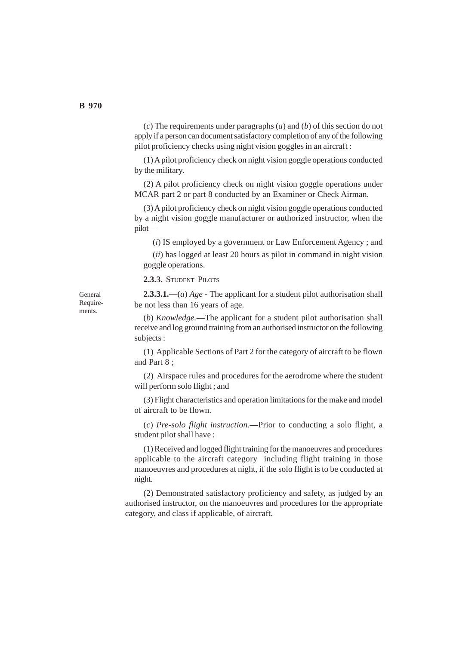(*c*) The requirements under paragraphs (*a*) and (*b*) of this section do not apply if a person can document satisfactory completion of any of the following pilot proficiency checks using night vision goggles in an aircraft :

(1) A pilot proficiency check on night vision goggle operations conducted by the military.

(2) A pilot proficiency check on night vision goggle operations under MCAR part 2 or part 8 conducted by an Examiner or Check Airman.

(3) A pilot proficiency check on night vision goggle operations conducted by a night vision goggle manufacturer or authorized instructor, when the pilot—

(*i*) IS employed by a government or Law Enforcement Agency ; and

(*ii*) has logged at least 20 hours as pilot in command in night vision goggle operations.

**2.3.3.** STUDENT PILOTS

**2.3.3.1.—**(*a*) *Age* - The applicant for a student pilot authorisation shall be not less than 16 years of age.

(*b*) *Knowledge.*—The applicant for a student pilot authorisation shall receive and log ground training from an authorised instructor on the following subjects :

(1) Applicable Sections of Part 2 for the category of aircraft to be flown and Part 8 ;

(2) Airspace rules and procedures for the aerodrome where the student will perform solo flight ; and

(3) Flight characteristics and operation limitations for the make and model of aircraft to be flown.

(*c*) *Pre-solo flight instruction*.—Prior to conducting a solo flight, a student pilot shall have :

(1) Received and logged flight training for the manoeuvres and procedures applicable to the aircraft category including flight training in those manoeuvres and procedures at night, if the solo flight is to be conducted at night.

(2) Demonstrated satisfactory proficiency and safety, as judged by an authorised instructor, on the manoeuvres and procedures for the appropriate category, and class if applicable, of aircraft.

General Requirements.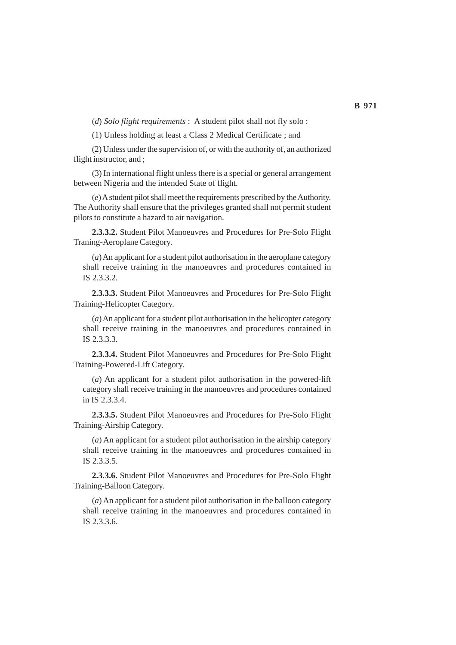(*d*) *Solo flight requirements* : A student pilot shall not fly solo :

(1) Unless holding at least a Class 2 Medical Certificate ; and

(2) Unless under the supervision of, or with the authority of, an authorized flight instructor, and ;

(3) In international flight unless there is a special or general arrangement between Nigeria and the intended State of flight.

(*e*) A student pilot shall meet the requirements prescribed by the Authority. The Authority shall ensure that the privileges granted shall not permit student pilots to constitute a hazard to air navigation.

**2.3.3.2.** Student Pilot Manoeuvres and Procedures for Pre-Solo Flight Traning-Aeroplane Category.

(*a*) An applicant for a student pilot authorisation in the aeroplane category shall receive training in the manoeuvres and procedures contained in IS 2.3.3.2.

**2.3.3.3.** Student Pilot Manoeuvres and Procedures for Pre-Solo Flight Training-Helicopter Category.

(*a*) An applicant for a student pilot authorisation in the helicopter category shall receive training in the manoeuvres and procedures contained in IS 2.3.3.3.

**2.3.3.4.** Student Pilot Manoeuvres and Procedures for Pre-Solo Flight Training-Powered-Lift Category.

(*a*) An applicant for a student pilot authorisation in the powered-lift category shall receive training in the manoeuvres and procedures contained in IS 2.3.3.4.

**2.3.3.5.** Student Pilot Manoeuvres and Procedures for Pre-Solo Flight Training-Airship Category.

(*a*) An applicant for a student pilot authorisation in the airship category shall receive training in the manoeuvres and procedures contained in IS 2.3.3.5.

**2.3.3.6.** Student Pilot Manoeuvres and Procedures for Pre-Solo Flight Training-Balloon Category.

(*a*) An applicant for a student pilot authorisation in the balloon category shall receive training in the manoeuvres and procedures contained in IS 2.3.3.6.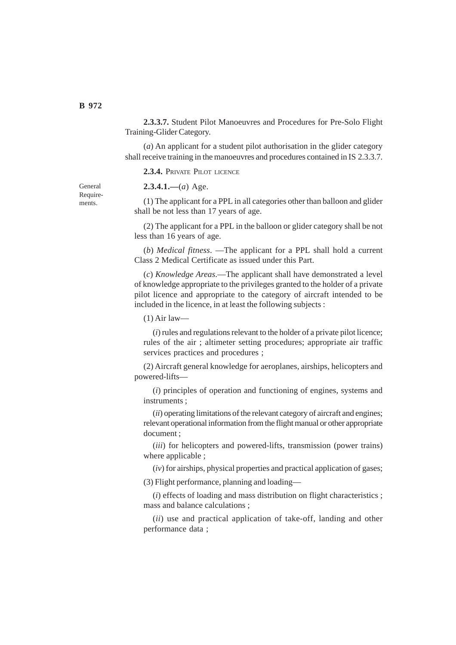**2.3.3.7.** Student Pilot Manoeuvres and Procedures for Pre-Solo Flight Training-Glider Category.

(*a*) An applicant for a student pilot authorisation in the glider category shall receive training in the manoeuvres and procedures contained in IS 2.3.3.7.

**2.3.4.** PRIVATE PILOT LICENCE

**2.3.4.1.—**(*a*) Age.

(1) The applicant for a PPL in all categories other than balloon and glider shall be not less than 17 years of age.

(2) The applicant for a PPL in the balloon or glider category shall be not less than 16 years of age.

(*b*) *Medical fitness*. —The applicant for a PPL shall hold a current Class 2 Medical Certificate as issued under this Part.

(*c*) *Knowledge Areas*.—The applicant shall have demonstrated a level of knowledge appropriate to the privileges granted to the holder of a private pilot licence and appropriate to the category of aircraft intended to be included in the licence, in at least the following subjects :

(1) Air law—

(*i*) rules and regulations relevant to the holder of a private pilot licence; rules of the air ; altimeter setting procedures; appropriate air traffic services practices and procedures ;

(2) Aircraft general knowledge for aeroplanes, airships, helicopters and powered-lifts—

(*i*) principles of operation and functioning of engines, systems and instruments ;

(*ii*) operating limitations of the relevant category of aircraft and engines; relevant operational information from the flight manual or other appropriate document ;

(*iii*) for helicopters and powered-lifts, transmission (power trains) where applicable ;

(*iv*) for airships, physical properties and practical application of gases;

(3) Flight performance, planning and loading—

(*i*) effects of loading and mass distribution on flight characteristics ; mass and balance calculations ;

(*ii*) use and practical application of take-off, landing and other performance data ;

General Requirements.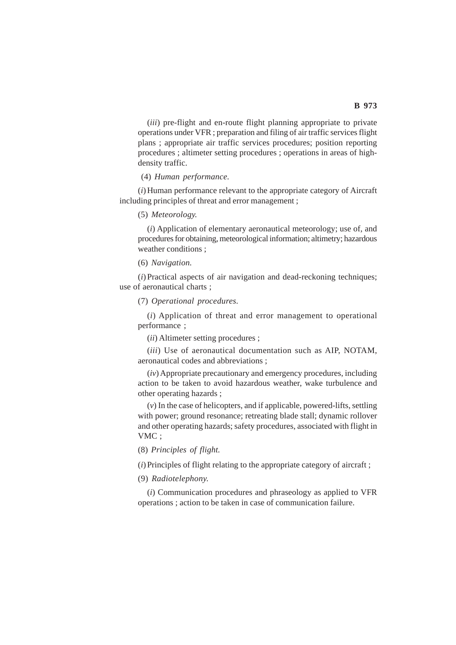(*iii*) pre-flight and en-route flight planning appropriate to private operations under VFR ; preparation and filing of air traffic services flight plans ; appropriate air traffic services procedures; position reporting procedures ; altimeter setting procedures ; operations in areas of highdensity traffic.

## (4) *Human performance.*

(*i*) Human performance relevant to the appropriate category of Aircraft including principles of threat and error management ;

## (5) *Meteorology.*

(*i*) Application of elementary aeronautical meteorology; use of, and procedures for obtaining, meteorological information; altimetry; hazardous weather conditions ;

#### (6) *Navigation.*

(*i*) Practical aspects of air navigation and dead-reckoning techniques; use of aeronautical charts ;

(7) *Operational procedures.*

(*i*) Application of threat and error management to operational performance ;

(*ii*) Altimeter setting procedures ;

(*iii*) Use of aeronautical documentation such as AIP, NOTAM, aeronautical codes and abbreviations ;

(*iv*) Appropriate precautionary and emergency procedures, including action to be taken to avoid hazardous weather, wake turbulence and other operating hazards ;

(*v*) In the case of helicopters, and if applicable, powered-lifts, settling with power; ground resonance; retreating blade stall; dynamic rollover and other operating hazards; safety procedures, associated with flight in VMC ;

(8) *Principles of flight.*

(*i*) Principles of flight relating to the appropriate category of aircraft ;

(9) *Radiotelephony.*

(*i*) Communication procedures and phraseology as applied to VFR operations ; action to be taken in case of communication failure.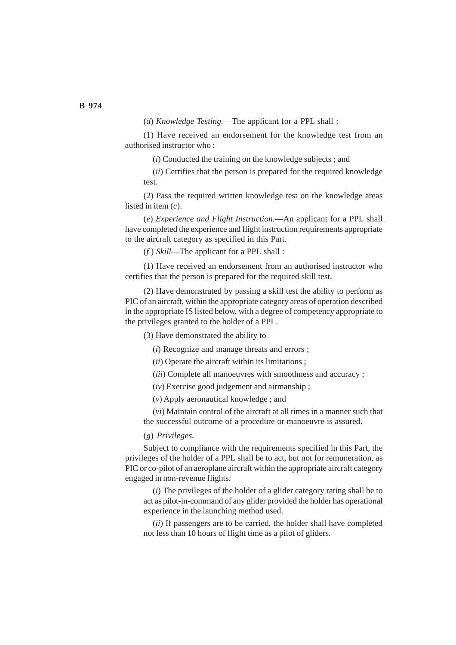(*d*) *Knowledge Testing.*—The applicant for a PPL shall :

(1) Have received an endorsement for the knowledge test from an authorised instructor who :

(*i*) Conducted the training on the knowledge subjects ; and

(*ii*) Certifies that the person is prepared for the required knowledge test.

(2) Pass the required written knowledge test on the knowledge areas listed in item (*c*).

(*e*) *Experience and Flight Instruction.*—An applicant for a PPL shall have completed the experience and flight instruction requirements appropriate to the aircraft category as specified in this Part.

(*f* ) *Skill*—The applicant for a PPL shall :

(1) Have received an endorsement from an authorised instructor who certifies that the person is prepared for the required skill test.

(2) Have demonstrated by passing a skill test the ability to perform as PIC of an aircraft, within the appropriate category areas of operation described in the appropriate IS listed below, with a degree of competency appropriate to the privileges granted to the holder of a PPL.

(3) Have demonstrated the ability to—

(*i*) Recognize and manage threats and errors ;

(*ii*) Operate the aircraft within its limitations ;

(*iii*) Complete all manoeuvres with smoothness and accuracy ;

(*iv*) Exercise good judgement and airmanship ;

(*v*) Apply aeronautical knowledge ; and

(*vi*) Maintain control of the aircraft at all times in a manner such that the successful outcome of a procedure or manoeuvre is assured.

# (*g*) *Privileges.*

Subject to compliance with the requirements specified in this Part, the privileges of the holder of a PPL shall be to act, but not for remuneration, as PIC or co-pilot of an aeroplane aircraft within the appropriate aircraft category engaged in non-revenue flights.

(*i*) The privileges of the holder of a glider category rating shall be to act as pilot-in-command of any glider provided the holder has operational experience in the launching method used.

(*ii*) If passengers are to be carried, the holder shall have completed not less than 10 hours of flight time as a pilot of gliders.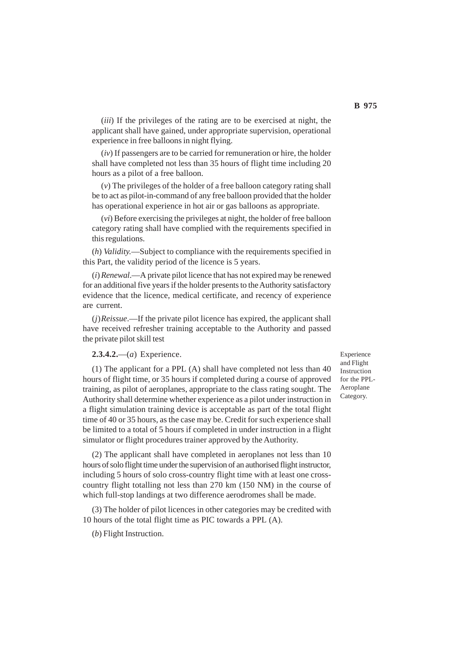(*iii*) If the privileges of the rating are to be exercised at night, the applicant shall have gained, under appropriate supervision, operational experience in free balloons in night flying.

(*iv*) If passengers are to be carried for remuneration or hire, the holder shall have completed not less than 35 hours of flight time including 20 hours as a pilot of a free balloon.

(*v*) The privileges of the holder of a free balloon category rating shall be to act as pilot-in-command of any free balloon provided that the holder has operational experience in hot air or gas balloons as appropriate.

(*vi*) Before exercising the privileges at night, the holder of free balloon category rating shall have complied with the requirements specified in this regulations.

(*h*) *Validity.*—Subject to compliance with the requirements specified in this Part, the validity period of the licence is 5 years.

(*i*)*Renewal*.—A private pilot licence that has not expired may be renewed for an additional five years if the holder presents to the Authority satisfactory evidence that the licence, medical certificate, and recency of experience are current.

(*j*)*Reissue*.—If the private pilot licence has expired, the applicant shall have received refresher training acceptable to the Authority and passed the private pilot skill test

## **2.3.4.2.**—(*a*) Experience.

(1) The applicant for a PPL (A) shall have completed not less than 40 hours of flight time, or 35 hours if completed during a course of approved training, as pilot of aeroplanes, appropriate to the class rating sought. The Authority shall determine whether experience as a pilot under instruction in a flight simulation training device is acceptable as part of the total flight time of 40 or 35 hours, as the case may be. Credit for such experience shall be limited to a total of 5 hours if completed in under instruction in a flight simulator or flight procedures trainer approved by the Authority.

(2) The applicant shall have completed in aeroplanes not less than 10 hours of solo flight time under the supervision of an authorised flight instructor, including 5 hours of solo cross-country flight time with at least one crosscountry flight totalling not less than 270 km (150 NM) in the course of which full-stop landings at two difference aerodromes shall be made.

(3) The holder of pilot licences in other categories may be credited with 10 hours of the total flight time as PIC towards a PPL (A).

(*b*) Flight Instruction.

Experience and Flight Instruction for the PPL-Aeroplane Category.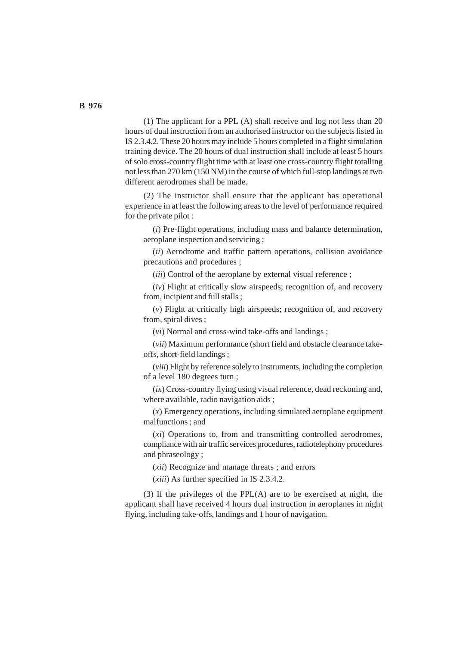(1) The applicant for a PPL (A) shall receive and log not less than 20 hours of dual instruction from an authorised instructor on the subjects listed in IS 2.3.4.2. These 20 hours may include 5 hours completed in a flight simulation training device. The 20 hours of dual instruction shall include at least 5 hours of solo cross-country flight time with at least one cross-country flight totalling not less than 270 km (150 NM) in the course of which full-stop landings at two different aerodromes shall be made.

(2) The instructor shall ensure that the applicant has operational experience in at least the following areas to the level of performance required for the private pilot :

(*i*) Pre-flight operations, including mass and balance determination, aeroplane inspection and servicing ;

(*ii*) Aerodrome and traffic pattern operations, collision avoidance precautions and procedures ;

(*iii*) Control of the aeroplane by external visual reference ;

(*iv*) Flight at critically slow airspeeds; recognition of, and recovery from, incipient and full stalls ;

(*v*) Flight at critically high airspeeds; recognition of, and recovery from, spiral dives ;

(*vi*) Normal and cross-wind take-offs and landings ;

(*vii*) Maximum performance (short field and obstacle clearance takeoffs, short-field landings ;

(*viii*) Flight by reference solely to instruments, including the completion of a level 180 degrees turn ;

(*ix*) Cross-country flying using visual reference, dead reckoning and, where available, radio navigation aids ;

(*x*) Emergency operations, including simulated aeroplane equipment malfunctions ; and

(*xi*) Operations to, from and transmitting controlled aerodromes, compliance with air traffic services procedures, radiotelephony procedures and phraseology ;

(*xii*) Recognize and manage threats ; and errors

(*xiii*) As further specified in IS 2.3.4.2.

(3) If the privileges of the PPL(A) are to be exercised at night, the applicant shall have received 4 hours dual instruction in aeroplanes in night flying, including take-offs, landings and 1 hour of navigation.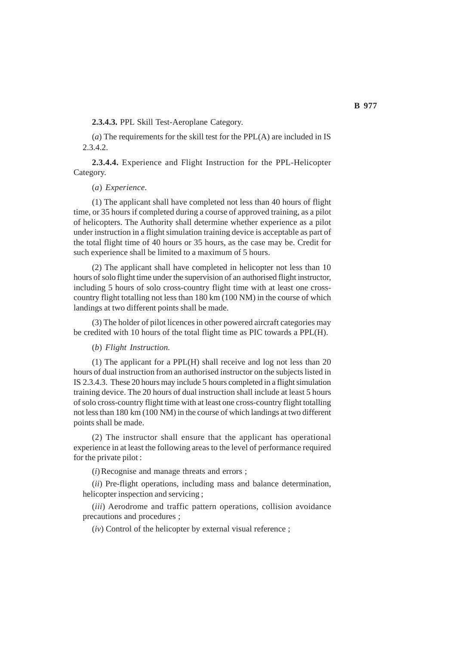**2.3.4.3.** PPL Skill Test-Aeroplane Category.

(*a*) The requirements for the skill test for the PPL(A) are included in IS 2.3.4.2.

**2.3.4.4.** Experience and Flight Instruction for the PPL-Helicopter Category.

(*a*) *Experience.*

(1) The applicant shall have completed not less than 40 hours of flight time, or 35 hours if completed during a course of approved training, as a pilot of helicopters. The Authority shall determine whether experience as a pilot under instruction in a flight simulation training device is acceptable as part of the total flight time of 40 hours or 35 hours, as the case may be. Credit for such experience shall be limited to a maximum of 5 hours.

(2) The applicant shall have completed in helicopter not less than 10 hours of solo flight time under the supervision of an authorised flight instructor, including 5 hours of solo cross-country flight time with at least one crosscountry flight totalling not less than 180 km (100 NM) in the course of which landings at two different points shall be made.

(3) The holder of pilot licences in other powered aircraft categories may be credited with 10 hours of the total flight time as PIC towards a PPL(H).

## (*b*) *Flight Instruction.*

(1) The applicant for a PPL(H) shall receive and log not less than 20 hours of dual instruction from an authorised instructor on the subjects listed in IS 2.3.4.3. These 20 hours may include 5 hours completed in a flight simulation training device. The 20 hours of dual instruction shall include at least 5 hours of solo cross-country flight time with at least one cross-country flight totalling not less than 180 km (100 NM) in the course of which landings at two different points shall be made.

(2) The instructor shall ensure that the applicant has operational experience in at least the following areas to the level of performance required for the private pilot :

(*i*) Recognise and manage threats and errors ;

(*ii*) Pre-flight operations, including mass and balance determination, helicopter inspection and servicing ;

(*iii*) Aerodrome and traffic pattern operations, collision avoidance precautions and procedures ;

(*iv*) Control of the helicopter by external visual reference ;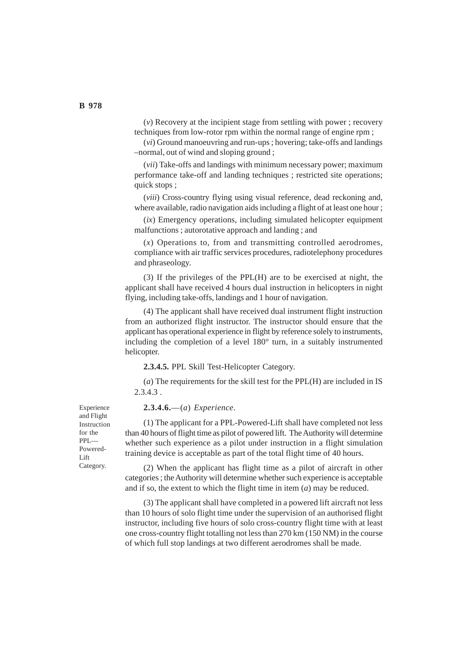(*v*) Recovery at the incipient stage from settling with power ; recovery techniques from low-rotor rpm within the normal range of engine rpm ;

(*vi*) Ground manoeuvring and run-ups ; hovering; take-offs and landings –normal, out of wind and sloping ground ;

(*vii*) Take-offs and landings with minimum necessary power; maximum performance take-off and landing techniques ; restricted site operations; quick stops ;

(*viii*) Cross-country flying using visual reference, dead reckoning and, where available, radio navigation aids including a flight of at least one hour ;

(*ix*) Emergency operations, including simulated helicopter equipment malfunctions ; autorotative approach and landing ; and

(*x*) Operations to, from and transmitting controlled aerodromes, compliance with air traffic services procedures, radiotelephony procedures and phraseology.

(3) If the privileges of the PPL(H) are to be exercised at night, the applicant shall have received 4 hours dual instruction in helicopters in night flying, including take-offs, landings and 1 hour of navigation.

(4) The applicant shall have received dual instrument flight instruction from an authorized flight instructor. The instructor should ensure that the applicant has operational experience in flight by reference solely to instruments, including the completion of a level 180° turn, in a suitably instrumented helicopter.

**2.3.4.5.** PPL Skill Test-Helicopter Category.

(*a*) The requirements for the skill test for the PPL(H) are included in IS 2.3.4.3 .

**2.3.4.6.**—(*a*) *Experience*.

(1) The applicant for a PPL-Powered-Lift shall have completed not less than 40 hours of flight time as pilot of powered lift. The Authority will determine whether such experience as a pilot under instruction in a flight simulation training device is acceptable as part of the total flight time of 40 hours.

(2) When the applicant has flight time as a pilot of aircraft in other categories ; the Authority will determine whether such experience is acceptable and if so, the extent to which the flight time in item (*a*) may be reduced.

(3) The applicant shall have completed in a powered lift aircraft not less than 10 hours of solo flight time under the supervision of an authorised flight instructor, including five hours of solo cross-country flight time with at least one cross-country flight totalling not less than 270 km (150 NM) in the course of which full stop landings at two different aerodromes shall be made.

Experience and Flight Instruction for the PPL— Powered-Lift Category.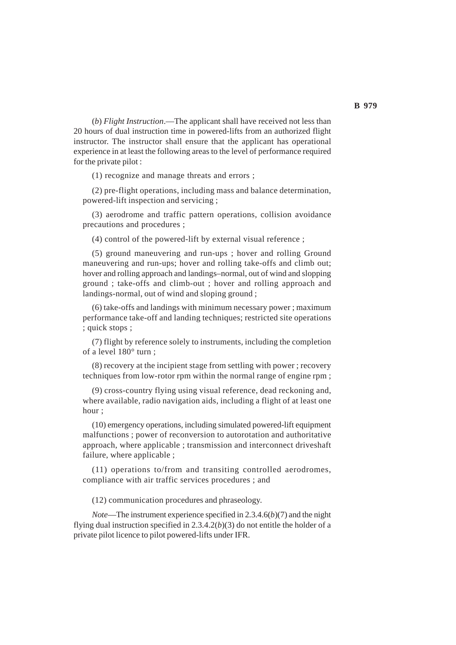(*b*) *Flight Instruction*.—The applicant shall have received not less than 20 hours of dual instruction time in powered-lifts from an authorized flight instructor. The instructor shall ensure that the applicant has operational experience in at least the following areas to the level of performance required for the private pilot :

(1) recognize and manage threats and errors ;

(2) pre-flight operations, including mass and balance determination, powered-lift inspection and servicing ;

(3) aerodrome and traffic pattern operations, collision avoidance precautions and procedures ;

(4) control of the powered-lift by external visual reference ;

(5) ground maneuvering and run-ups ; hover and rolling Ground maneuvering and run-ups; hover and rolling take-offs and climb out; hover and rolling approach and landings–normal, out of wind and slopping ground ; take-offs and climb-out ; hover and rolling approach and landings-normal, out of wind and sloping ground ;

(6) take-offs and landings with minimum necessary power ; maximum performance take-off and landing techniques; restricted site operations ; quick stops ;

(7) flight by reference solely to instruments, including the completion of a level 180° turn ;

(8) recovery at the incipient stage from settling with power ; recovery techniques from low-rotor rpm within the normal range of engine rpm ;

(9) cross-country flying using visual reference, dead reckoning and, where available, radio navigation aids, including a flight of at least one hour ;

(10) emergency operations, including simulated powered-lift equipment malfunctions ; power of reconversion to autorotation and authoritative approach, where applicable ; transmission and interconnect driveshaft failure, where applicable ;

(11) operations to/from and transiting controlled aerodromes, compliance with air traffic services procedures ; and

(12) communication procedures and phraseology.

*Note*—The instrument experience specified in 2.3.4.6(*b*)(7) and the night flying dual instruction specified in 2.3.4.2(*b*)(3) do not entitle the holder of a private pilot licence to pilot powered-lifts under IFR.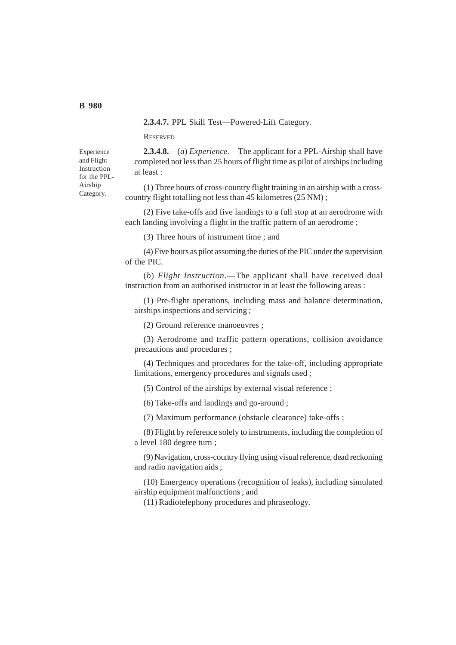**2.3.4.7.** PPL Skill Test—Powered-Lift Category.

#### **RESERVED**

Experience and Flight Instruction for the PPL-Airship Category.

**2.3.4.8.**—(*a*) *Experience.*—The applicant for a PPL-Airship shall have completed not less than 25 hours of flight time as pilot of airships including at least :

(1) Three hours of cross-country flight training in an airship with a crosscountry flight totalling not less than 45 kilometres (25 NM) ;

(2) Five take-offs and five landings to a full stop at an aerodrome with each landing involving a flight in the traffic pattern of an aerodrome ;

(3) Three hours of instrument time ; and

(4) Five hours as pilot assuming the duties of the PIC under the supervision of the PIC.

(*b*) *Flight Instruction*.—The applicant shall have received dual instruction from an authorised instructor in at least the following areas :

(1) Pre-flight operations, including mass and balance determination, airships inspections and servicing ;

(2) Ground reference manoeuvres ;

(3) Aerodrome and traffic pattern operations, collision avoidance precautions and procedures ;

(4) Techniques and procedures for the take-off, including appropriate limitations, emergency procedures and signals used ;

(5) Control of the airships by external visual reference ;

(6) Take-offs and landings and go-around ;

(7) Maximum performance (obstacle clearance) take-offs ;

(8) Flight by reference solely to instruments, including the completion of a level 180 degree turn ;

(9) Navigation, cross-country flying using visual reference, dead reckoning and radio navigation aids ;

(10) Emergency operations (recognition of leaks), including simulated airship equipment malfunctions ; and

(11) Radiotelephony procedures and phraseology.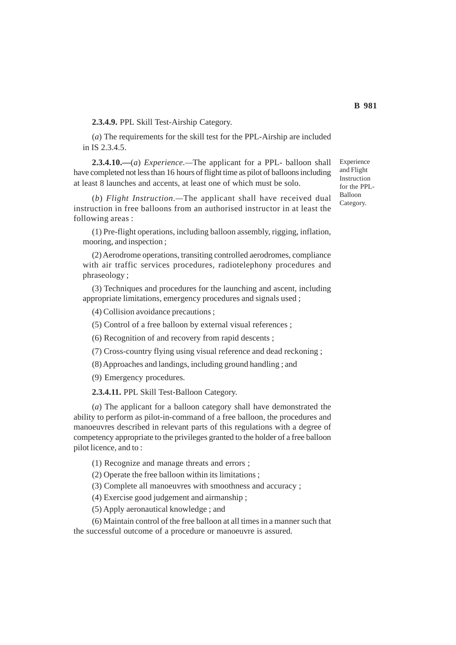**2.3.4.9.** PPL Skill Test-Airship Category.

(*a*) The requirements for the skill test for the PPL-Airship are included in IS 2.3.4.5.

**2.3.4.10.—**(*a*) *Experience.—*The applicant for a PPL- balloon shall have completed not less than 16 hours of flight time as pilot of balloons including at least 8 launches and accents, at least one of which must be solo.

(*b*) *Flight Instruction.—*The applicant shall have received dual instruction in free balloons from an authorised instructor in at least the following areas :

(1) Pre-flight operations, including balloon assembly, rigging, inflation, mooring, and inspection ;

(2) Aerodrome operations, transiting controlled aerodromes, compliance with air traffic services procedures, radiotelephony procedures and phraseology ;

(3) Techniques and procedures for the launching and ascent, including appropriate limitations, emergency procedures and signals used ;

(4) Collision avoidance precautions ;

(5) Control of a free balloon by external visual references ;

(6) Recognition of and recovery from rapid descents ;

(7) Cross-country flying using visual reference and dead reckoning ;

(8) Approaches and landings, including ground handling ; and

(9) Emergency procedures.

**2.3.4.11.** PPL Skill Test-Balloon Category.

(*a*) The applicant for a balloon category shall have demonstrated the ability to perform as pilot-in-command of a free balloon, the procedures and manoeuvres described in relevant parts of this regulations with a degree of competency appropriate to the privileges granted to the holder of a free balloon pilot licence, and to :

(1) Recognize and manage threats and errors ;

(2) Operate the free balloon within its limitations ;

(3) Complete all manoeuvres with smoothness and accuracy ;

(4) Exercise good judgement and airmanship ;

(5) Apply aeronautical knowledge ; and

(6) Maintain control of the free balloon at all times in a manner such that the successful outcome of a procedure or manoeuvre is assured.

Experience and Flight Instruction for the PPL-Balloon Category.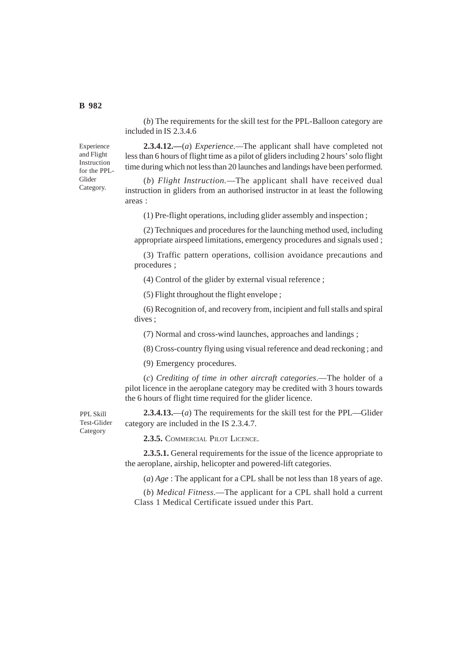(*b*) The requirements for the skill test for the PPL-Balloon category are included in IS 2.3.4.6

**2.3.4.12.—**(*a*) *Experience.—*The applicant shall have completed not less than 6 hours of flight time as a pilot of gliders including 2 hours' solo flight time during which not less than 20 launches and landings have been performed.

(*b*) *Flight Instruction.*—The applicant shall have received dual instruction in gliders from an authorised instructor in at least the following areas :

(1) Pre-flight operations, including glider assembly and inspection ;

(2) Techniques and procedures for the launching method used, including appropriate airspeed limitations, emergency procedures and signals used ;

(3) Traffic pattern operations, collision avoidance precautions and procedures ;

(4) Control of the glider by external visual reference ;

(5) Flight throughout the flight envelope ;

(6) Recognition of, and recovery from, incipient and full stalls and spiral dives ;

(7) Normal and cross-wind launches, approaches and landings ;

(8) Cross-country flying using visual reference and dead reckoning ; and

(9) Emergency procedures.

(*c*) *Crediting of time in other aircraft categories*.—The holder of a pilot licence in the aeroplane category may be credited with 3 hours towards the 6 hours of flight time required for the glider licence.

PPL Skill Test-Glider Category

**2.3.4.13.**—(*a*) The requirements for the skill test for the PPL—Glider category are included in the IS 2.3.4.7.

**2.3.5.** COMMERCIAL PILOT LICENCE.

**2.3.5.1.** General requirements for the issue of the licence appropriate to the aeroplane, airship, helicopter and powered-lift categories.

(*a*) *Age* : The applicant for a CPL shall be not less than 18 years of age.

(*b*) *Medical Fitness*.—The applicant for a CPL shall hold a current Class 1 Medical Certificate issued under this Part.

Experience and Flight Instruction for the PPL-Glider Category.

**B 982**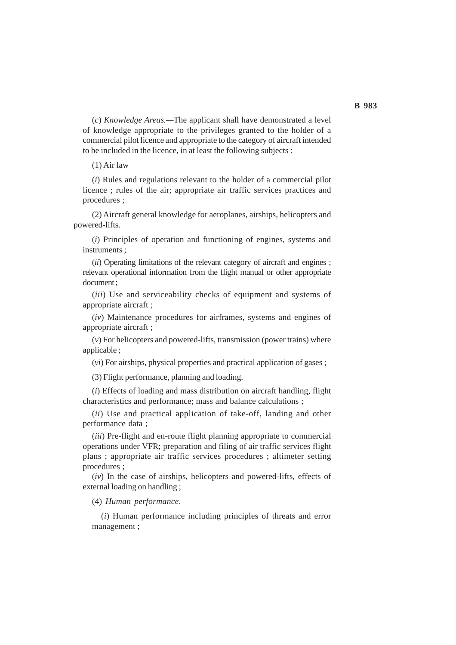(*c*) *Knowledge Areas.—*The applicant shall have demonstrated a level of knowledge appropriate to the privileges granted to the holder of a commercial pilot licence and appropriate to the category of aircraft intended to be included in the licence, in at least the following subjects :

#### (1) Air law

(*i*) Rules and regulations relevant to the holder of a commercial pilot licence ; rules of the air; appropriate air traffic services practices and procedures ;

(2) Aircraft general knowledge for aeroplanes, airships, helicopters and powered-lifts.

(*i*) Principles of operation and functioning of engines, systems and instruments ;

(*ii*) Operating limitations of the relevant category of aircraft and engines ; relevant operational information from the flight manual or other appropriate document ;

(*iii*) Use and serviceability checks of equipment and systems of appropriate aircraft ;

(*iv*) Maintenance procedures for airframes, systems and engines of appropriate aircraft ;

(*v*) For helicopters and powered-lifts, transmission (power trains) where applicable ;

(*vi*) For airships, physical properties and practical application of gases ;

(3) Flight performance, planning and loading.

(*i*) Effects of loading and mass distribution on aircraft handling, flight characteristics and performance; mass and balance calculations ;

(*ii*) Use and practical application of take-off, landing and other performance data ;

(*iii*) Pre-flight and en-route flight planning appropriate to commercial operations under VFR; preparation and filing of air traffic services flight plans ; appropriate air traffic services procedures ; altimeter setting procedures ;

(*iv*) In the case of airships, helicopters and powered-lifts, effects of external loading on handling ;

(4) *Human performance.*

(*i*) Human performance including principles of threats and error management ;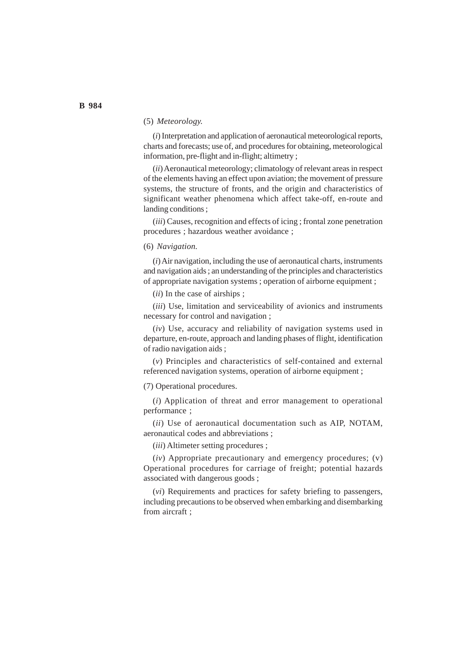# (5) *Meteorology.*

(*i*) Interpretation and application of aeronautical meteorological reports, charts and forecasts; use of, and procedures for obtaining, meteorological information, pre-flight and in-flight; altimetry;

(*ii*) Aeronautical meteorology; climatology of relevant areas in respect of the elements having an effect upon aviation; the movement of pressure systems, the structure of fronts, and the origin and characteristics of significant weather phenomena which affect take-off, en-route and landing conditions ;

(*iii*) Causes, recognition and effects of icing ; frontal zone penetration procedures ; hazardous weather avoidance ;

### (6) *Navigation.*

(*i*) Air navigation, including the use of aeronautical charts, instruments and navigation aids ; an understanding of the principles and characteristics of appropriate navigation systems ; operation of airborne equipment ;

(*ii*) In the case of airships ;

(*iii*) Use, limitation and serviceability of avionics and instruments necessary for control and navigation ;

(*iv*) Use, accuracy and reliability of navigation systems used in departure, en-route, approach and landing phases of flight, identification of radio navigation aids ;

(*v*) Principles and characteristics of self-contained and external referenced navigation systems, operation of airborne equipment ;

(7) Operational procedures.

(*i*) Application of threat and error management to operational performance ;

(*ii*) Use of aeronautical documentation such as AIP, NOTAM, aeronautical codes and abbreviations ;

(*iii*) Altimeter setting procedures ;

(*iv*) Appropriate precautionary and emergency procedures; (v) Operational procedures for carriage of freight; potential hazards associated with dangerous goods ;

(*vi*) Requirements and practices for safety briefing to passengers, including precautions to be observed when embarking and disembarking from aircraft ;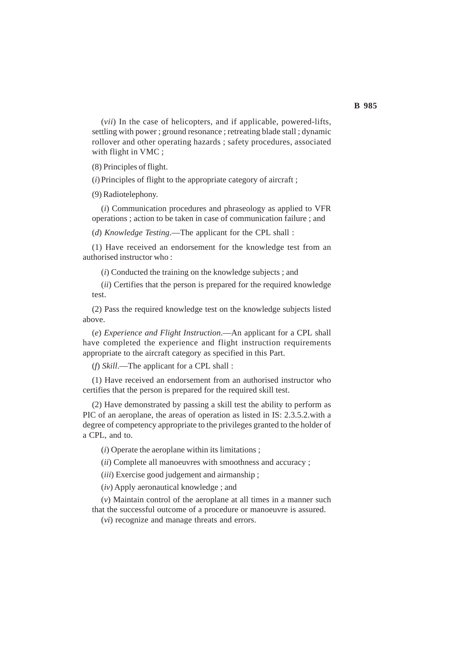(*vii*) In the case of helicopters, and if applicable, powered-lifts, settling with power ; ground resonance ; retreating blade stall ; dynamic rollover and other operating hazards ; safety procedures, associated with flight in VMC ;

(8) Principles of flight.

(*i*) Principles of flight to the appropriate category of aircraft ;

(9) Radiotelephony.

(*i*) Communication procedures and phraseology as applied to VFR operations ; action to be taken in case of communication failure ; and

(*d*) *Knowledge Testing*.—The applicant for the CPL shall :

(1) Have received an endorsement for the knowledge test from an authorised instructor who :

(*i*) Conducted the training on the knowledge subjects ; and

(*ii*) Certifies that the person is prepared for the required knowledge test.

(2) Pass the required knowledge test on the knowledge subjects listed above.

(*e*) *Experience and Flight Instruction*.—An applicant for a CPL shall have completed the experience and flight instruction requirements appropriate to the aircraft category as specified in this Part.

(*f*) *Skill*.—The applicant for a CPL shall :

(1) Have received an endorsement from an authorised instructor who certifies that the person is prepared for the required skill test.

(2) Have demonstrated by passing a skill test the ability to perform as PIC of an aeroplane, the areas of operation as listed in IS: 2.3.5.2.with a degree of competency appropriate to the privileges granted to the holder of a CPL, and to.

(*i*) Operate the aeroplane within its limitations ;

(*ii*) Complete all manoeuvres with smoothness and accuracy ;

(*iii*) Exercise good judgement and airmanship ;

(*iv*) Apply aeronautical knowledge ; and

(*v*) Maintain control of the aeroplane at all times in a manner such that the successful outcome of a procedure or manoeuvre is assured.

(*vi*) recognize and manage threats and errors.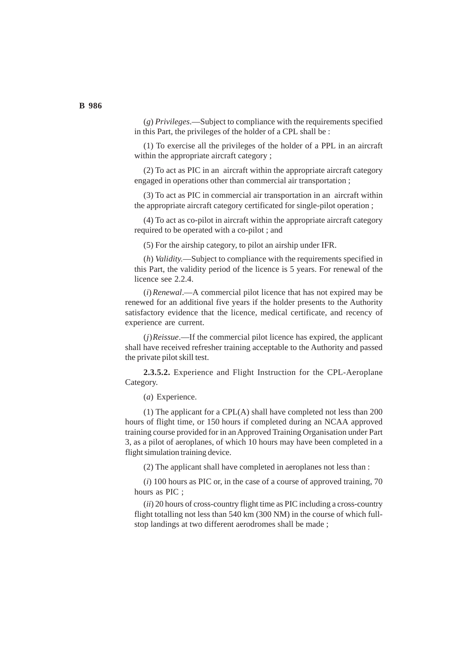(*g*) *Privileges*.—Subject to compliance with the requirements specified in this Part, the privileges of the holder of a CPL shall be :

(1) To exercise all the privileges of the holder of a PPL in an aircraft within the appropriate aircraft category ;

(2) To act as PIC in an aircraft within the appropriate aircraft category engaged in operations other than commercial air transportation ;

(3) To act as PIC in commercial air transportation in an aircraft within the appropriate aircraft category certificated for single-pilot operation ;

(4) To act as co-pilot in aircraft within the appropriate aircraft category required to be operated with a co-pilot ; and

(5) For the airship category, to pilot an airship under IFR.

(*h*) *Validity.*—Subject to compliance with the requirements specified in this Part, the validity period of the licence is 5 years. For renewal of the licence see 2.2.4.

(*i*)*Renewal*.—A commercial pilot licence that has not expired may be renewed for an additional five years if the holder presents to the Authority satisfactory evidence that the licence, medical certificate, and recency of experience are current.

(*j*)*Reissue*.—If the commercial pilot licence has expired, the applicant shall have received refresher training acceptable to the Authority and passed the private pilot skill test.

**2.3.5.2.** Experience and Flight Instruction for the CPL-Aeroplane Category.

(*a*) Experience.

(1) The applicant for a CPL(A) shall have completed not less than 200 hours of flight time, or 150 hours if completed during an NCAA approved training course provided for in an Approved Training Organisation under Part 3, as a pilot of aeroplanes, of which 10 hours may have been completed in a flight simulation training device.

(2) The applicant shall have completed in aeroplanes not less than :

(*i*) 100 hours as PIC or, in the case of a course of approved training, 70 hours as PIC ;

(*ii*) 20 hours of cross-country flight time as PIC including a cross-country flight totalling not less than 540 km (300 NM) in the course of which fullstop landings at two different aerodromes shall be made ;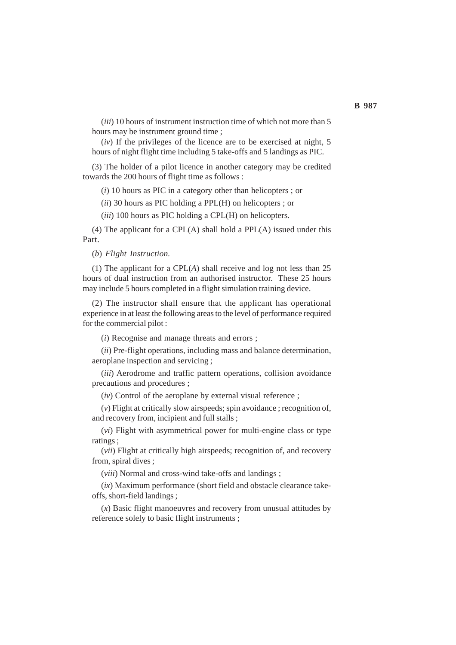(*iii*) 10 hours of instrument instruction time of which not more than 5 hours may be instrument ground time ;

(*iv*) If the privileges of the licence are to be exercised at night, 5 hours of night flight time including 5 take-offs and 5 landings as PIC.

(3) The holder of a pilot licence in another category may be credited towards the 200 hours of flight time as follows :

(*i*) 10 hours as PIC in a category other than helicopters ; or

(*ii*) 30 hours as PIC holding a PPL(H) on helicopters ; or

(*iii*) 100 hours as PIC holding a CPL(H) on helicopters.

(4) The applicant for a  $CPL(A)$  shall hold a  $PPL(A)$  issued under this Part.

(*b*) *Flight Instruction.*

(1) The applicant for a CPL(*A*) shall receive and log not less than 25 hours of dual instruction from an authorised instructor. These 25 hours may include 5 hours completed in a flight simulation training device.

(2) The instructor shall ensure that the applicant has operational experience in at least the following areas to the level of performance required for the commercial pilot :

(*i*) Recognise and manage threats and errors ;

(*ii*) Pre-flight operations, including mass and balance determination, aeroplane inspection and servicing ;

(*iii*) Aerodrome and traffic pattern operations, collision avoidance precautions and procedures ;

(*iv*) Control of the aeroplane by external visual reference ;

(*v*) Flight at critically slow airspeeds; spin avoidance ; recognition of, and recovery from, incipient and full stalls ;

(*vi*) Flight with asymmetrical power for multi-engine class or type ratings ;

(*vii*) Flight at critically high airspeeds; recognition of, and recovery from, spiral dives ;

(*viii*) Normal and cross-wind take-offs and landings ;

(*ix*) Maximum performance (short field and obstacle clearance takeoffs, short-field landings ;

(*x*) Basic flight manoeuvres and recovery from unusual attitudes by reference solely to basic flight instruments ;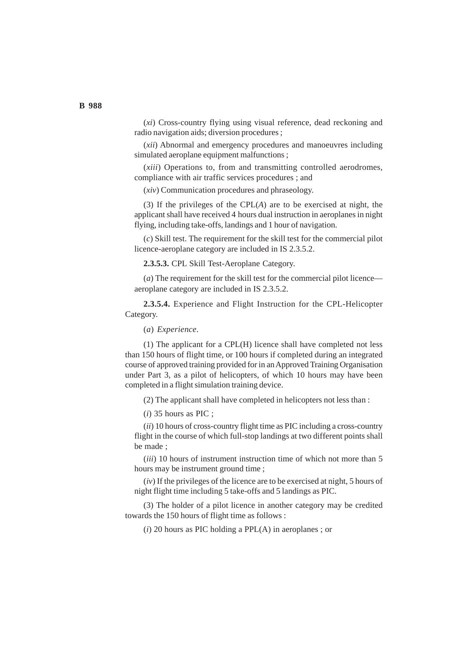(*xi*) Cross-country flying using visual reference, dead reckoning and radio navigation aids; diversion procedures ;

(*xii*) Abnormal and emergency procedures and manoeuvres including simulated aeroplane equipment malfunctions ;

(*xiii*) Operations to, from and transmitting controlled aerodromes, compliance with air traffic services procedures ; and

(*xiv*) Communication procedures and phraseology.

(3) If the privileges of the CPL(*A*) are to be exercised at night, the applicant shall have received 4 hours dual instruction in aeroplanes in night flying, including take-offs, landings and 1 hour of navigation.

(*c*) Skill test. The requirement for the skill test for the commercial pilot licence-aeroplane category are included in IS 2.3.5.2.

**2.3.5.3.** CPL Skill Test-Aeroplane Category.

(*a*) The requirement for the skill test for the commercial pilot licence aeroplane category are included in IS 2.3.5.2.

**2.3.5.4.** Experience and Flight Instruction for the CPL-Helicopter Category.

(*a*) *Experience.*

(1) The applicant for a CPL(H) licence shall have completed not less than 150 hours of flight time, or 100 hours if completed during an integrated course of approved training provided for in an Approved Training Organisation under Part 3, as a pilot of helicopters, of which 10 hours may have been completed in a flight simulation training device.

(2) The applicant shall have completed in helicopters not less than :

(*i*) 35 hours as PIC ;

(*ii*) 10 hours of cross-country flight time as PIC including a cross-country flight in the course of which full-stop landings at two different points shall be made ;

(*iii*) 10 hours of instrument instruction time of which not more than 5 hours may be instrument ground time ;

(*iv*) If the privileges of the licence are to be exercised at night, 5 hours of night flight time including 5 take-offs and 5 landings as PIC.

(3) The holder of a pilot licence in another category may be credited towards the 150 hours of flight time as follows :

(*i*) 20 hours as PIC holding a PPL(A) in aeroplanes ; or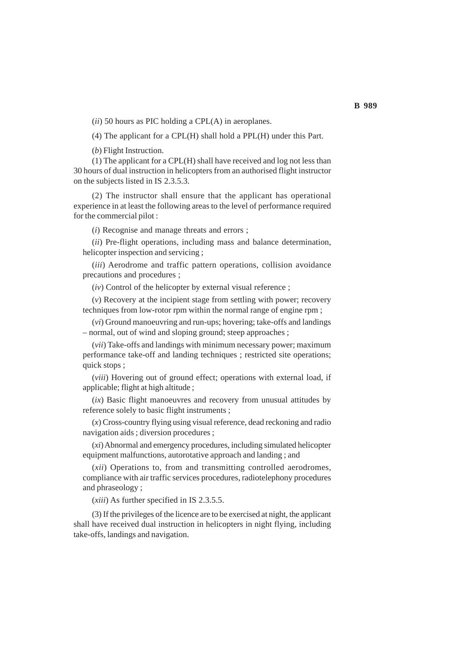(*ii*) 50 hours as PIC holding a CPL(A) in aeroplanes.

(4) The applicant for a CPL(H) shall hold a PPL(H) under this Part.

(*b*) Flight Instruction.

(1) The applicant for a CPL(H) shall have received and log not less than 30 hours of dual instruction in helicopters from an authorised flight instructor on the subjects listed in IS 2.3.5.3.

(2) The instructor shall ensure that the applicant has operational experience in at least the following areas to the level of performance required for the commercial pilot :

(*i*) Recognise and manage threats and errors ;

(*ii*) Pre-flight operations, including mass and balance determination, helicopter inspection and servicing ;

(*iii*) Aerodrome and traffic pattern operations, collision avoidance precautions and procedures ;

(*iv*) Control of the helicopter by external visual reference ;

(*v*) Recovery at the incipient stage from settling with power; recovery techniques from low-rotor rpm within the normal range of engine rpm ;

(*vi*) Ground manoeuvring and run-ups; hovering; take-offs and landings – normal, out of wind and sloping ground; steep approaches ;

(*vii*) Take-offs and landings with minimum necessary power; maximum performance take-off and landing techniques ; restricted site operations; quick stops :

(*viii*) Hovering out of ground effect; operations with external load, if applicable; flight at high altitude ;

(*ix*) Basic flight manoeuvres and recovery from unusual attitudes by reference solely to basic flight instruments ;

(*x*) Cross-country flying using visual reference, dead reckoning and radio navigation aids ; diversion procedures ;

(*xi*) Abnormal and emergency procedures, including simulated helicopter equipment malfunctions, autorotative approach and landing ; and

(*xii*) Operations to, from and transmitting controlled aerodromes, compliance with air traffic services procedures, radiotelephony procedures and phraseology ;

(*xiii*) As further specified in IS 2.3.5.5.

(3) If the privileges of the licence are to be exercised at night, the applicant shall have received dual instruction in helicopters in night flying, including take-offs, landings and navigation.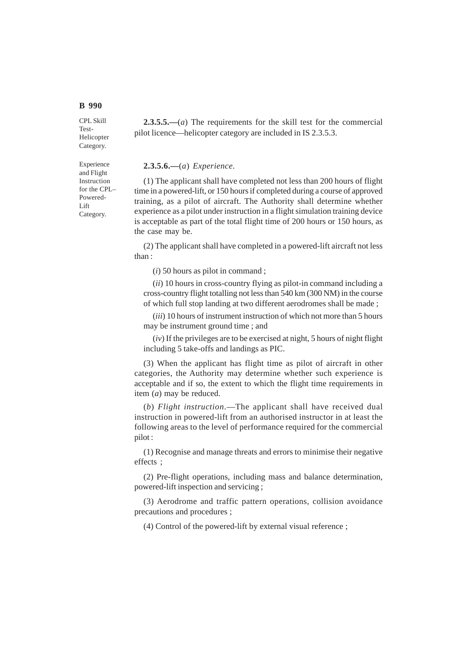CPL Skill Test-Helicopter Category.

Experience and Flight Instruction for the CPL– Powered-Lift Category.

**2.3.5.5.—**(*a*) The requirements for the skill test for the commercial pilot licence—helicopter category are included in IS 2.3.5.3.

## **2.3.5.6.—**(*a*) *Experience.*

(1) The applicant shall have completed not less than 200 hours of flight time in a powered-lift, or 150 hours if completed during a course of approved training, as a pilot of aircraft. The Authority shall determine whether experience as a pilot under instruction in a flight simulation training device is acceptable as part of the total flight time of 200 hours or 150 hours, as the case may be.

(2) The applicant shall have completed in a powered-lift aircraft not less than :

(*i*) 50 hours as pilot in command ;

(*ii*) 10 hours in cross-country flying as pilot-in command including a cross-country flight totalling not less than 540 km (300 NM) in the course of which full stop landing at two different aerodromes shall be made ;

(*iii*) 10 hours of instrument instruction of which not more than 5 hours may be instrument ground time ; and

(*iv*) If the privileges are to be exercised at night, 5 hours of night flight including 5 take-offs and landings as PIC.

(3) When the applicant has flight time as pilot of aircraft in other categories, the Authority may determine whether such experience is acceptable and if so, the extent to which the flight time requirements in item (*a*) may be reduced.

(*b*) *Flight instruction*.—The applicant shall have received dual instruction in powered-lift from an authorised instructor in at least the following areas to the level of performance required for the commercial pilot :

(1) Recognise and manage threats and errors to minimise their negative effects ;

(2) Pre-flight operations, including mass and balance determination, powered-lift inspection and servicing ;

(3) Aerodrome and traffic pattern operations, collision avoidance precautions and procedures ;

(4) Control of the powered-lift by external visual reference ;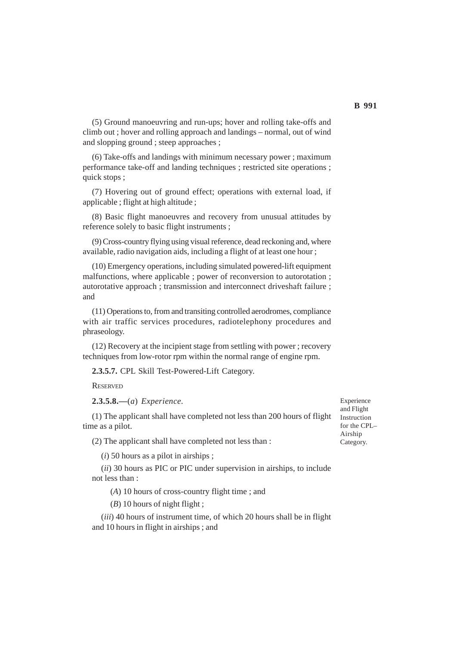(5) Ground manoeuvring and run-ups; hover and rolling take-offs and climb out ; hover and rolling approach and landings – normal, out of wind and slopping ground ; steep approaches ;

(6) Take-offs and landings with minimum necessary power ; maximum performance take-off and landing techniques ; restricted site operations ; quick stops ;

(7) Hovering out of ground effect; operations with external load, if applicable ; flight at high altitude ;

(8) Basic flight manoeuvres and recovery from unusual attitudes by reference solely to basic flight instruments ;

(9) Cross-country flying using visual reference, dead reckoning and, where available, radio navigation aids, including a flight of at least one hour ;

(10) Emergency operations, including simulated powered-lift equipment malfunctions, where applicable ; power of reconversion to autorotation ; autorotative approach ; transmission and interconnect driveshaft failure ; and

(11) Operations to, from and transiting controlled aerodromes, compliance with air traffic services procedures, radiotelephony procedures and phraseology.

(12) Recovery at the incipient stage from settling with power ; recovery techniques from low-rotor rpm within the normal range of engine rpm.

**2.3.5.7.** CPL Skill Test-Powered-Lift Category.

**RESERVED** 

**2.3.5.8.—**(*a*) *Experience.*

(1) The applicant shall have completed not less than 200 hours of flight time as a pilot.

(2) The applicant shall have completed not less than :

(*i*) 50 hours as a pilot in airships ;

(*ii*) 30 hours as PIC or PIC under supervision in airships, to include not less than :

(*A*) 10 hours of cross-country flight time ; and

(*B*) 10 hours of night flight ;

(*iii*) 40 hours of instrument time, of which 20 hours shall be in flight and 10 hours in flight in airships ; and

Experience and Flight Instruction for the CPL– Airship Category.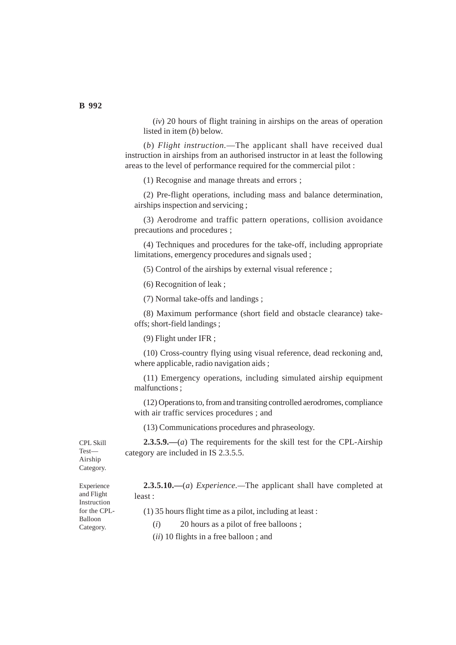(*iv*) 20 hours of flight training in airships on the areas of operation listed in item (*b*) below.

(*b*) *Flight instruction.*—The applicant shall have received dual instruction in airships from an authorised instructor in at least the following areas to the level of performance required for the commercial pilot :

(1) Recognise and manage threats and errors ;

(2) Pre-flight operations, including mass and balance determination, airships inspection and servicing ;

(3) Aerodrome and traffic pattern operations, collision avoidance precautions and procedures ;

(4) Techniques and procedures for the take-off, including appropriate limitations, emergency procedures and signals used ;

(5) Control of the airships by external visual reference ;

(6) Recognition of leak ;

(7) Normal take-offs and landings ;

(8) Maximum performance (short field and obstacle clearance) takeoffs; short-field landings ;

(9) Flight under IFR ;

(10) Cross-country flying using visual reference, dead reckoning and, where applicable, radio navigation aids ;

(11) Emergency operations, including simulated airship equipment malfunctions ;

(12) Operations to, from and transiting controlled aerodromes, compliance with air traffic services procedures ; and

(13) Communications procedures and phraseology.

**2.3.5.9.—**(*a*) The requirements for the skill test for the CPL-Airship category are included in IS 2.3.5.5.

CPL Skill Test— Airship Category.

> **2.3.5.10.—**(*a*) *Experience.—*The applicant shall have completed at least :

(1) 35 hours flight time as a pilot, including at least :

(*i*) 20 hours as a pilot of free balloons ;

(*ii*) 10 flights in a free balloon ; and

Experience and Flight Instruction for the CPL-Balloon

Category.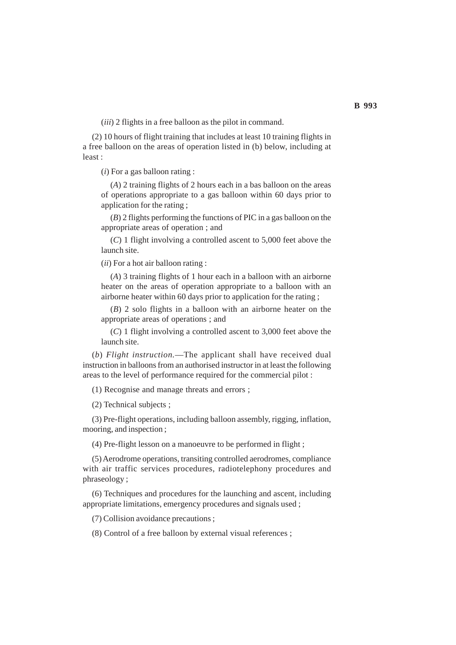(*iii*) 2 flights in a free balloon as the pilot in command.

(2) 10 hours of flight training that includes at least 10 training flights in a free balloon on the areas of operation listed in (b) below, including at least :

(*i*) For a gas balloon rating :

(*A*) 2 training flights of 2 hours each in a bas balloon on the areas of operations appropriate to a gas balloon within 60 days prior to application for the rating ;

(*B*) 2 flights performing the functions of PIC in a gas balloon on the appropriate areas of operation ; and

(*C*) 1 flight involving a controlled ascent to 5,000 feet above the launch site.

(*ii*) For a hot air balloon rating :

(*A*) 3 training flights of 1 hour each in a balloon with an airborne heater on the areas of operation appropriate to a balloon with an airborne heater within 60 days prior to application for the rating ;

(*B*) 2 solo flights in a balloon with an airborne heater on the appropriate areas of operations ; and

(*C*) 1 flight involving a controlled ascent to 3,000 feet above the launch site.

(*b*) *Flight instruction.*—The applicant shall have received dual instruction in balloons from an authorised instructor in at least the following areas to the level of performance required for the commercial pilot :

(1) Recognise and manage threats and errors ;

(2) Technical subjects ;

(3) Pre-flight operations, including balloon assembly, rigging, inflation, mooring, and inspection ;

(4) Pre-flight lesson on a manoeuvre to be performed in flight ;

(5) Aerodrome operations, transiting controlled aerodromes, compliance with air traffic services procedures, radiotelephony procedures and phraseology ;

(6) Techniques and procedures for the launching and ascent, including appropriate limitations, emergency procedures and signals used ;

(7) Collision avoidance precautions ;

(8) Control of a free balloon by external visual references ;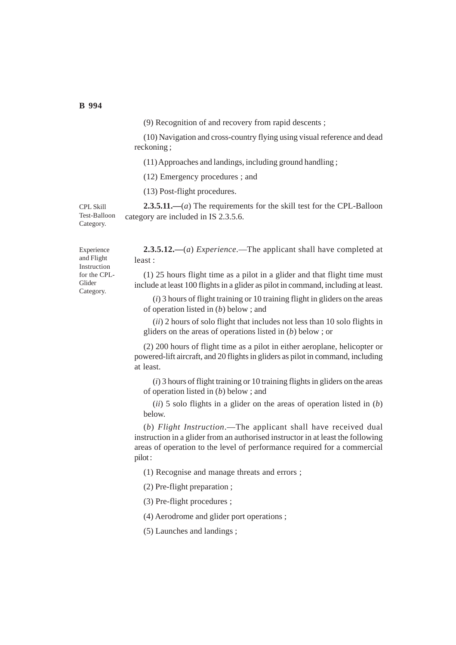(9) Recognition of and recovery from rapid descents ;

(10) Navigation and cross-country flying using visual reference and dead reckoning ;

(11) Approaches and landings, including ground handling ;

(12) Emergency procedures ; and

(13) Post-flight procedures.

**2.3.5.11.—**(*a*) The requirements for the skill test for the CPL-Balloon category are included in IS 2.3.5.6.

CPL Skill Test-Balloon Category.

> **2.3.5.12.—**(*a*) *Experience*.—The applicant shall have completed at least :

> (1) 25 hours flight time as a pilot in a glider and that flight time must include at least 100 flights in a glider as pilot in command, including at least.

(*i*) 3 hours of flight training or 10 training flight in gliders on the areas of operation listed in (*b*) below ; and

(*ii*) 2 hours of solo flight that includes not less than 10 solo flights in gliders on the areas of operations listed in (*b*) below ; or

(2) 200 hours of flight time as a pilot in either aeroplane, helicopter or powered-lift aircraft, and 20 flights in gliders as pilot in command, including at least.

(*i*) 3 hours of flight training or 10 training flights in gliders on the areas of operation listed in (*b*) below ; and

(*ii*) 5 solo flights in a glider on the areas of operation listed in (*b*) below.

(*b*) *Flight Instruction*.—The applicant shall have received dual instruction in a glider from an authorised instructor in at least the following areas of operation to the level of performance required for a commercial pilot :

(1) Recognise and manage threats and errors ;

(2) Pre-flight preparation ;

(3) Pre-flight procedures ;

(4) Aerodrome and glider port operations ;

(5) Launches and landings ;

Experience and Flight Instruction for the CPL-Glider Category.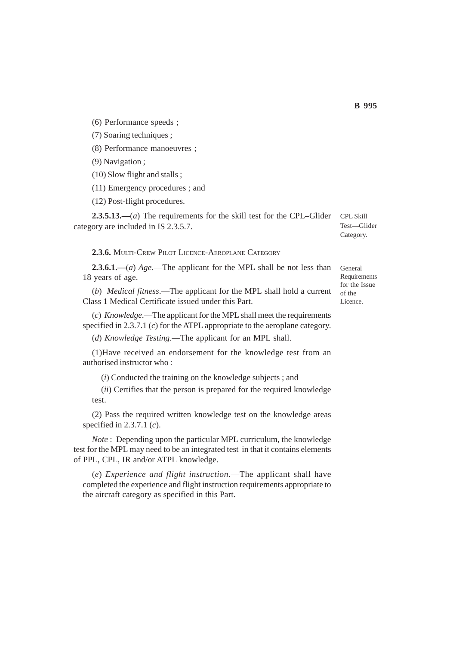(6) Performance speeds ;

(7) Soaring techniques ;

(8) Performance manoeuvres ;

(9) Navigation ;

(10) Slow flight and stalls ;

(11) Emergency procedures ; and

(12) Post-flight procedures.

**2.3.5.13.—**(*a*) The requirements for the skill test for the CPL–Glider category are included in IS 2.3.5.7.

**2.3.6.** MULTI-CREW PILOT LICENCE-AEROPLANE CATEGORY

**2.3.6.1.—**(*a*) *Age*.—The applicant for the MPL shall be not less than 18 years of age.

(*b*) *Medical fitness*.—The applicant for the MPL shall hold a current Class 1 Medical Certificate issued under this Part.

(*c*) *Knowledge*.—The applicant for the MPL shall meet the requirements specified in 2.3.7.1 (*c*) for the ATPL appropriate to the aeroplane category.

(*d*) *Knowledge Testing*.—The applicant for an MPL shall.

(1)Have received an endorsement for the knowledge test from an authorised instructor who :

(*i*) Conducted the training on the knowledge subjects ; and

(*ii*) Certifies that the person is prepared for the required knowledge test.

(2) Pass the required written knowledge test on the knowledge areas specified in 2.3.7.1 (*c*).

*Note* : Depending upon the particular MPL curriculum, the knowledge test for the MPL may need to be an integrated test in that it contains elements of PPL, CPL, IR and/or ATPL knowledge.

(*e*) *Experience and flight instruction*.—The applicant shall have completed the experience and flight instruction requirements appropriate to the aircraft category as specified in this Part.

General Requirements for the Issue of the Licence.

CPL Skill Test—Glider Category.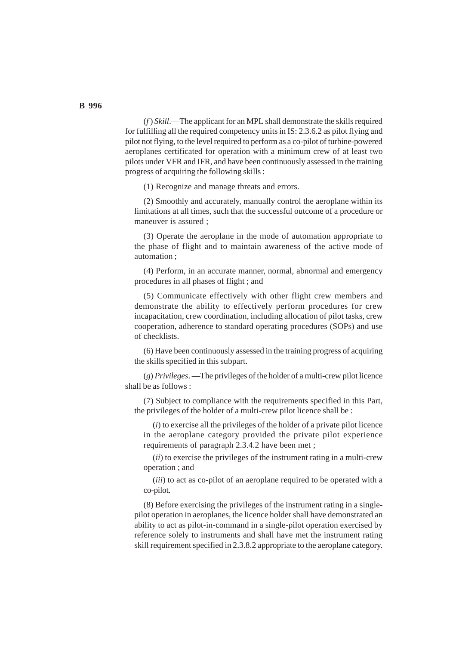(*f* ) *Skill*.—The applicant for an MPL shall demonstrate the skills required for fulfilling all the required competency units in IS: 2.3.6.2 as pilot flying and pilot not flying, to the level required to perform as a co-pilot of turbine-powered aeroplanes certificated for operation with a minimum crew of at least two pilots under VFR and IFR, and have been continuously assessed in the training progress of acquiring the following skills :

(1) Recognize and manage threats and errors.

(2) Smoothly and accurately, manually control the aeroplane within its limitations at all times, such that the successful outcome of a procedure or maneuver is assured ;

(3) Operate the aeroplane in the mode of automation appropriate to the phase of flight and to maintain awareness of the active mode of automation ;

(4) Perform, in an accurate manner, normal, abnormal and emergency procedures in all phases of flight ; and

(5) Communicate effectively with other flight crew members and demonstrate the ability to effectively perform procedures for crew incapacitation, crew coordination, including allocation of pilot tasks, crew cooperation, adherence to standard operating procedures (SOPs) and use of checklists.

(6) Have been continuously assessed in the training progress of acquiring the skills specified in this subpart.

(*g*) *Privileges*. —The privileges of the holder of a multi-crew pilot licence shall be as follows :

(7) Subject to compliance with the requirements specified in this Part, the privileges of the holder of a multi-crew pilot licence shall be :

(*i*) to exercise all the privileges of the holder of a private pilot licence in the aeroplane category provided the private pilot experience requirements of paragraph 2.3.4.2 have been met ;

(*ii*) to exercise the privileges of the instrument rating in a multi-crew operation ; and

(*iii*) to act as co-pilot of an aeroplane required to be operated with a co-pilot.

(8) Before exercising the privileges of the instrument rating in a singlepilot operation in aeroplanes, the licence holder shall have demonstrated an ability to act as pilot-in-command in a single-pilot operation exercised by reference solely to instruments and shall have met the instrument rating skill requirement specified in 2.3.8.2 appropriate to the aeroplane category.

## **B 996**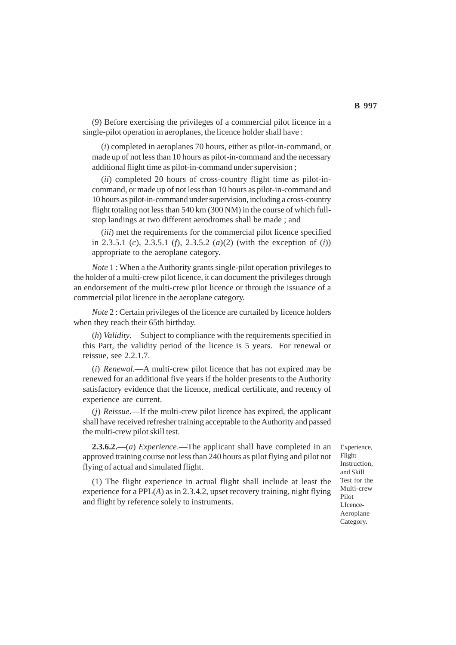(9) Before exercising the privileges of a commercial pilot licence in a single-pilot operation in aeroplanes, the licence holder shall have :

(*i*) completed in aeroplanes 70 hours, either as pilot-in-command, or made up of not less than 10 hours as pilot-in-command and the necessary additional flight time as pilot-in-command under supervision ;

(*ii*) completed 20 hours of cross-country flight time as pilot-incommand, or made up of not less than 10 hours as pilot-in-command and 10 hours as pilot-in-command under supervision, including a cross-country flight totaling not less than 540 km (300 NM) in the course of which fullstop landings at two different aerodromes shall be made ; and

(*iii*) met the requirements for the commercial pilot licence specified in 2.3.5.1 (*c*), 2.3.5.1 (*f*), 2.3.5.2 (*a*)(2) (with the exception of (*i*)) appropriate to the aeroplane category.

*Note* 1 : When a the Authority grants single-pilot operation privileges to the holder of a multi-crew pilot licence, it can document the privileges through an endorsement of the multi-crew pilot licence or through the issuance of a commercial pilot licence in the aeroplane category.

*Note* 2 : Certain privileges of the licence are curtailed by licence holders when they reach their 65th birthday.

(*h*) *Validity*.—Subject to compliance with the requirements specified in this Part, the validity period of the licence is 5 years. For renewal or reissue, see 2.2.1.7.

(*i*) *Renewal.*—A multi-crew pilot licence that has not expired may be renewed for an additional five years if the holder presents to the Authority satisfactory evidence that the licence, medical certificate, and recency of experience are current.

(*j*) *Reissue*.—If the multi-crew pilot licence has expired, the applicant shall have received refresher training acceptable to the Authority and passed the multi-crew pilot skill test.

**2.3.6.2.**—(*a*) *Experience*.—The applicant shall have completed in an approved training course not less than 240 hours as pilot flying and pilot not flying of actual and simulated flight.

(1) The flight experience in actual flight shall include at least the experience for a PPL(*A*) as in 2.3.4.2, upset recovery training, night flying and flight by reference solely to instruments.

Experience, Flight Instruction, and Skill Test for the Multi-crew Pilot LIcence-Aeroplane Category.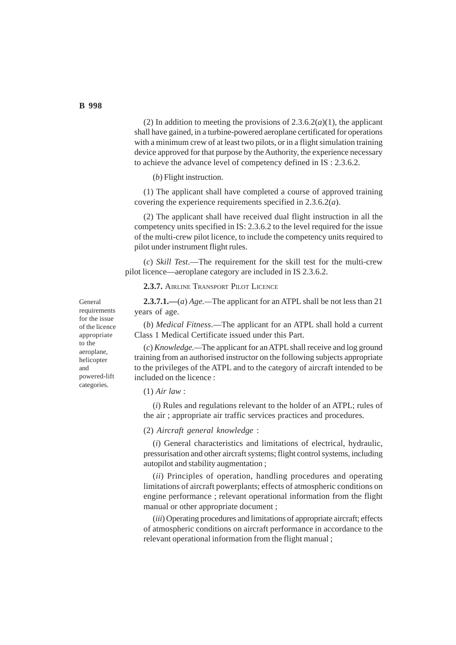(2) In addition to meeting the provisions of  $2.3.6.2(a)(1)$ , the applicant shall have gained, in a turbine-powered aeroplane certificated for operations with a minimum crew of at least two pilots, or in a flight simulation training device approved for that purpose by the Authority, the experience necessary to achieve the advance level of competency defined in IS : 2.3.6.2.

(*b*) Flight instruction.

(1) The applicant shall have completed a course of approved training covering the experience requirements specified in 2.3.6.2(*a*).

(2) The applicant shall have received dual flight instruction in all the competency units specified in IS: 2.3.6.2 to the level required for the issue of the multi-crew pilot licence, to include the competency units required to pilot under instrument flight rules.

(*c*) *Skill Test*.—The requirement for the skill test for the multi-crew pilot licence—aeroplane category are included in IS 2.3.6.2.

**2.3.7.** AIRLINE TRANSPORT PILOT LICENCE

**2.3.7.1.—**(*a*) *Age.—*The applicant for an ATPL shall be not less than 21 years of age.

(*b*) *Medical Fitness*.—The applicant for an ATPL shall hold a current Class 1 Medical Certificate issued under this Part.

(*c*) *Knowledge.—*The applicant for an ATPL shall receive and log ground training from an authorised instructor on the following subjects appropriate to the privileges of the ATPL and to the category of aircraft intended to be included on the licence :

(1) *Air law* :

(*i*) Rules and regulations relevant to the holder of an ATPL; rules of the air ; appropriate air traffic services practices and procedures.

(2) *Aircraft general knowledge* :

(*i*) General characteristics and limitations of electrical, hydraulic, pressurisation and other aircraft systems; flight control systems, including autopilot and stability augmentation ;

(*ii*) Principles of operation, handling procedures and operating limitations of aircraft powerplants; effects of atmospheric conditions on engine performance ; relevant operational information from the flight manual or other appropriate document ;

(*iii*) Operating procedures and limitations of appropriate aircraft; effects of atmospheric conditions on aircraft performance in accordance to the relevant operational information from the flight manual ;

General requirements for the issue of the licence appropriate to the aeroplane, helicopter and powered-lift categories.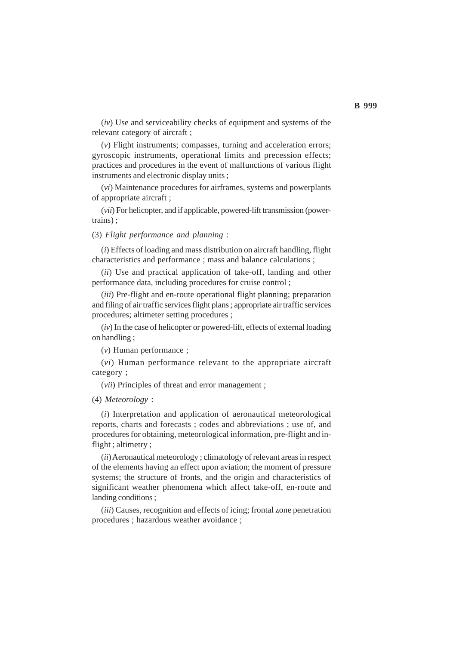(*iv*) Use and serviceability checks of equipment and systems of the relevant category of aircraft ;

(*v*) Flight instruments; compasses, turning and acceleration errors; gyroscopic instruments, operational limits and precession effects; practices and procedures in the event of malfunctions of various flight instruments and electronic display units ;

(*vi*) Maintenance procedures for airframes, systems and powerplants of appropriate aircraft ;

(*vii*) For helicopter, and if applicable, powered-lift transmission (powertrains) ;

(3) *Flight performance and planning* :

(*i*) Effects of loading and mass distribution on aircraft handling, flight characteristics and performance ; mass and balance calculations ;

(*ii*) Use and practical application of take-off, landing and other performance data, including procedures for cruise control ;

(*iii*) Pre-flight and en-route operational flight planning; preparation and filing of air traffic services flight plans ; appropriate air traffic services procedures; altimeter setting procedures ;

(*iv*) In the case of helicopter or powered-lift, effects of external loading on handling ;

(*v*) Human performance ;

(*vi*) Human performance relevant to the appropriate aircraft category ;

(*vii*) Principles of threat and error management ;

(4) *Meteorology* :

(*i*) Interpretation and application of aeronautical meteorological reports, charts and forecasts ; codes and abbreviations ; use of, and procedures for obtaining, meteorological information, pre-flight and inflight; altimetry;

(*ii*) Aeronautical meteorology ; climatology of relevant areas in respect of the elements having an effect upon aviation; the moment of pressure systems; the structure of fronts, and the origin and characteristics of significant weather phenomena which affect take-off, en-route and landing conditions ;

(*iii*) Causes, recognition and effects of icing; frontal zone penetration procedures ; hazardous weather avoidance ;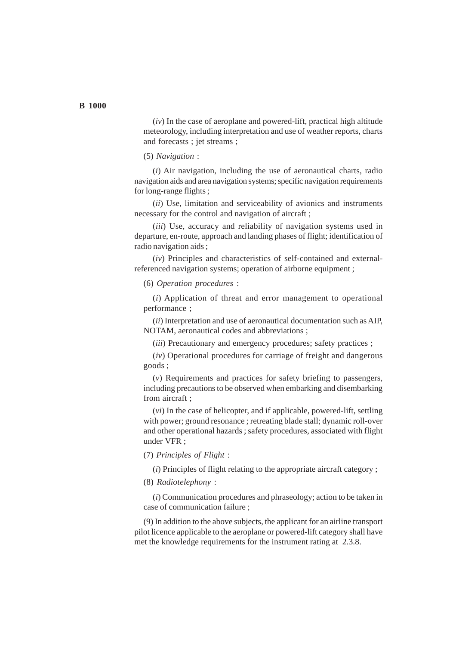(*iv*) In the case of aeroplane and powered-lift, practical high altitude meteorology, including interpretation and use of weather reports, charts and forecasts ; jet streams ;

(5) *Navigation* :

(*i*) Air navigation, including the use of aeronautical charts, radio navigation aids and area navigation systems; specific navigation requirements for long-range flights ;

(*ii*) Use, limitation and serviceability of avionics and instruments necessary for the control and navigation of aircraft ;

(*iii*) Use, accuracy and reliability of navigation systems used in departure, en-route, approach and landing phases of flight; identification of radio navigation aids ;

(*iv*) Principles and characteristics of self-contained and externalreferenced navigation systems; operation of airborne equipment ;

(6) *Operation procedures* :

(*i*) Application of threat and error management to operational performance ;

(*ii*) Interpretation and use of aeronautical documentation such as AIP, NOTAM, aeronautical codes and abbreviations ;

(*iii*) Precautionary and emergency procedures; safety practices ;

(*iv*) Operational procedures for carriage of freight and dangerous goods ;

(*v*) Requirements and practices for safety briefing to passengers, including precautions to be observed when embarking and disembarking from aircraft ;

(*vi*) In the case of helicopter, and if applicable, powered-lift, settling with power; ground resonance ; retreating blade stall; dynamic roll-over and other operational hazards ; safety procedures, associated with flight under VFR ;

(7) *Principles of Flight* :

(*i*) Principles of flight relating to the appropriate aircraft category ;

(8) *Radiotelephony* :

(*i*) Communication procedures and phraseology; action to be taken in case of communication failure ;

(9) In addition to the above subjects, the applicant for an airline transport pilot licence applicable to the aeroplane or powered-lift category shall have met the knowledge requirements for the instrument rating at 2.3.8.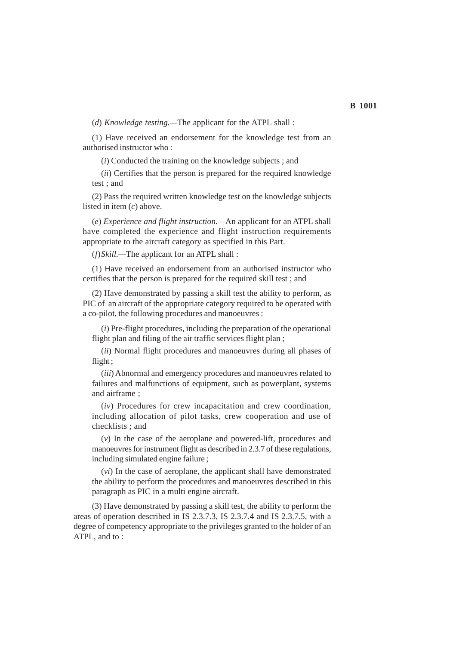(*d*) *Knowledge testing.—*The applicant for the ATPL shall :

(1) Have received an endorsement for the knowledge test from an authorised instructor who :

(*i*) Conducted the training on the knowledge subjects ; and

(*ii*) Certifies that the person is prepared for the required knowledge test ; and

(2) Pass the required written knowledge test on the knowledge subjects listed in item (*c*) above.

(*e*) *Experience and flight instruction.—*An applicant for an ATPL shall have completed the experience and flight instruction requirements appropriate to the aircraft category as specified in this Part.

(*f*)*Skill.—*The applicant for an ATPL shall :

(1) Have received an endorsement from an authorised instructor who certifies that the person is prepared for the required skill test ; and

(2) Have demonstrated by passing a skill test the ability to perform, as PIC of an aircraft of the appropriate category required to be operated with a co-pilot, the following procedures and manoeuvres :

(*i*) Pre-flight procedures, including the preparation of the operational flight plan and filing of the air traffic services flight plan;

(*ii*) Normal flight procedures and manoeuvres during all phases of flight ;

(*iii*) Abnormal and emergency procedures and manoeuvres related to failures and malfunctions of equipment, such as powerplant, systems and airframe ;

(*iv*) Procedures for crew incapacitation and crew coordination, including allocation of pilot tasks, crew cooperation and use of checklists ; and

(*v*) In the case of the aeroplane and powered-lift, procedures and manoeuvres for instrument flight as described in 2.3.7 of these regulations, including simulated engine failure ;

(*vi*) In the case of aeroplane, the applicant shall have demonstrated the ability to perform the procedures and manoeuvres described in this paragraph as PIC in a multi engine aircraft.

(3) Have demonstrated by passing a skill test, the ability to perform the areas of operation described in IS 2.3.7.3, IS 2.3.7.4 and IS 2.3.7.5, with a degree of competency appropriate to the privileges granted to the holder of an ATPL, and to :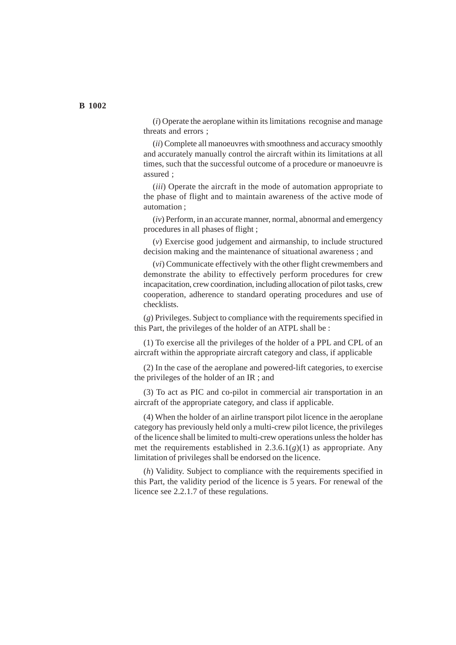(*i*) Operate the aeroplane within its limitations recognise and manage threats and errors ;

(*ii*) Complete all manoeuvres with smoothness and accuracy smoothly and accurately manually control the aircraft within its limitations at all times, such that the successful outcome of a procedure or manoeuvre is assured ;

(*iii*) Operate the aircraft in the mode of automation appropriate to the phase of flight and to maintain awareness of the active mode of automation ;

(*iv*) Perform, in an accurate manner, normal, abnormal and emergency procedures in all phases of flight ;

(*v*) Exercise good judgement and airmanship, to include structured decision making and the maintenance of situational awareness ; and

(*vi*) Communicate effectively with the other flight crewmembers and demonstrate the ability to effectively perform procedures for crew incapacitation, crew coordination, including allocation of pilot tasks, crew cooperation, adherence to standard operating procedures and use of checklists.

(*g*) Privileges. Subject to compliance with the requirements specified in this Part, the privileges of the holder of an ATPL shall be :

(1) To exercise all the privileges of the holder of a PPL and CPL of an aircraft within the appropriate aircraft category and class, if applicable

(2) In the case of the aeroplane and powered-lift categories, to exercise the privileges of the holder of an IR ; and

(3) To act as PIC and co-pilot in commercial air transportation in an aircraft of the appropriate category, and class if applicable.

(4) When the holder of an airline transport pilot licence in the aeroplane category has previously held only a multi-crew pilot licence, the privileges of the licence shall be limited to multi-crew operations unless the holder has met the requirements established in 2.3.6.1(*g*)(1) as appropriate. Any limitation of privileges shall be endorsed on the licence.

(*h*) Validity. Subject to compliance with the requirements specified in this Part, the validity period of the licence is 5 years. For renewal of the licence see 2.2.1.7 of these regulations.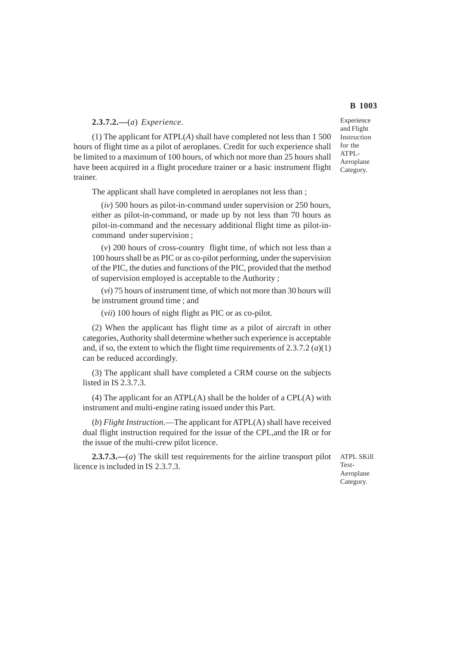### **2.3.7.2.—**(*a*) *Experience*.

(1) The applicant for ATPL(*A*) shall have completed not less than 1 500 hours of flight time as a pilot of aeroplanes. Credit for such experience shall be limited to a maximum of 100 hours, of which not more than 25 hours shall have been acquired in a flight procedure trainer or a basic instrument flight trainer.

The applicant shall have completed in aeroplanes not less than ;

(*iv*) 500 hours as pilot-in-command under supervision or 250 hours, either as pilot-in-command, or made up by not less than 70 hours as pilot-in-command and the necessary additional flight time as pilot-incommand under supervision ;

(*v*) 200 hours of cross-country flight time, of which not less than a 100 hours shall be as PIC or as co-pilot performing, under the supervision of the PIC, the duties and functions of the PIC, provided that the method of supervision employed is acceptable to the Authority ;

(*vi*) 75 hours of instrument time, of which not more than 30 hours will be instrument ground time ; and

(*vii*) 100 hours of night flight as PIC or as co-pilot.

(2) When the applicant has flight time as a pilot of aircraft in other categories, Authority shall determine whether such experience is acceptable and, if so, the extent to which the flight time requirements of  $2.3.7.2$  (*a*)(1) can be reduced accordingly.

(3) The applicant shall have completed a CRM course on the subjects listed in IS 2.3.7.3.

(4) The applicant for an ATPL(A) shall be the holder of a CPL(A) with instrument and multi-engine rating issued under this Part.

(*b*) *Flight Instruction*.—The applicant for ATPL(A) shall have received dual flight instruction required for the issue of the CPL,and the IR or for the issue of the multi-crew pilot licence.

**2.3.7.3.—**(*a*) The skill test requirements for the airline transport pilot licence is included in IS 2.3.7.3.

ATPL SKill Test-Aeroplane Category.

Experience and Flight Instruction for the ATPL-Aeroplane Category.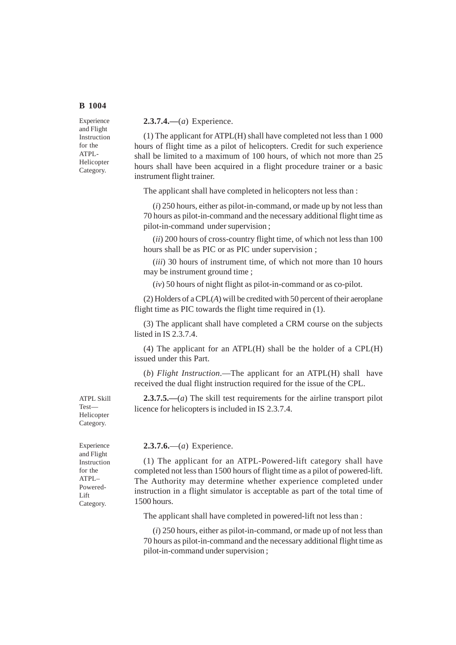Experience and Flight Instruction for the ATPL-Helicopter Category.

**2.3.7.4.—**(*a*) Experience.

(1) The applicant for ATPL(H) shall have completed not less than 1 000 hours of flight time as a pilot of helicopters. Credit for such experience shall be limited to a maximum of 100 hours, of which not more than 25 hours shall have been acquired in a flight procedure trainer or a basic instrument flight trainer.

The applicant shall have completed in helicopters not less than :

(*i*) 250 hours, either as pilot-in-command, or made up by not less than 70 hours as pilot-in-command and the necessary additional flight time as pilot-in-command under supervision ;

(*ii*) 200 hours of cross-country flight time, of which not less than 100 hours shall be as PIC or as PIC under supervision ;

(*iii*) 30 hours of instrument time, of which not more than 10 hours may be instrument ground time ;

(*iv*) 50 hours of night flight as pilot-in-command or as co-pilot.

(2) Holders of a CPL(*A*) will be credited with 50 percent of their aeroplane flight time as PIC towards the flight time required in (1).

(3) The applicant shall have completed a CRM course on the subjects listed in IS 2.3.7.4.

(4) The applicant for an ATPL(H) shall be the holder of a CPL(H) issued under this Part.

(*b*) *Flight Instruction*.—The applicant for an ATPL(H) shall have received the dual flight instruction required for the issue of the CPL.

**2.3.7.5.—**(*a*) The skill test requirements for the airline transport pilot licence for helicopters is included in IS 2.3.7.4.

#### **2.3.7.6.**—(*a*) Experience.

(1) The applicant for an ATPL-Powered-lift category shall have completed not less than 1500 hours of flight time as a pilot of powered-lift. The Authority may determine whether experience completed under instruction in a flight simulator is acceptable as part of the total time of 1500 hours.

The applicant shall have completed in powered-lift not less than :

(*i*) 250 hours, either as pilot-in-command, or made up of not less than 70 hours as pilot-in-command and the necessary additional flight time as pilot-in-command under supervision ;

ATPL Skill Test— Helicopter Category.

Experience and Flight Instruction for the ATPL– Powered-Lift Category.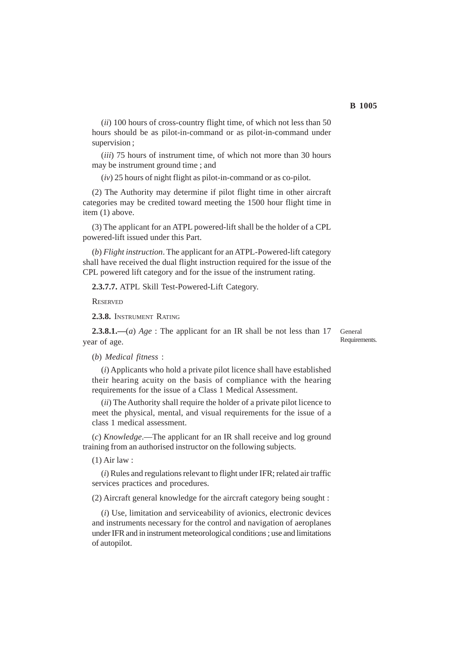(*ii*) 100 hours of cross-country flight time, of which not less than 50 hours should be as pilot-in-command or as pilot-in-command under supervision ;

(*iii*) 75 hours of instrument time, of which not more than 30 hours may be instrument ground time ; and

(*iv*) 25 hours of night flight as pilot-in-command or as co-pilot.

(2) The Authority may determine if pilot flight time in other aircraft categories may be credited toward meeting the 1500 hour flight time in item (1) above.

(3) The applicant for an ATPL powered-lift shall be the holder of a CPL powered-lift issued under this Part.

(*b*) *Flight instruction*. The applicant for an ATPL-Powered-lift category shall have received the dual flight instruction required for the issue of the CPL powered lift category and for the issue of the instrument rating.

**2.3.7.7.** ATPL Skill Test-Powered-Lift Category.

**RESERVED** 

**2.3.8.** INSTRUMENT RATING

**2.3.8.1.—**(*a*) *Age* : The applicant for an IR shall be not less than 17 year of age.

General Requirements.

(*b*) *Medical fitness* :

(*i*) Applicants who hold a private pilot licence shall have established their hearing acuity on the basis of compliance with the hearing requirements for the issue of a Class 1 Medical Assessment.

(*ii*) The Authority shall require the holder of a private pilot licence to meet the physical, mental, and visual requirements for the issue of a class 1 medical assessment.

(*c*) *Knowledge*.—The applicant for an IR shall receive and log ground training from an authorised instructor on the following subjects.

(1) Air law :

(*i*) Rules and regulations relevant to flight under IFR; related air traffic services practices and procedures.

(2) Aircraft general knowledge for the aircraft category being sought :

(*i*) Use, limitation and serviceability of avionics, electronic devices and instruments necessary for the control and navigation of aeroplanes under IFR and in instrument meteorological conditions ; use and limitations of autopilot.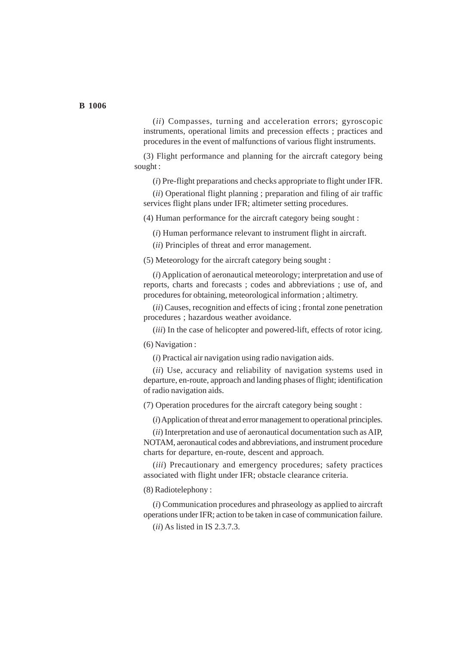(*ii*) Compasses, turning and acceleration errors; gyroscopic instruments, operational limits and precession effects ; practices and procedures in the event of malfunctions of various flight instruments.

(3) Flight performance and planning for the aircraft category being sought :

(*i*) Pre-flight preparations and checks appropriate to flight under IFR.

(*ii*) Operational flight planning ; preparation and filing of air traffic services flight plans under IFR; altimeter setting procedures.

(4) Human performance for the aircraft category being sought :

(*i*) Human performance relevant to instrument flight in aircraft.

(*ii*) Principles of threat and error management.

(5) Meteorology for the aircraft category being sought :

(*i*) Application of aeronautical meteorology; interpretation and use of reports, charts and forecasts ; codes and abbreviations ; use of, and procedures for obtaining, meteorological information ; altimetry.

(*ii*) Causes, recognition and effects of icing ; frontal zone penetration procedures ; hazardous weather avoidance.

(*iii*) In the case of helicopter and powered-lift, effects of rotor icing.

(6) Navigation :

(*i*) Practical air navigation using radio navigation aids.

(*ii*) Use, accuracy and reliability of navigation systems used in departure, en-route, approach and landing phases of flight; identification of radio navigation aids.

(7) Operation procedures for the aircraft category being sought :

(*i*) Application of threat and error management to operational principles.

(*ii*) Interpretation and use of aeronautical documentation such as AIP, NOTAM, aeronautical codes and abbreviations, and instrument procedure charts for departure, en-route, descent and approach.

(*iii*) Precautionary and emergency procedures; safety practices associated with flight under IFR; obstacle clearance criteria.

(8) Radiotelephony :

(*i*) Communication procedures and phraseology as applied to aircraft operations under IFR; action to be taken in case of communication failure.

(*ii*) As listed in IS 2.3.7.3.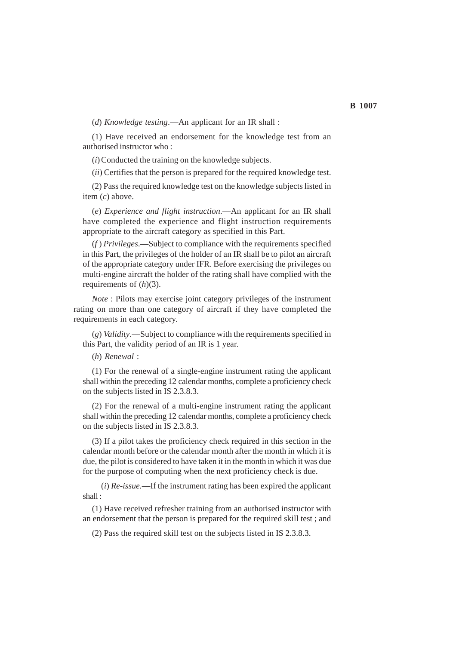(*d*) *Knowledge testing*.—An applicant for an IR shall :

(1) Have received an endorsement for the knowledge test from an authorised instructor who :

(*i*) Conducted the training on the knowledge subjects.

(*ii*) Certifies that the person is prepared for the required knowledge test.

(2) Pass the required knowledge test on the knowledge subjects listed in item (*c*) above.

(*e*) *Experience and flight instruction*.—An applicant for an IR shall have completed the experience and flight instruction requirements appropriate to the aircraft category as specified in this Part.

(*f* ) *Privileges*.—Subject to compliance with the requirements specified in this Part, the privileges of the holder of an IR shall be to pilot an aircraft of the appropriate category under IFR. Before exercising the privileges on multi-engine aircraft the holder of the rating shall have complied with the requirements of (*h*)(3).

*Note* : Pilots may exercise joint category privileges of the instrument rating on more than one category of aircraft if they have completed the requirements in each category.

(*g*) *Validity*.—Subject to compliance with the requirements specified in this Part, the validity period of an IR is 1 year.

(*h*) *Renewal* :

(1) For the renewal of a single-engine instrument rating the applicant shall within the preceding 12 calendar months, complete a proficiency check on the subjects listed in IS 2.3.8.3.

(2) For the renewal of a multi-engine instrument rating the applicant shall within the preceding 12 calendar months, complete a proficiency check on the subjects listed in IS 2.3.8.3.

(3) If a pilot takes the proficiency check required in this section in the calendar month before or the calendar month after the month in which it is due, the pilot is considered to have taken it in the month in which it was due for the purpose of computing when the next proficiency check is due.

(*i*) *Re-issue.*—If the instrument rating has been expired the applicant shall :

(1) Have received refresher training from an authorised instructor with an endorsement that the person is prepared for the required skill test ; and

(2) Pass the required skill test on the subjects listed in IS 2.3.8.3.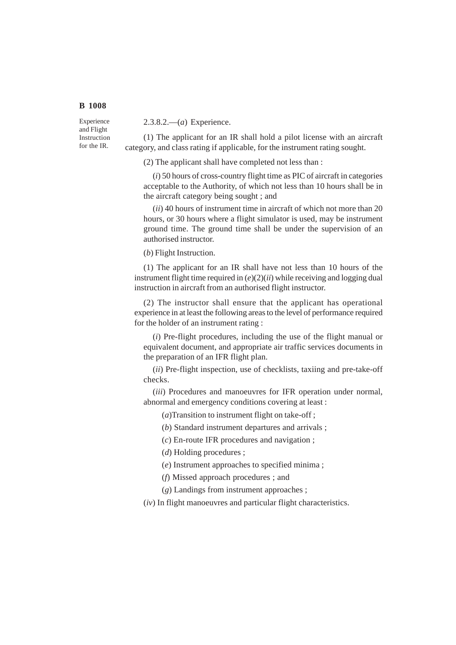Experience and Flight Instruction for the IR.

2.3.8.2.—(*a*) Experience.

(1) The applicant for an IR shall hold a pilot license with an aircraft category, and class rating if applicable, for the instrument rating sought.

(2) The applicant shall have completed not less than :

(*i*) 50 hours of cross-country flight time as PIC of aircraft in categories acceptable to the Authority, of which not less than 10 hours shall be in the aircraft category being sought ; and

(*ii*) 40 hours of instrument time in aircraft of which not more than 20 hours, or 30 hours where a flight simulator is used, may be instrument ground time. The ground time shall be under the supervision of an authorised instructor.

(*b*) Flight Instruction.

(1) The applicant for an IR shall have not less than 10 hours of the instrument flight time required in (*e*)(2)(*ii*) while receiving and logging dual instruction in aircraft from an authorised flight instructor.

(2) The instructor shall ensure that the applicant has operational experience in at least the following areas to the level of performance required for the holder of an instrument rating :

(*i*) Pre-flight procedures, including the use of the flight manual or equivalent document, and appropriate air traffic services documents in the preparation of an IFR flight plan.

(*ii*) Pre-flight inspection, use of checklists, taxiing and pre-take-off checks.

(*iii*) Procedures and manoeuvres for IFR operation under normal, abnormal and emergency conditions covering at least :

(*a*)Transition to instrument flight on take-off ;

(*b*) Standard instrument departures and arrivals ;

(*c*) En-route IFR procedures and navigation ;

(*d*) Holding procedures ;

(*e*) Instrument approaches to specified minima ;

(*f*) Missed approach procedures ; and

(*g*) Landings from instrument approaches ;

(*iv*) In flight manoeuvres and particular flight characteristics.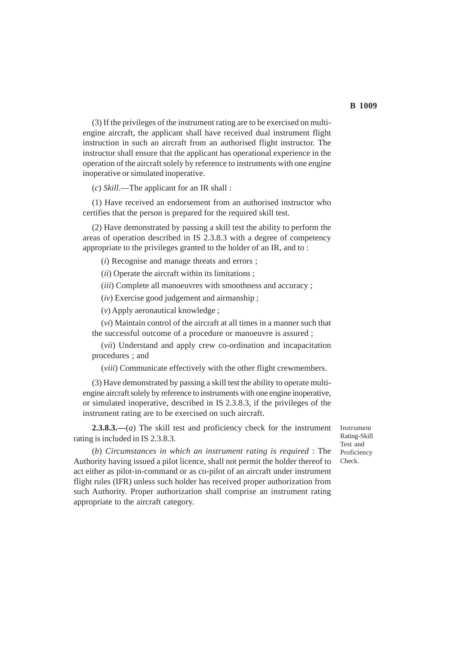(3) If the privileges of the instrument rating are to be exercised on multiengine aircraft, the applicant shall have received dual instrument flight instruction in such an aircraft from an authorised flight instructor. The instructor shall ensure that the applicant has operational experience in the operation of the aircraft solely by reference to instruments with one engine inoperative or simulated inoperative.

(*c*) *Skill*.—The applicant for an IR shall :

(1) Have received an endorsement from an authorised instructor who certifies that the person is prepared for the required skill test.

(2) Have demonstrated by passing a skill test the ability to perform the areas of operation described in IS 2.3.8.3 with a degree of competency appropriate to the privileges granted to the holder of an IR, and to :

(*i*) Recognise and manage threats and errors ;

(*ii*) Operate the aircraft within its limitations ;

(*iii*) Complete all manoeuvres with smoothness and accuracy ;

(*iv*) Exercise good judgement and airmanship ;

(*v*) Apply aeronautical knowledge ;

(*vi*) Maintain control of the aircraft at all times in a manner such that the successful outcome of a procedure or manoeuvre is assured ;

(*vii*) Understand and apply crew co-ordination and incapacitation procedures ; and

(*viii*) Communicate effectively with the other flight crewmembers.

(3) Have demonstrated by passing a skill test the ability to operate multiengine aircraft solely by reference to instruments with one engine inoperative, or simulated inoperative, described in IS 2.3.8.3, if the privileges of the instrument rating are to be exercised on such aircraft.

**2.3.8.3.—**(*a*) The skill test and proficiency check for the instrument rating is included in IS 2.3.8.3.

Instrument Rating-Skill Test and Proficiency Check.

(*b*) *Circumstances in which an instrument rating is required* : The Authority having issued a pilot licence, shall not permit the holder thereof to act either as pilot-in-command or as co-pilot of an aircraft under instrument flight rules (IFR) unless such holder has received proper authorization from such Authority. Proper authorization shall comprise an instrument rating appropriate to the aircraft category.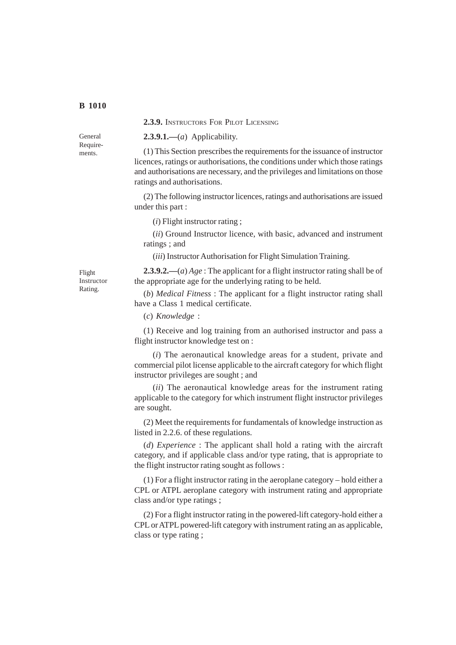#### **2.3.9.** INSTRUCTORS FOR PILOT LICENSING

General Requirements.

**2.3.9.1.—**(*a*) Applicability.

(1) This Section prescribes the requirements for the issuance of instructor licences, ratings or authorisations, the conditions under which those ratings and authorisations are necessary, and the privileges and limitations on those ratings and authorisations.

(2) The following instructor licences, ratings and authorisations are issued under this part :

(*i*) Flight instructor rating ;

(*ii*) Ground Instructor licence, with basic, advanced and instrument ratings ; and

(*iii*) Instructor Authorisation for Flight Simulation Training.

Flight Instructor Rating.

**2.3.9.2.—**(*a*) *Age* : The applicant for a flight instructor rating shall be of the appropriate age for the underlying rating to be held.

(*b*) *Medical Fitness* : The applicant for a flight instructor rating shall have a Class 1 medical certificate.

(*c*) *Knowledge* :

(1) Receive and log training from an authorised instructor and pass a flight instructor knowledge test on :

(*i*) The aeronautical knowledge areas for a student, private and commercial pilot license applicable to the aircraft category for which flight instructor privileges are sought ; and

(*ii*) The aeronautical knowledge areas for the instrument rating applicable to the category for which instrument flight instructor privileges are sought.

(2) Meet the requirements for fundamentals of knowledge instruction as listed in 2.2.6. of these regulations.

(*d*) *Experience* : The applicant shall hold a rating with the aircraft category, and if applicable class and/or type rating, that is appropriate to the flight instructor rating sought as follows :

(1) For a flight instructor rating in the aeroplane category – hold either a CPL or ATPL aeroplane category with instrument rating and appropriate class and/or type ratings ;

(2) For a flight instructor rating in the powered-lift category-hold either a CPL or ATPL powered-lift category with instrument rating an as applicable, class or type rating ;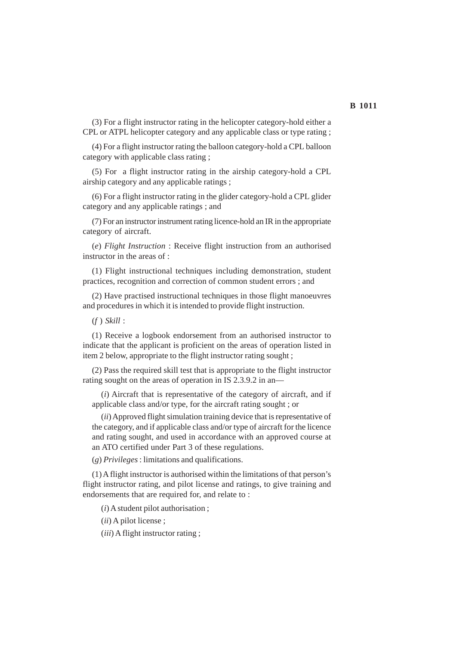(3) For a flight instructor rating in the helicopter category-hold either a CPL or ATPL helicopter category and any applicable class or type rating ;

(4) For a flight instructor rating the balloon category-hold a CPL balloon category with applicable class rating ;

(5) For a flight instructor rating in the airship category-hold a CPL airship category and any applicable ratings ;

(6) For a flight instructor rating in the glider category-hold a CPL glider category and any applicable ratings ; and

(7) For an instructor instrument rating licence-hold an IR in the appropriate category of aircraft.

(*e*) *Flight Instruction* : Receive flight instruction from an authorised instructor in the areas of :

(1) Flight instructional techniques including demonstration, student practices, recognition and correction of common student errors ; and

(2) Have practised instructional techniques in those flight manoeuvres and procedures in which it is intended to provide flight instruction.

(*f* ) *Skill* :

(1) Receive a logbook endorsement from an authorised instructor to indicate that the applicant is proficient on the areas of operation listed in item 2 below, appropriate to the flight instructor rating sought ;

(2) Pass the required skill test that is appropriate to the flight instructor rating sought on the areas of operation in IS 2.3.9.2 in an—

(*i*) Aircraft that is representative of the category of aircraft, and if applicable class and/or type, for the aircraft rating sought ; or

(*ii*) Approved flight simulation training device that is representative of the category, and if applicable class and/or type of aircraft for the licence and rating sought, and used in accordance with an approved course at an ATO certified under Part 3 of these regulations.

(*g*) *Privileges* : limitations and qualifications.

(1) A flight instructor is authorised within the limitations of that person's flight instructor rating, and pilot license and ratings, to give training and endorsements that are required for, and relate to :

(*i*) A student pilot authorisation ;

(*ii*) A pilot license ;

(*iii*) A flight instructor rating ;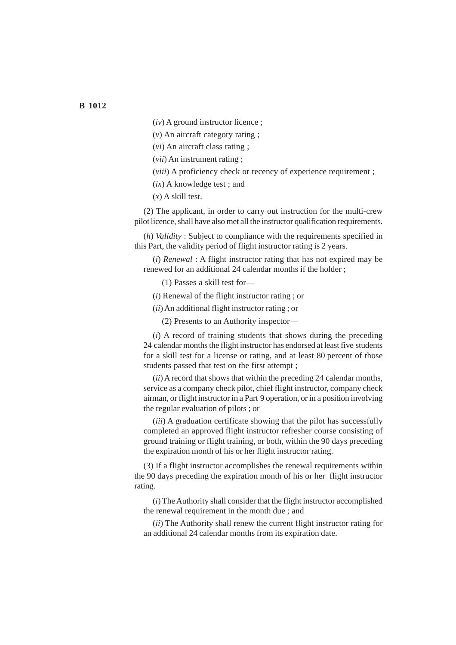(*iv*) A ground instructor licence ;

(*v*) An aircraft category rating ;

(*vi*) An aircraft class rating ;

(*vii*) An instrument rating ;

(*viii*) A proficiency check or recency of experience requirement ;

(*ix*) A knowledge test ; and

 $(x)$  A skill test.

(2) The applicant, in order to carry out instruction for the multi-crew pilot licence, shall have also met all the instructor qualification requirements.

(*h*) *Validity* : Subject to compliance with the requirements specified in this Part, the validity period of flight instructor rating is 2 years.

(*i*) *Renewal* : A flight instructor rating that has not expired may be renewed for an additional 24 calendar months if the holder ;

(1) Passes a skill test for—

(*i*) Renewal of the flight instructor rating ; or

(*ii*) An additional flight instructor rating ; or

(2) Presents to an Authority inspector—

(*i*) A record of training students that shows during the preceding 24 calendar months the flight instructor has endorsed at least five students for a skill test for a license or rating, and at least 80 percent of those students passed that test on the first attempt ;

(*ii*) A record that shows that within the preceding 24 calendar months, service as a company check pilot, chief flight instructor, company check airman, or flight instructor in a Part 9 operation, or in a position involving the regular evaluation of pilots ; or

(*iii*) A graduation certificate showing that the pilot has successfully completed an approved flight instructor refresher course consisting of ground training or flight training, or both, within the 90 days preceding the expiration month of his or her flight instructor rating.

(3) If a flight instructor accomplishes the renewal requirements within the 90 days preceding the expiration month of his or her flight instructor rating.

(*i*) The Authority shall consider that the flight instructor accomplished the renewal requirement in the month due ; and

(*ii*) The Authority shall renew the current flight instructor rating for an additional 24 calendar months from its expiration date.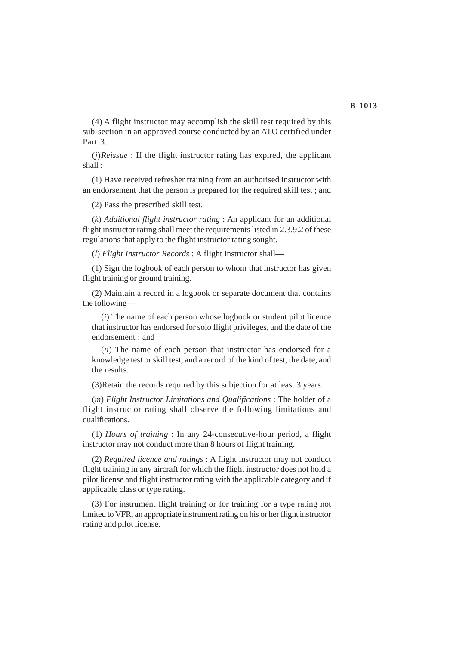(4) A flight instructor may accomplish the skill test required by this sub-section in an approved course conducted by an ATO certified under Part 3.

(*j*)*Reissue* : If the flight instructor rating has expired, the applicant shall :

(1) Have received refresher training from an authorised instructor with an endorsement that the person is prepared for the required skill test ; and

(2) Pass the prescribed skill test.

(*k*) *Additional flight instructor rating* : An applicant for an additional flight instructor rating shall meet the requirements listed in 2.3.9.2 of these regulations that apply to the flight instructor rating sought.

(*l*) *Flight Instructor Records* : A flight instructor shall—

(1) Sign the logbook of each person to whom that instructor has given flight training or ground training.

(2) Maintain a record in a logbook or separate document that contains the following—

(*i*) The name of each person whose logbook or student pilot licence that instructor has endorsed for solo flight privileges, and the date of the endorsement ; and

(*ii*) The name of each person that instructor has endorsed for a knowledge test or skill test, and a record of the kind of test, the date, and the results.

(3)Retain the records required by this subjection for at least 3 years.

(*m*) *Flight Instructor Limitations and Qualifications* : The holder of a flight instructor rating shall observe the following limitations and qualifications.

(1) *Hours of training* : In any 24-consecutive-hour period, a flight instructor may not conduct more than 8 hours of flight training.

(2) *Required licence and ratings* : A flight instructor may not conduct flight training in any aircraft for which the flight instructor does not hold a pilot license and flight instructor rating with the applicable category and if applicable class or type rating.

(3) For instrument flight training or for training for a type rating not limited to VFR, an appropriate instrument rating on his or her flight instructor rating and pilot license.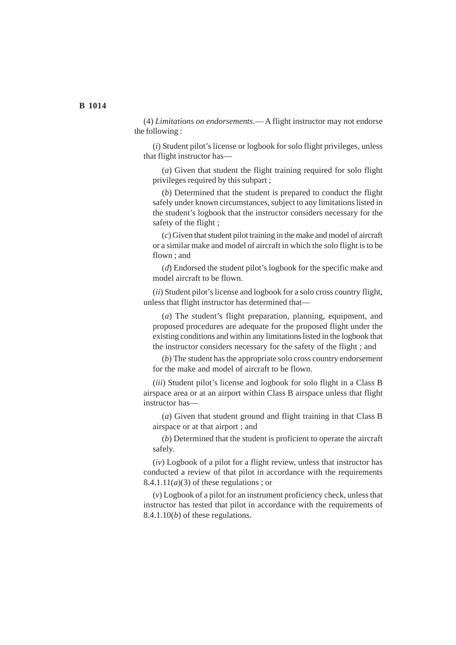(4) *Limitations on endorsements*.— A flight instructor may not endorse the following :

(*i*) Student pilot's license or logbook for solo flight privileges, unless that flight instructor has—

(*a*) Given that student the flight training required for solo flight privileges required by this subpart ;

(*b*) Determined that the student is prepared to conduct the flight safely under known circumstances, subject to any limitations listed in the student's logbook that the instructor considers necessary for the safety of the flight ;

(*c*) Given that student pilot training in the make and model of aircraft or a similar make and model of aircraft in which the solo flight is to be flown ; and

(*d*) Endorsed the student pilot's logbook for the specific make and model aircraft to be flown.

(*ii*) Student pilot's license and logbook for a solo cross country flight, unless that flight instructor has determined that—

(*a*) The student's flight preparation, planning, equipment, and proposed procedures are adequate for the proposed flight under the existing conditions and within any limitations listed in the logbook that the instructor considers necessary for the safety of the flight ; and

(*b*) The student has the appropriate solo cross country endorsement for the make and model of aircraft to be flown.

(*iii*) Student pilot's license and logbook for solo flight in a Class B airspace area or at an airport within Class B airspace unless that flight instructor has—

(*a*) Given that student ground and flight training in that Class B airspace or at that airport ; and

(*b*) Determined that the student is proficient to operate the aircraft safely.

(*iv*) Logbook of a pilot for a flight review, unless that instructor has conducted a review of that pilot in accordance with the requirements  $8.4.1.11(a)(3)$  of these regulations; or

(*v*) Logbook of a pilot for an instrument proficiency check, unless that instructor has tested that pilot in accordance with the requirements of 8.4.1.10(*b*) of these regulations.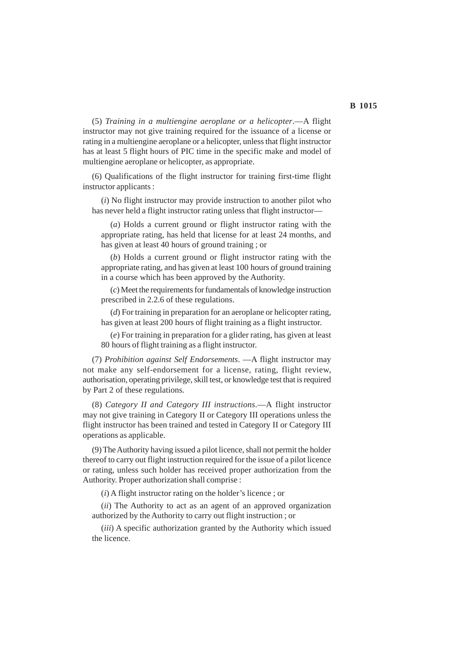(5) *Training in a multiengine aeroplane or a helicopter*.—A flight instructor may not give training required for the issuance of a license or rating in a multiengine aeroplane or a helicopter, unless that flight instructor has at least 5 flight hours of PIC time in the specific make and model of multiengine aeroplane or helicopter, as appropriate.

(6) Qualifications of the flight instructor for training first-time flight instructor applicants :

(*i*) No flight instructor may provide instruction to another pilot who has never held a flight instructor rating unless that flight instructor—

(*a*) Holds a current ground or flight instructor rating with the appropriate rating, has held that license for at least 24 months, and has given at least 40 hours of ground training ; or

(*b*) Holds a current ground or flight instructor rating with the appropriate rating, and has given at least 100 hours of ground training in a course which has been approved by the Authority.

(*c*) Meet the requirements for fundamentals of knowledge instruction prescribed in 2.2.6 of these regulations.

(*d*) For training in preparation for an aeroplane or helicopter rating, has given at least 200 hours of flight training as a flight instructor.

(*e*) For training in preparation for a glider rating, has given at least 80 hours of flight training as a flight instructor.

(7) *Prohibition against Self Endorsements*. —A flight instructor may not make any self-endorsement for a license, rating, flight review, authorisation, operating privilege, skill test, or knowledge test that is required by Part 2 of these regulations.

(8) *Category II and Category III instructions*.—A flight instructor may not give training in Category II or Category III operations unless the flight instructor has been trained and tested in Category II or Category III operations as applicable.

(9) The Authority having issued a pilot licence, shall not permit the holder thereof to carry out flight instruction required for the issue of a pilot licence or rating, unless such holder has received proper authorization from the Authority. Proper authorization shall comprise :

(*i*) A flight instructor rating on the holder's licence ; or

(*ii*) The Authority to act as an agent of an approved organization authorized by the Authority to carry out flight instruction ; or

(*iii*) A specific authorization granted by the Authority which issued the licence.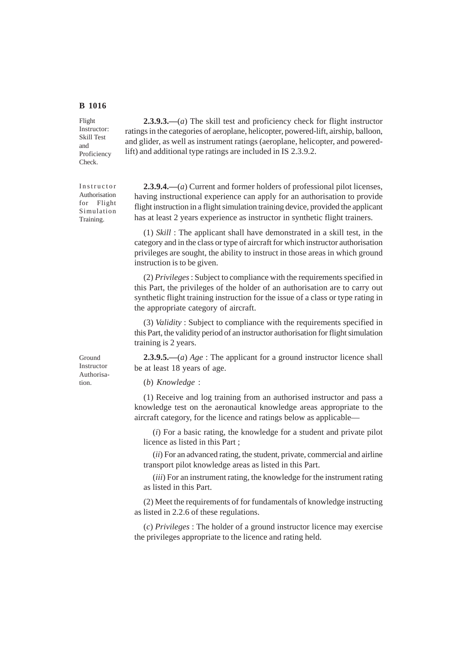Flight Instructor: Skill Test and Proficiency Check.

Instructor Authorisation for Flight Simulation Training.

Ground Instructor Authorisation.

**2.3.9.3.—**(*a*) The skill test and proficiency check for flight instructor ratings in the categories of aeroplane, helicopter, powered-lift, airship, balloon, and glider, as well as instrument ratings (aeroplane, helicopter, and poweredlift) and additional type ratings are included in IS 2.3.9.2.

**2.3.9.4.—**(*a*) Current and former holders of professional pilot licenses, having instructional experience can apply for an authorisation to provide flight instruction in a flight simulation training device, provided the applicant has at least 2 years experience as instructor in synthetic flight trainers.

(1) *Skill* : The applicant shall have demonstrated in a skill test, in the category and in the class or type of aircraft for which instructor authorisation privileges are sought, the ability to instruct in those areas in which ground instruction is to be given.

(2) *Privileges* : Subject to compliance with the requirements specified in this Part, the privileges of the holder of an authorisation are to carry out synthetic flight training instruction for the issue of a class or type rating in the appropriate category of aircraft.

(3) *Validity* : Subject to compliance with the requirements specified in this Part, the validity period of an instructor authorisation for flight simulation training is 2 years.

**2.3.9.5.—**(*a*) *Age* : The applicant for a ground instructor licence shall be at least 18 years of age.

(*b*) *Knowledge* :

(1) Receive and log training from an authorised instructor and pass a knowledge test on the aeronautical knowledge areas appropriate to the aircraft category, for the licence and ratings below as applicable—

(*i*) For a basic rating, the knowledge for a student and private pilot licence as listed in this Part ;

(*ii*) For an advanced rating, the student, private, commercial and airline transport pilot knowledge areas as listed in this Part.

(*iii*) For an instrument rating, the knowledge for the instrument rating as listed in this Part.

(2) Meet the requirements of for fundamentals of knowledge instructing as listed in 2.2.6 of these regulations.

(*c*) *Privileges* : The holder of a ground instructor licence may exercise the privileges appropriate to the licence and rating held.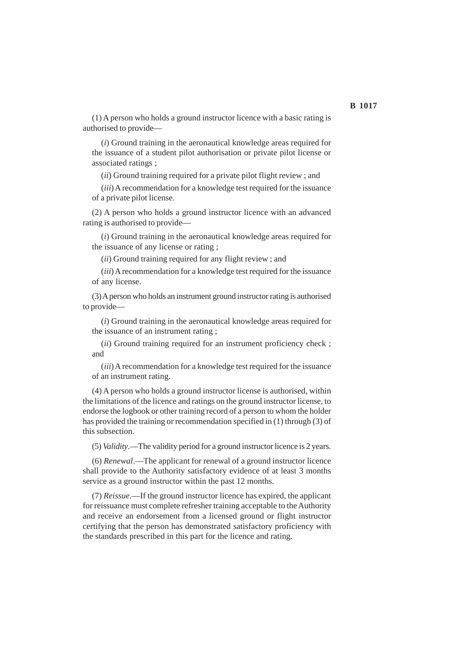(1) A person who holds a ground instructor licence with a basic rating is authorised to provide—

(*i*) Ground training in the aeronautical knowledge areas required for the issuance of a student pilot authorisation or private pilot license or associated ratings ;

(*ii*) Ground training required for a private pilot flight review ; and

(*iii*) A recommendation for a knowledge test required for the issuance of a private pilot license.

(2) A person who holds a ground instructor licence with an advanced rating is authorised to provide—

(*i*) Ground training in the aeronautical knowledge areas required for the issuance of any license or rating ;

(*ii*) Ground training required for any flight review ; and

(*iii*) A recommendation for a knowledge test required for the issuance of any license.

(3) A person who holds an instrument ground instructor rating is authorised to provide—

(*i*) Ground training in the aeronautical knowledge areas required for the issuance of an instrument rating ;

(*ii*) Ground training required for an instrument proficiency check ; and

(*iii*) A recommendation for a knowledge test required for the issuance of an instrument rating.

(4) A person who holds a ground instructor license is authorised, within the limitations of the licence and ratings on the ground instructor license, to endorse the logbook or other training record of a person to whom the holder has provided the training or recommendation specified in (1) through (3) of this subsection.

(5) *Validity*.—The validity period for a ground instructor licence is 2 years.

(6) *Renewal*.—The applicant for renewal of a ground instructor licence shall provide to the Authority satisfactory evidence of at least 3 months service as a ground instructor within the past 12 months.

(7) *Reissue*.—If the ground instructor licence has expired, the applicant for reissuance must complete refresher training acceptable to the Authority and receive an endorsement from a licensed ground or flight instructor certifying that the person has demonstrated satisfactory proficiency with the standards prescribed in this part for the licence and rating.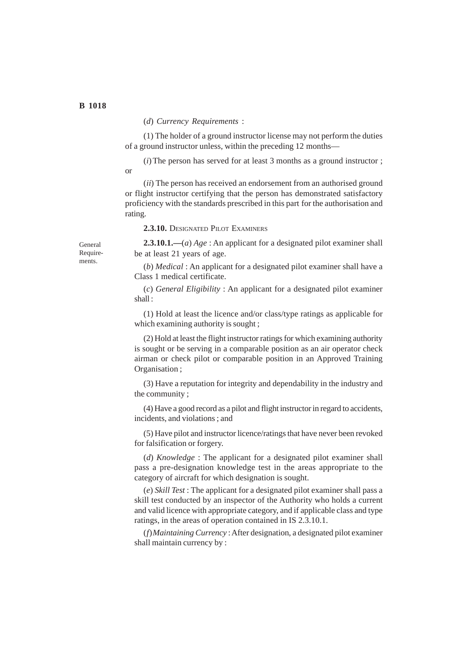### (*d*) *Currency Requirements* :

(1) The holder of a ground instructor license may not perform the duties of a ground instructor unless, within the preceding 12 months—

(*i*) The person has served for at least 3 months as a ground instructor ;

(*ii*) The person has received an endorsement from an authorised ground or flight instructor certifying that the person has demonstrated satisfactory proficiency with the standards prescribed in this part for the authorisation and rating.

2.3.10. DESIGNATED PILOT EXAMINERS

**2.3.10.1.—**(*a*) *Age* : An applicant for a designated pilot examiner shall be at least 21 years of age.

(*b*) *Medical* : An applicant for a designated pilot examiner shall have a Class 1 medical certificate.

(*c*) *General Eligibility* : An applicant for a designated pilot examiner shall :

(1) Hold at least the licence and/or class/type ratings as applicable for which examining authority is sought;

(2) Hold at least the flight instructor ratings for which examining authority is sought or be serving in a comparable position as an air operator check airman or check pilot or comparable position in an Approved Training Organisation ;

(3) Have a reputation for integrity and dependability in the industry and the community ;

(4) Have a good record as a pilot and flight instructor in regard to accidents, incidents, and violations ; and

(5) Have pilot and instructor licence/ratings that have never been revoked for falsification or forgery.

(*d*) *Knowledge* : The applicant for a designated pilot examiner shall pass a pre-designation knowledge test in the areas appropriate to the category of aircraft for which designation is sought.

(*e*) *Skill Test* : The applicant for a designated pilot examiner shall pass a skill test conducted by an inspector of the Authority who holds a current and valid licence with appropriate category, and if applicable class and type ratings, in the areas of operation contained in IS 2.3.10.1.

(*f*)*Maintaining Currency* : After designation, a designated pilot examiner shall maintain currency by :

General Requirements.

or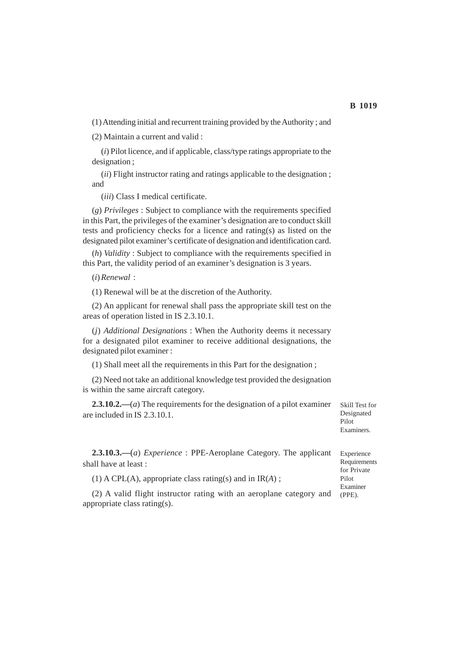(1) Attending initial and recurrent training provided by the Authority ; and

(2) Maintain a current and valid :

(*i*) Pilot licence, and if applicable, class/type ratings appropriate to the designation ;

(*ii*) Flight instructor rating and ratings applicable to the designation ; and

(*iii*) Class I medical certificate.

(*g*) *Privileges* : Subject to compliance with the requirements specified in this Part, the privileges of the examiner's designation are to conduct skill tests and proficiency checks for a licence and rating(s) as listed on the designated pilot examiner's certificate of designation and identification card.

(*h*) *Validity* : Subject to compliance with the requirements specified in this Part, the validity period of an examiner's designation is 3 years.

(*i*)*Renewal* :

(1) Renewal will be at the discretion of the Authority.

(2) An applicant for renewal shall pass the appropriate skill test on the areas of operation listed in IS 2.3.10.1.

(*j*) *Additional Designations* : When the Authority deems it necessary for a designated pilot examiner to receive additional designations, the designated pilot examiner :

(1) Shall meet all the requirements in this Part for the designation ;

(2) Need not take an additional knowledge test provided the designation is within the same aircraft category.

**2.3.10.2.—**(*a*) The requirements for the designation of a pilot examiner are included in IS 2.3.10.1.

Skill Test for Designated Pilot Examiners.

**2.3.10.3.—**(*a*) *Experience* : PPE-Aeroplane Category. The applicant shall have at least :

(1) A CPL(A), appropriate class rating(s) and in IR(*A*) ;

(2) A valid flight instructor rating with an aeroplane category and appropriate class rating(s). (PPE).

Experience Requirements for Private Pilot Examiner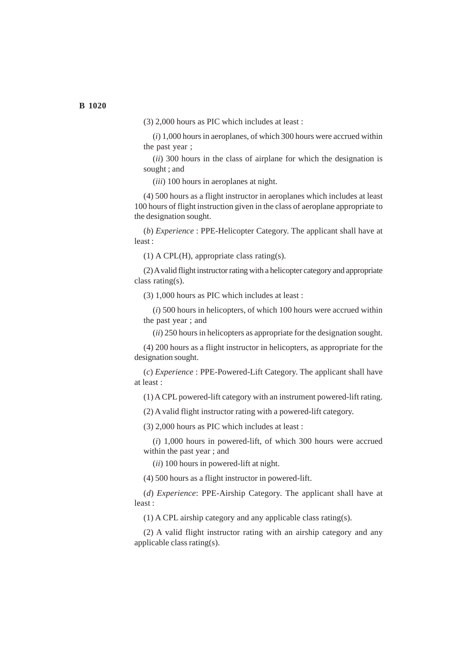(3) 2,000 hours as PIC which includes at least :

(*i*) 1,000 hours in aeroplanes, of which 300 hours were accrued within the past year ;

(*ii*) 300 hours in the class of airplane for which the designation is sought ; and

(*iii*) 100 hours in aeroplanes at night.

(4) 500 hours as a flight instructor in aeroplanes which includes at least 100 hours of flight instruction given in the class of aeroplane appropriate to the designation sought.

(*b*) *Experience* : PPE-Helicopter Category. The applicant shall have at least :

(1) A CPL(H), appropriate class rating(s).

(2) A valid flight instructor rating with a helicopter category and appropriate class rating(s).

(3) 1,000 hours as PIC which includes at least :

(*i*) 500 hours in helicopters, of which 100 hours were accrued within the past year ; and

(*ii*) 250 hours in helicopters as appropriate for the designation sought.

(4) 200 hours as a flight instructor in helicopters, as appropriate for the designation sought.

(*c*) *Experience* : PPE-Powered-Lift Category. The applicant shall have at least :

(1) A CPL powered-lift category with an instrument powered-lift rating.

(2) A valid flight instructor rating with a powered-lift category.

(3) 2,000 hours as PIC which includes at least :

(*i*) 1,000 hours in powered-lift, of which 300 hours were accrued within the past year ; and

(*ii*) 100 hours in powered-lift at night.

(4) 500 hours as a flight instructor in powered-lift.

(*d*) *Experience*: PPE-Airship Category. The applicant shall have at least :

(1) A CPL airship category and any applicable class rating(s).

(2) A valid flight instructor rating with an airship category and any applicable class rating(s).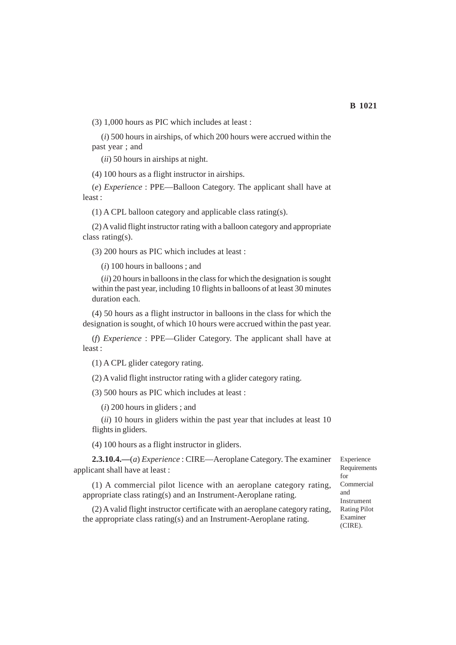(3) 1,000 hours as PIC which includes at least :

(*i*) 500 hours in airships, of which 200 hours were accrued within the past year ; and

(*ii*) 50 hours in airships at night.

(4) 100 hours as a flight instructor in airships.

(*e*) *Experience* : PPE—Balloon Category. The applicant shall have at least :

(1) A CPL balloon category and applicable class rating(s).

(2) A valid flight instructor rating with a balloon category and appropriate class rating(s).

(3) 200 hours as PIC which includes at least :

(*i*) 100 hours in balloons ; and

(*ii*) 20 hours in balloons in the class for which the designation is sought within the past year, including 10 flights in balloons of at least 30 minutes duration each.

(4) 50 hours as a flight instructor in balloons in the class for which the designation is sought, of which 10 hours were accrued within the past year.

(*f*) *Experience* : PPE—Glider Category. The applicant shall have at least :

(1) A CPL glider category rating.

(2) A valid flight instructor rating with a glider category rating.

(3) 500 hours as PIC which includes at least :

(*i*) 200 hours in gliders ; and

(*ii*) 10 hours in gliders within the past year that includes at least 10 flights in gliders.

(4) 100 hours as a flight instructor in gliders.

**2.3.10.4.—**(*a*) *Experience* : CIRE—Aeroplane Category. The examiner applicant shall have at least :

(1) A commercial pilot licence with an aeroplane category rating, appropriate class rating(s) and an Instrument-Aeroplane rating.

(2) A valid flight instructor certificate with an aeroplane category rating, the appropriate class rating(s) and an Instrument-Aeroplane rating.

Experience **Requirements** for Commercial and Instrument Rating Pilot Examiner (CIRE).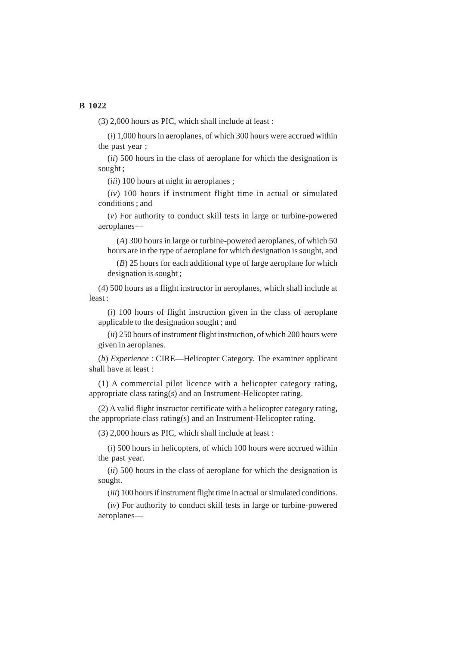(3) 2,000 hours as PIC, which shall include at least :

(*i*) 1,000 hours in aeroplanes, of which 300 hours were accrued within the past year ;

(*ii*) 500 hours in the class of aeroplane for which the designation is sought ;

(*iii*) 100 hours at night in aeroplanes ;

(*iv*) 100 hours if instrument flight time in actual or simulated conditions ; and

(*v*) For authority to conduct skill tests in large or turbine-powered aeroplanes—

(*A*) 300 hours in large or turbine-powered aeroplanes, of which 50 hours are in the type of aeroplane for which designation is sought, and

(*B*) 25 hours for each additional type of large aeroplane for which designation is sought ;

(4) 500 hours as a flight instructor in aeroplanes, which shall include at least :

(*i*) 100 hours of flight instruction given in the class of aeroplane applicable to the designation sought ; and

(*ii*) 250 hours of instrument flight instruction, of which 200 hours were given in aeroplanes.

(*b*) *Experience* : CIRE—Helicopter Category. The examiner applicant shall have at least :

(1) A commercial pilot licence with a helicopter category rating, appropriate class rating(s) and an Instrument-Helicopter rating.

(2) A valid flight instructor certificate with a helicopter category rating, the appropriate class rating(s) and an Instrument-Helicopter rating.

(3) 2,000 hours as PIC, which shall include at least :

(*i*) 500 hours in helicopters, of which 100 hours were accrued within the past year.

(*ii*) 500 hours in the class of aeroplane for which the designation is sought.

(*iii*) 100 hours if instrument flight time in actual or simulated conditions.

(*iv*) For authority to conduct skill tests in large or turbine-powered aeroplanes—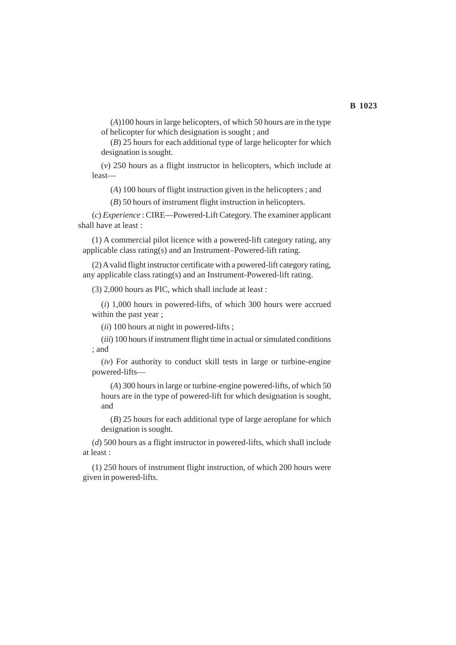(*A*)100 hours in large helicopters, of which 50 hours are in the type of helicopter for which designation is sought ; and

(*B*) 25 hours for each additional type of large helicopter for which designation is sought.

(*v*) 250 hours as a flight instructor in helicopters, which include at least—

(*A*) 100 hours of flight instruction given in the helicopters ; and

(*B*) 50 hours of instrument flight instruction in helicopters.

(*c*) *Experience* : CIRE—Powered-Lift Category. The examiner applicant shall have at least :

(1) A commercial pilot licence with a powered-lift category rating, any applicable class rating(s) and an Instrument–Powered-lift rating.

(2) A valid flight instructor certificate with a powered-lift category rating, any applicable class rating(s) and an Instrument-Powered-lift rating.

(3) 2,000 hours as PIC, which shall include at least :

(*i*) 1,000 hours in powered-lifts, of which 300 hours were accrued within the past year ;

(*ii*) 100 hours at night in powered-lifts ;

(*iii*) 100 hours if instrument flight time in actual or simulated conditions ; and

(*iv*) For authority to conduct skill tests in large or turbine-engine powered-lifts—

(*A*) 300 hours in large or turbine-engine powered-lifts, of which 50 hours are in the type of powered-lift for which designation is sought, and

(*B*) 25 hours for each additional type of large aeroplane for which designation is sought.

(*d*) 500 hours as a flight instructor in powered-lifts, which shall include at least :

(1) 250 hours of instrument flight instruction, of which 200 hours were given in powered-lifts.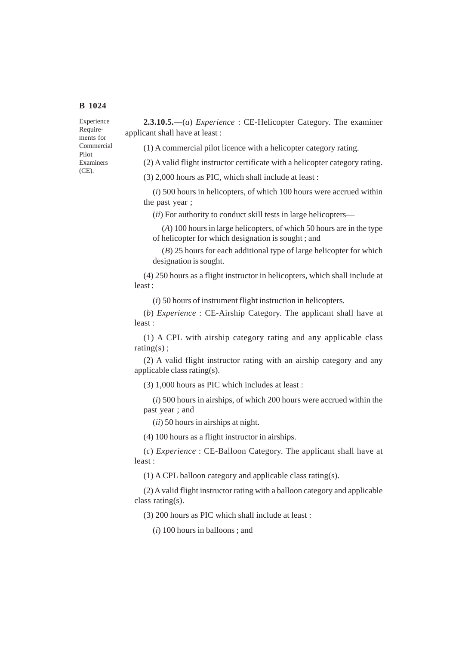Experience Requirements for Commercial Pilot Examiners (CE).

**2.3.10.5.—**(*a*) *Experience* : CE-Helicopter Category. The examiner applicant shall have at least :

(1) A commercial pilot licence with a helicopter category rating.

(2) A valid flight instructor certificate with a helicopter category rating.

(3) 2,000 hours as PIC, which shall include at least :

(*i*) 500 hours in helicopters, of which 100 hours were accrued within the past year ;

(*ii*) For authority to conduct skill tests in large helicopters—

(*A*) 100 hours in large helicopters, of which 50 hours are in the type of helicopter for which designation is sought ; and

(*B*) 25 hours for each additional type of large helicopter for which designation is sought.

(4) 250 hours as a flight instructor in helicopters, which shall include at least :

(*i*) 50 hours of instrument flight instruction in helicopters.

(*b*) *Experience* : CE-Airship Category. The applicant shall have at least :

(1) A CPL with airship category rating and any applicable class rating(s);

(2) A valid flight instructor rating with an airship category and any applicable class rating(s).

(3) 1,000 hours as PIC which includes at least :

(*i*) 500 hours in airships, of which 200 hours were accrued within the past year ; and

(*ii*) 50 hours in airships at night.

(4) 100 hours as a flight instructor in airships.

(*c*) *Experience* : CE-Balloon Category. The applicant shall have at least :

(1) A CPL balloon category and applicable class rating(s).

(2) A valid flight instructor rating with a balloon category and applicable class rating(s).

(3) 200 hours as PIC which shall include at least :

(*i*) 100 hours in balloons ; and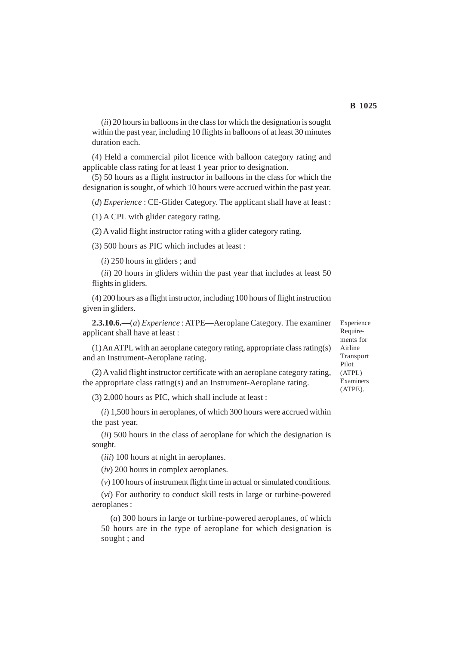(*ii*) 20 hours in balloons in the class for which the designation is sought within the past year, including 10 flights in balloons of at least 30 minutes duration each.

(4) Held a commercial pilot licence with balloon category rating and applicable class rating for at least 1 year prior to designation.

(5) 50 hours as a flight instructor in balloons in the class for which the designation is sought, of which 10 hours were accrued within the past year.

(*d*) *Experience* : CE-Glider Category. The applicant shall have at least :

(1) A CPL with glider category rating.

(2) A valid flight instructor rating with a glider category rating.

(3) 500 hours as PIC which includes at least :

(*i*) 250 hours in gliders ; and

(*ii*) 20 hours in gliders within the past year that includes at least 50 flights in gliders.

(4) 200 hours as a flight instructor, including 100 hours of flight instruction given in gliders.

**2.3.10.6.—**(*a*) *Experience* : ATPE—Aeroplane Category. The examiner applicant shall have at least :

(1) An ATPL with an aeroplane category rating, appropriate class rating(s) and an Instrument-Aeroplane rating.

(2) A valid flight instructor certificate with an aeroplane category rating, the appropriate class rating(s) and an Instrument-Aeroplane rating.

(3) 2,000 hours as PIC, which shall include at least :

(*i*) 1,500 hours in aeroplanes, of which 300 hours were accrued within the past year.

(*ii*) 500 hours in the class of aeroplane for which the designation is sought.

(*iii*) 100 hours at night in aeroplanes.

(*iv*) 200 hours in complex aeroplanes.

(*v*) 100 hours of instrument flight time in actual or simulated conditions.

(*vi*) For authority to conduct skill tests in large or turbine-powered aeroplanes :

(*a*) 300 hours in large or turbine-powered aeroplanes, of which 50 hours are in the type of aeroplane for which designation is sought ; and

Experience Requirements for Airline Transport Pilot (ATPL) Examiners (ATPE).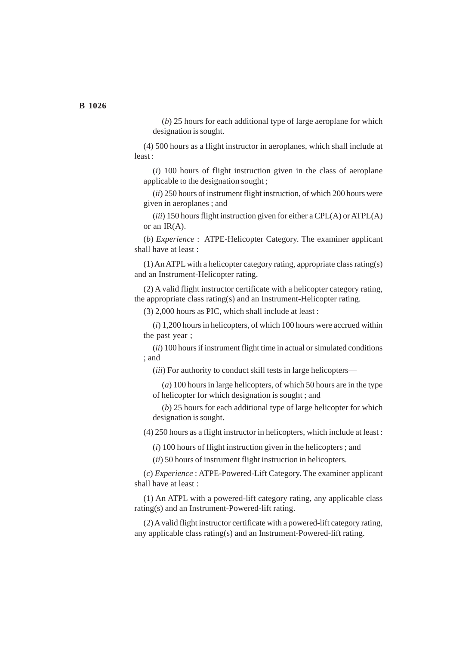(*b*) 25 hours for each additional type of large aeroplane for which designation is sought.

(4) 500 hours as a flight instructor in aeroplanes, which shall include at least :

(*i*) 100 hours of flight instruction given in the class of aeroplane applicable to the designation sought ;

(*ii*) 250 hours of instrument flight instruction, of which 200 hours were given in aeroplanes ; and

(*iii*) 150 hours flight instruction given for either a CPL(A) or ATPL(A) or an IR(A).

(*b*) *Experience* : ATPE-Helicopter Category. The examiner applicant shall have at least :

(1) An ATPL with a helicopter category rating, appropriate class rating(s) and an Instrument-Helicopter rating.

(2) A valid flight instructor certificate with a helicopter category rating, the appropriate class rating(s) and an Instrument-Helicopter rating.

(3) 2,000 hours as PIC, which shall include at least :

(*i*) 1,200 hours in helicopters, of which 100 hours were accrued within the past year ;

(*ii*) 100 hours if instrument flight time in actual or simulated conditions ; and

(*iii*) For authority to conduct skill tests in large helicopters—

(*a*) 100 hours in large helicopters, of which 50 hours are in the type of helicopter for which designation is sought ; and

(*b*) 25 hours for each additional type of large helicopter for which designation is sought.

(4) 250 hours as a flight instructor in helicopters, which include at least :

(*i*) 100 hours of flight instruction given in the helicopters ; and

(*ii*) 50 hours of instrument flight instruction in helicopters.

(*c*) *Experience* : ATPE-Powered-Lift Category. The examiner applicant shall have at least :

(1) An ATPL with a powered-lift category rating, any applicable class rating(s) and an Instrument-Powered-lift rating.

(2) A valid flight instructor certificate with a powered-lift category rating, any applicable class rating(s) and an Instrument-Powered-lift rating.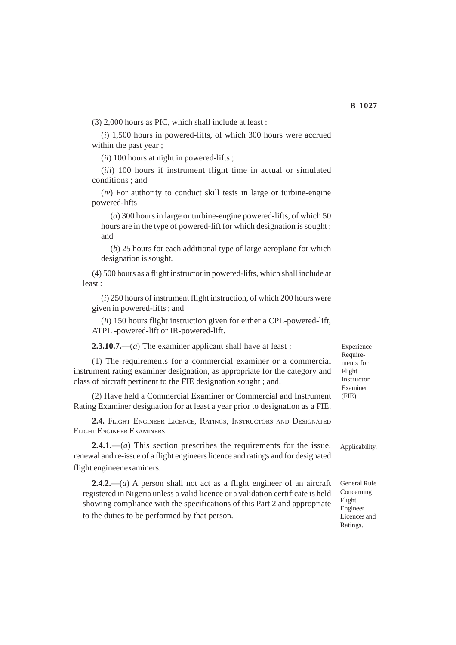(3) 2,000 hours as PIC, which shall include at least :

(*i*) 1,500 hours in powered-lifts, of which 300 hours were accrued within the past year ;

(*ii*) 100 hours at night in powered-lifts ;

(*iii*) 100 hours if instrument flight time in actual or simulated conditions ; and

(*iv*) For authority to conduct skill tests in large or turbine-engine powered-lifts—

(*a*) 300 hours in large or turbine-engine powered-lifts, of which 50 hours are in the type of powered-lift for which designation is sought ; and

(*b*) 25 hours for each additional type of large aeroplane for which designation is sought.

(4) 500 hours as a flight instructor in powered-lifts, which shall include at least :

(*i*) 250 hours of instrument flight instruction, of which 200 hours were given in powered-lifts ; and

(*ii*) 150 hours flight instruction given for either a CPL-powered-lift, ATPL -powered-lift or IR-powered-lift.

**2.3.10.7.—**(*a*) The examiner applicant shall have at least :

(1) The requirements for a commercial examiner or a commercial instrument rating examiner designation, as appropriate for the category and class of aircraft pertinent to the FIE designation sought ; and.

(2) Have held a Commercial Examiner or Commercial and Instrument Rating Examiner designation for at least a year prior to designation as a FIE.

**2.4.** FLIGHT ENGINEER LICENCE, RATINGS, INSTRUCTORS AND DESIGNATED FLIGHT ENGINEER EXAMINERS

**2.4.1.—**(*a*) This section prescribes the requirements for the issue, renewal and re-issue of a flight engineers licence and ratings and for designated flight engineer examiners.

**2.4.2.—**(*a*) A person shall not act as a flight engineer of an aircraft registered in Nigeria unless a valid licence or a validation certificate is held showing compliance with the specifications of this Part 2 and appropriate to the duties to be performed by that person.

Experience Requirements for Flight Instructor Examiner (FIE).

Applicability.

General Rule Concerning Flight Engineer Licences and Ratings.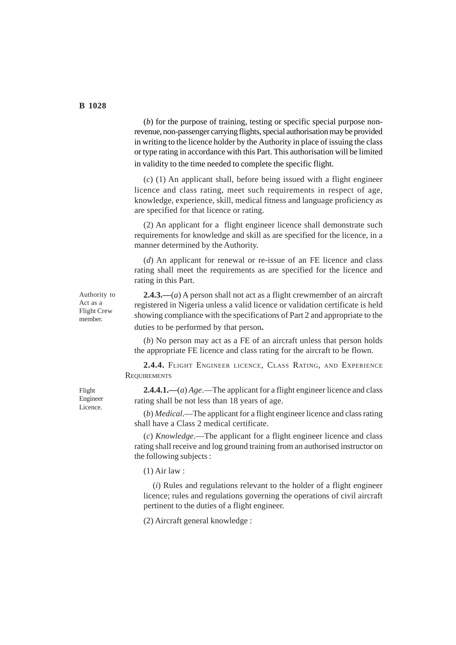(*b*) for the purpose of training, testing or specific special purpose nonrevenue, non-passenger carrying flights, special authorisation may be provided in writing to the licence holder by the Authority in place of issuing the class or type rating in accordance with this Part. This authorisation will be limited in validity to the time needed to complete the specific flight.

(*c*) (1) An applicant shall, before being issued with a flight engineer licence and class rating, meet such requirements in respect of age, knowledge, experience, skill, medical fitness and language proficiency as are specified for that licence or rating.

(2) An applicant for a flight engineer licence shall demonstrate such requirements for knowledge and skill as are specified for the licence, in a manner determined by the Authority.

(*d*) An applicant for renewal or re-issue of an FE licence and class rating shall meet the requirements as are specified for the licence and rating in this Part.

Authority to Act as a Flight Crew member.

**2.4.3.—**(*a*) A person shall not act as a flight crewmember of an aircraft registered in Nigeria unless a valid licence or validation certificate is held showing compliance with the specifications of Part 2 and appropriate to the duties to be performed by that person**.**

(*b*) No person may act as a FE of an aircraft unless that person holds the appropriate FE licence and class rating for the aircraft to be flown.

**2.4.4.** FLIGHT ENGINEER LICENCE, CLASS RATING, AND EXPERIENCE **REQUIREMENTS** 

**2.4.4.1.—**(*a*) *Age*.—The applicant for a flight engineer licence and class rating shall be not less than 18 years of age.

(*b*) *Medical*.—The applicant for a flight engineer licence and class rating shall have a Class 2 medical certificate.

(*c*) *Knowledge*.—The applicant for a flight engineer licence and class rating shall receive and log ground training from an authorised instructor on the following subjects :

(1) Air law :

(*i*) Rules and regulations relevant to the holder of a flight engineer licence; rules and regulations governing the operations of civil aircraft pertinent to the duties of a flight engineer.

(2) Aircraft general knowledge :

Flight Engineer Licence.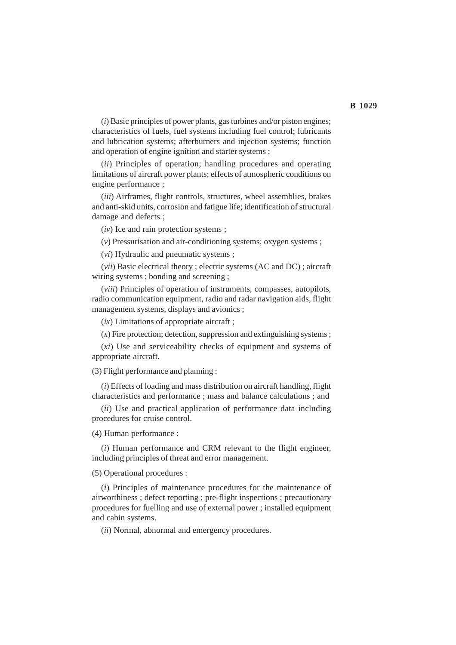(*i*) Basic principles of power plants, gas turbines and/or piston engines; characteristics of fuels, fuel systems including fuel control; lubricants and lubrication systems; afterburners and injection systems; function and operation of engine ignition and starter systems ;

(*ii*) Principles of operation; handling procedures and operating limitations of aircraft power plants; effects of atmospheric conditions on engine performance ;

(*iii*) Airframes, flight controls, structures, wheel assemblies, brakes and anti-skid units, corrosion and fatigue life; identification of structural damage and defects ;

(*iv*) Ice and rain protection systems ;

(*v*) Pressurisation and air-conditioning systems; oxygen systems ;

(*vi*) Hydraulic and pneumatic systems ;

(*vii*) Basic electrical theory ; electric systems (AC and DC) ; aircraft wiring systems ; bonding and screening ;

(*viii*) Principles of operation of instruments, compasses, autopilots, radio communication equipment, radio and radar navigation aids, flight management systems, displays and avionics ;

(*ix*) Limitations of appropriate aircraft ;

 $(x)$  Fire protection; detection, suppression and extinguishing systems;

(*xi*) Use and serviceability checks of equipment and systems of appropriate aircraft.

(3) Flight performance and planning :

(*i*) Effects of loading and mass distribution on aircraft handling, flight characteristics and performance ; mass and balance calculations ; and

(*ii*) Use and practical application of performance data including procedures for cruise control.

(4) Human performance :

(*i*) Human performance and CRM relevant to the flight engineer, including principles of threat and error management.

(5) Operational procedures :

(*i*) Principles of maintenance procedures for the maintenance of airworthiness ; defect reporting ; pre-flight inspections ; precautionary procedures for fuelling and use of external power ; installed equipment and cabin systems.

(*ii*) Normal, abnormal and emergency procedures.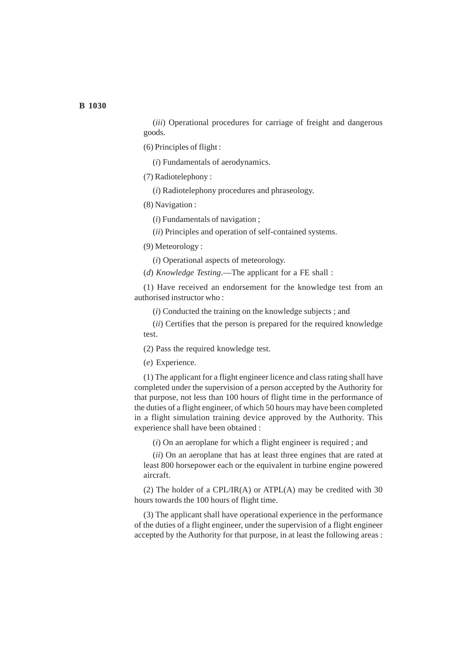(*iii*) Operational procedures for carriage of freight and dangerous goods.

(6) Principles of flight :

(*i*) Fundamentals of aerodynamics.

(7) Radiotelephony :

(*i*) Radiotelephony procedures and phraseology.

(8) Navigation :

(*i*) Fundamentals of navigation ;

(*ii*) Principles and operation of self-contained systems.

(9) Meteorology :

(*i*) Operational aspects of meteorology.

(*d*) *Knowledge Testing*.—The applicant for a FE shall :

(1) Have received an endorsement for the knowledge test from an authorised instructor who :

(*i*) Conducted the training on the knowledge subjects ; and

(*ii*) Certifies that the person is prepared for the required knowledge test.

(2) Pass the required knowledge test.

(*e*) Experience.

(1) The applicant for a flight engineer licence and class rating shall have completed under the supervision of a person accepted by the Authority for that purpose, not less than 100 hours of flight time in the performance of the duties of a flight engineer, of which 50 hours may have been completed in a flight simulation training device approved by the Authority. This experience shall have been obtained :

(*i*) On an aeroplane for which a flight engineer is required ; and

(*ii*) On an aeroplane that has at least three engines that are rated at least 800 horsepower each or the equivalent in turbine engine powered aircraft.

(2) The holder of a CPL/IR(A) or ATPL(A) may be credited with 30 hours towards the 100 hours of flight time.

(3) The applicant shall have operational experience in the performance of the duties of a flight engineer, under the supervision of a flight engineer accepted by the Authority for that purpose, in at least the following areas :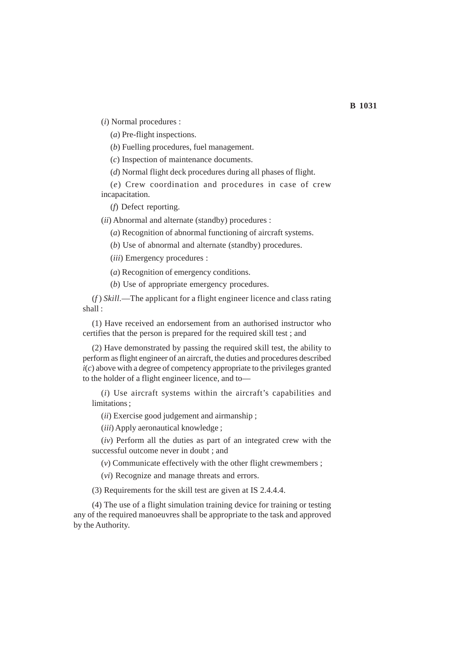(*i*) Normal procedures :

(*a*) Pre-flight inspections.

(*b*) Fuelling procedures, fuel management.

(*c*) Inspection of maintenance documents.

(*d*) Normal flight deck procedures during all phases of flight.

(*e*) Crew coordination and procedures in case of crew incapacitation.

(*f*) Defect reporting.

(*ii*) Abnormal and alternate (standby) procedures :

(*a*) Recognition of abnormal functioning of aircraft systems.

(*b*) Use of abnormal and alternate (standby) procedures.

(*iii*) Emergency procedures :

(*a*) Recognition of emergency conditions.

(*b*) Use of appropriate emergency procedures.

(*f* ) *Skill*.—The applicant for a flight engineer licence and class rating shall :

(1) Have received an endorsement from an authorised instructor who certifies that the person is prepared for the required skill test ; and

(2) Have demonstrated by passing the required skill test, the ability to perform as flight engineer of an aircraft, the duties and procedures described  $i(c)$  above with a degree of competency appropriate to the privileges granted to the holder of a flight engineer licence, and to—

(*i*) Use aircraft systems within the aircraft's capabilities and limitations ;

(*ii*) Exercise good judgement and airmanship ;

(*iii*) Apply aeronautical knowledge ;

(*iv*) Perform all the duties as part of an integrated crew with the successful outcome never in doubt ; and

(*v*) Communicate effectively with the other flight crewmembers ;

(*vi*) Recognize and manage threats and errors.

(3) Requirements for the skill test are given at IS 2.4.4.4.

(4) The use of a flight simulation training device for training or testing any of the required manoeuvres shall be appropriate to the task and approved by the Authority.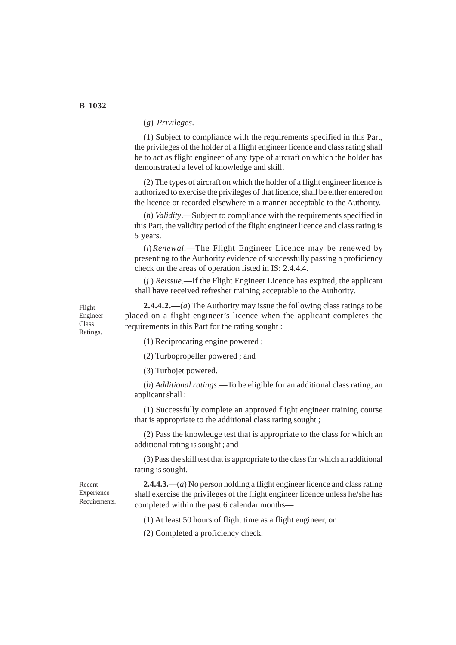### (*g*) *Privileges*.

(1) Subject to compliance with the requirements specified in this Part, the privileges of the holder of a flight engineer licence and class rating shall be to act as flight engineer of any type of aircraft on which the holder has demonstrated a level of knowledge and skill.

(2) The types of aircraft on which the holder of a flight engineer licence is authorized to exercise the privileges of that licence, shall be either entered on the licence or recorded elsewhere in a manner acceptable to the Authority.

(*h*) *Validity*.—Subject to compliance with the requirements specified in this Part, the validity period of the flight engineer licence and class rating is 5 years.

(*i*)*Renewal.*—The Flight Engineer Licence may be renewed by presenting to the Authority evidence of successfully passing a proficiency check on the areas of operation listed in IS: 2.4.4.4.

(*j* ) *Reissue*.—If the Flight Engineer Licence has expired, the applicant shall have received refresher training acceptable to the Authority.

Flight Engineer Class Ratings.

**2.4.4.2.—**(*a*) The Authority may issue the following class ratings to be placed on a flight engineer's licence when the applicant completes the requirements in this Part for the rating sought :

(1) Reciprocating engine powered ;

(2) Turbopropeller powered ; and

(3) Turbojet powered.

(*b*) *Additional ratings*.—To be eligible for an additional class rating, an applicant shall :

(1) Successfully complete an approved flight engineer training course that is appropriate to the additional class rating sought ;

(2) Pass the knowledge test that is appropriate to the class for which an additional rating is sought ; and

(3) Pass the skill test that is appropriate to the class for which an additional rating is sought.

Recent Experience Requirements.

**2.4.4.3.—**(*a*) No person holding a flight engineer licence and class rating shall exercise the privileges of the flight engineer licence unless he/she has completed within the past 6 calendar months—

(1) At least 50 hours of flight time as a flight engineer, or

(2) Completed a proficiency check.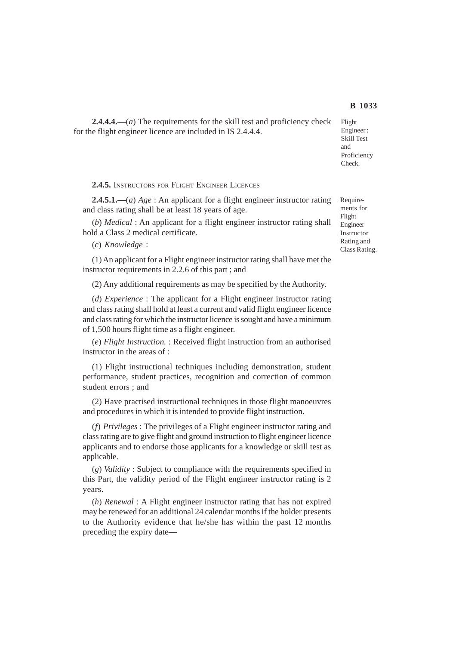Flight Engineer : Skill Test and Proficiency Check.

**2.4.4.4.—**(*a*) The requirements for the skill test and proficiency check for the flight engineer licence are included in IS 2.4.4.4.

**2.4.5.** INSTRUCTORS FOR FLIGHT ENGINEER LICENCES

**2.4.5.1.—**(*a*) *Age* : An applicant for a flight engineer instructor rating and class rating shall be at least 18 years of age.

(*b*) *Medical* : An applicant for a flight engineer instructor rating shall hold a Class 2 medical certificate.

(*c*) *Knowledge* :

(1) An applicant for a Flight engineer instructor rating shall have met the instructor requirements in 2.2.6 of this part ; and

(2) Any additional requirements as may be specified by the Authority.

(*d*) *Experience* : The applicant for a Flight engineer instructor rating and class rating shall hold at least a current and valid flight engineer licence and class rating for which the instructor licence is sought and have a minimum of 1,500 hours flight time as a flight engineer.

(*e*) *Flight Instruction.* : Received flight instruction from an authorised instructor in the areas of :

(1) Flight instructional techniques including demonstration, student performance, student practices, recognition and correction of common student errors ; and

(2) Have practised instructional techniques in those flight manoeuvres and procedures in which it is intended to provide flight instruction.

(*f*) *Privileges* : The privileges of a Flight engineer instructor rating and class rating are to give flight and ground instruction to flight engineer licence applicants and to endorse those applicants for a knowledge or skill test as applicable.

(*g*) *Validity* : Subject to compliance with the requirements specified in this Part, the validity period of the Flight engineer instructor rating is 2 years.

(*h*) *Renewal* : A Flight engineer instructor rating that has not expired may be renewed for an additional 24 calendar months if the holder presents to the Authority evidence that he/she has within the past 12 months preceding the expiry dateRequirements for Flight Engineer Instructor Rating and Class Rating.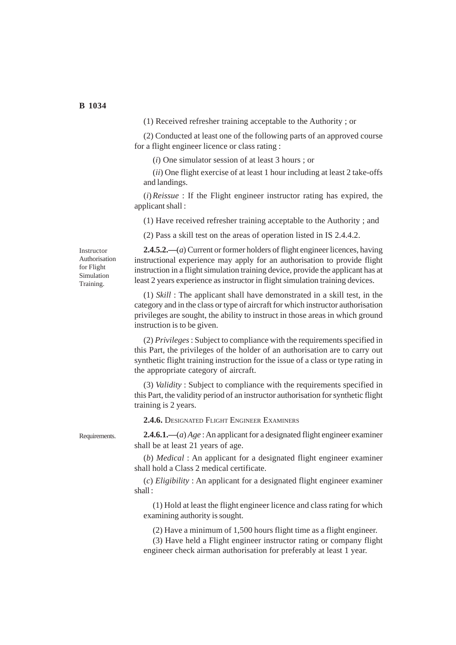(1) Received refresher training acceptable to the Authority ; or

(2) Conducted at least one of the following parts of an approved course for a flight engineer licence or class rating :

(*i*) One simulator session of at least 3 hours ; or

(*ii*) One flight exercise of at least 1 hour including at least 2 take-offs and landings.

(*i*)*Reissue* : If the Flight engineer instructor rating has expired, the applicant shall :

(1) Have received refresher training acceptable to the Authority ; and

(2) Pass a skill test on the areas of operation listed in IS 2.4.4.2.

Instructor Authorisation for Flight Simulation Training.

**2.4.5.2.—**(*a*) Current or former holders of flight engineer licences, having instructional experience may apply for an authorisation to provide flight instruction in a flight simulation training device, provide the applicant has at least 2 years experience as instructor in flight simulation training devices.

(1) *Skill* : The applicant shall have demonstrated in a skill test, in the category and in the class or type of aircraft for which instructor authorisation privileges are sought, the ability to instruct in those areas in which ground instruction is to be given.

(2) *Privileges* : Subject to compliance with the requirements specified in this Part, the privileges of the holder of an authorisation are to carry out synthetic flight training instruction for the issue of a class or type rating in the appropriate category of aircraft.

(3) *Validity* : Subject to compliance with the requirements specified in this Part, the validity period of an instructor authorisation for synthetic flight training is 2 years.

**2.4.6.** DESIGNATED FLIGHT ENGINEER EXAMINERS

Requirements.

**2.4.6.1.—**(*a*) *Age* : An applicant for a designated flight engineer examiner shall be at least 21 years of age.

(*b*) *Medical* : An applicant for a designated flight engineer examiner shall hold a Class 2 medical certificate.

(*c*) *Eligibility* : An applicant for a designated flight engineer examiner shall :

(1) Hold at least the flight engineer licence and class rating for which examining authority is sought.

(2) Have a minimum of 1,500 hours flight time as a flight engineer.

(3) Have held a Flight engineer instructor rating or company flight engineer check airman authorisation for preferably at least 1 year.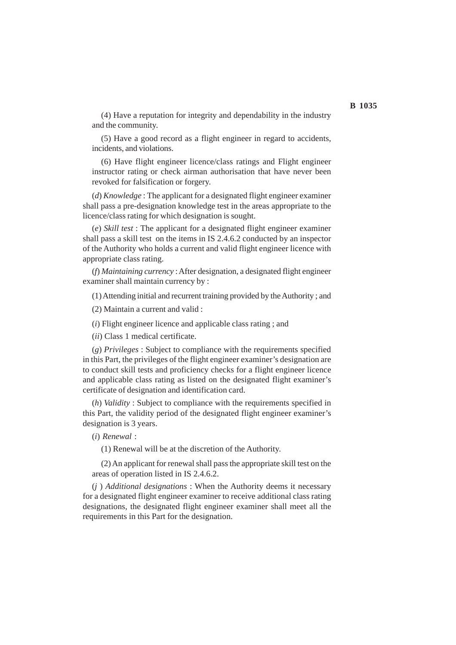(4) Have a reputation for integrity and dependability in the industry and the community.

(5) Have a good record as a flight engineer in regard to accidents, incidents, and violations.

(6) Have flight engineer licence/class ratings and Flight engineer instructor rating or check airman authorisation that have never been revoked for falsification or forgery.

(*d*) *Knowledge* : The applicant for a designated flight engineer examiner shall pass a pre-designation knowledge test in the areas appropriate to the licence/class rating for which designation is sought.

(*e*) *Skill test* : The applicant for a designated flight engineer examiner shall pass a skill test on the items in IS 2.4.6.2 conducted by an inspector of the Authority who holds a current and valid flight engineer licence with appropriate class rating.

(*f*) *Maintaining currency* : After designation, a designated flight engineer examiner shall maintain currency by :

(1) Attending initial and recurrent training provided by the Authority ; and

(2) Maintain a current and valid :

(*i*) Flight engineer licence and applicable class rating ; and

(*ii*) Class 1 medical certificate.

(*g*) *Privileges* : Subject to compliance with the requirements specified in this Part, the privileges of the flight engineer examiner's designation are to conduct skill tests and proficiency checks for a flight engineer licence and applicable class rating as listed on the designated flight examiner's certificate of designation and identification card.

(*h*) *Validity* : Subject to compliance with the requirements specified in this Part, the validity period of the designated flight engineer examiner's designation is 3 years.

(*i*) *Renewal* :

(1) Renewal will be at the discretion of the Authority.

(2) An applicant for renewal shall pass the appropriate skill test on the areas of operation listed in IS 2.4.6.2.

(*j* ) *Additional designations* : When the Authority deems it necessary for a designated flight engineer examiner to receive additional class rating designations, the designated flight engineer examiner shall meet all the requirements in this Part for the designation.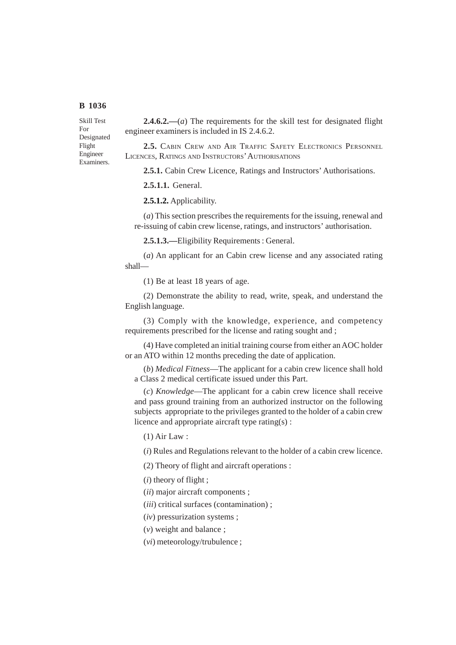Skill Test For Designated Flight Engineer Examiners.

**2.4.6.2.—**(*a*) The requirements for the skill test for designated flight engineer examiners is included in IS 2.4.6.2.

**2.5.** CABIN CREW AND AIR TRAFFIC SAFETY ELECTRONICS PERSONNEL LICENCES, RATINGS AND INSTRUCTORS' AUTHORISATIONS

**2.5.1.** Cabin Crew Licence, Ratings and Instructors' Authorisations.

**2.5.1.1.** General.

**2.5.1.2.** Applicability.

(*a*) This section prescribes the requirements for the issuing, renewal and re-issuing of cabin crew license, ratings, and instructors' authorisation.

**2.5.1.3.—**Eligibility Requirements : General.

(*a*) An applicant for an Cabin crew license and any associated rating shall—

(1) Be at least 18 years of age.

(2) Demonstrate the ability to read, write, speak, and understand the English language.

(3) Comply with the knowledge, experience, and competency requirements prescribed for the license and rating sought and ;

(4) Have completed an initial training course from either an AOC holder or an ATO within 12 months preceding the date of application.

(*b*) *Medical Fitness*—The applicant for a cabin crew licence shall hold a Class 2 medical certificate issued under this Part.

(*c*) *Knowledge*—The applicant for a cabin crew licence shall receive and pass ground training from an authorized instructor on the following subjects appropriate to the privileges granted to the holder of a cabin crew licence and appropriate aircraft type rating(s) :

(1) Air Law :

(*i*) Rules and Regulations relevant to the holder of a cabin crew licence.

(2) Theory of flight and aircraft operations :

(*i*) theory of flight ;

(*ii*) major aircraft components ;

(*iii*) critical surfaces (contamination) ;

(*iv*) pressurization systems ;

(*v*) weight and balance ;

(*vi*) meteorology/trubulence ;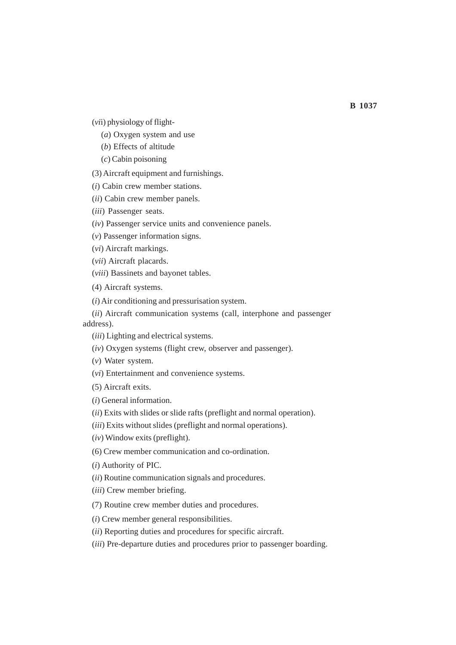(*vi*i) physiology of flight-

(*a*) Oxygen system and use

(*b*) Effects of altitude

(*c*) Cabin poisoning

(3) Aircraft equipment and furnishings.

(*i*) Cabin crew member stations.

(*ii*) Cabin crew member panels.

(*iii*) Passenger seats.

(*iv*) Passenger service units and convenience panels.

(*v*) Passenger information signs.

(*vi*) Aircraft markings.

(*vii*) Aircraft placards.

(*viii*) Bassinets and bayonet tables.

(4) Aircraft systems.

(*i*) Air conditioning and pressurisation system.

(*ii*) Aircraft communication systems (call, interphone and passenger address).

(*iii*) Lighting and electrical systems.

(*iv*) Oxygen systems (flight crew, observer and passenger).

(*v*) Water system.

(*vi*) Entertainment and convenience systems.

(5) Aircraft exits.

(*i*) General information.

(*ii*) Exits with slides or slide rafts (preflight and normal operation).

(*iii*) Exits without slides (preflight and normal operations).

(*iv*) Window exits (preflight).

(6) Crew member communication and co-ordination.

(*i*) Authority of PIC.

(*ii*) Routine communication signals and procedures.

(*iii*) Crew member briefing.

(7) Routine crew member duties and procedures.

(*i*) Crew member general responsibilities.

(*ii*) Reporting duties and procedures for specific aircraft.

(*iii*) Pre-departure duties and procedures prior to passenger boarding.

**B 1037**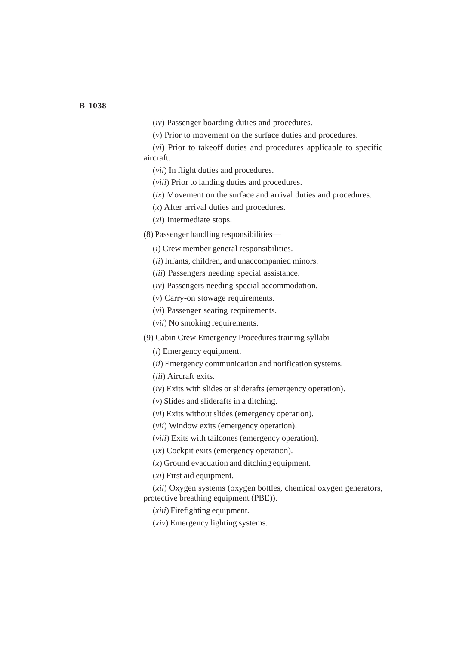(*iv*) Passenger boarding duties and procedures.

(*v*) Prior to movement on the surface duties and procedures.

(*vi*) Prior to takeoff duties and procedures applicable to specific aircraft.

(*vii*) In flight duties and procedures.

(*viii*) Prior to landing duties and procedures.

(*ix*) Movement on the surface and arrival duties and procedures.

(*x*) After arrival duties and procedures.

(*xi*) Intermediate stops.

(8) Passenger handling responsibilities—

(*i*) Crew member general responsibilities.

(*ii*) Infants, children, and unaccompanied minors.

(*iii*) Passengers needing special assistance.

(*iv*) Passengers needing special accommodation.

(*v*) Carry-on stowage requirements.

(*vi*) Passenger seating requirements.

(*vii*) No smoking requirements.

(9) Cabin Crew Emergency Procedures training syllabi—

(*i*) Emergency equipment.

(*ii*) Emergency communication and notification systems.

(*iii*) Aircraft exits.

(*iv*) Exits with slides or sliderafts (emergency operation).

(*v*) Slides and sliderafts in a ditching.

(*vi*) Exits without slides (emergency operation).

(*vii*) Window exits (emergency operation).

(*viii*) Exits with tailcones (emergency operation).

(*ix*) Cockpit exits (emergency operation).

(*x*) Ground evacuation and ditching equipment.

(*xi*) First aid equipment.

(*xii*) Oxygen systems (oxygen bottles, chemical oxygen generators, protective breathing equipment (PBE)).

(*xiii*) Firefighting equipment.

(*xiv*) Emergency lighting systems.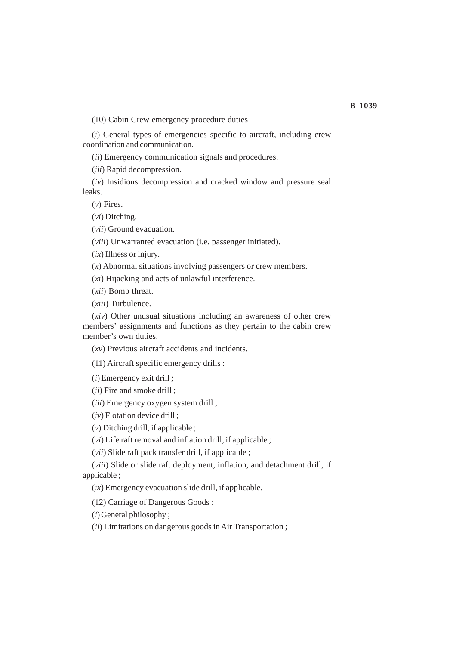(10) Cabin Crew emergency procedure duties—

(*i*) General types of emergencies specific to aircraft, including crew coordination and communication.

(*ii*) Emergency communication signals and procedures.

(*iii*) Rapid decompression.

(*iv*) Insidious decompression and cracked window and pressure seal leaks.

(*v*) Fires.

(*vi*) Ditching.

(*vii*) Ground evacuation.

(*viii*) Unwarranted evacuation (i.e. passenger initiated).

(*ix*) Illness or injury.

(*x*) Abnormal situations involving passengers or crew members.

(*xi*) Hijacking and acts of unlawful interference.

(*xii*) Bomb threat.

(*xiii*) Turbulence.

(*xiv*) Other unusual situations including an awareness of other crew members' assignments and functions as they pertain to the cabin crew member's own duties.

(*xv*) Previous aircraft accidents and incidents.

(11) Aircraft specific emergency drills :

(*i*) Emergency exit drill ;

(*ii*) Fire and smoke drill ;

(*iii*) Emergency oxygen system drill ;

(*iv*) Flotation device drill ;

(*v*) Ditching drill, if applicable ;

(*vi*) Life raft removal and inflation drill, if applicable ;

(*vii*) Slide raft pack transfer drill, if applicable ;

(*viii*) Slide or slide raft deployment, inflation, and detachment drill, if applicable ;

(*ix*) Emergency evacuation slide drill, if applicable.

(12) Carriage of Dangerous Goods :

(*i*) General philosophy ;

(*ii*) Limitations on dangerous goods in Air Transportation ;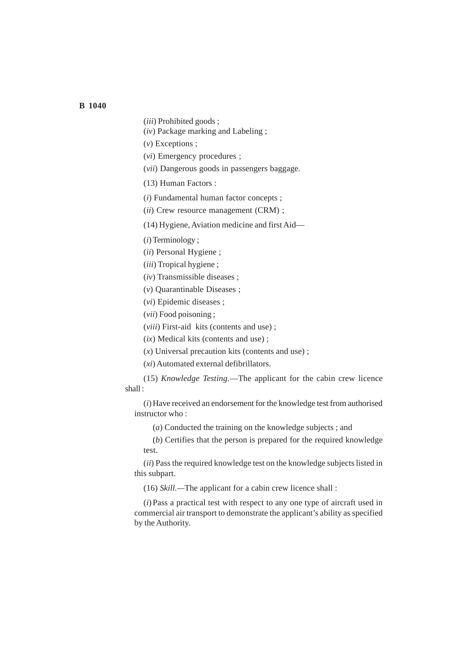(*iii*) Prohibited goods ;

(*iv*) Package marking and Labeling ;

(*v*) Exceptions ;

(*vi*) Emergency procedures ;

(*vii*) Dangerous goods in passengers baggage.

(13) Human Factors :

(*i*) Fundamental human factor concepts ;

(*ii*) Crew resource management (CRM) ;

(14) Hygiene, Aviation medicine and first Aid—

(*i*) Terminology ;

(*ii*) Personal Hygiene ;

(*iii*) Tropical hygiene ;

(*iv*) Transmissible diseases ;

(*v*) Quarantinable Diseases ;

(*vi*) Epidemic diseases ;

(*vii*) Food poisoning ;

(*viii*) First-aid kits (contents and use) ;

(*ix*) Medical kits (contents and use) ;

(*x*) Universal precaution kits (contents and use) ;

(*xi*) Automated external defibrillators.

(15) *Knowledge Testing.*—The applicant for the cabin crew licence shall :

(*i*) Have received an endorsement for the knowledge test from authorised instructor who :

(*a*) Conducted the training on the knowledge subjects ; and

(*b*) Certifies that the person is prepared for the required knowledge test.

(*ii*) Pass the required knowledge test on the knowledge subjects listed in this subpart.

(16) *Skill.—*The applicant for a cabin crew licence shall :

(*i*) Pass a practical test with respect to any one type of aircraft used in commercial air transport to demonstrate the applicant's ability as specified by the Authority.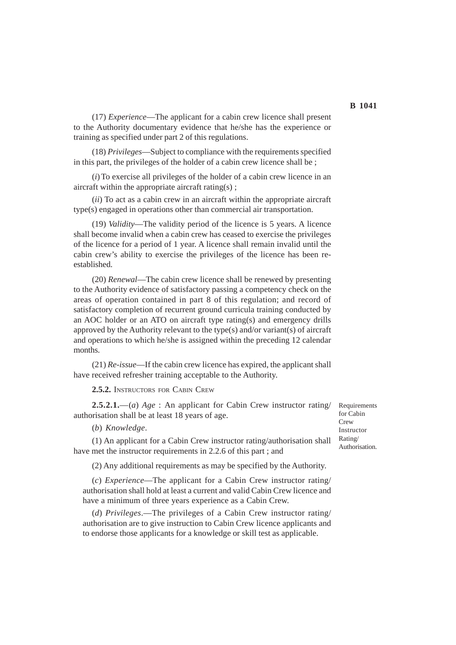(17) *Experience*—The applicant for a cabin crew licence shall present to the Authority documentary evidence that he/she has the experience or training as specified under part 2 of this regulations.

(18) *Privileges*—Subject to compliance with the requirements specified in this part, the privileges of the holder of a cabin crew licence shall be ;

(*i*) To exercise all privileges of the holder of a cabin crew licence in an aircraft within the appropriate aircraft rating(s) ;

(*ii*) To act as a cabin crew in an aircraft within the appropriate aircraft type(s) engaged in operations other than commercial air transportation.

(19) *Validity*—The validity period of the licence is 5 years. A licence shall become invalid when a cabin crew has ceased to exercise the privileges of the licence for a period of 1 year. A licence shall remain invalid until the cabin crew's ability to exercise the privileges of the licence has been reestablished.

(20) *Renewal*—The cabin crew licence shall be renewed by presenting to the Authority evidence of satisfactory passing a competency check on the areas of operation contained in part 8 of this regulation; and record of satisfactory completion of recurrent ground curricula training conducted by an AOC holder or an ATO on aircraft type rating(s) and emergency drills approved by the Authority relevant to the type(s) and/or variant(s) of aircraft and operations to which he/she is assigned within the preceding 12 calendar months.

(21) *Re-issue*—If the cabin crew licence has expired, the applicant shall have received refresher training acceptable to the Authority.

**2.5.2.** INSTRUCTORS FOR CABIN CREW

**2.5.2.1.**—(*a*) *Age* : An applicant for Cabin Crew instructor rating/ authorisation shall be at least 18 years of age.

(*b*) *Knowledge*.

(1) An applicant for a Cabin Crew instructor rating/authorisation shall have met the instructor requirements in 2.2.6 of this part ; and

(2) Any additional requirements as may be specified by the Authority.

(*c*) *Experience*—The applicant for a Cabin Crew instructor rating/ authorisation shall hold at least a current and valid Cabin Crew licence and have a minimum of three years experience as a Cabin Crew.

(*d*) *Privileges*.—The privileges of a Cabin Crew instructor rating/ authorisation are to give instruction to Cabin Crew licence applicants and to endorse those applicants for a knowledge or skill test as applicable.

Requirements for Cabin **Crew** Instructor Rating/ Authorisation.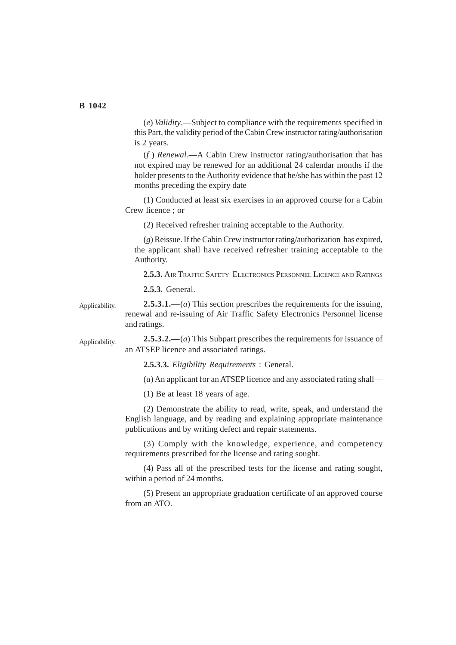Applicability.

(*e*) *Validity*.—Subject to compliance with the requirements specified in this Part, the validity period of the Cabin Crew instructor rating/authorisation is 2 years.

(*f* ) *Renewal.*—A Cabin Crew instructor rating/authorisation that has not expired may be renewed for an additional 24 calendar months if the holder presents to the Authority evidence that he/she has within the past 12 months preceding the expiry date—

(1) Conducted at least six exercises in an approved course for a Cabin Crew licence ; or

(2) Received refresher training acceptable to the Authority.

(*g*) Reissue. If the Cabin Crew instructor rating/authorization has expired, the applicant shall have received refresher training acceptable to the Authority.

**2.5.3.** AIR TRAFFIC SAFETY ELECTRONICS PERSONNEL LICENCE AND RATINGS

**2.5.3.** General.

**2.5.3.1.**—(*a*) This section prescribes the requirements for the issuing, renewal and re-issuing of Air Traffic Safety Electronics Personnel license and ratings. Applicability.

> **2.5.3.2.**—(*a*) This Subpart prescribes the requirements for issuance of an ATSEP licence and associated ratings.

**2.5.3.3.** *Eligibility Requirements* : General.

(*a*) An applicant for an ATSEP licence and any associated rating shall—

(1) Be at least 18 years of age.

(2) Demonstrate the ability to read, write, speak, and understand the English language, and by reading and explaining appropriate maintenance publications and by writing defect and repair statements.

(3) Comply with the knowledge, experience, and competency requirements prescribed for the license and rating sought.

(4) Pass all of the prescribed tests for the license and rating sought, within a period of 24 months.

(5) Present an appropriate graduation certificate of an approved course from an ATO.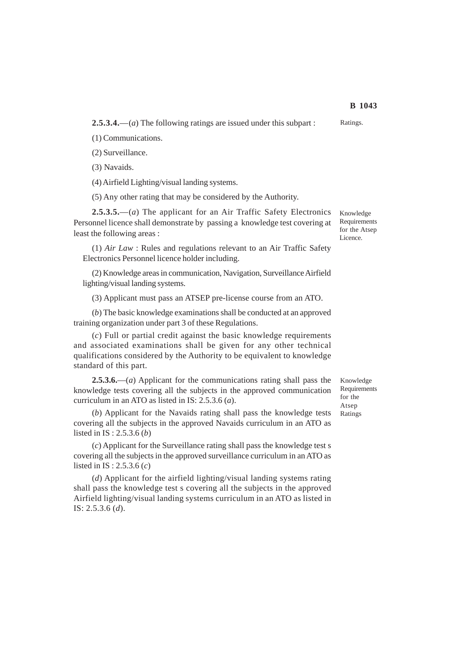**2.5.3.4.**—(*a*) The following ratings are issued under this subpart :

(1) Communications.

(2) Surveillance.

(3) Navaids.

(4) Airfield Lighting/visual landing systems.

(5) Any other rating that may be considered by the Authority.

**2.5.3.5.**—(*a*) The applicant for an Air Traffic Safety Electronics Personnel licence shall demonstrate by passing a knowledge test covering at least the following areas :

(1) *Air Law* : Rules and regulations relevant to an Air Traffic Safety Electronics Personnel licence holder including.

(2) Knowledge areas in communication, Navigation, Surveillance Airfield lighting/visual landing systems.

(3) Applicant must pass an ATSEP pre-license course from an ATO.

(*b*) The basic knowledge examinations shall be conducted at an approved training organization under part 3 of these Regulations.

(*c*) Full or partial credit against the basic knowledge requirements and associated examinations shall be given for any other technical qualifications considered by the Authority to be equivalent to knowledge standard of this part.

**2.5.3.6.**—(*a*) Applicant for the communications rating shall pass the knowledge tests covering all the subjects in the approved communication curriculum in an ATO as listed in IS: 2.5.3.6 (*a*).

(*b*) Applicant for the Navaids rating shall pass the knowledge tests covering all the subjects in the approved Navaids curriculum in an ATO as listed in IS : 2.5.3.6 (*b*)

(*c*) Applicant for the Surveillance rating shall pass the knowledge test s covering all the subjects in the approved surveillance curriculum in an ATO as listed in IS : 2.5.3.6 (*c*)

(*d*) Applicant for the airfield lighting/visual landing systems rating shall pass the knowledge test s covering all the subjects in the approved Airfield lighting/visual landing systems curriculum in an ATO as listed in IS: 2.5.3.6 (*d*).

Knowledge Requirements for the Atsep Ratings

Ratings.

Knowledge Requirements for the Atsep Licence.

**B 1043**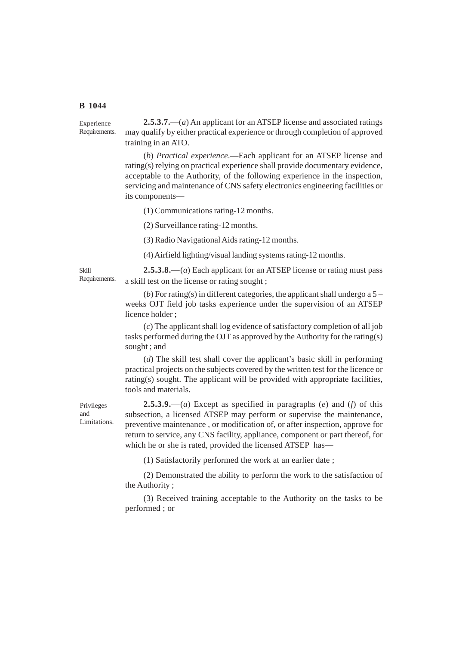**2.5.3.7.**—(*a*) An applicant for an ATSEP license and associated ratings may qualify by either practical experience or through completion of approved training in an ATO. Experience Requirements.

> (*b*) *Practical experience*.—Each applicant for an ATSEP license and rating(s) relying on practical experience shall provide documentary evidence, acceptable to the Authority, of the following experience in the inspection, servicing and maintenance of CNS safety electronics engineering facilities or its components—

(1) Communications rating-12 months.

(2) Surveillance rating-12 months.

(3) Radio Navigational Aids rating-12 months.

(4) Airfield lighting/visual landing systems rating-12 months.

Skill Requirements.

**2.5.3.8.**—(*a*) Each applicant for an ATSEP license or rating must pass a skill test on the license or rating sought ;

(*b*) For rating(s) in different categories, the applicant shall undergo a 5 – weeks OJT field job tasks experience under the supervision of an ATSEP licence holder ;

(*c*) The applicant shall log evidence of satisfactory completion of all job tasks performed during the OJT as approved by the Authority for the rating(s) sought ; and

(*d*) The skill test shall cover the applicant's basic skill in performing practical projects on the subjects covered by the written test for the licence or rating(s) sought. The applicant will be provided with appropriate facilities, tools and materials.

Privileges and Limitations.

**2.5.3.9.**—(*a*) Except as specified in paragraphs (*e*) and (*f*) of this subsection, a licensed ATSEP may perform or supervise the maintenance, preventive maintenance , or modification of, or after inspection, approve for return to service, any CNS facility, appliance, component or part thereof, for which he or she is rated, provided the licensed ATSEP has—

(1) Satisfactorily performed the work at an earlier date ;

(2) Demonstrated the ability to perform the work to the satisfaction of the Authority ;

(3) Received training acceptable to the Authority on the tasks to be performed ; or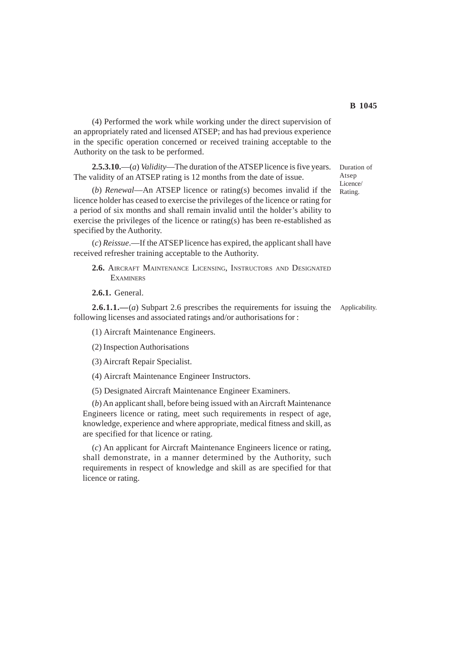(4) Performed the work while working under the direct supervision of an appropriately rated and licensed ATSEP; and has had previous experience in the specific operation concerned or received training acceptable to the Authority on the task to be performed.

**2.5.3.10.**—(*a*) *Validity*—The duration of the ATSEP licence is five years. The validity of an ATSEP rating is 12 months from the date of issue.

(*b*) *Renewal*—An ATSEP licence or rating(s) becomes invalid if the licence holder has ceased to exercise the privileges of the licence or rating for a period of six months and shall remain invalid until the holder's ability to exercise the privileges of the licence or rating(s) has been re-established as specified by the Authority.

(*c*) *Reissue*.—If the ATSEP licence has expired, the applicant shall have received refresher training acceptable to the Authority.

**2.6.** AIRCRAFT MAINTENANCE LICENSING, INSTRUCTORS AND DESIGNATED **EXAMINERS** 

**2.6.1.** General.

**2.6.1.1.—**(*a*) Subpart 2.6 prescribes the requirements for issuing the following licenses and associated ratings and/or authorisations for :

(1) Aircraft Maintenance Engineers.

(2) Inspection Authorisations

(3) Aircraft Repair Specialist.

(4) Aircraft Maintenance Engineer Instructors.

(5) Designated Aircraft Maintenance Engineer Examiners.

(*b*) An applicant shall, before being issued with an Aircraft Maintenance Engineers licence or rating, meet such requirements in respect of age, knowledge, experience and where appropriate, medical fitness and skill, as are specified for that licence or rating.

(*c*) An applicant for Aircraft Maintenance Engineers licence or rating, shall demonstrate, in a manner determined by the Authority, such requirements in respect of knowledge and skill as are specified for that licence or rating.

Licence/ Rating.

Duration of Atsen

Applicability.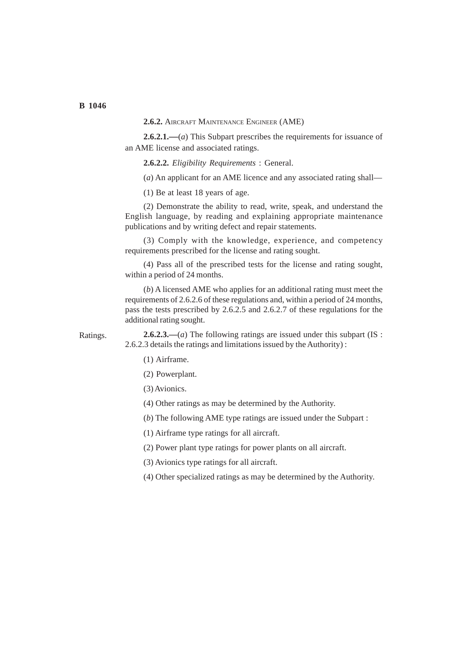**2.6.2.** AIRCRAFT MAINTENANCE ENGINEER (AME)

**2.6.2.1.—**(*a*) This Subpart prescribes the requirements for issuance of an AME license and associated ratings.

**2.6.2.2.** *Eligibility Requirements* : General.

(*a*) An applicant for an AME licence and any associated rating shall—

(1) Be at least 18 years of age.

(2) Demonstrate the ability to read, write, speak, and understand the English language, by reading and explaining appropriate maintenance publications and by writing defect and repair statements.

(3) Comply with the knowledge, experience, and competency requirements prescribed for the license and rating sought.

(4) Pass all of the prescribed tests for the license and rating sought, within a period of 24 months.

(*b*) A licensed AME who applies for an additional rating must meet the requirements of 2.6.2.6 of these regulations and, within a period of 24 months, pass the tests prescribed by 2.6.2.5 and 2.6.2.7 of these regulations for the additional rating sought.

Ratings.

**2.6.2.3.—**(*a*) The following ratings are issued under this subpart (IS : 2.6.2.3 details the ratings and limitations issued by the Authority) :

- (1) Airframe.
- (2) Powerplant.

(3) Avionics.

(4) Other ratings as may be determined by the Authority.

(*b*) The following AME type ratings are issued under the Subpart :

(1) Airframe type ratings for all aircraft.

(2) Power plant type ratings for power plants on all aircraft.

(3) Avionics type ratings for all aircraft.

(4) Other specialized ratings as may be determined by the Authority.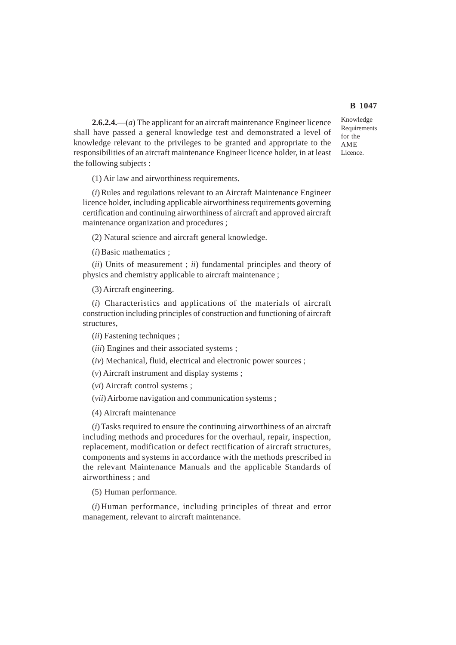**2.6.2.4.**—(*a*) The applicant for an aircraft maintenance Engineer licence shall have passed a general knowledge test and demonstrated a level of knowledge relevant to the privileges to be granted and appropriate to the responsibilities of an aircraft maintenance Engineer licence holder, in at least the following subjects :

(1) Air law and airworthiness requirements.

(*i*) Rules and regulations relevant to an Aircraft Maintenance Engineer licence holder, including applicable airworthiness requirements governing certification and continuing airworthiness of aircraft and approved aircraft maintenance organization and procedures ;

(2) Natural science and aircraft general knowledge.

(*i*) Basic mathematics ;

(*ii*) Units of measurement ; *ii*) fundamental principles and theory of physics and chemistry applicable to aircraft maintenance ;

(3) Aircraft engineering.

(*i*) Characteristics and applications of the materials of aircraft construction including principles of construction and functioning of aircraft structures,

(*ii*) Fastening techniques ;

(*iii*) Engines and their associated systems ;

(*iv*) Mechanical, fluid, electrical and electronic power sources ;

(*v*) Aircraft instrument and display systems ;

(*vi*) Aircraft control systems ;

(*vii*) Airborne navigation and communication systems ;

(4) Aircraft maintenance

(*i*) Tasks required to ensure the continuing airworthiness of an aircraft including methods and procedures for the overhaul, repair, inspection, replacement, modification or defect rectification of aircraft structures, components and systems in accordance with the methods prescribed in the relevant Maintenance Manuals and the applicable Standards of airworthiness ; and

(5) Human performance.

(*i*)Human performance, including principles of threat and error management, relevant to aircraft maintenance.

Knowledge Requirements for the AME Licence.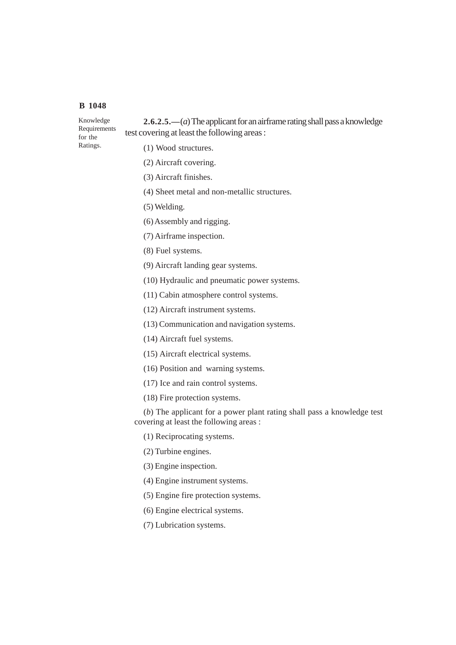Ratings.

**2.6.2.5.—**(*a*) The applicant for an airframe rating shall pass a knowledge test covering at least the following areas : Knowledge Requirements for the

- (1) Wood structures.
- (2) Aircraft covering.
- (3) Aircraft finishes.
- (4) Sheet metal and non-metallic structures.
- (5) Welding.
- (6) Assembly and rigging.
- (7) Airframe inspection.
- (8) Fuel systems.
- (9) Aircraft landing gear systems.
- (10) Hydraulic and pneumatic power systems.
- (11) Cabin atmosphere control systems.
- (12) Aircraft instrument systems.
- (13) Communication and navigation systems.
- (14) Aircraft fuel systems.
- (15) Aircraft electrical systems.
- (16) Position and warning systems.
- (17) Ice and rain control systems.
- (18) Fire protection systems.

(*b*) The applicant for a power plant rating shall pass a knowledge test covering at least the following areas :

- (1) Reciprocating systems.
- (2) Turbine engines.
- (3) Engine inspection.
- (4) Engine instrument systems.
- (5) Engine fire protection systems.
- (6) Engine electrical systems.
- (7) Lubrication systems.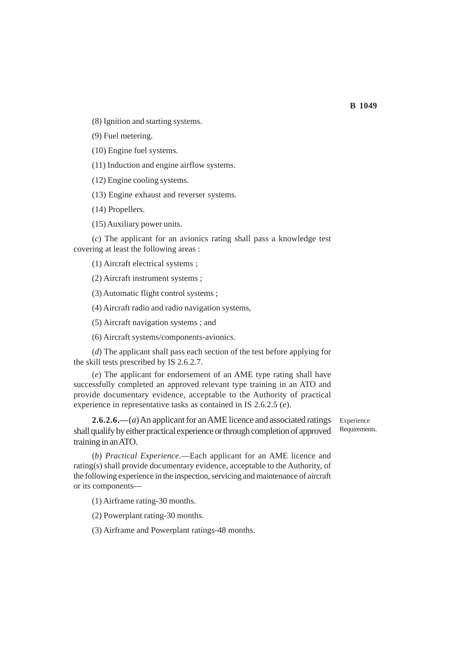(8) Ignition and starting systems.

(9) Fuel metering.

(10) Engine fuel systems.

(11) Induction and engine airflow systems.

(12) Engine cooling systems.

(13) Engine exhaust and reverser systems.

(14) Propellers.

(15) Auxiliary power units.

(*c*) The applicant for an avionics rating shall pass a knowledge test covering at least the following areas :

(1) Aircraft electrical systems ;

(2) Aircraft instrument systems ;

(3) Automatic flight control systems ;

(4) Aircraft radio and radio navigation systems,

(5) Aircraft navigation systems ; and

(6) Aircraft systems/components-avionics.

(*d*) The applicant shall pass each section of the test before applying for the skill tests prescribed by IS 2.6.2.7.

(*e*) The applicant for endorsement of an AME type rating shall have successfully completed an approved relevant type training in an ATO and provide documentary evidence, acceptable to the Authority of practical experience in representative tasks as contained in IS 2.6.2.5 (*e*).

**2.6.2.6.—**(*a*) An applicant for an AME licence and associated ratings shall qualify by either practical experience or through completion of approved training in an ATO.

Experience Requirements.

(*b*) *Practical Experience*.—Each applicant for an AME licence and rating(s) shall provide documentary evidence, acceptable to the Authority, of the following experience in the inspection, servicing and maintenance of aircraft or its components—

(1) Airframe rating-30 months.

(2) Powerplant rating-30 months.

(3) Airframe and Powerplant ratings-48 months.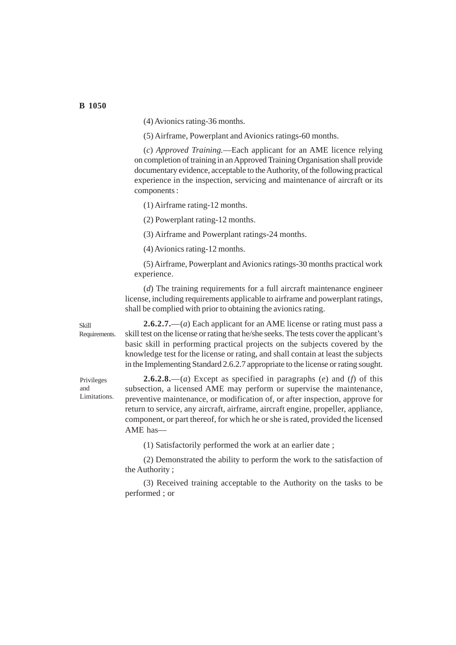(4) Avionics rating-36 months.

(5) Airframe, Powerplant and Avionics ratings-60 months.

(*c*) *Approved Training.*—Each applicant for an AME licence relying on completion of training in an Approved Training Organisation shall provide documentary evidence, acceptable to the Authority, of the following practical experience in the inspection, servicing and maintenance of aircraft or its components :

(1) Airframe rating-12 months.

(2) Powerplant rating-12 months.

(3) Airframe and Powerplant ratings-24 months.

(4) Avionics rating-12 months.

(5) Airframe, Powerplant and Avionics ratings-30 months practical work experience.

(*d*) The training requirements for a full aircraft maintenance engineer license, including requirements applicable to airframe and powerplant ratings, shall be complied with prior to obtaining the avionics rating.

Requirements.

Privileges and Limitations.

Skill

**2.6.2.7.**—(*a*) Each applicant for an AME license or rating must pass a skill test on the license or rating that he/she seeks. The tests cover the applicant's basic skill in performing practical projects on the subjects covered by the knowledge test for the license or rating, and shall contain at least the subjects in the Implementing Standard 2.6.2.7 appropriate to the license or rating sought.

**2.6.2.8.**—(*a*) Except as specified in paragraphs (*e*) and (*f*) of this subsection, a licensed AME may perform or supervise the maintenance, preventive maintenance, or modification of, or after inspection, approve for return to service, any aircraft, airframe, aircraft engine, propeller, appliance, component, or part thereof, for which he or she is rated, provided the licensed AME has—

(1) Satisfactorily performed the work at an earlier date ;

(2) Demonstrated the ability to perform the work to the satisfaction of the Authority ;

(3) Received training acceptable to the Authority on the tasks to be performed ; or

**B 1050**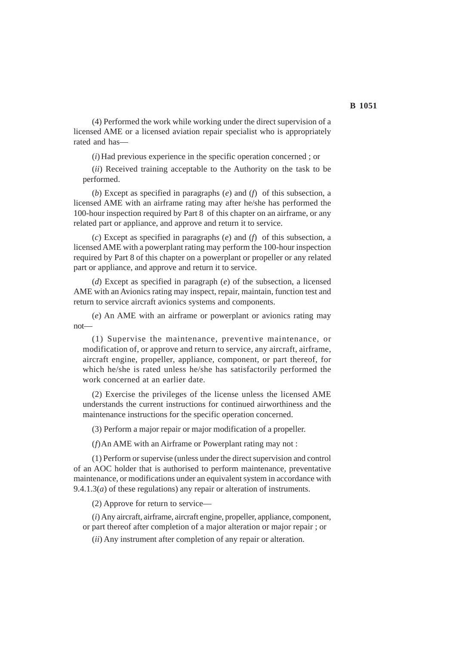(4) Performed the work while working under the direct supervision of a licensed AME or a licensed aviation repair specialist who is appropriately rated and has—

(*i*) Had previous experience in the specific operation concerned ; or

(*ii*) Received training acceptable to the Authority on the task to be performed.

(*b*) Except as specified in paragraphs (*e*) and (*f*) of this subsection, a licensed AME with an airframe rating may after he/she has performed the 100-hour inspection required by Part 8 of this chapter on an airframe, or any related part or appliance, and approve and return it to service.

(*c*) Except as specified in paragraphs (*e*) and (*f*) of this subsection, a licensed AME with a powerplant rating may perform the 100-hour inspection required by Part 8 of this chapter on a powerplant or propeller or any related part or appliance, and approve and return it to service.

(*d*) Except as specified in paragraph (*e*) of the subsection, a licensed AME with an Avionics rating may inspect, repair, maintain, function test and return to service aircraft avionics systems and components.

(*e*) An AME with an airframe or powerplant or avionics rating may not—

(1) Supervise the maintenance, preventive maintenance, or modification of, or approve and return to service, any aircraft, airframe, aircraft engine, propeller, appliance, component, or part thereof, for which he/she is rated unless he/she has satisfactorily performed the work concerned at an earlier date.

(2) Exercise the privileges of the license unless the licensed AME understands the current instructions for continued airworthiness and the maintenance instructions for the specific operation concerned.

(3) Perform a major repair or major modification of a propeller.

(*f*)An AME with an Airframe or Powerplant rating may not :

(1) Perform or supervise (unless under the direct supervision and control of an AOC holder that is authorised to perform maintenance, preventative maintenance, or modifications under an equivalent system in accordance with 9.4.1.3(*a*) of these regulations) any repair or alteration of instruments.

(2) Approve for return to service—

(*i*) Any aircraft, airframe, aircraft engine, propeller, appliance, component, or part thereof after completion of a major alteration or major repair ; or

(*ii*) Any instrument after completion of any repair or alteration.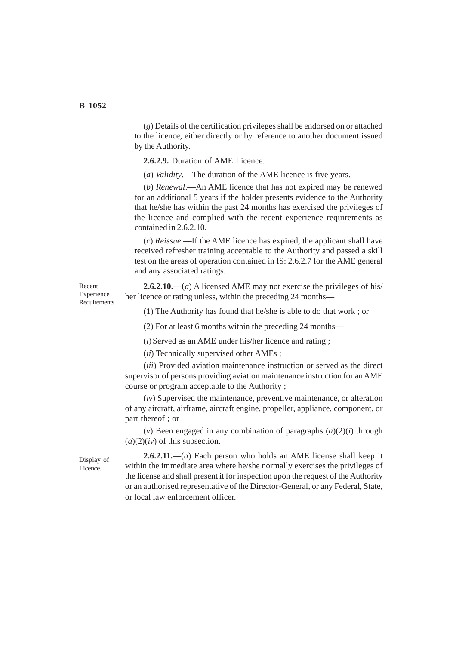(*g*) Details of the certification privileges shall be endorsed on or attached to the licence, either directly or by reference to another document issued by the Authority.

**2.6.2.9.** Duration of AME Licence.

(*a*) *Validity*.—The duration of the AME licence is five years.

(*b*) *Renewal*.—An AME licence that has not expired may be renewed for an additional 5 years if the holder presents evidence to the Authority that he/she has within the past 24 months has exercised the privileges of the licence and complied with the recent experience requirements as contained in 2.6.2.10.

(*c*) *Reissue*.—If the AME licence has expired, the applicant shall have received refresher training acceptable to the Authority and passed a skill test on the areas of operation contained in IS: 2.6.2.7 for the AME general and any associated ratings.

**2.6.2.10.**—(*a*) A licensed AME may not exercise the privileges of his/ her licence or rating unless, within the preceding 24 months—

(1) The Authority has found that he/she is able to do that work ; or

(2) For at least 6 months within the preceding 24 months—

(*i*) Served as an AME under his/her licence and rating ;

(*ii*) Technically supervised other AMEs ;

(*iii*) Provided aviation maintenance instruction or served as the direct supervisor of persons providing aviation maintenance instruction for an AME course or program acceptable to the Authority ;

(*iv*) Supervised the maintenance, preventive maintenance, or alteration of any aircraft, airframe, aircraft engine, propeller, appliance, component, or part thereof ; or

(*v*) Been engaged in any combination of paragraphs (*a*)(2)(*i*) through  $(a)(2)(iv)$  of this subsection.

Display of Licence.

**2.6.2.11.**—(*a*) Each person who holds an AME license shall keep it within the immediate area where he/she normally exercises the privileges of the license and shall present it for inspection upon the request of the Authority or an authorised representative of the Director-General, or any Federal, State, or local law enforcement officer.

Recent Experience Requirements.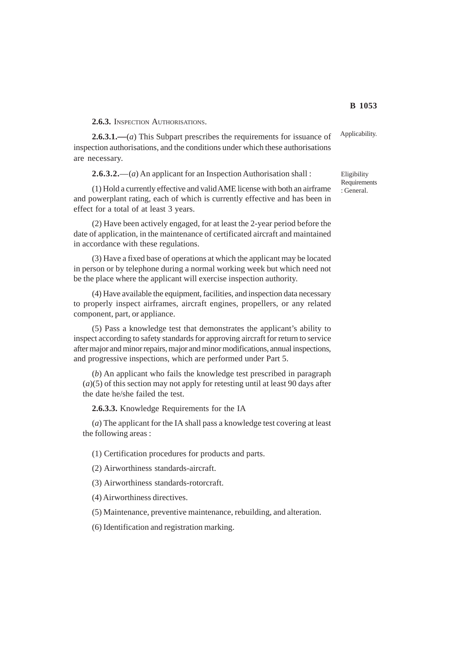**2.6.3.** INSPECTION AUTHORISATIONS.

**2.6.3.1.—**(*a*) This Subpart prescribes the requirements for issuance of inspection authorisations, and the conditions under which these authorisations are necessary.

**2.6.3.2.**—(*a*) An applicant for an Inspection Authorisation shall :

(1) Hold a currently effective and valid AME license with both an airframe and powerplant rating, each of which is currently effective and has been in effect for a total of at least 3 years.

(2) Have been actively engaged, for at least the 2-year period before the date of application, in the maintenance of certificated aircraft and maintained in accordance with these regulations.

(3) Have a fixed base of operations at which the applicant may be located in person or by telephone during a normal working week but which need not be the place where the applicant will exercise inspection authority.

(4) Have available the equipment, facilities, and inspection data necessary to properly inspect airframes, aircraft engines, propellers, or any related component, part, or appliance.

(5) Pass a knowledge test that demonstrates the applicant's ability to inspect according to safety standards for approving aircraft for return to service after major and minor repairs, major and minor modifications, annual inspections, and progressive inspections, which are performed under Part 5.

(*b*) An applicant who fails the knowledge test prescribed in paragraph (*a*)(5) of this section may not apply for retesting until at least 90 days after the date he/she failed the test.

**2.6.3.3.** Knowledge Requirements for the IA

(*a*) The applicant for the IA shall pass a knowledge test covering at least the following areas :

(1) Certification procedures for products and parts.

(2) Airworthiness standards-aircraft.

(3) Airworthiness standards-rotorcraft.

(4) Airworthiness directives.

(5) Maintenance, preventive maintenance, rebuilding, and alteration.

(6) Identification and registration marking.

Applicability.

Eligibility **Requirements** : General.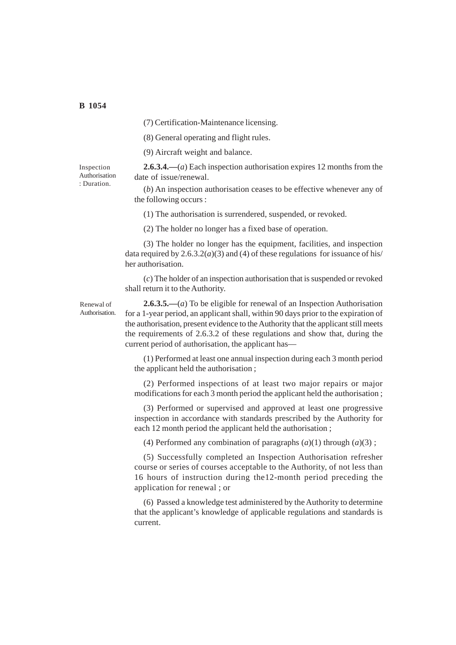(7) Certification-Maintenance licensing.

(8) General operating and flight rules.

(9) Aircraft weight and balance.

Inspection Authorisation : Duration.

**2.6.3.4.—**(*a*) Each inspection authorisation expires 12 months from the date of issue/renewal.

(*b*) An inspection authorisation ceases to be effective whenever any of the following occurs :

(1) The authorisation is surrendered, suspended, or revoked.

(2) The holder no longer has a fixed base of operation.

(3) The holder no longer has the equipment, facilities, and inspection data required by  $2.6.3.2(a)(3)$  and (4) of these regulations for issuance of his/ her authorisation.

(*c*) The holder of an inspection authorisation that is suspended or revoked shall return it to the Authority.

Renewal of Authorisation.

**2.6.3.5.—**(*a*) To be eligible for renewal of an Inspection Authorisation for a 1-year period, an applicant shall, within 90 days prior to the expiration of the authorisation, present evidence to the Authority that the applicant still meets the requirements of 2.6.3.2 of these regulations and show that, during the current period of authorisation, the applicant has—

(1) Performed at least one annual inspection during each 3 month period the applicant held the authorisation ;

(2) Performed inspections of at least two major repairs or major modifications for each 3 month period the applicant held the authorisation ;

(3) Performed or supervised and approved at least one progressive inspection in accordance with standards prescribed by the Authority for each 12 month period the applicant held the authorisation ;

(4) Performed any combination of paragraphs  $(a)(1)$  through  $(a)(3)$ ;

(5) Successfully completed an Inspection Authorisation refresher course or series of courses acceptable to the Authority, of not less than 16 hours of instruction during the12-month period preceding the application for renewal ; or

(6) Passed a knowledge test administered by the Authority to determine that the applicant's knowledge of applicable regulations and standards is current.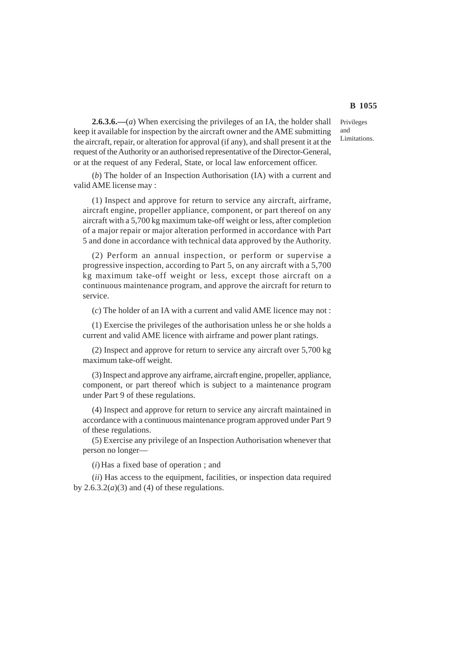Privileges and Limitations.

**2.6.3.6.—**(*a*) When exercising the privileges of an IA, the holder shall keep it available for inspection by the aircraft owner and the AME submitting the aircraft, repair, or alteration for approval (if any), and shall present it at the request of the Authority or an authorised representative of the Director-General, or at the request of any Federal, State, or local law enforcement officer.

(*b*) The holder of an Inspection Authorisation (IA) with a current and valid AME license may :

(1) Inspect and approve for return to service any aircraft, airframe, aircraft engine, propeller appliance, component, or part thereof on any aircraft with a 5,700 kg maximum take-off weight or less, after completion of a major repair or major alteration performed in accordance with Part 5 and done in accordance with technical data approved by the Authority.

(2) Perform an annual inspection, or perform or supervise a progressive inspection, according to Part 5, on any aircraft with a 5,700 kg maximum take-off weight or less, except those aircraft on a continuous maintenance program, and approve the aircraft for return to service.

(*c*) The holder of an IA with a current and valid AME licence may not :

(1) Exercise the privileges of the authorisation unless he or she holds a current and valid AME licence with airframe and power plant ratings.

(2) Inspect and approve for return to service any aircraft over 5,700 kg maximum take-off weight.

(3) Inspect and approve any airframe, aircraft engine, propeller, appliance, component, or part thereof which is subject to a maintenance program under Part 9 of these regulations.

(4) Inspect and approve for return to service any aircraft maintained in accordance with a continuous maintenance program approved under Part 9 of these regulations.

(5) Exercise any privilege of an Inspection Authorisation whenever that person no longer—

(*i*) Has a fixed base of operation ; and

(*ii*) Has access to the equipment, facilities, or inspection data required by  $2.6.3.2(a)(3)$  and (4) of these regulations.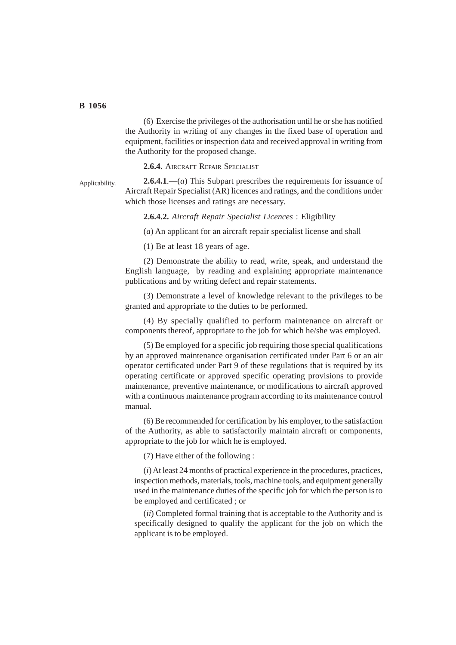(6) Exercise the privileges of the authorisation until he or she has notified the Authority in writing of any changes in the fixed base of operation and equipment, facilities or inspection data and received approval in writing from the Authority for the proposed change.

**2.6.4.** AIRCRAFT REPAIR SPECIALIST

**2.6.4.1**.—(*a*) This Subpart prescribes the requirements for issuance of Aircraft Repair Specialist (AR) licences and ratings, and the conditions under which those licenses and ratings are necessary. Applicability.

**2.6.4.2.** *Aircraft Repair Specialist Licences* : Eligibility

(*a*) An applicant for an aircraft repair specialist license and shall—

(1) Be at least 18 years of age.

(2) Demonstrate the ability to read, write, speak, and understand the English language, by reading and explaining appropriate maintenance publications and by writing defect and repair statements.

(3) Demonstrate a level of knowledge relevant to the privileges to be granted and appropriate to the duties to be performed.

(4) By specially qualified to perform maintenance on aircraft or components thereof, appropriate to the job for which he/she was employed.

(5) Be employed for a specific job requiring those special qualifications by an approved maintenance organisation certificated under Part 6 or an air operator certificated under Part 9 of these regulations that is required by its operating certificate or approved specific operating provisions to provide maintenance, preventive maintenance, or modifications to aircraft approved with a continuous maintenance program according to its maintenance control manual.

(6) Be recommended for certification by his employer, to the satisfaction of the Authority, as able to satisfactorily maintain aircraft or components, appropriate to the job for which he is employed.

(7) Have either of the following :

(*i*) At least 24 months of practical experience in the procedures, practices, inspection methods, materials, tools, machine tools, and equipment generally used in the maintenance duties of the specific job for which the person is to be employed and certificated ; or

(*ii*) Completed formal training that is acceptable to the Authority and is specifically designed to qualify the applicant for the job on which the applicant is to be employed.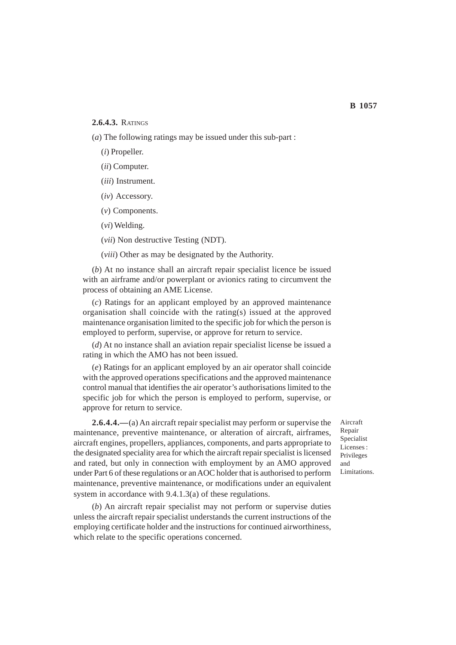#### **2.6.4.3.** RATINGS

(*a*) The following ratings may be issued under this sub-part :

- (*i*) Propeller.
- (*ii*) Computer.
- (*iii*) Instrument.
- (*iv*) Accessory.
- (*v*) Components.
- (*vi*) Welding.
- (*vii*) Non destructive Testing (NDT).

(*viii*) Other as may be designated by the Authority.

(*b*) At no instance shall an aircraft repair specialist licence be issued with an airframe and/or powerplant or avionics rating to circumvent the process of obtaining an AME License.

(*c*) Ratings for an applicant employed by an approved maintenance organisation shall coincide with the rating(s) issued at the approved maintenance organisation limited to the specific job for which the person is employed to perform, supervise, or approve for return to service.

(*d*) At no instance shall an aviation repair specialist license be issued a rating in which the AMO has not been issued.

(*e*) Ratings for an applicant employed by an air operator shall coincide with the approved operations specifications and the approved maintenance control manual that identifies the air operator's authorisations limited to the specific job for which the person is employed to perform, supervise, or approve for return to service.

**2.6.4.4.—**(a) An aircraft repair specialist may perform or supervise the maintenance, preventive maintenance, or alteration of aircraft, airframes, aircraft engines, propellers, appliances, components, and parts appropriate to the designated speciality area for which the aircraft repair specialist is licensed and rated, but only in connection with employment by an AMO approved under Part 6 of these regulations or an AOC holder that is authorised to perform maintenance, preventive maintenance, or modifications under an equivalent system in accordance with 9.4.1.3(a) of these regulations.

(*b*) An aircraft repair specialist may not perform or supervise duties unless the aircraft repair specialist understands the current instructions of the employing certificate holder and the instructions for continued airworthiness, which relate to the specific operations concerned.

Aircraft Repair Specialist Licenses : Privileges and Limitations.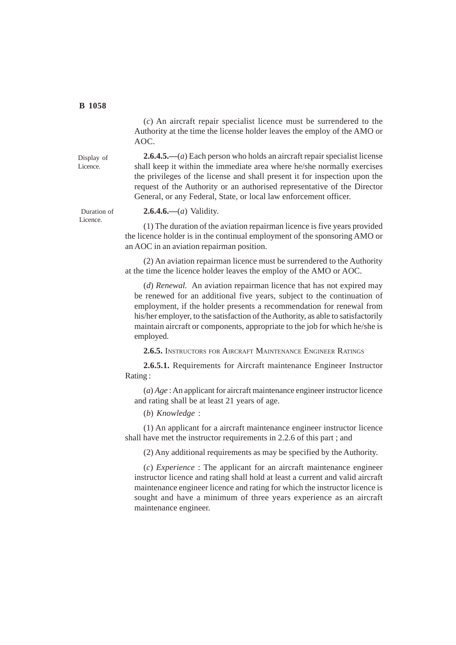Display of Licence.

(*c*) An aircraft repair specialist licence must be surrendered to the Authority at the time the license holder leaves the employ of the AMO or AOC.

**2.6.4.5.—**(*a*) Each person who holds an aircraft repair specialist license shall keep it within the immediate area where he/she normally exercises the privileges of the license and shall present it for inspection upon the request of the Authority or an authorised representative of the Director General, or any Federal, State, or local law enforcement officer.

**2.6.4.6.—**(*a*) Validity.

(1) The duration of the aviation repairman licence is five years provided the licence holder is in the continual employment of the sponsoring AMO or an AOC in an aviation repairman position.

(2) An aviation repairman licence must be surrendered to the Authority at the time the licence holder leaves the employ of the AMO or AOC.

(*d*) *Renewal.* An aviation repairman licence that has not expired may be renewed for an additional five years, subject to the continuation of employment, if the holder presents a recommendation for renewal from his/her employer, to the satisfaction of the Authority, as able to satisfactorily maintain aircraft or components, appropriate to the job for which he/she is employed.

**2.6.5.** INSTRUCTORS FOR AIRCRAFT MAINTENANCE ENGINEER RATINGS

**2.6.5.1.** Requirements for Aircraft maintenance Engineer Instructor Rating :

(*a*) *Age* : An applicant for aircraft maintenance engineer instructor licence and rating shall be at least 21 years of age.

(*b*) *Knowledge* :

(1) An applicant for a aircraft maintenance engineer instructor licence shall have met the instructor requirements in 2.2.6 of this part ; and

(2) Any additional requirements as may be specified by the Authority.

(*c*) *Experience* : The applicant for an aircraft maintenance engineer instructor licence and rating shall hold at least a current and valid aircraft maintenance engineer licence and rating for which the instructor licence is sought and have a minimum of three years experience as an aircraft maintenance engineer.

 Duration of Licence.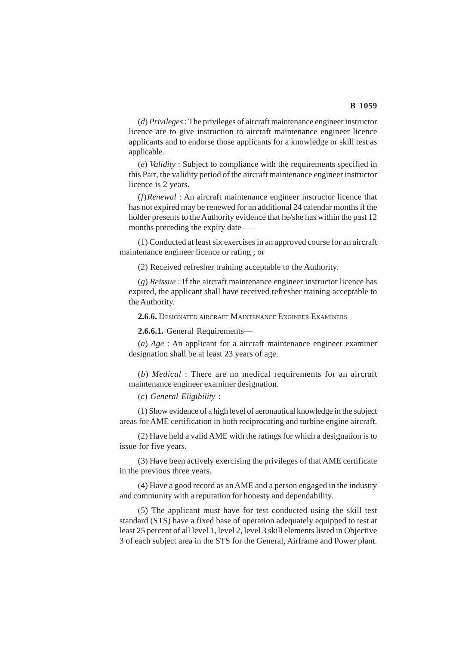(*d*) *Privileges* : The privileges of aircraft maintenance engineer instructor licence are to give instruction to aircraft maintenance engineer licence applicants and to endorse those applicants for a knowledge or skill test as applicable.

(*e*) *Validity* : Subject to compliance with the requirements specified in this Part, the validity period of the aircraft maintenance engineer instructor licence is 2 years.

(*f*)*Renewal* : An aircraft maintenance engineer instructor licence that has not expired may be renewed for an additional 24 calendar months if the holder presents to the Authority evidence that he/she has within the past 12 months preceding the expiry date —

(1) Conducted at least six exercises in an approved course for an aircraft maintenance engineer licence or rating ; or

(2) Received refresher training acceptable to the Authority.

(*g*) *Reissue* : If the aircraft maintenance engineer instructor licence has expired, the applicant shall have received refresher training acceptable to the Authority.

**2.6.6.** DESIGNATED AIRCRAFT MAINTENANCE ENGINEER EXAMINERS

**2.6.6.1.** General Requirements—

(*a*) *Age* : An applicant for a aircraft maintenance engineer examiner designation shall be at least 23 years of age.

(*b*) *Medical* : There are no medical requirements for an aircraft maintenance engineer examiner designation.

(*c*) *General Eligibility* :

(1) Show evidence of a high level of aeronautical knowledge in the subject areas for AME certification in both reciprocating and turbine engine aircraft.

(2) Have held a valid AME with the ratings for which a designation is to issue for five years.

(3) Have been actively exercising the privileges of that AME certificate in the previous three years.

(4) Have a good record as an AME and a person engaged in the industry and community with a reputation for honesty and dependability.

(5) The applicant must have for test conducted using the skill test standard (STS) have a fixed base of operation adequately equipped to test at least 25 percent of all level 1, level 2, level 3 skill elements listed in Objective 3 of each subject area in the STS for the General, Airframe and Power plant.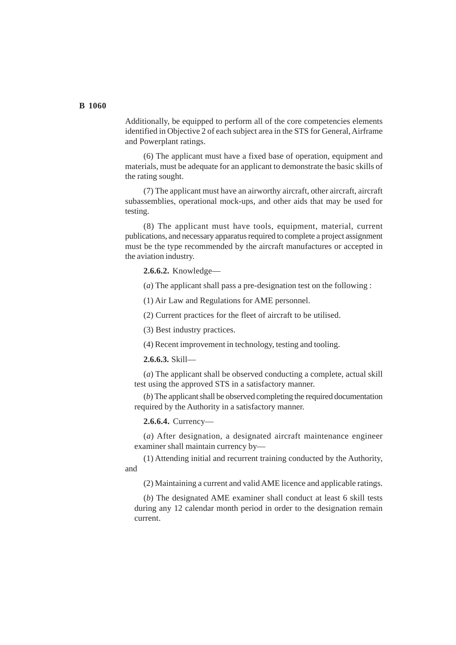Additionally, be equipped to perform all of the core competencies elements identified in Objective 2 of each subject area in the STS for General, Airframe and Powerplant ratings.

(6) The applicant must have a fixed base of operation, equipment and materials, must be adequate for an applicant to demonstrate the basic skills of the rating sought.

(7) The applicant must have an airworthy aircraft, other aircraft, aircraft subassemblies, operational mock-ups, and other aids that may be used for testing.

(8) The applicant must have tools, equipment, material, current publications, and necessary apparatus required to complete a project assignment must be the type recommended by the aircraft manufactures or accepted in the aviation industry.

**2.6.6.2.** Knowledge—

(*a*) The applicant shall pass a pre-designation test on the following :

(1) Air Law and Regulations for AME personnel.

(2) Current practices for the fleet of aircraft to be utilised.

(3) Best industry practices.

(4) Recent improvement in technology, testing and tooling.

**2.6.6.3.** Skill—

(*a*) The applicant shall be observed conducting a complete, actual skill test using the approved STS in a satisfactory manner.

(*b*) The applicant shall be observed completing the required documentation required by the Authority in a satisfactory manner.

**2.6.6.4.** Currency—

(*a*) After designation, a designated aircraft maintenance engineer examiner shall maintain currency by—

(1) Attending initial and recurrent training conducted by the Authority, and

(2) Maintaining a current and valid AME licence and applicable ratings.

(*b*) The designated AME examiner shall conduct at least 6 skill tests during any 12 calendar month period in order to the designation remain current.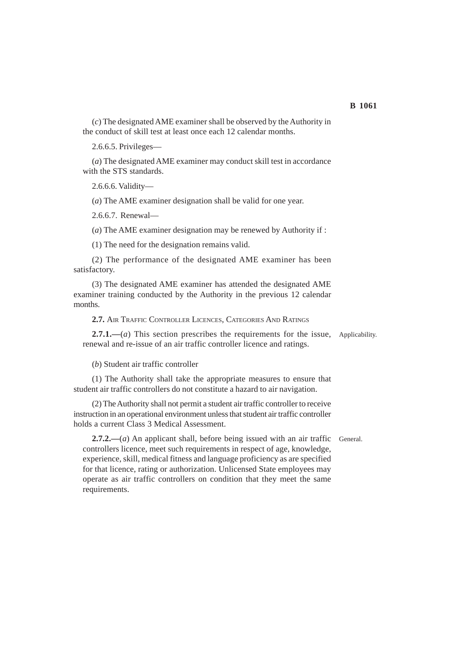(*c*) The designated AME examiner shall be observed by the Authority in the conduct of skill test at least once each 12 calendar months.

2.6.6.5. Privileges—

(*a*) The designated AME examiner may conduct skill test in accordance with the STS standards.

2.6.6.6. Validity—

(*a*) The AME examiner designation shall be valid for one year.

2.6.6.7. Renewal—

(*a*) The AME examiner designation may be renewed by Authority if :

(1) The need for the designation remains valid.

(2) The performance of the designated AME examiner has been satisfactory.

(3) The designated AME examiner has attended the designated AME examiner training conducted by the Authority in the previous 12 calendar months.

**2.7.** AIR TRAFFIC CONTROLLER LICENCES, CATEGORIES AND RATINGS

2.7.1.—(*a*) This section prescribes the requirements for the issue, Applicability. renewal and re-issue of an air traffic controller licence and ratings.

(*b*) Student air traffic controller

(1) The Authority shall take the appropriate measures to ensure that student air traffic controllers do not constitute a hazard to air navigation.

(2) The Authority shall not permit a student air traffic controller to receive instruction in an operational environment unless that student air traffic controller holds a current Class 3 Medical Assessment.

**2.7.2.—**(*a*) An applicant shall, before being issued with an air traffic General.controllers licence, meet such requirements in respect of age, knowledge, experience, skill, medical fitness and language proficiency as are specified for that licence, rating or authorization. Unlicensed State employees may operate as air traffic controllers on condition that they meet the same requirements.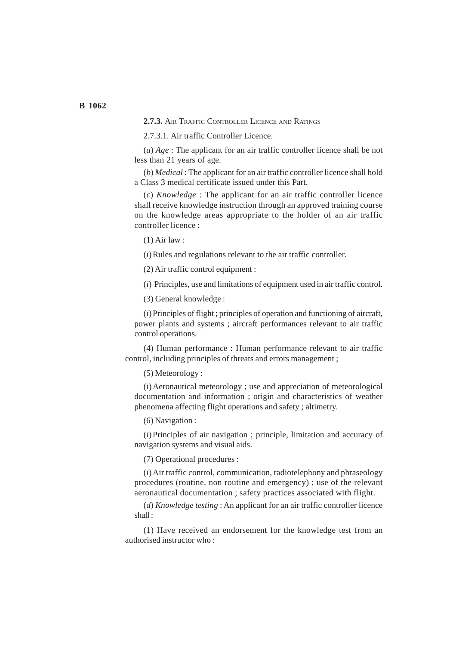**2.7.3.** AIR TRAFFIC CONTROLLER LICENCE AND RATINGS

2.7.3.1. Air traffic Controller Licence.

(*a*) *Age* : The applicant for an air traffic controller licence shall be not less than 21 years of age.

(*b*) *Medical* : The applicant for an air traffic controller licence shall hold a Class 3 medical certificate issued under this Part.

(*c*) *Knowledge* : The applicant for an air traffic controller licence shall receive knowledge instruction through an approved training course on the knowledge areas appropriate to the holder of an air traffic controller licence :

(1) Air law :

(*i*) Rules and regulations relevant to the air traffic controller.

(2) Air traffic control equipment :

(*i*) Principles, use and limitations of equipment used in air traffic control.

(3) General knowledge :

(*i*) Principles of flight ; principles of operation and functioning of aircraft, power plants and systems ; aircraft performances relevant to air traffic control operations.

(4) Human performance : Human performance relevant to air traffic control, including principles of threats and errors management ;

(5) Meteorology :

(*i*) Aeronautical meteorology ; use and appreciation of meteorological documentation and information ; origin and characteristics of weather phenomena affecting flight operations and safety ; altimetry.

(6) Navigation :

(*i*) Principles of air navigation ; principle, limitation and accuracy of navigation systems and visual aids.

(7) Operational procedures :

(*i*) Air traffic control, communication, radiotelephony and phraseology procedures (routine, non routine and emergency) ; use of the relevant aeronautical documentation ; safety practices associated with flight.

(*d*) *Knowledge testing* : An applicant for an air traffic controller licence shall :

(1) Have received an endorsement for the knowledge test from an authorised instructor who :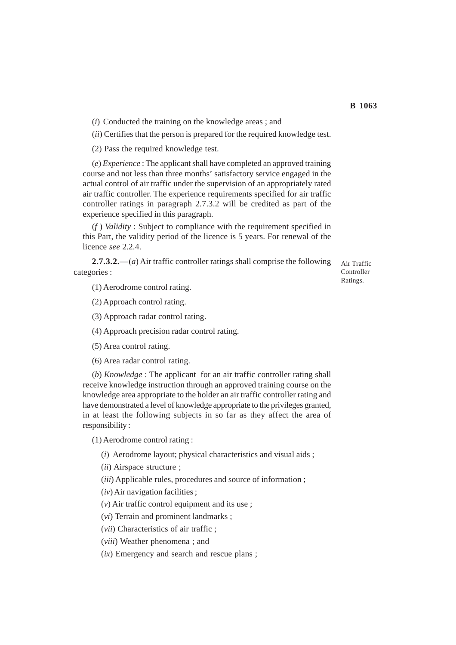(*ii*) Certifies that the person is prepared for the required knowledge test.

(2) Pass the required knowledge test.

(*e*) *Experience* : The applicant shall have completed an approved training course and not less than three months' satisfactory service engaged in the actual control of air traffic under the supervision of an appropriately rated air traffic controller. The experience requirements specified for air traffic controller ratings in paragraph 2.7.3.2 will be credited as part of the experience specified in this paragraph.

(*f* ) *Validity* : Subject to compliance with the requirement specified in this Part, the validity period of the licence is 5 years. For renewal of the licence *see* 2.2.4.

**2.7.3.2.—**(*a*) Air traffic controller ratings shall comprise the following categories :

(1) Aerodrome control rating.

(2) Approach control rating.

(3) Approach radar control rating.

(4) Approach precision radar control rating.

(5) Area control rating.

(6) Area radar control rating.

(*b*) *Knowledge* : The applicant for an air traffic controller rating shall receive knowledge instruction through an approved training course on the knowledge area appropriate to the holder an air traffic controller rating and have demonstrated a level of knowledge appropriate to the privileges granted, in at least the following subjects in so far as they affect the area of responsibility :

(1) Aerodrome control rating :

(*i*) Aerodrome layout; physical characteristics and visual aids ;

(*ii*) Airspace structure ;

(*iii*) Applicable rules, procedures and source of information ;

(*iv*) Air navigation facilities ;

(*v*) Air traffic control equipment and its use ;

(*vi*) Terrain and prominent landmarks ;

(*vii*) Characteristics of air traffic ;

(*viii*) Weather phenomena ; and

(*ix*) Emergency and search and rescue plans ;

Air Traffic Controller Ratings.

**B 1063**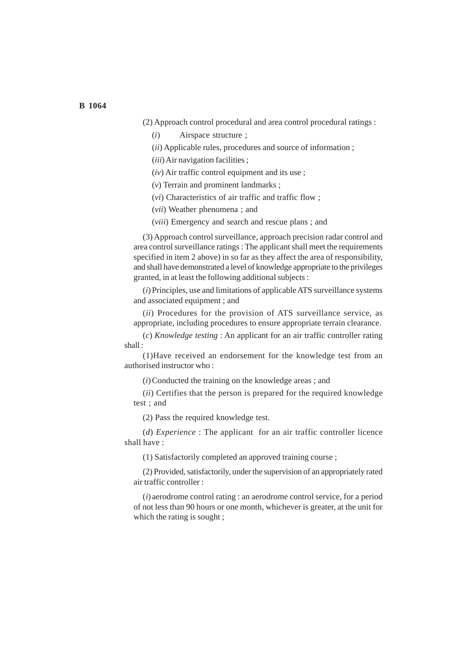(2) Approach control procedural and area control procedural ratings :

(*i*) Airspace structure ;

(*ii*) Applicable rules, procedures and source of information ;

(*iii*) Air navigation facilities ;

(*iv*) Air traffic control equipment and its use ;

(*v*) Terrain and prominent landmarks ;

(*vi*) Characteristics of air traffic and traffic flow ;

(*vii*) Weather phenomena ; and

(*viii*) Emergency and search and rescue plans ; and

(3) Approach control surveillance, approach precision radar control and area control surveillance ratings : The applicant shall meet the requirements specified in item 2 above) in so far as they affect the area of responsibility, and shall have demonstrated a level of knowledge appropriate to the privileges granted, in at least the following additional subjects :

(*i*) Principles, use and limitations of applicable ATS surveillance systems and associated equipment ; and

(*ii*) Procedures for the provision of ATS surveillance service, as appropriate, including procedures to ensure appropriate terrain clearance.

(*c*) *Knowledge testing* : An applicant for an air traffic controller rating shall :

(1)Have received an endorsement for the knowledge test from an authorised instructor who :

(*i*) Conducted the training on the knowledge areas ; and

(*ii*) Certifies that the person is prepared for the required knowledge test ; and

(2) Pass the required knowledge test.

(*d*) *Experience* : The applicant for an air traffic controller licence shall have :

(1) Satisfactorily completed an approved training course ;

(2) Provided, satisfactorily, under the supervision of an appropriately rated air traffic controller :

(*i*) aerodrome control rating : an aerodrome control service, for a period of not less than 90 hours or one month, whichever is greater, at the unit for which the rating is sought ;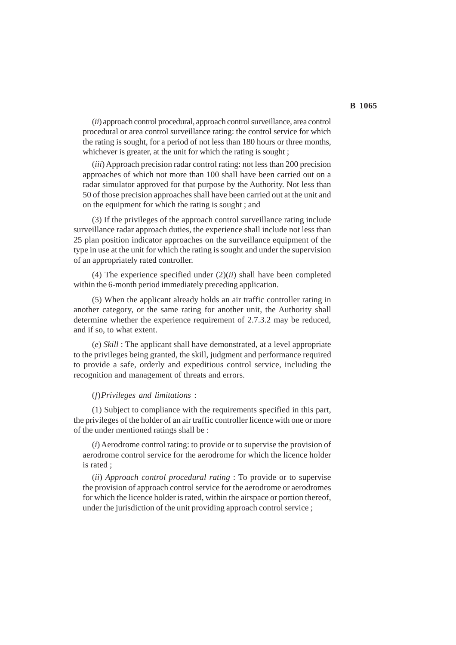(*ii*) approach control procedural, approach control surveillance, area control procedural or area control surveillance rating: the control service for which the rating is sought, for a period of not less than 180 hours or three months, whichever is greater, at the unit for which the rating is sought;

(*iii*) Approach precision radar control rating: not less than 200 precision approaches of which not more than 100 shall have been carried out on a radar simulator approved for that purpose by the Authority. Not less than 50 of those precision approaches shall have been carried out at the unit and on the equipment for which the rating is sought ; and

(3) If the privileges of the approach control surveillance rating include surveillance radar approach duties, the experience shall include not less than 25 plan position indicator approaches on the surveillance equipment of the type in use at the unit for which the rating is sought and under the supervision of an appropriately rated controller.

(4) The experience specified under (2)(*ii*) shall have been completed within the 6-month period immediately preceding application.

(5) When the applicant already holds an air traffic controller rating in another category, or the same rating for another unit, the Authority shall determine whether the experience requirement of 2.7.3.2 may be reduced, and if so, to what extent.

(*e*) *Skill* : The applicant shall have demonstrated, at a level appropriate to the privileges being granted, the skill, judgment and performance required to provide a safe, orderly and expeditious control service, including the recognition and management of threats and errors.

#### (*f*)*Privileges and limitations* :

(1) Subject to compliance with the requirements specified in this part, the privileges of the holder of an air traffic controller licence with one or more of the under mentioned ratings shall be :

(*i*) Aerodrome control rating: to provide or to supervise the provision of aerodrome control service for the aerodrome for which the licence holder is rated ;

(*ii*) *Approach control procedural rating* : To provide or to supervise the provision of approach control service for the aerodrome or aerodromes for which the licence holder is rated, within the airspace or portion thereof, under the jurisdiction of the unit providing approach control service ;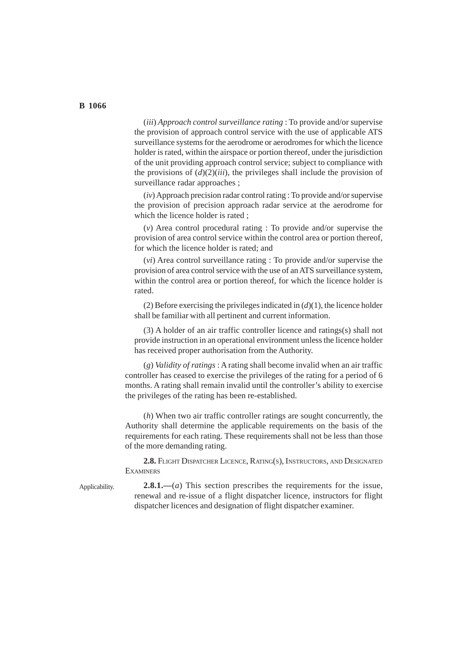(*iii*) *Approach control surveillance rating* : To provide and/or supervise the provision of approach control service with the use of applicable ATS surveillance systems for the aerodrome or aerodromes for which the licence holder is rated, within the airspace or portion thereof, under the jurisdiction of the unit providing approach control service; subject to compliance with the provisions of  $(d)(2)(iii)$ , the privileges shall include the provision of surveillance radar approaches ;

(*iv*) Approach precision radar control rating : To provide and/or supervise the provision of precision approach radar service at the aerodrome for which the licence holder is rated :

(*v*) Area control procedural rating : To provide and/or supervise the provision of area control service within the control area or portion thereof, for which the licence holder is rated; and

(*vi*) Area control surveillance rating : To provide and/or supervise the provision of area control service with the use of an ATS surveillance system, within the control area or portion thereof, for which the licence holder is rated.

(2) Before exercising the privileges indicated in  $(d)(1)$ , the licence holder shall be familiar with all pertinent and current information.

(3) A holder of an air traffic controller licence and ratings(s) shall not provide instruction in an operational environment unless the licence holder has received proper authorisation from the Authority.

(*g*) *Validity of ratings* : A rating shall become invalid when an air traffic controller has ceased to exercise the privileges of the rating for a period of 6 months. A rating shall remain invalid until the controller's ability to exercise the privileges of the rating has been re-established.

(*h*) When two air traffic controller ratings are sought concurrently, the Authority shall determine the applicable requirements on the basis of the requirements for each rating. These requirements shall not be less than those of the more demanding rating.

**2.8.** FLIGHT DISPATCHER LICENCE, RATING(S), INSTRUCTORS, AND DESIGNATED **EXAMINERS** 

Applicability.

**2.8.1.—**(*a*) This section prescribes the requirements for the issue, renewal and re-issue of a flight dispatcher licence, instructors for flight dispatcher licences and designation of flight dispatcher examiner.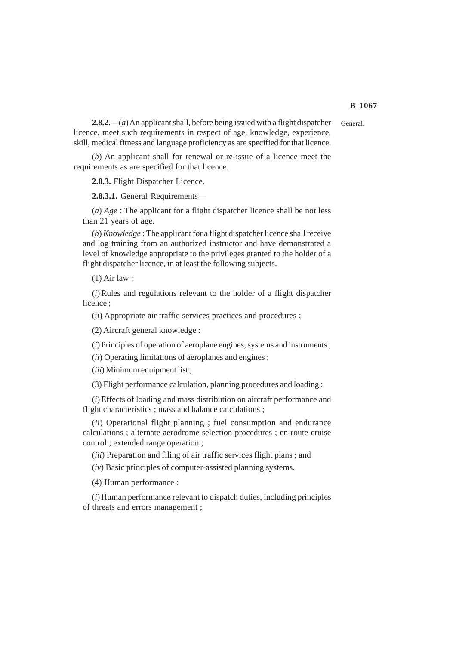General.

**2.8.2.—**(*a*) An applicant shall, before being issued with a flight dispatcher licence, meet such requirements in respect of age, knowledge, experience, skill, medical fitness and language proficiency as are specified for that licence.

(*b*) An applicant shall for renewal or re-issue of a licence meet the requirements as are specified for that licence.

**2.8.3.** Flight Dispatcher Licence.

**2.8.3.1.** General Requirements—

(*a*) *Age* : The applicant for a flight dispatcher licence shall be not less than 21 years of age.

(*b*) *Knowledge* : The applicant for a flight dispatcher licence shall receive and log training from an authorized instructor and have demonstrated a level of knowledge appropriate to the privileges granted to the holder of a flight dispatcher licence, in at least the following subjects.

(1) Air law :

(*i*) Rules and regulations relevant to the holder of a flight dispatcher licence :

(*ii*) Appropriate air traffic services practices and procedures ;

(2) Aircraft general knowledge :

(*i*) Principles of operation of aeroplane engines, systems and instruments ;

(*ii*) Operating limitations of aeroplanes and engines ;

(*iii*) Minimum equipment list ;

(3) Flight performance calculation, planning procedures and loading :

(*i*) Effects of loading and mass distribution on aircraft performance and flight characteristics ; mass and balance calculations ;

(*ii*) Operational flight planning ; fuel consumption and endurance calculations ; alternate aerodrome selection procedures ; en-route cruise control ; extended range operation ;

(*iii*) Preparation and filing of air traffic services flight plans ; and

(*iv*) Basic principles of computer-assisted planning systems.

(4) Human performance :

(*i*) Human performance relevant to dispatch duties, including principles of threats and errors management ;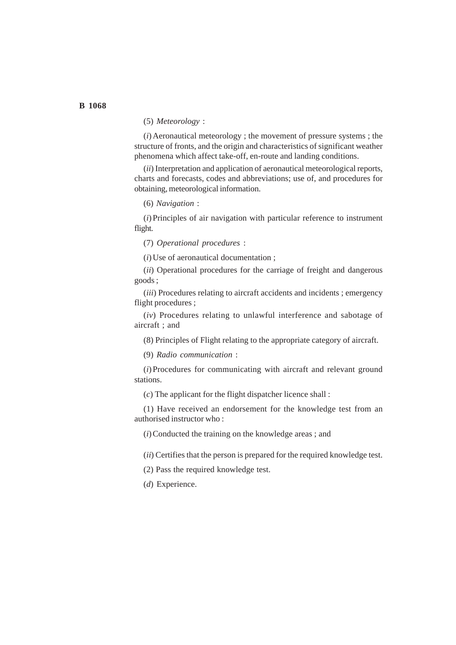# (5) *Meteorology* :

(*i*) Aeronautical meteorology ; the movement of pressure systems ; the structure of fronts, and the origin and characteristics of significant weather phenomena which affect take-off, en-route and landing conditions.

(*ii*) Interpretation and application of aeronautical meteorological reports, charts and forecasts, codes and abbreviations; use of, and procedures for obtaining, meteorological information.

(6) *Navigation* :

(*i*) Principles of air navigation with particular reference to instrument flight.

(7) *Operational procedures* :

(*i*) Use of aeronautical documentation ;

(*ii*) Operational procedures for the carriage of freight and dangerous goods ;

(*iii*) Procedures relating to aircraft accidents and incidents ; emergency flight procedures ;

(*iv*) Procedures relating to unlawful interference and sabotage of aircraft ; and

(8) Principles of Flight relating to the appropriate category of aircraft.

(9) *Radio communication* :

(*i*) Procedures for communicating with aircraft and relevant ground stations.

(*c*) The applicant for the flight dispatcher licence shall :

(1) Have received an endorsement for the knowledge test from an authorised instructor who :

(*i*) Conducted the training on the knowledge areas ; and

(*ii*) Certifies that the person is prepared for the required knowledge test.

(2) Pass the required knowledge test.

(*d*) Experience.

# **B 1068**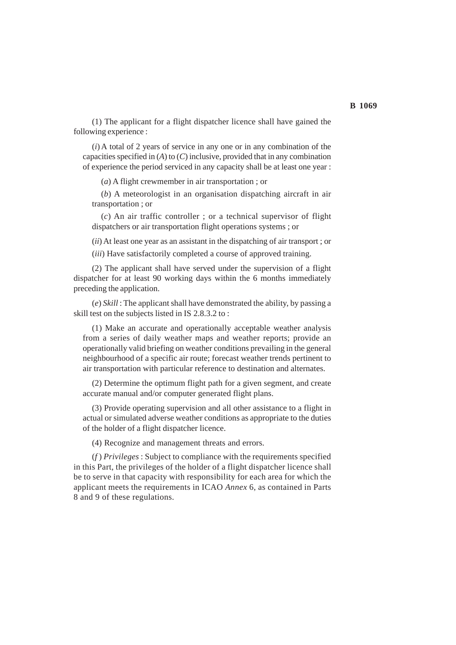(1) The applicant for a flight dispatcher licence shall have gained the following experience :

(*i*) A total of 2 years of service in any one or in any combination of the capacities specified in (*A*) to (*C*) inclusive, provided that in any combination of experience the period serviced in any capacity shall be at least one year :

(*a*) A flight crewmember in air transportation ; or

(*b*) A meteorologist in an organisation dispatching aircraft in air transportation ; or

(*c*) An air traffic controller ; or a technical supervisor of flight dispatchers or air transportation flight operations systems ; or

(*ii*) At least one year as an assistant in the dispatching of air transport ; or

(*iii*) Have satisfactorily completed a course of approved training.

(2) The applicant shall have served under the supervision of a flight dispatcher for at least 90 working days within the 6 months immediately preceding the application.

(*e*) *Skill* : The applicant shall have demonstrated the ability, by passing a skill test on the subjects listed in IS 2.8.3.2 to :

(1) Make an accurate and operationally acceptable weather analysis from a series of daily weather maps and weather reports; provide an operationally valid briefing on weather conditions prevailing in the general neighbourhood of a specific air route; forecast weather trends pertinent to air transportation with particular reference to destination and alternates.

(2) Determine the optimum flight path for a given segment, and create accurate manual and/or computer generated flight plans.

(3) Provide operating supervision and all other assistance to a flight in actual or simulated adverse weather conditions as appropriate to the duties of the holder of a flight dispatcher licence.

(4) Recognize and management threats and errors.

(*f* ) *Privileges* : Subject to compliance with the requirements specified in this Part, the privileges of the holder of a flight dispatcher licence shall be to serve in that capacity with responsibility for each area for which the applicant meets the requirements in ICAO *Annex* 6, as contained in Parts 8 and 9 of these regulations.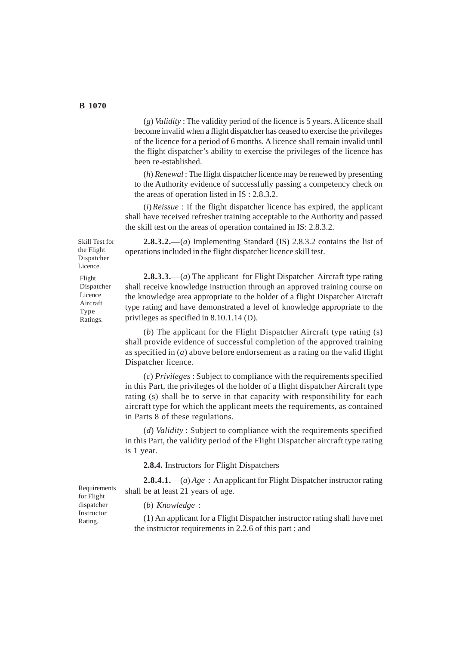(*g*) *Validity* : The validity period of the licence is 5 years. A licence shall become invalid when a flight dispatcher has ceased to exercise the privileges of the licence for a period of 6 months. A licence shall remain invalid until the flight dispatcher's ability to exercise the privileges of the licence has been re-established.

(*h*) *Renewal* : The flight dispatcher licence may be renewed by presenting to the Authority evidence of successfully passing a competency check on the areas of operation listed in IS : 2.8.3.2.

(*i*)*Reissue* : If the flight dispatcher licence has expired, the applicant shall have received refresher training acceptable to the Authority and passed the skill test on the areas of operation contained in IS: 2.8.3.2.

**2.8.3.2.**—(*a*) Implementing Standard (IS) 2.8.3.2 contains the list of operations included in the flight dispatcher licence skill test.

**2.8.3.3.**—(*a*) The applicant for Flight Dispatcher Aircraft type rating shall receive knowledge instruction through an approved training course on the knowledge area appropriate to the holder of a flight Dispatcher Aircraft type rating and have demonstrated a level of knowledge appropriate to the privileges as specified in 8.10.1.14 (D).

(*b*) The applicant for the Flight Dispatcher Aircraft type rating (s) shall provide evidence of successful completion of the approved training as specified in (*a*) above before endorsement as a rating on the valid flight Dispatcher licence.

(*c*) *Privileges* : Subject to compliance with the requirements specified in this Part, the privileges of the holder of a flight dispatcher Aircraft type rating (s) shall be to serve in that capacity with responsibility for each aircraft type for which the applicant meets the requirements, as contained in Parts 8 of these regulations.

(*d*) *Validity* : Subject to compliance with the requirements specified in this Part, the validity period of the Flight Dispatcher aircraft type rating is 1 year.

**2.8.4.** Instructors for Flight Dispatchers

**2.8.4.1.**—(*a*) *Age* : An applicant for Flight Dispatcher instructor rating shall be at least 21 years of age.

(*b*) *Knowledge* :

(1) An applicant for a Flight Dispatcher instructor rating shall have met the instructor requirements in 2.2.6 of this part ; and

Skill Test for the Flight Dispatcher Licence. Flight

Dispatcher Licence Aircraft Type Ratings.

Requirements for Flight dispatcher Instructor Rating.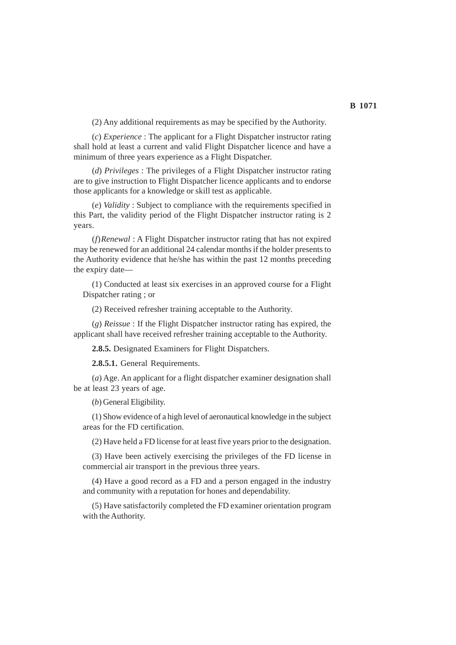(2) Any additional requirements as may be specified by the Authority.

(*c*) *Experience* : The applicant for a Flight Dispatcher instructor rating shall hold at least a current and valid Flight Dispatcher licence and have a minimum of three years experience as a Flight Dispatcher.

(*d*) *Privileges* : The privileges of a Flight Dispatcher instructor rating are to give instruction to Flight Dispatcher licence applicants and to endorse those applicants for a knowledge or skill test as applicable.

(*e*) *Validity* : Subject to compliance with the requirements specified in this Part, the validity period of the Flight Dispatcher instructor rating is 2 years.

(*f*)*Renewal* : A Flight Dispatcher instructor rating that has not expired may be renewed for an additional 24 calendar months if the holder presents to the Authority evidence that he/she has within the past 12 months preceding the expiry date—

(1) Conducted at least six exercises in an approved course for a Flight Dispatcher rating ; or

(2) Received refresher training acceptable to the Authority.

(*g*) *Reissue* : If the Flight Dispatcher instructor rating has expired, the applicant shall have received refresher training acceptable to the Authority.

**2.8.5.** Designated Examiners for Flight Dispatchers.

**2.8.5.1.** General Requirements.

(*a*) Age. An applicant for a flight dispatcher examiner designation shall be at least 23 years of age.

(*b*) General Eligibility.

(1) Show evidence of a high level of aeronautical knowledge in the subject areas for the FD certification.

(2) Have held a FD license for at least five years prior to the designation.

(3) Have been actively exercising the privileges of the FD license in commercial air transport in the previous three years.

(4) Have a good record as a FD and a person engaged in the industry and community with a reputation for hones and dependability.

(5) Have satisfactorily completed the FD examiner orientation program with the Authority.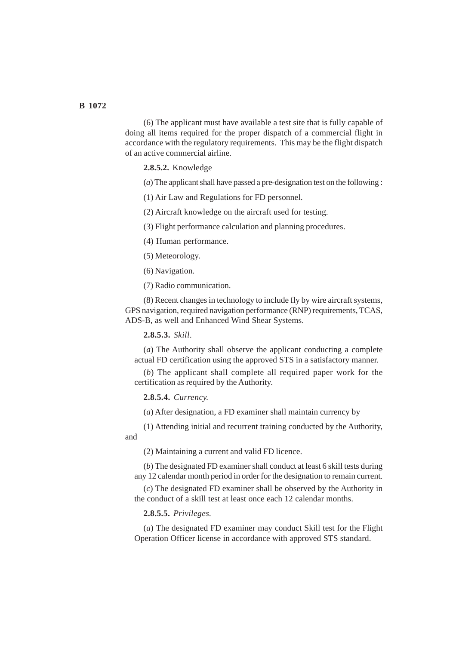(6) The applicant must have available a test site that is fully capable of doing all items required for the proper dispatch of a commercial flight in accordance with the regulatory requirements. This may be the flight dispatch of an active commercial airline.

**2.8.5.2.** Knowledge

(*a*) The applicant shall have passed a pre-designation test on the following :

(1) Air Law and Regulations for FD personnel.

(2) Aircraft knowledge on the aircraft used for testing.

(3) Flight performance calculation and planning procedures.

(4) Human performance.

(5) Meteorology.

(6) Navigation.

(7) Radio communication.

(8) Recent changes in technology to include fly by wire aircraft systems, GPS navigation, required navigation performance (RNP) requirements, TCAS, ADS-B, as well and Enhanced Wind Shear Systems.

**2.8.5.3.** *Skill*.

(*a*) The Authority shall observe the applicant conducting a complete actual FD certification using the approved STS in a satisfactory manner.

(*b*) The applicant shall complete all required paper work for the certification as required by the Authority.

**2.8.5.4.** *Currency.*

(*a*) After designation, a FD examiner shall maintain currency by

(1) Attending initial and recurrent training conducted by the Authority, and

(2) Maintaining a current and valid FD licence.

(*b*) The designated FD examiner shall conduct at least 6 skill tests during any 12 calendar month period in order for the designation to remain current.

(*c*) The designated FD examiner shall be observed by the Authority in the conduct of a skill test at least once each 12 calendar months.

**2.8.5.5.** *Privileges.*

(*a*) The designated FD examiner may conduct Skill test for the Flight Operation Officer license in accordance with approved STS standard.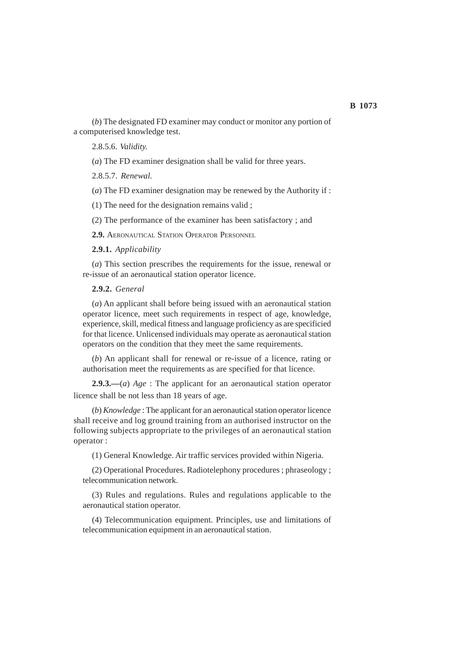(*b*) The designated FD examiner may conduct or monitor any portion of a computerised knowledge test.

2.8.5.6. *Validity.*

(*a*) The FD examiner designation shall be valid for three years.

2.8.5.7. *Renewal.*

(*a*) The FD examiner designation may be renewed by the Authority if :

(1) The need for the designation remains valid ;

(2) The performance of the examiner has been satisfactory ; and

**2.9.** AERONAUTICAL STATION OPERATOR PERSONNEL

**2.9.1.** *Applicability*

(*a*) This section prescribes the requirements for the issue, renewal or re-issue of an aeronautical station operator licence.

### **2.9.2.** *General*

(*a*) An applicant shall before being issued with an aeronautical station operator licence, meet such requirements in respect of age, knowledge, experience, skill, medical fitness and language proficiency as are specificied for that licence. Unlicensed individuals may operate as aeronautical station operators on the condition that they meet the same requirements.

(*b*) An applicant shall for renewal or re-issue of a licence, rating or authorisation meet the requirements as are specified for that licence.

**2.9.3.—**(*a*) *Age* : The applicant for an aeronautical station operator licence shall be not less than 18 years of age.

(*b*) *Knowledge* : The applicant for an aeronautical station operator licence shall receive and log ground training from an authorised instructor on the following subjects appropriate to the privileges of an aeronautical station operator :

(1) General Knowledge. Air traffic services provided within Nigeria.

(2) Operational Procedures. Radiotelephony procedures ; phraseology ; telecommunication network.

(3) Rules and regulations. Rules and regulations applicable to the aeronautical station operator.

(4) Telecommunication equipment. Principles, use and limitations of telecommunication equipment in an aeronautical station.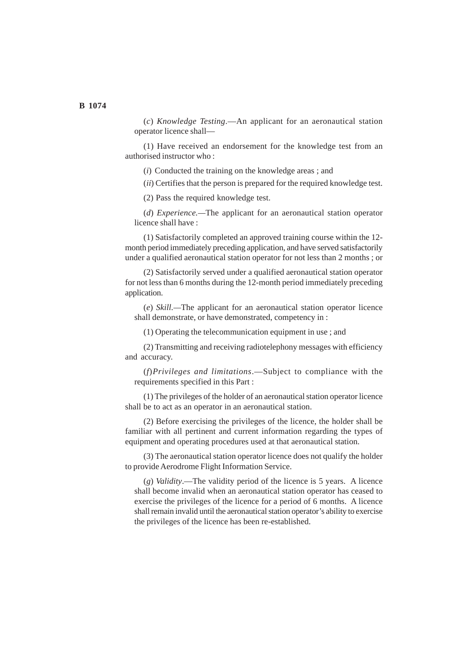(*c*) *Knowledge Testing*.—An applicant for an aeronautical station operator licence shall—

(1) Have received an endorsement for the knowledge test from an authorised instructor who :

(*i*) Conducted the training on the knowledge areas ; and

(*ii*) Certifies that the person is prepared for the required knowledge test.

(2) Pass the required knowledge test.

(*d*) *Experience.—*The applicant for an aeronautical station operator licence shall have :

(1) Satisfactorily completed an approved training course within the 12 month period immediately preceding application, and have served satisfactorily under a qualified aeronautical station operator for not less than 2 months ; or

(2) Satisfactorily served under a qualified aeronautical station operator for not less than 6 months during the 12-month period immediately preceding application.

(*e*) *Skill.—*The applicant for an aeronautical station operator licence shall demonstrate, or have demonstrated, competency in :

(1) Operating the telecommunication equipment in use ; and

(2) Transmitting and receiving radiotelephony messages with efficiency and accuracy.

(*f*)*Privileges and limitations*.—Subject to compliance with the requirements specified in this Part :

(1) The privileges of the holder of an aeronautical station operator licence shall be to act as an operator in an aeronautical station.

(2) Before exercising the privileges of the licence, the holder shall be familiar with all pertinent and current information regarding the types of equipment and operating procedures used at that aeronautical station.

(3) The aeronautical station operator licence does not qualify the holder to provide Aerodrome Flight Information Service.

(*g*) *Validity*.—The validity period of the licence is 5 years. A licence shall become invalid when an aeronautical station operator has ceased to exercise the privileges of the licence for a period of 6 months. A licence shall remain invalid until the aeronautical station operator's ability to exercise the privileges of the licence has been re-established.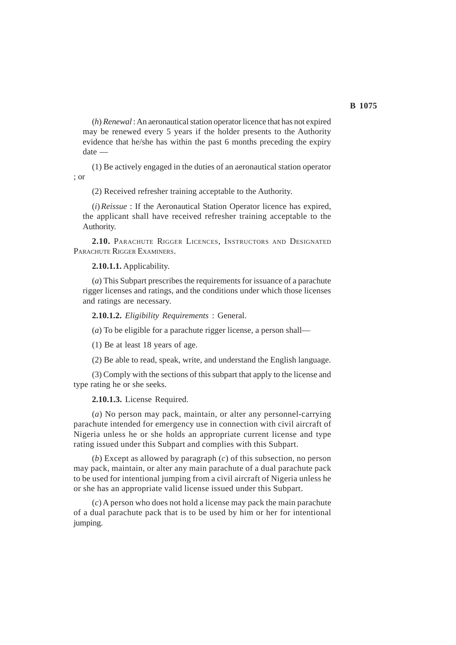(*h*) *Renewal* : An aeronautical station operator licence that has not expired may be renewed every 5 years if the holder presents to the Authority evidence that he/she has within the past 6 months preceding the expiry date —

(1) Be actively engaged in the duties of an aeronautical station operator ; or

(2) Received refresher training acceptable to the Authority.

(*i*)*Reissue* : If the Aeronautical Station Operator licence has expired, the applicant shall have received refresher training acceptable to the Authority.

**2.10.** PARACHUTE RIGGER LICENCES, INSTRUCTORS AND DESIGNATED PARACHUTE RIGGER EXAMINERS.

**2.10.1.1.** Applicability.

(*a*) This Subpart prescribes the requirements for issuance of a parachute rigger licenses and ratings, and the conditions under which those licenses and ratings are necessary.

**2.10.1.2.** *Eligibility Requirements* : General.

(*a*) To be eligible for a parachute rigger license, a person shall—

(1) Be at least 18 years of age.

(2) Be able to read, speak, write, and understand the English language.

(3) Comply with the sections of this subpart that apply to the license and type rating he or she seeks.

#### **2.10.1.3.** License Required.

(*a*) No person may pack, maintain, or alter any personnel-carrying parachute intended for emergency use in connection with civil aircraft of Nigeria unless he or she holds an appropriate current license and type rating issued under this Subpart and complies with this Subpart.

(*b*) Except as allowed by paragraph (*c*) of this subsection, no person may pack, maintain, or alter any main parachute of a dual parachute pack to be used for intentional jumping from a civil aircraft of Nigeria unless he or she has an appropriate valid license issued under this Subpart.

(*c*) A person who does not hold a license may pack the main parachute of a dual parachute pack that is to be used by him or her for intentional jumping.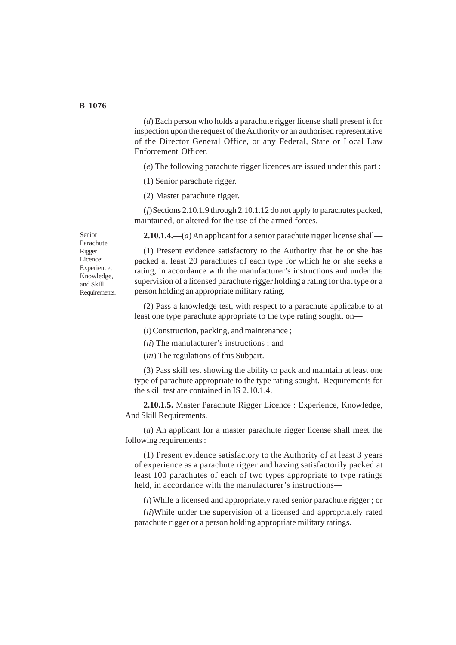(*d*) Each person who holds a parachute rigger license shall present it for inspection upon the request of the Authority or an authorised representative of the Director General Office, or any Federal, State or Local Law Enforcement Officer.

(*e*) The following parachute rigger licences are issued under this part :

(1) Senior parachute rigger.

(2) Master parachute rigger.

(*f*)Sections 2.10.1.9 through 2.10.1.12 do not apply to parachutes packed, maintained, or altered for the use of the armed forces.

**2.10.1.4.**—(*a*) An applicant for a senior parachute rigger license shall—

Senior Parachute Rigger Licence: Experience, Knowledge, and Skill Requirements.

(1) Present evidence satisfactory to the Authority that he or she has packed at least 20 parachutes of each type for which he or she seeks a rating, in accordance with the manufacturer's instructions and under the supervision of a licensed parachute rigger holding a rating for that type or a person holding an appropriate military rating.

(2) Pass a knowledge test, with respect to a parachute applicable to at least one type parachute appropriate to the type rating sought, on—

(*i*) Construction, packing, and maintenance ;

(*ii*) The manufacturer's instructions ; and

(*iii*) The regulations of this Subpart.

(3) Pass skill test showing the ability to pack and maintain at least one type of parachute appropriate to the type rating sought. Requirements for the skill test are contained in IS 2.10.1.4.

**2.10.1.5.** Master Parachute Rigger Licence : Experience, Knowledge, And Skill Requirements.

(*a*) An applicant for a master parachute rigger license shall meet the following requirements :

(1) Present evidence satisfactory to the Authority of at least 3 years of experience as a parachute rigger and having satisfactorily packed at least 100 parachutes of each of two types appropriate to type ratings held, in accordance with the manufacturer's instructions—

(*i*) While a licensed and appropriately rated senior parachute rigger ; or

(*ii*)While under the supervision of a licensed and appropriately rated parachute rigger or a person holding appropriate military ratings.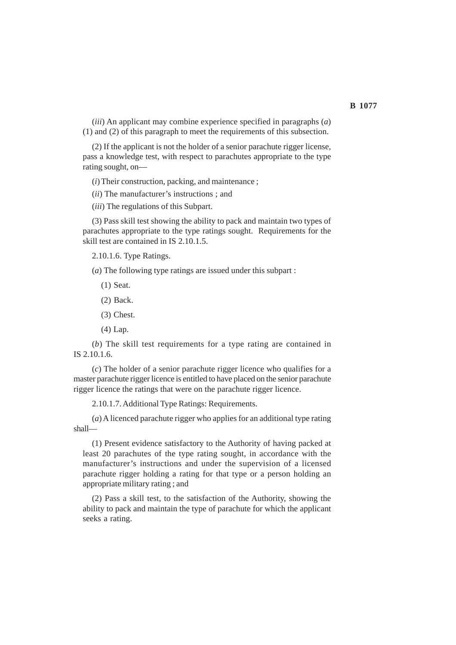(*iii*) An applicant may combine experience specified in paragraphs (*a*) (1) and (2) of this paragraph to meet the requirements of this subsection.

(2) If the applicant is not the holder of a senior parachute rigger license, pass a knowledge test, with respect to parachutes appropriate to the type rating sought, on—

(*i*) Their construction, packing, and maintenance ;

(*ii*) The manufacturer's instructions ; and

(*iii*) The regulations of this Subpart.

(3) Pass skill test showing the ability to pack and maintain two types of parachutes appropriate to the type ratings sought. Requirements for the skill test are contained in IS 2.10.1.5.

2.10.1.6. Type Ratings.

(*a*) The following type ratings are issued under this subpart :

- (1) Seat.
- (2) Back.
- (3) Chest.
- (4) Lap.

(*b*) The skill test requirements for a type rating are contained in IS 2.10.1.6.

(*c*) The holder of a senior parachute rigger licence who qualifies for a master parachute rigger licence is entitled to have placed on the senior parachute rigger licence the ratings that were on the parachute rigger licence.

2.10.1.7. Additional Type Ratings: Requirements.

(*a*) A licenced parachute rigger who applies for an additional type rating shall—

(1) Present evidence satisfactory to the Authority of having packed at least 20 parachutes of the type rating sought, in accordance with the manufacturer's instructions and under the supervision of a licensed parachute rigger holding a rating for that type or a person holding an appropriate military rating ; and

(2) Pass a skill test, to the satisfaction of the Authority, showing the ability to pack and maintain the type of parachute for which the applicant seeks a rating.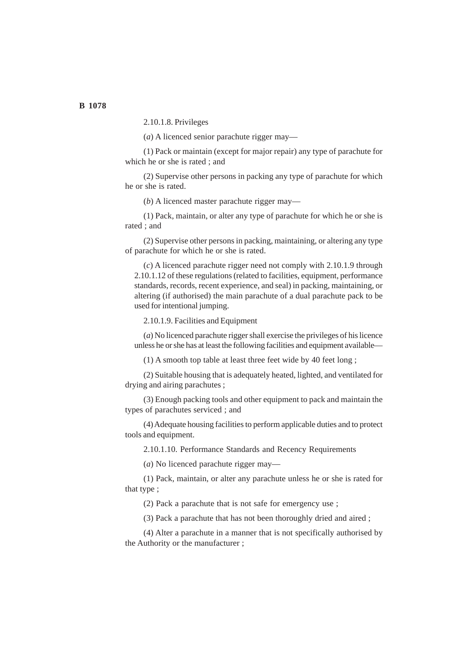2.10.1.8. Privileges

(*a*) A licenced senior parachute rigger may—

(1) Pack or maintain (except for major repair) any type of parachute for which he or she is rated ; and

(2) Supervise other persons in packing any type of parachute for which he or she is rated.

(*b*) A licenced master parachute rigger may—

(1) Pack, maintain, or alter any type of parachute for which he or she is rated ; and

(2) Supervise other persons in packing, maintaining, or altering any type of parachute for which he or she is rated.

(*c*) A licenced parachute rigger need not comply with 2.10.1.9 through 2.10.1.12 of these regulations (related to facilities, equipment, performance standards, records, recent experience, and seal) in packing, maintaining, or altering (if authorised) the main parachute of a dual parachute pack to be used for intentional jumping.

2.10.1.9. Facilities and Equipment

(*a*) No licenced parachute rigger shall exercise the privileges of his licence unless he or she has at least the following facilities and equipment available—

(1) A smooth top table at least three feet wide by 40 feet long ;

(2) Suitable housing that is adequately heated, lighted, and ventilated for drying and airing parachutes ;

(3) Enough packing tools and other equipment to pack and maintain the types of parachutes serviced ; and

(4) Adequate housing facilities to perform applicable duties and to protect tools and equipment.

2.10.1.10. Performance Standards and Recency Requirements

(*a*) No licenced parachute rigger may—

(1) Pack, maintain, or alter any parachute unless he or she is rated for that type ;

(2) Pack a parachute that is not safe for emergency use ;

(3) Pack a parachute that has not been thoroughly dried and aired ;

(4) Alter a parachute in a manner that is not specifically authorised by the Authority or the manufacturer ;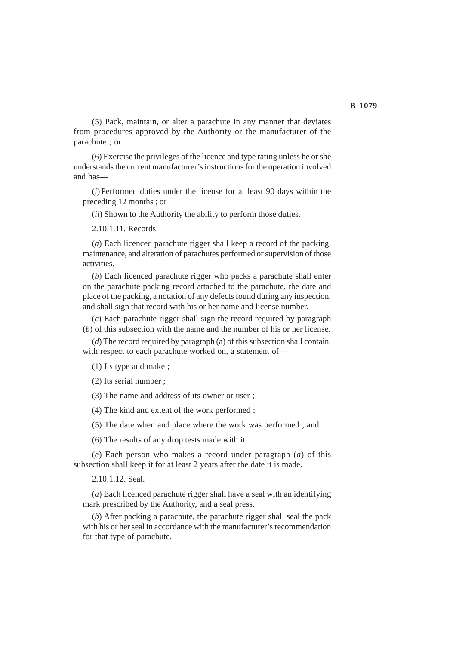(5) Pack, maintain, or alter a parachute in any manner that deviates from procedures approved by the Authority or the manufacturer of the parachute ; or

(6) Exercise the privileges of the licence and type rating unless he or she understands the current manufacturer's instructions for the operation involved and has—

(*i*) Performed duties under the license for at least 90 days within the preceding 12 months ; or

(*ii*) Shown to the Authority the ability to perform those duties.

2.10.1.11. Records.

(*a*) Each licenced parachute rigger shall keep a record of the packing, maintenance, and alteration of parachutes performed or supervision of those activities.

(*b*) Each licenced parachute rigger who packs a parachute shall enter on the parachute packing record attached to the parachute, the date and place of the packing, a notation of any defects found during any inspection, and shall sign that record with his or her name and license number.

(*c*) Each parachute rigger shall sign the record required by paragraph (*b*) of this subsection with the name and the number of his or her license.

(*d*) The record required by paragraph (a) of this subsection shall contain, with respect to each parachute worked on, a statement of—

(1) Its type and make ;

(2) Its serial number ;

(3) The name and address of its owner or user ;

(4) The kind and extent of the work performed ;

(5) The date when and place where the work was performed ; and

(6) The results of any drop tests made with it.

(*e*) Each person who makes a record under paragraph (*a*) of this subsection shall keep it for at least 2 years after the date it is made.

2.10.1.12. Seal.

(*a*) Each licenced parachute rigger shall have a seal with an identifying mark prescribed by the Authority, and a seal press.

(*b*) After packing a parachute, the parachute rigger shall seal the pack with his or her seal in accordance with the manufacturer's recommendation for that type of parachute.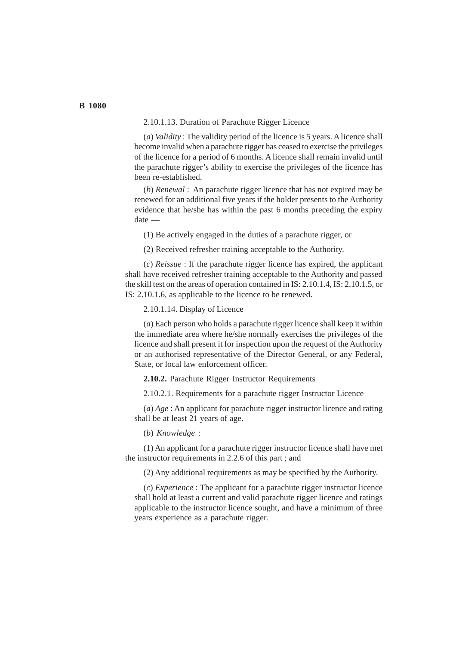#### 2.10.1.13. Duration of Parachute Rigger Licence

(*a*) *Validity* : The validity period of the licence is 5 years. A licence shall become invalid when a parachute rigger has ceased to exercise the privileges of the licence for a period of 6 months. A licence shall remain invalid until the parachute rigger's ability to exercise the privileges of the licence has been re-established.

(*b*) *Renewal* : An parachute rigger licence that has not expired may be renewed for an additional five years if the holder presents to the Authority evidence that he/she has within the past 6 months preceding the expiry date —

(1) Be actively engaged in the duties of a parachute rigger, or

(2) Received refresher training acceptable to the Authority.

(*c*) *Reissue* : If the parachute rigger licence has expired, the applicant shall have received refresher training acceptable to the Authority and passed the skill test on the areas of operation contained in IS: 2.10.1.4, IS: 2.10.1.5, or IS: 2.10.1.6, as applicable to the licence to be renewed.

2.10.1.14. Display of Licence

(*a*) Each person who holds a parachute rigger licence shall keep it within the immediate area where he/she normally exercises the privileges of the licence and shall present it for inspection upon the request of the Authority or an authorised representative of the Director General, or any Federal, State, or local law enforcement officer.

**2.10.2.** Parachute Rigger Instructor Requirements

2.10.2.1. Requirements for a parachute rigger Instructor Licence

(*a*) *Age* : An applicant for parachute rigger instructor licence and rating shall be at least 21 years of age.

(*b*) *Knowledge* :

(1) An applicant for a parachute rigger instructor licence shall have met the instructor requirements in 2.2.6 of this part ; and

(2) Any additional requirements as may be specified by the Authority.

(*c*) *Experience* : The applicant for a parachute rigger instructor licence shall hold at least a current and valid parachute rigger licence and ratings applicable to the instructor licence sought, and have a minimum of three years experience as a parachute rigger.

## **B 1080**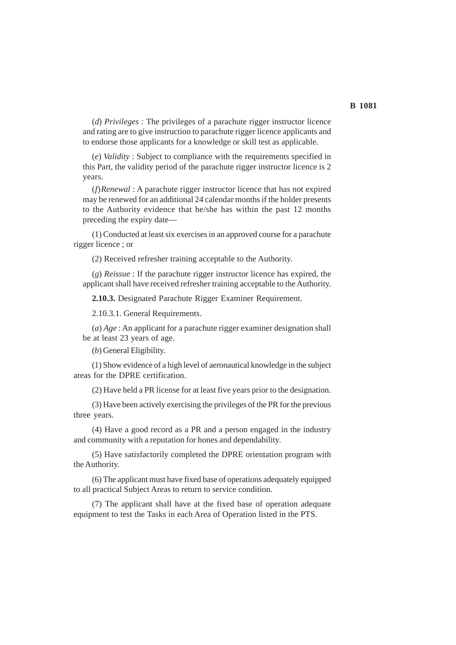(*d*) *Privileges* : The privileges of a parachute rigger instructor licence and rating are to give instruction to parachute rigger licence applicants and to endorse those applicants for a knowledge or skill test as applicable.

(*e*) *Validity* : Subject to compliance with the requirements specified in this Part, the validity period of the parachute rigger instructor licence is 2 years.

(*f*)*Renewal* : A parachute rigger instructor licence that has not expired may be renewed for an additional 24 calendar months if the holder presents to the Authority evidence that he/she has within the past 12 months preceding the expiry date—

(1) Conducted at least six exercises in an approved course for a parachute rigger licence ; or

(2) Received refresher training acceptable to the Authority.

(*g*) *Reissue* : If the parachute rigger instructor licence has expired, the applicant shall have received refresher training acceptable to the Authority.

**2.10.3.** Designated Parachute Rigger Examiner Requirement.

2.10.3.1. General Requirements.

(*a*) *Age* : An applicant for a parachute rigger examiner designation shall be at least 23 years of age.

(*b*) General Eligibility.

(1) Show evidence of a high level of aeronautical knowledge in the subject areas for the DPRE certification.

(2) Have held a PR license for at least five years prior to the designation.

(3) Have been actively exercising the privileges of the PR for the previous three years.

(4) Have a good record as a PR and a person engaged in the industry and community with a reputation for hones and dependability.

(5) Have satisfactorily completed the DPRE orientation program with the Authority.

(6) The applicant must have fixed base of operations adequately equipped to all practical Subject Areas to return to service condition.

(7) The applicant shall have at the fixed base of operation adequate equipment to test the Tasks in each Area of Operation listed in the PTS.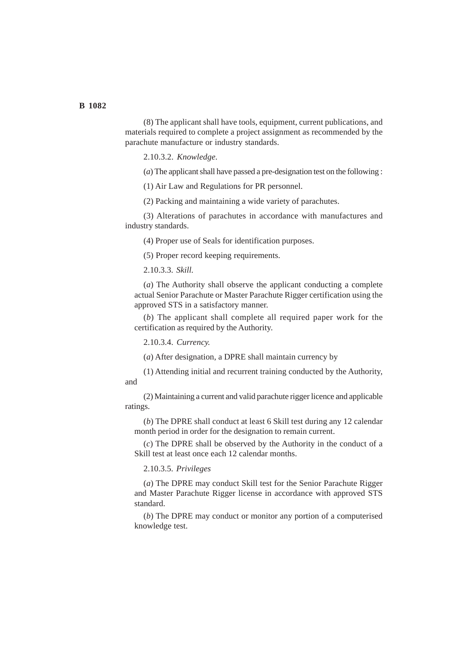(8) The applicant shall have tools, equipment, current publications, and materials required to complete a project assignment as recommended by the parachute manufacture or industry standards.

2.10.3.2. *Knowledge.*

(*a*) The applicant shall have passed a pre-designation test on the following :

(1) Air Law and Regulations for PR personnel.

(2) Packing and maintaining a wide variety of parachutes.

(3) Alterations of parachutes in accordance with manufactures and industry standards.

(4) Proper use of Seals for identification purposes.

(5) Proper record keeping requirements.

2.10.3.3. *Skill.*

(*a*) The Authority shall observe the applicant conducting a complete actual Senior Parachute or Master Parachute Rigger certification using the approved STS in a satisfactory manner.

(*b*) The applicant shall complete all required paper work for the certification as required by the Authority.

2.10.3.4. *Currency.*

(*a*) After designation, a DPRE shall maintain currency by

(1) Attending initial and recurrent training conducted by the Authority, and

(2) Maintaining a current and valid parachute rigger licence and applicable ratings.

(*b*) The DPRE shall conduct at least 6 Skill test during any 12 calendar month period in order for the designation to remain current.

(*c*) The DPRE shall be observed by the Authority in the conduct of a Skill test at least once each 12 calendar months.

2.10.3.5. *Privileges*

(*a*) The DPRE may conduct Skill test for the Senior Parachute Rigger and Master Parachute Rigger license in accordance with approved STS standard.

(*b*) The DPRE may conduct or monitor any portion of a computerised knowledge test.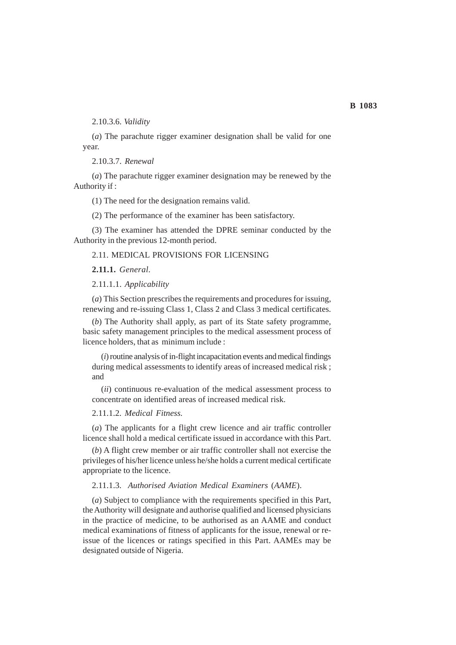2.10.3.6. *Validity*

(*a*) The parachute rigger examiner designation shall be valid for one year.

2.10.3.7. *Renewal*

(*a*) The parachute rigger examiner designation may be renewed by the Authority if :

(1) The need for the designation remains valid.

(2) The performance of the examiner has been satisfactory.

(3) The examiner has attended the DPRE seminar conducted by the Authority in the previous 12-month period.

## 2.11. MEDICAL PROVISIONS FOR LICENSING

**2.11.1.** *General.*

2.11.1.1. *Applicability*

(*a*) This Section prescribes the requirements and procedures for issuing, renewing and re-issuing Class 1, Class 2 and Class 3 medical certificates.

(*b*) The Authority shall apply, as part of its State safety programme, basic safety management principles to the medical assessment process of licence holders, that as minimum include :

(*i*) routine analysis of in-flight incapacitation events and medical findings during medical assessments to identify areas of increased medical risk ; and

(*ii*) continuous re-evaluation of the medical assessment process to concentrate on identified areas of increased medical risk.

2.11.1.2. *Medical Fitness.*

(*a*) The applicants for a flight crew licence and air traffic controller licence shall hold a medical certificate issued in accordance with this Part.

(*b*) A flight crew member or air traffic controller shall not exercise the privileges of his/her licence unless he/she holds a current medical certificate appropriate to the licence.

2.11.1.3. *Authorised Aviation Medical Examiners* (*AAME*).

(*a*) Subject to compliance with the requirements specified in this Part, the Authority will designate and authorise qualified and licensed physicians in the practice of medicine, to be authorised as an AAME and conduct medical examinations of fitness of applicants for the issue, renewal or reissue of the licences or ratings specified in this Part. AAMEs may be designated outside of Nigeria.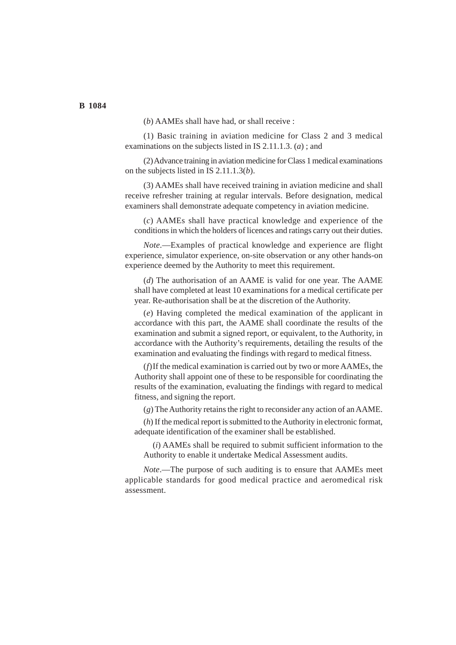(*b*) AAMEs shall have had, or shall receive :

(1) Basic training in aviation medicine for Class 2 and 3 medical examinations on the subjects listed in IS 2.11.1.3. (*a*) ; and

(2) Advance training in aviation medicine for Class 1 medical examinations on the subjects listed in IS 2.11.1.3(*b*).

(3) AAMEs shall have received training in aviation medicine and shall receive refresher training at regular intervals. Before designation, medical examiners shall demonstrate adequate competency in aviation medicine.

(*c*) AAMEs shall have practical knowledge and experience of the conditions in which the holders of licences and ratings carry out their duties.

*Note*.—Examples of practical knowledge and experience are flight experience, simulator experience, on-site observation or any other hands-on experience deemed by the Authority to meet this requirement.

(*d*) The authorisation of an AAME is valid for one year. The AAME shall have completed at least 10 examinations for a medical certificate per year. Re-authorisation shall be at the discretion of the Authority.

(*e*) Having completed the medical examination of the applicant in accordance with this part, the AAME shall coordinate the results of the examination and submit a signed report, or equivalent, to the Authority, in accordance with the Authority's requirements, detailing the results of the examination and evaluating the findings with regard to medical fitness.

(*f*)If the medical examination is carried out by two or more AAMEs, the Authority shall appoint one of these to be responsible for coordinating the results of the examination, evaluating the findings with regard to medical fitness, and signing the report.

(*g*) The Authority retains the right to reconsider any action of an AAME.

(*h*) If the medical report is submitted to the Authority in electronic format, adequate identification of the examiner shall be established.

(*i*) AAMEs shall be required to submit sufficient information to the Authority to enable it undertake Medical Assessment audits.

*Note*.—The purpose of such auditing is to ensure that AAMEs meet applicable standards for good medical practice and aeromedical risk assessment.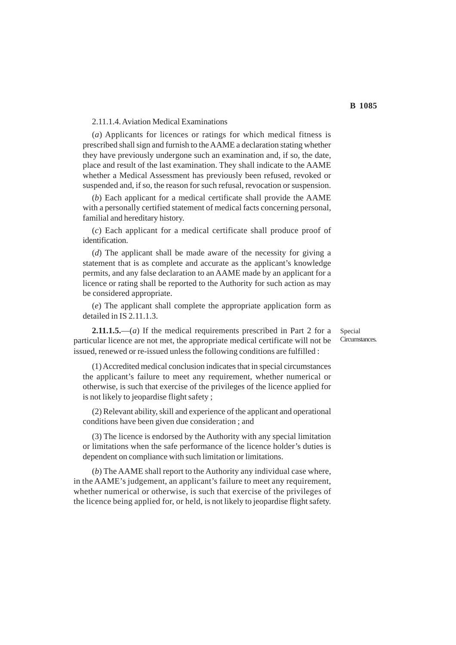#### 2.11.1.4. Aviation Medical Examinations

(*a*) Applicants for licences or ratings for which medical fitness is prescribed shall sign and furnish to the AAME a declaration stating whether they have previously undergone such an examination and, if so, the date, place and result of the last examination. They shall indicate to the AAME whether a Medical Assessment has previously been refused, revoked or suspended and, if so, the reason for such refusal, revocation or suspension.

(*b*) Each applicant for a medical certificate shall provide the AAME with a personally certified statement of medical facts concerning personal, familial and hereditary history.

(*c*) Each applicant for a medical certificate shall produce proof of identification.

(*d*) The applicant shall be made aware of the necessity for giving a statement that is as complete and accurate as the applicant's knowledge permits, and any false declaration to an AAME made by an applicant for a licence or rating shall be reported to the Authority for such action as may be considered appropriate.

(*e*) The applicant shall complete the appropriate application form as detailed in IS 2.11.1.3.

**2.11.1.5.**—(*a*) If the medical requirements prescribed in Part 2 for a particular licence are not met, the appropriate medical certificate will not be issued, renewed or re-issued unless the following conditions are fulfilled :

(1) Accredited medical conclusion indicates that in special circumstances the applicant's failure to meet any requirement, whether numerical or otherwise, is such that exercise of the privileges of the licence applied for is not likely to jeopardise flight safety ;

(2) Relevant ability, skill and experience of the applicant and operational conditions have been given due consideration ; and

(3) The licence is endorsed by the Authority with any special limitation or limitations when the safe performance of the licence holder's duties is dependent on compliance with such limitation or limitations.

(*b*) The AAME shall report to the Authority any individual case where, in the AAME's judgement, an applicant's failure to meet any requirement, whether numerical or otherwise, is such that exercise of the privileges of the licence being applied for, or held, is not likely to jeopardise flight safety.

Special Circumstances.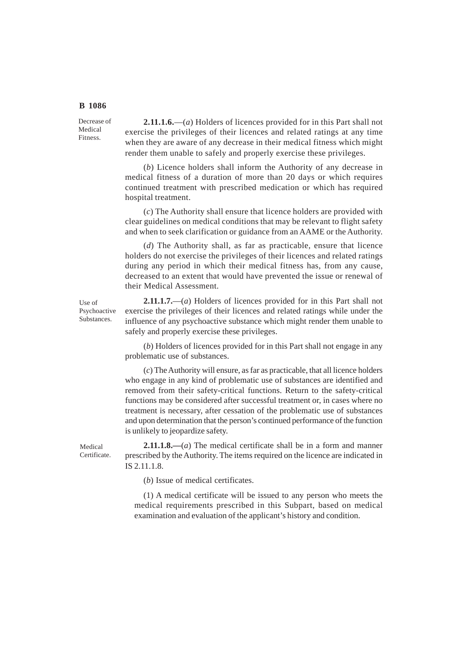Decrease of Medical Fitness.

**2.11.1.6.**—(*a*) Holders of licences provided for in this Part shall not exercise the privileges of their licences and related ratings at any time when they are aware of any decrease in their medical fitness which might render them unable to safely and properly exercise these privileges.

(*b*) Licence holders shall inform the Authority of any decrease in medical fitness of a duration of more than 20 days or which requires continued treatment with prescribed medication or which has required hospital treatment.

(*c*) The Authority shall ensure that licence holders are provided with clear guidelines on medical conditions that may be relevant to flight safety and when to seek clarification or guidance from an AAME or the Authority.

(*d*) The Authority shall, as far as practicable, ensure that licence holders do not exercise the privileges of their licences and related ratings during any period in which their medical fitness has, from any cause, decreased to an extent that would have prevented the issue or renewal of their Medical Assessment.

Use of Psychoactive Substances.

**2.11.1.7.**—(*a*) Holders of licences provided for in this Part shall not exercise the privileges of their licences and related ratings while under the influence of any psychoactive substance which might render them unable to safely and properly exercise these privileges.

(*b*) Holders of licences provided for in this Part shall not engage in any problematic use of substances.

(*c*) The Authority will ensure, as far as practicable, that all licence holders who engage in any kind of problematic use of substances are identified and removed from their safety-critical functions. Return to the safety-critical functions may be considered after successful treatment or, in cases where no treatment is necessary, after cessation of the problematic use of substances and upon determination that the person's continued performance of the function is unlikely to jeopardize safety.

Medical Certificate.

**2.11.1.8.—**(*a*) The medical certificate shall be in a form and manner prescribed by the Authority. The items required on the licence are indicated in IS 2.11.1.8.

(*b*) Issue of medical certificates.

(1) A medical certificate will be issued to any person who meets the medical requirements prescribed in this Subpart, based on medical examination and evaluation of the applicant's history and condition.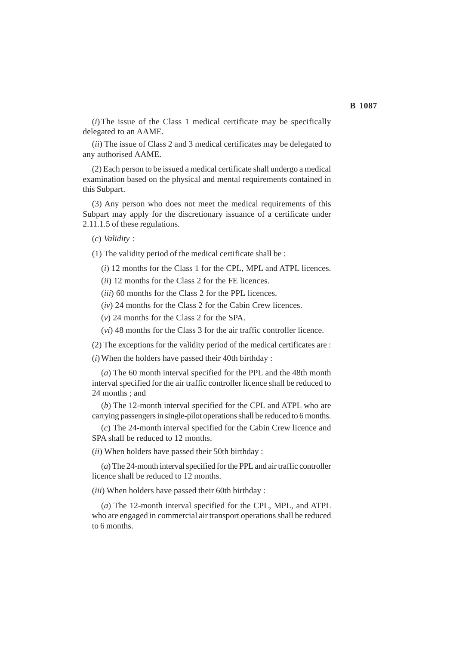(*i*)The issue of the Class 1 medical certificate may be specifically delegated to an AAME.

(*ii*) The issue of Class 2 and 3 medical certificates may be delegated to any authorised AAME.

(2) Each person to be issued a medical certificate shall undergo a medical examination based on the physical and mental requirements contained in this Subpart.

(3) Any person who does not meet the medical requirements of this Subpart may apply for the discretionary issuance of a certificate under 2.11.1.5 of these regulations.

(*c*) *Validity* :

(1) The validity period of the medical certificate shall be :

(*i*) 12 months for the Class 1 for the CPL, MPL and ATPL licences.

(*ii*) 12 months for the Class 2 for the FE licences.

(*iii*) 60 months for the Class 2 for the PPL licences.

(*iv*) 24 months for the Class 2 for the Cabin Crew licences.

(*v*) 24 months for the Class 2 for the SPA.

(*vi*) 48 months for the Class 3 for the air traffic controller licence.

(2) The exceptions for the validity period of the medical certificates are :

(*i*) When the holders have passed their 40th birthday :

(*a*) The 60 month interval specified for the PPL and the 48th month interval specified for the air traffic controller licence shall be reduced to 24 months : and

(*b*) The 12-month interval specified for the CPL and ATPL who are carrying passengers in single-pilot operations shall be reduced to 6 months.

(*c*) The 24-month interval specified for the Cabin Crew licence and SPA shall be reduced to 12 months.

(*ii*) When holders have passed their 50th birthday :

(*a*) The 24-month interval specified for the PPL and air traffic controller licence shall be reduced to 12 months.

(*iii*) When holders have passed their 60th birthday :

(*a*) The 12-month interval specified for the CPL, MPL, and ATPL who are engaged in commercial air transport operations shall be reduced to 6 months.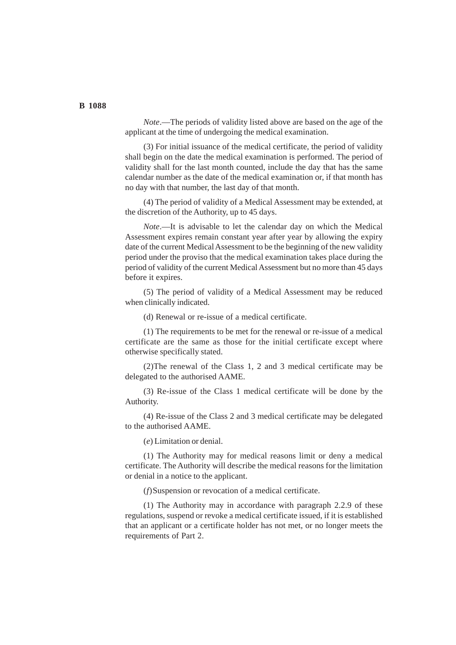*Note*.—The periods of validity listed above are based on the age of the applicant at the time of undergoing the medical examination.

(3) For initial issuance of the medical certificate, the period of validity shall begin on the date the medical examination is performed. The period of validity shall for the last month counted, include the day that has the same calendar number as the date of the medical examination or, if that month has no day with that number, the last day of that month.

(4) The period of validity of a Medical Assessment may be extended, at the discretion of the Authority, up to 45 days.

*Note*.—It is advisable to let the calendar day on which the Medical Assessment expires remain constant year after year by allowing the expiry date of the current Medical Assessment to be the beginning of the new validity period under the proviso that the medical examination takes place during the period of validity of the current Medical Assessment but no more than 45 days before it expires.

(5) The period of validity of a Medical Assessment may be reduced when clinically indicated.

(d) Renewal or re-issue of a medical certificate.

(1) The requirements to be met for the renewal or re-issue of a medical certificate are the same as those for the initial certificate except where otherwise specifically stated.

(2)The renewal of the Class 1, 2 and 3 medical certificate may be delegated to the authorised AAME.

(3) Re-issue of the Class 1 medical certificate will be done by the Authority.

(4) Re-issue of the Class 2 and 3 medical certificate may be delegated to the authorised AAME.

(*e*) Limitation or denial.

(1) The Authority may for medical reasons limit or deny a medical certificate. The Authority will describe the medical reasons for the limitation or denial in a notice to the applicant.

(*f*)Suspension or revocation of a medical certificate.

(1) The Authority may in accordance with paragraph 2.2.9 of these regulations, suspend or revoke a medical certificate issued, if it is established that an applicant or a certificate holder has not met, or no longer meets the requirements of Part 2.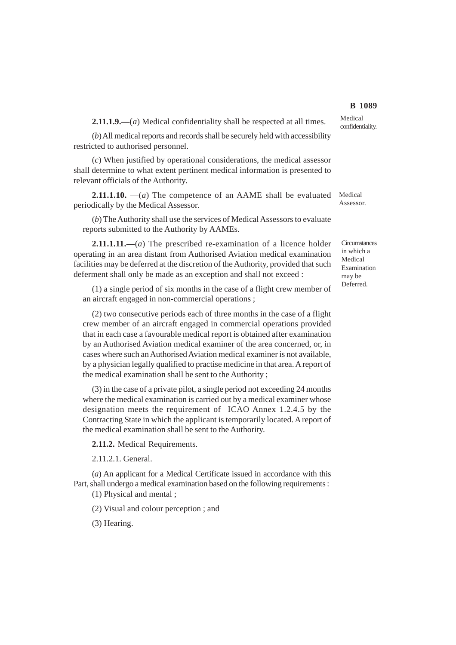**2.11.1.9.—**(*a*) Medical confidentiality shall be respected at all times.

(*b*) All medical reports and records shall be securely held with accessibility restricted to authorised personnel.

(*c*) When justified by operational considerations, the medical assessor shall determine to what extent pertinent medical information is presented to relevant officials of the Authority.

**2.11.1.10.** —(*a*) The competence of an AAME shall be evaluated Medical periodically by the Medical Assessor.

(*b*) The Authority shall use the services of Medical Assessors to evaluate reports submitted to the Authority by AAMEs.

**2.11.1.11.—**(*a*) The prescribed re-examination of a licence holder operating in an area distant from Authorised Aviation medical examination facilities may be deferred at the discretion of the Authority, provided that such deferment shall only be made as an exception and shall not exceed :

(1) a single period of six months in the case of a flight crew member of an aircraft engaged in non-commercial operations ;

(2) two consecutive periods each of three months in the case of a flight crew member of an aircraft engaged in commercial operations provided that in each case a favourable medical report is obtained after examination by an Authorised Aviation medical examiner of the area concerned, or, in cases where such an Authorised Aviation medical examiner is not available, by a physician legally qualified to practise medicine in that area. A report of the medical examination shall be sent to the Authority ;

(3) in the case of a private pilot, a single period not exceeding 24 months where the medical examination is carried out by a medical examiner whose designation meets the requirement of ICAO Annex 1.2.4.5 by the Contracting State in which the applicant is temporarily located. A report of the medical examination shall be sent to the Authority.

**2.11.2.** Medical Requirements.

2.11.2.1. General.

(*a*) An applicant for a Medical Certificate issued in accordance with this Part, shall undergo a medical examination based on the following requirements :

(1) Physical and mental ;

(2) Visual and colour perception ; and

(3) Hearing.

Medical confidentiality.

Assessor.

**Circumstances** in which a Medical Examination may be Deferred.

# **B 1089**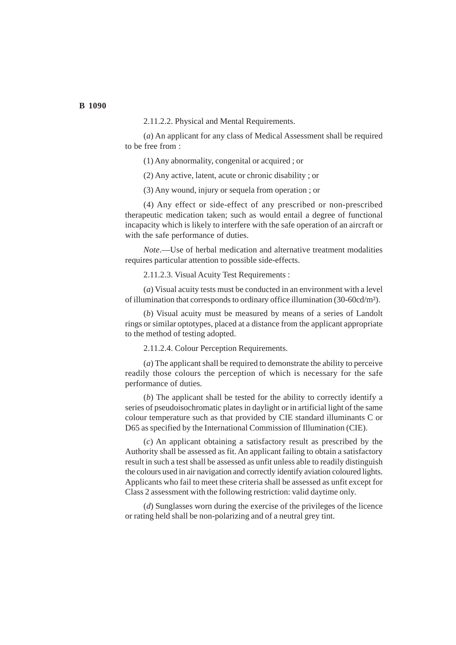2.11.2.2. Physical and Mental Requirements.

(*a*) An applicant for any class of Medical Assessment shall be required to be free from :

(1) Any abnormality, congenital or acquired ; or

(2) Any active, latent, acute or chronic disability ; or

(3) Any wound, injury or sequela from operation ; or

(4) Any effect or side-effect of any prescribed or non-prescribed therapeutic medication taken; such as would entail a degree of functional incapacity which is likely to interfere with the safe operation of an aircraft or with the safe performance of duties.

*Note*.—Use of herbal medication and alternative treatment modalities requires particular attention to possible side-effects.

2.11.2.3. Visual Acuity Test Requirements :

(*a*) Visual acuity tests must be conducted in an environment with a level of illumination that corresponds to ordinary office illumination (30-60cd/m²).

(*b*) Visual acuity must be measured by means of a series of Landolt rings or similar optotypes, placed at a distance from the applicant appropriate to the method of testing adopted.

2.11.2.4. Colour Perception Requirements.

(*a*) The applicant shall be required to demonstrate the ability to perceive readily those colours the perception of which is necessary for the safe performance of duties.

(*b*) The applicant shall be tested for the ability to correctly identify a series of pseudoisochromatic plates in daylight or in artificial light of the same colour temperature such as that provided by CIE standard illuminants C or D65 as specified by the International Commission of Illumination (CIE).

(*c*) An applicant obtaining a satisfactory result as prescribed by the Authority shall be assessed as fit. An applicant failing to obtain a satisfactory result in such a test shall be assessed as unfit unless able to readily distinguish the colours used in air navigation and correctly identify aviation coloured lights. Applicants who fail to meet these criteria shall be assessed as unfit except for Class 2 assessment with the following restriction: valid daytime only.

(*d*) Sunglasses worn during the exercise of the privileges of the licence or rating held shall be non-polarizing and of a neutral grey tint.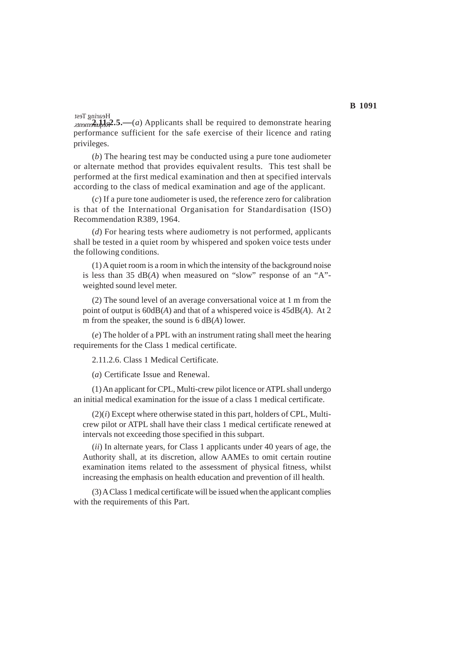$\frac{2.11}{2.21}$   $\frac{2.5}{2.5}$  (*a*) Applicants shall be required to demonstrate hearing performance sufficient for the safe exercise of their licence and rating privileges. Hearing Test

(*b*) The hearing test may be conducted using a pure tone audiometer or alternate method that provides equivalent results. This test shall be performed at the first medical examination and then at specified intervals according to the class of medical examination and age of the applicant.

(*c*) If a pure tone audiometer is used, the reference zero for calibration is that of the International Organisation for Standardisation (ISO) Recommendation R389, 1964.

(*d*) For hearing tests where audiometry is not performed, applicants shall be tested in a quiet room by whispered and spoken voice tests under the following conditions.

(1) A quiet room is a room in which the intensity of the background noise is less than 35 dB(*A*) when measured on "slow" response of an "A" weighted sound level meter.

(2) The sound level of an average conversational voice at 1 m from the point of output is 60dB(*A*) and that of a whispered voice is 45dB(*A*). At 2 m from the speaker, the sound is 6 dB(*A*) lower.

(*e*) The holder of a PPL with an instrument rating shall meet the hearing requirements for the Class 1 medical certificate.

2.11.2.6. Class 1 Medical Certificate.

(*a*) Certificate Issue and Renewal.

(1) An applicant for CPL, Multi-crew pilot licence or ATPL shall undergo an initial medical examination for the issue of a class 1 medical certificate.

(2)(*i*) Except where otherwise stated in this part, holders of CPL, Multicrew pilot or ATPL shall have their class 1 medical certificate renewed at intervals not exceeding those specified in this subpart.

(*ii*) In alternate years, for Class 1 applicants under 40 years of age, the Authority shall, at its discretion, allow AAMEs to omit certain routine examination items related to the assessment of physical fitness, whilst increasing the emphasis on health education and prevention of ill health.

(3) A Class 1 medical certificate will be issued when the applicant complies with the requirements of this Part.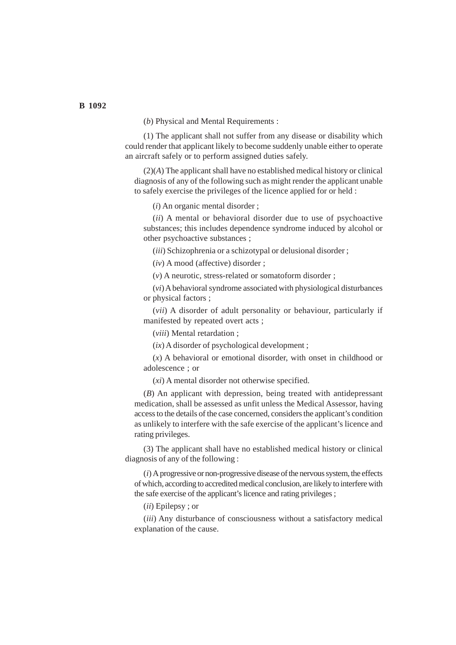(*b*) Physical and Mental Requirements :

(1) The applicant shall not suffer from any disease or disability which could render that applicant likely to become suddenly unable either to operate an aircraft safely or to perform assigned duties safely.

(2)(*A*) The applicant shall have no established medical history or clinical diagnosis of any of the following such as might render the applicant unable to safely exercise the privileges of the licence applied for or held :

(*i*) An organic mental disorder ;

(*ii*) A mental or behavioral disorder due to use of psychoactive substances; this includes dependence syndrome induced by alcohol or other psychoactive substances ;

(*iii*) Schizophrenia or a schizotypal or delusional disorder ;

(*iv*) A mood (affective) disorder ;

(*v*) A neurotic, stress-related or somatoform disorder ;

(*vi*) A behavioral syndrome associated with physiological disturbances or physical factors ;

(*vii*) A disorder of adult personality or behaviour, particularly if manifested by repeated overt acts ;

(*viii*) Mental retardation ;

(*ix*) A disorder of psychological development ;

(*x*) A behavioral or emotional disorder, with onset in childhood or adolescence ; or

(*xi*) A mental disorder not otherwise specified.

(*B*) An applicant with depression, being treated with antidepressant medication, shall be assessed as unfit unless the Medical Assessor, having access to the details of the case concerned, considers the applicant's condition as unlikely to interfere with the safe exercise of the applicant's licence and rating privileges.

(3) The applicant shall have no established medical history or clinical diagnosis of any of the following :

(*i*) A progressive or non-progressive disease of the nervous system, the effects of which, according to accredited medical conclusion, are likely to interfere with the safe exercise of the applicant's licence and rating privileges ;

(*ii*) Epilepsy ; or

(*iii*) Any disturbance of consciousness without a satisfactory medical explanation of the cause.

#### **B 1092**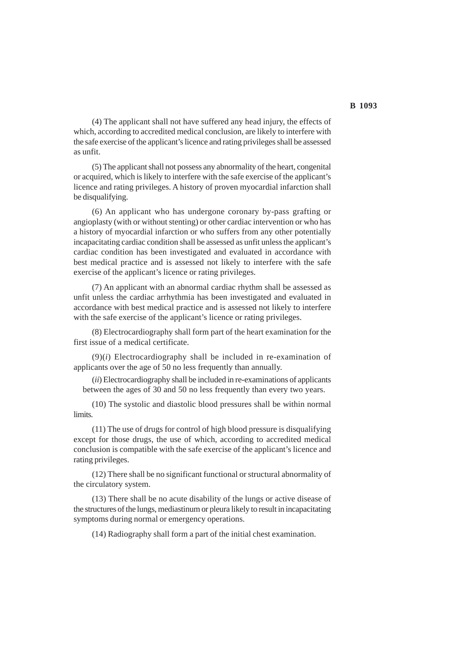(4) The applicant shall not have suffered any head injury, the effects of which, according to accredited medical conclusion, are likely to interfere with the safe exercise of the applicant's licence and rating privileges shall be assessed as unfit.

(5) The applicant shall not possess any abnormality of the heart, congenital or acquired, which is likely to interfere with the safe exercise of the applicant's licence and rating privileges. A history of proven myocardial infarction shall be disqualifying.

(6) An applicant who has undergone coronary by-pass grafting or angioplasty (with or without stenting) or other cardiac intervention or who has a history of myocardial infarction or who suffers from any other potentially incapacitating cardiac condition shall be assessed as unfit unless the applicant's cardiac condition has been investigated and evaluated in accordance with best medical practice and is assessed not likely to interfere with the safe exercise of the applicant's licence or rating privileges.

(7) An applicant with an abnormal cardiac rhythm shall be assessed as unfit unless the cardiac arrhythmia has been investigated and evaluated in accordance with best medical practice and is assessed not likely to interfere with the safe exercise of the applicant's licence or rating privileges.

(8) Electrocardiography shall form part of the heart examination for the first issue of a medical certificate.

(9)(*i*) Electrocardiography shall be included in re-examination of applicants over the age of 50 no less frequently than annually.

(*ii*) Electrocardiography shall be included in re-examinations of applicants between the ages of 30 and 50 no less frequently than every two years.

(10) The systolic and diastolic blood pressures shall be within normal limits.

(11) The use of drugs for control of high blood pressure is disqualifying except for those drugs, the use of which, according to accredited medical conclusion is compatible with the safe exercise of the applicant's licence and rating privileges.

(12) There shall be no significant functional or structural abnormality of the circulatory system.

(13) There shall be no acute disability of the lungs or active disease of the structures of the lungs, mediastinum or pleura likely to result in incapacitating symptoms during normal or emergency operations.

(14) Radiography shall form a part of the initial chest examination.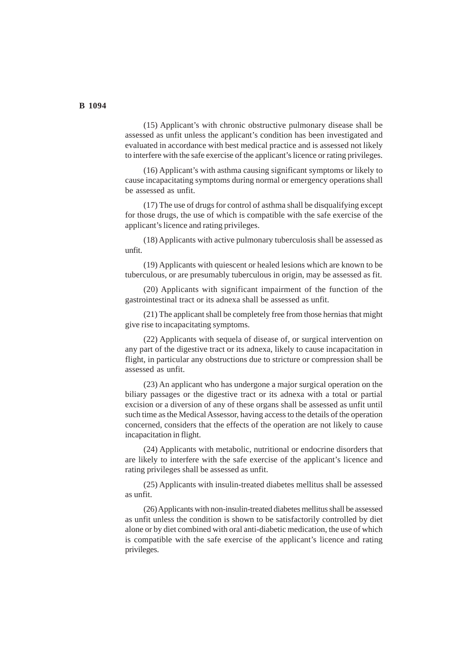(15) Applicant's with chronic obstructive pulmonary disease shall be assessed as unfit unless the applicant's condition has been investigated and evaluated in accordance with best medical practice and is assessed not likely to interfere with the safe exercise of the applicant's licence or rating privileges.

(16) Applicant's with asthma causing significant symptoms or likely to cause incapacitating symptoms during normal or emergency operations shall be assessed as unfit.

(17) The use of drugs for control of asthma shall be disqualifying except for those drugs, the use of which is compatible with the safe exercise of the applicant's licence and rating privileges.

(18) Applicants with active pulmonary tuberculosis shall be assessed as unfit.

(19) Applicants with quiescent or healed lesions which are known to be tuberculous, or are presumably tuberculous in origin, may be assessed as fit.

(20) Applicants with significant impairment of the function of the gastrointestinal tract or its adnexa shall be assessed as unfit.

(21) The applicant shall be completely free from those hernias that might give rise to incapacitating symptoms.

(22) Applicants with sequela of disease of, or surgical intervention on any part of the digestive tract or its adnexa, likely to cause incapacitation in flight, in particular any obstructions due to stricture or compression shall be assessed as unfit.

(23) An applicant who has undergone a major surgical operation on the biliary passages or the digestive tract or its adnexa with a total or partial excision or a diversion of any of these organs shall be assessed as unfit until such time as the Medical Assessor, having access to the details of the operation concerned, considers that the effects of the operation are not likely to cause incapacitation in flight.

(24) Applicants with metabolic, nutritional or endocrine disorders that are likely to interfere with the safe exercise of the applicant's licence and rating privileges shall be assessed as unfit.

(25) Applicants with insulin-treated diabetes mellitus shall be assessed as unfit.

(26) Applicants with non-insulin-treated diabetes mellitus shall be assessed as unfit unless the condition is shown to be satisfactorily controlled by diet alone or by diet combined with oral anti-diabetic medication, the use of which is compatible with the safe exercise of the applicant's licence and rating privileges.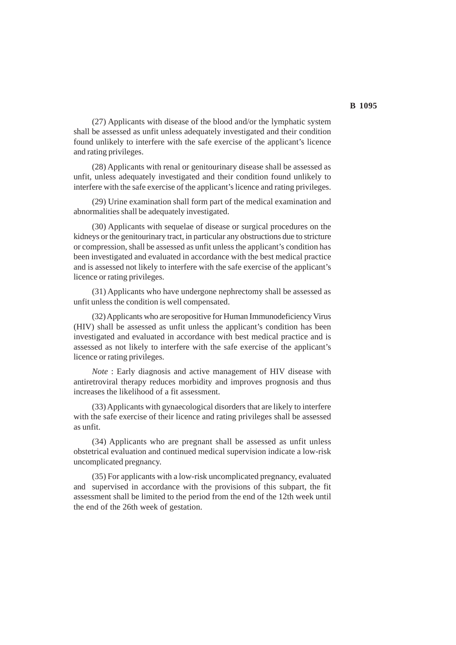(27) Applicants with disease of the blood and/or the lymphatic system shall be assessed as unfit unless adequately investigated and their condition found unlikely to interfere with the safe exercise of the applicant's licence and rating privileges.

(28) Applicants with renal or genitourinary disease shall be assessed as unfit, unless adequately investigated and their condition found unlikely to interfere with the safe exercise of the applicant's licence and rating privileges.

(29) Urine examination shall form part of the medical examination and abnormalities shall be adequately investigated.

(30) Applicants with sequelae of disease or surgical procedures on the kidneys or the genitourinary tract, in particular any obstructions due to stricture or compression, shall be assessed as unfit unless the applicant's condition has been investigated and evaluated in accordance with the best medical practice and is assessed not likely to interfere with the safe exercise of the applicant's licence or rating privileges.

(31) Applicants who have undergone nephrectomy shall be assessed as unfit unless the condition is well compensated.

(32) Applicants who are seropositive for Human Immunodeficiency Virus (HIV) shall be assessed as unfit unless the applicant's condition has been investigated and evaluated in accordance with best medical practice and is assessed as not likely to interfere with the safe exercise of the applicant's licence or rating privileges.

*Note* : Early diagnosis and active management of HIV disease with antiretroviral therapy reduces morbidity and improves prognosis and thus increases the likelihood of a fit assessment.

(33) Applicants with gynaecological disorders that are likely to interfere with the safe exercise of their licence and rating privileges shall be assessed as unfit.

(34) Applicants who are pregnant shall be assessed as unfit unless obstetrical evaluation and continued medical supervision indicate a low-risk uncomplicated pregnancy.

(35) For applicants with a low-risk uncomplicated pregnancy, evaluated and supervised in accordance with the provisions of this subpart, the fit assessment shall be limited to the period from the end of the 12th week until the end of the 26th week of gestation.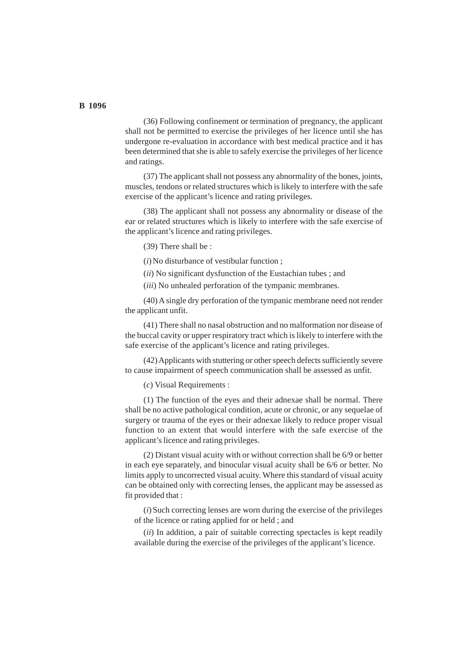(36) Following confinement or termination of pregnancy, the applicant shall not be permitted to exercise the privileges of her licence until she has undergone re-evaluation in accordance with best medical practice and it has been determined that she is able to safely exercise the privileges of her licence and ratings.

(37) The applicant shall not possess any abnormality of the bones, joints, muscles, tendons or related structures which is likely to interfere with the safe exercise of the applicant's licence and rating privileges.

(38) The applicant shall not possess any abnormality or disease of the ear or related structures which is likely to interfere with the safe exercise of the applicant's licence and rating privileges.

(39) There shall be :

(*i*) No disturbance of vestibular function ;

(*ii*) No significant dysfunction of the Eustachian tubes ; and

(*iii*) No unhealed perforation of the tympanic membranes.

(40) A single dry perforation of the tympanic membrane need not render the applicant unfit.

(41) There shall no nasal obstruction and no malformation nor disease of the buccal cavity or upper respiratory tract which is likely to interfere with the safe exercise of the applicant's licence and rating privileges.

(42) Applicants with stuttering or other speech defects sufficiently severe to cause impairment of speech communication shall be assessed as unfit.

(*c*) Visual Requirements :

(1) The function of the eyes and their adnexae shall be normal. There shall be no active pathological condition, acute or chronic, or any sequelae of surgery or trauma of the eyes or their adnexae likely to reduce proper visual function to an extent that would interfere with the safe exercise of the applicant's licence and rating privileges.

(2) Distant visual acuity with or without correction shall be 6/9 or better in each eye separately, and binocular visual acuity shall be 6/6 or better. No limits apply to uncorrected visual acuity. Where this standard of visual acuity can be obtained only with correcting lenses, the applicant may be assessed as fit provided that :

(*i*) Such correcting lenses are worn during the exercise of the privileges of the licence or rating applied for or held ; and

(*ii*) In addition, a pair of suitable correcting spectacles is kept readily available during the exercise of the privileges of the applicant's licence.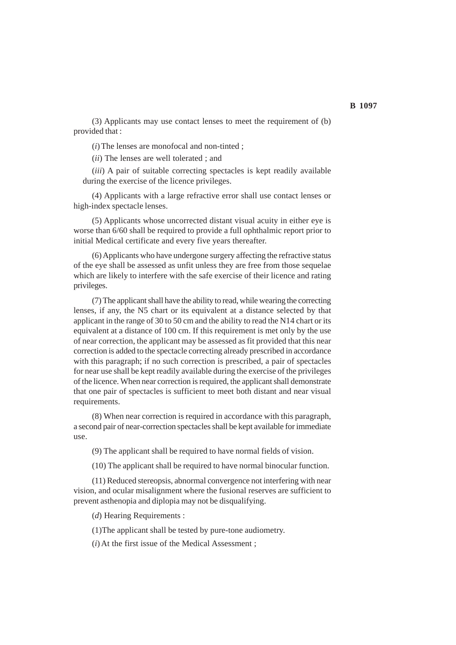(3) Applicants may use contact lenses to meet the requirement of (b) provided that :

(*i*) The lenses are monofocal and non-tinted ;

(*ii*) The lenses are well tolerated ; and

(*iii*) A pair of suitable correcting spectacles is kept readily available during the exercise of the licence privileges.

(4) Applicants with a large refractive error shall use contact lenses or high-index spectacle lenses.

(5) Applicants whose uncorrected distant visual acuity in either eye is worse than 6/60 shall be required to provide a full ophthalmic report prior to initial Medical certificate and every five years thereafter.

(6) Applicants who have undergone surgery affecting the refractive status of the eye shall be assessed as unfit unless they are free from those sequelae which are likely to interfere with the safe exercise of their licence and rating privileges.

(7) The applicant shall have the ability to read, while wearing the correcting lenses, if any, the N5 chart or its equivalent at a distance selected by that applicant in the range of 30 to 50 cm and the ability to read the N14 chart or its equivalent at a distance of 100 cm. If this requirement is met only by the use of near correction, the applicant may be assessed as fit provided that this near correction is added to the spectacle correcting already prescribed in accordance with this paragraph; if no such correction is prescribed, a pair of spectacles for near use shall be kept readily available during the exercise of the privileges of the licence. When near correction is required, the applicant shall demonstrate that one pair of spectacles is sufficient to meet both distant and near visual requirements.

(8) When near correction is required in accordance with this paragraph, a second pair of near-correction spectacles shall be kept available for immediate use.

(9) The applicant shall be required to have normal fields of vision.

(10) The applicant shall be required to have normal binocular function.

(11) Reduced stereopsis, abnormal convergence not interfering with near vision, and ocular misalignment where the fusional reserves are sufficient to prevent asthenopia and diplopia may not be disqualifying.

(*d*) Hearing Requirements :

(1)The applicant shall be tested by pure-tone audiometry.

(*i*) At the first issue of the Medical Assessment ;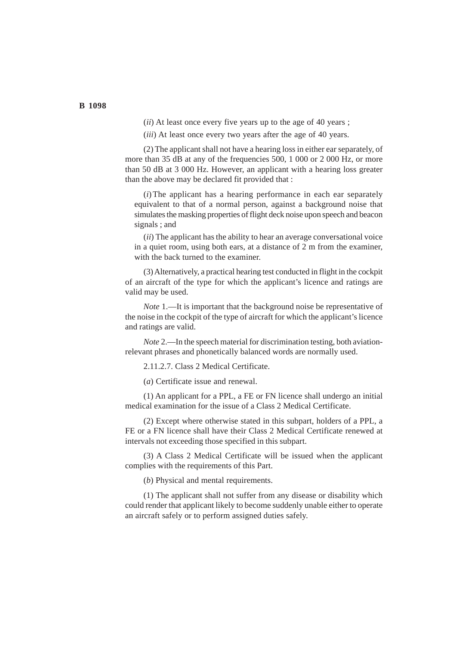(*ii*) At least once every five years up to the age of 40 years ;

(*iii*) At least once every two years after the age of 40 years.

(2) The applicant shall not have a hearing loss in either ear separately, of more than 35 dB at any of the frequencies 500, 1 000 or 2 000 Hz, or more than 50 dB at 3 000 Hz. However, an applicant with a hearing loss greater than the above may be declared fit provided that :

(*i*)The applicant has a hearing performance in each ear separately equivalent to that of a normal person, against a background noise that simulates the masking properties of flight deck noise upon speech and beacon signals ; and

(*ii*) The applicant has the ability to hear an average conversational voice in a quiet room, using both ears, at a distance of 2 m from the examiner, with the back turned to the examiner.

(3) Alternatively, a practical hearing test conducted in flight in the cockpit of an aircraft of the type for which the applicant's licence and ratings are valid may be used.

*Note* 1.—It is important that the background noise be representative of the noise in the cockpit of the type of aircraft for which the applicant's licence and ratings are valid.

*Note* 2.—In the speech material for discrimination testing, both aviationrelevant phrases and phonetically balanced words are normally used.

2.11.2.7. Class 2 Medical Certificate.

(*a*) Certificate issue and renewal.

(1) An applicant for a PPL, a FE or FN licence shall undergo an initial medical examination for the issue of a Class 2 Medical Certificate.

(2) Except where otherwise stated in this subpart, holders of a PPL, a FE or a FN licence shall have their Class 2 Medical Certificate renewed at intervals not exceeding those specified in this subpart.

(3) A Class 2 Medical Certificate will be issued when the applicant complies with the requirements of this Part.

(*b*) Physical and mental requirements.

(1) The applicant shall not suffer from any disease or disability which could render that applicant likely to become suddenly unable either to operate an aircraft safely or to perform assigned duties safely.

#### **B 1098**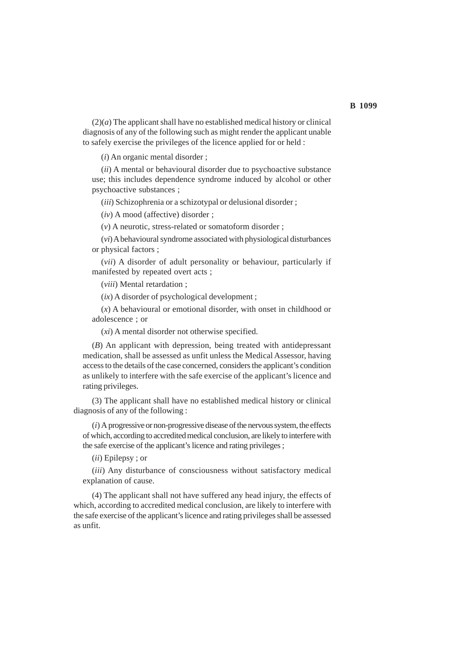$(2)(a)$  The applicant shall have no established medical history or clinical diagnosis of any of the following such as might render the applicant unable to safely exercise the privileges of the licence applied for or held :

(*i*) An organic mental disorder ;

(*ii*) A mental or behavioural disorder due to psychoactive substance use; this includes dependence syndrome induced by alcohol or other psychoactive substances ;

(*iii*) Schizophrenia or a schizotypal or delusional disorder ;

(*iv*) A mood (affective) disorder ;

(*v*) A neurotic, stress-related or somatoform disorder ;

(*vi*) A behavioural syndrome associated with physiological disturbances or physical factors ;

(*vii*) A disorder of adult personality or behaviour, particularly if manifested by repeated overt acts ;

(*viii*) Mental retardation ;

(*ix*) A disorder of psychological development ;

(*x*) A behavioural or emotional disorder, with onset in childhood or adolescence ; or

(*xi*) A mental disorder not otherwise specified.

(*B*) An applicant with depression, being treated with antidepressant medication, shall be assessed as unfit unless the Medical Assessor, having access to the details of the case concerned, considers the applicant's condition as unlikely to interfere with the safe exercise of the applicant's licence and rating privileges.

(3) The applicant shall have no established medical history or clinical diagnosis of any of the following :

(*i*) A progressive or non-progressive disease of the nervous system, the effects of which, according to accredited medical conclusion, are likely to interfere with the safe exercise of the applicant's licence and rating privileges ;

(*ii*) Epilepsy ; or

(*iii*) Any disturbance of consciousness without satisfactory medical explanation of cause.

(4) The applicant shall not have suffered any head injury, the effects of which, according to accredited medical conclusion, are likely to interfere with the safe exercise of the applicant's licence and rating privileges shall be assessed as unfit.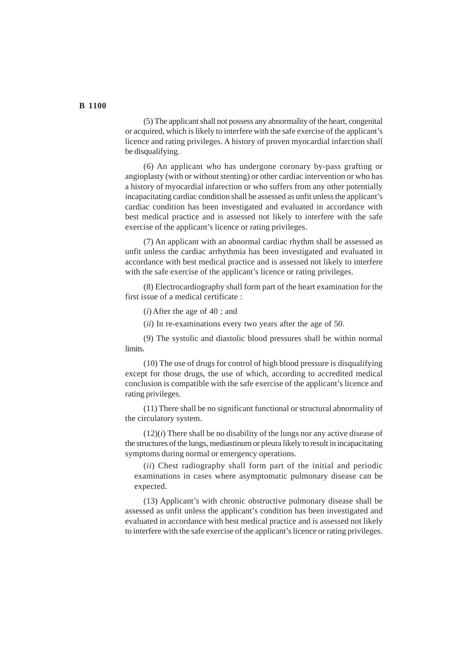(5) The applicant shall not possess any abnormality of the heart, congenital or acquired, which is likely to interfere with the safe exercise of the applicant's licence and rating privileges. A history of proven myocardial infarction shall be disqualifying.

(6) An applicant who has undergone coronary by-pass grafting or angioplasty (with or without stenting) or other cardiac intervention or who has a history of myocardial infarection or who suffers from any other potentially incapacitating cardiac condition shall be assessed as unfit unless the applicant's cardiac condition has been investigated and evaluated in accordance with best medical practice and is assessed not likely to interfere with the safe exercise of the applicant's licence or rating privileges.

(7) An applicant with an abnormal cardiac rhythm shall be assessed as unfit unless the cardiac arrhythmia has been investigated and evaluated in accordance with best medical practice and is assessed not likely to interfere with the safe exercise of the applicant's licence or rating privileges.

(8) Electrocardiography shall form part of the heart examination for the first issue of a medical certificate :

(*i*) After the age of 40 ; and

(*ii*) In re-examinations every two years after the age of 50.

(9) The systolic and diastolic blood pressures shall be within normal limits.

(10) The use of drugs for control of high blood pressure is disqualifying except for those drugs, the use of which, according to accredited medical conclusion is compatible with the safe exercise of the applicant's licence and rating privileges.

(11) There shall be no significant functional or structural abnormality of the circulatory system.

 $(12)(i)$  There shall be no disability of the lungs nor any active disease of the structures of the lungs, mediastinum or pleura likely to result in incapacitating symptoms during normal or emergency operations.

(*ii*) Chest radiography shall form part of the initial and periodic examinations in cases where asymptomatic pulmonary disease can be expected.

(13) Applicant's with chronic obstructive pulmonary disease shall be assessed as unfit unless the applicant's condition has been investigated and evaluated in accordance with best medical practice and is assessed not likely to interfere with the safe exercise of the applicant's licence or rating privileges.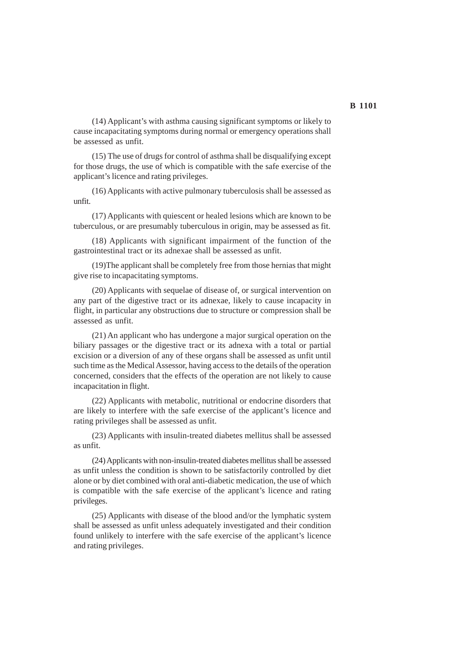(14) Applicant's with asthma causing significant symptoms or likely to cause incapacitating symptoms during normal or emergency operations shall be assessed as unfit.

(15) The use of drugs for control of asthma shall be disqualifying except for those drugs, the use of which is compatible with the safe exercise of the applicant's licence and rating privileges.

(16) Applicants with active pulmonary tuberculosis shall be assessed as unfit.

(17) Applicants with quiescent or healed lesions which are known to be tuberculous, or are presumably tuberculous in origin, may be assessed as fit.

(18) Applicants with significant impairment of the function of the gastrointestinal tract or its adnexae shall be assessed as unfit.

(19)The applicant shall be completely free from those hernias that might give rise to incapacitating symptoms.

(20) Applicants with sequelae of disease of, or surgical intervention on any part of the digestive tract or its adnexae, likely to cause incapacity in flight, in particular any obstructions due to structure or compression shall be assessed as unfit.

(21) An applicant who has undergone a major surgical operation on the biliary passages or the digestive tract or its adnexa with a total or partial excision or a diversion of any of these organs shall be assessed as unfit until such time as the Medical Assessor, having access to the details of the operation concerned, considers that the effects of the operation are not likely to cause incapacitation in flight.

(22) Applicants with metabolic, nutritional or endocrine disorders that are likely to interfere with the safe exercise of the applicant's licence and rating privileges shall be assessed as unfit.

(23) Applicants with insulin-treated diabetes mellitus shall be assessed as unfit.

(24) Applicants with non-insulin-treated diabetes mellitus shall be assessed as unfit unless the condition is shown to be satisfactorily controlled by diet alone or by diet combined with oral anti-diabetic medication, the use of which is compatible with the safe exercise of the applicant's licence and rating privileges.

(25) Applicants with disease of the blood and/or the lymphatic system shall be assessed as unfit unless adequately investigated and their condition found unlikely to interfere with the safe exercise of the applicant's licence and rating privileges.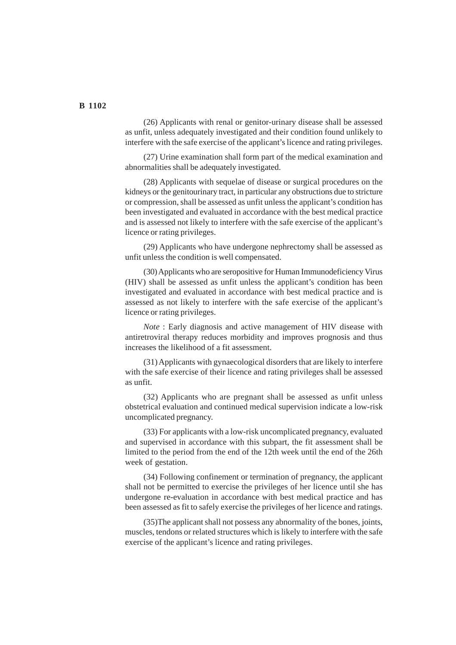(26) Applicants with renal or genitor-urinary disease shall be assessed as unfit, unless adequately investigated and their condition found unlikely to interfere with the safe exercise of the applicant's licence and rating privileges.

(27) Urine examination shall form part of the medical examination and abnormalities shall be adequately investigated.

(28) Applicants with sequelae of disease or surgical procedures on the kidneys or the genitourinary tract, in particular any obstructions due to stricture or compression, shall be assessed as unfit unless the applicant's condition has been investigated and evaluated in accordance with the best medical practice and is assessed not likely to interfere with the safe exercise of the applicant's licence or rating privileges.

(29) Applicants who have undergone nephrectomy shall be assessed as unfit unless the condition is well compensated.

(30) Applicants who are seropositive for Human Immunodeficiency Virus (HIV) shall be assessed as unfit unless the applicant's condition has been investigated and evaluated in accordance with best medical practice and is assessed as not likely to interfere with the safe exercise of the applicant's licence or rating privileges.

*Note* : Early diagnosis and active management of HIV disease with antiretroviral therapy reduces morbidity and improves prognosis and thus increases the likelihood of a fit assessment.

(31) Applicants with gynaecological disorders that are likely to interfere with the safe exercise of their licence and rating privileges shall be assessed as unfit.

(32) Applicants who are pregnant shall be assessed as unfit unless obstetrical evaluation and continued medical supervision indicate a low-risk uncomplicated pregnancy.

(33) For applicants with a low-risk uncomplicated pregnancy, evaluated and supervised in accordance with this subpart, the fit assessment shall be limited to the period from the end of the 12th week until the end of the 26th week of gestation.

(34) Following confinement or termination of pregnancy, the applicant shall not be permitted to exercise the privileges of her licence until she has undergone re-evaluation in accordance with best medical practice and has been assessed as fit to safely exercise the privileges of her licence and ratings.

(35)The applicant shall not possess any abnormality of the bones, joints, muscles, tendons or related structures which is likely to interfere with the safe exercise of the applicant's licence and rating privileges.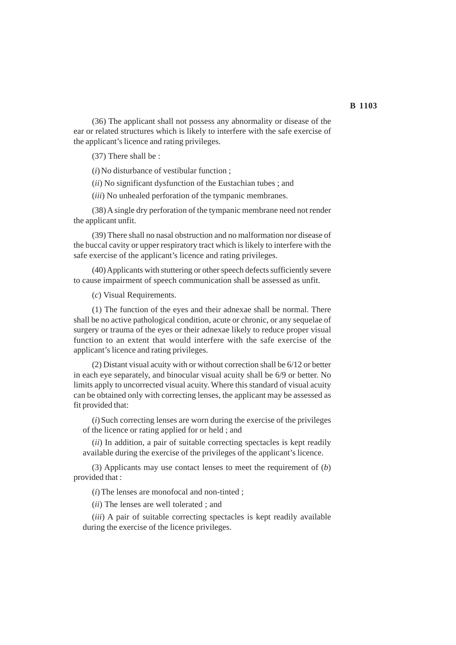(36) The applicant shall not possess any abnormality or disease of the ear or related structures which is likely to interfere with the safe exercise of the applicant's licence and rating privileges.

(37) There shall be :

(*i*) No disturbance of vestibular function ;

(*ii*) No significant dysfunction of the Eustachian tubes ; and

(*iii*) No unhealed perforation of the tympanic membranes.

(38) A single dry perforation of the tympanic membrane need not render the applicant unfit.

(39) There shall no nasal obstruction and no malformation nor disease of the buccal cavity or upper respiratory tract which is likely to interfere with the safe exercise of the applicant's licence and rating privileges.

(40) Applicants with stuttering or other speech defects sufficiently severe to cause impairment of speech communication shall be assessed as unfit.

(*c*) Visual Requirements.

(1) The function of the eyes and their adnexae shall be normal. There shall be no active pathological condition, acute or chronic, or any sequelae of surgery or trauma of the eyes or their adnexae likely to reduce proper visual function to an extent that would interfere with the safe exercise of the applicant's licence and rating privileges.

(2) Distant visual acuity with or without correction shall be 6/12 or better in each eye separately, and binocular visual acuity shall be 6/9 or better. No limits apply to uncorrected visual acuity. Where this standard of visual acuity can be obtained only with correcting lenses, the applicant may be assessed as fit provided that:

(*i*) Such correcting lenses are worn during the exercise of the privileges of the licence or rating applied for or held ; and

(*ii*) In addition, a pair of suitable correcting spectacles is kept readily available during the exercise of the privileges of the applicant's licence.

(3) Applicants may use contact lenses to meet the requirement of (*b*) provided that :

(*i*) The lenses are monofocal and non-tinted ;

(*ii*) The lenses are well tolerated ; and

(*iii*) A pair of suitable correcting spectacles is kept readily available during the exercise of the licence privileges.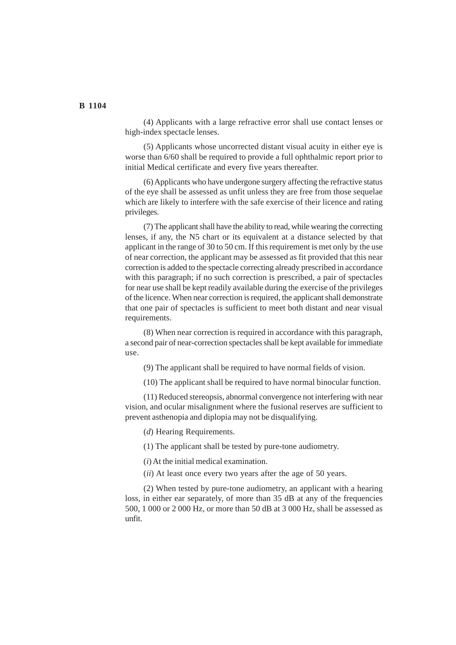(4) Applicants with a large refractive error shall use contact lenses or high-index spectacle lenses.

(5) Applicants whose uncorrected distant visual acuity in either eye is worse than 6/60 shall be required to provide a full ophthalmic report prior to initial Medical certificate and every five years thereafter.

(6) Applicants who have undergone surgery affecting the refractive status of the eye shall be assessed as unfit unless they are free from those sequelae which are likely to interfere with the safe exercise of their licence and rating privileges.

(7) The applicant shall have the ability to read, while wearing the correcting lenses, if any, the N5 chart or its equivalent at a distance selected by that applicant in the range of 30 to 50 cm. If this requirement is met only by the use of near correction, the applicant may be assessed as fit provided that this near correction is added to the spectacle correcting already prescribed in accordance with this paragraph; if no such correction is prescribed, a pair of spectacles for near use shall be kept readily available during the exercise of the privileges of the licence. When near correction is required, the applicant shall demonstrate that one pair of spectacles is sufficient to meet both distant and near visual requirements.

(8) When near correction is required in accordance with this paragraph, a second pair of near-correction spectacles shall be kept available for immediate use.

(9) The applicant shall be required to have normal fields of vision.

(10) The applicant shall be required to have normal binocular function.

(11) Reduced stereopsis, abnormal convergence not interfering with near vision, and ocular misalignment where the fusional reserves are sufficient to prevent asthenopia and diplopia may not be disqualifying.

(*d*) Hearing Requirements.

(1) The applicant shall be tested by pure-tone audiometry.

(*i*) At the initial medical examination.

(*ii*) At least once every two years after the age of 50 years.

(2) When tested by pure-tone audiometry, an applicant with a hearing loss, in either ear separately, of more than 35 dB at any of the frequencies 500, 1 000 or 2 000 Hz, or more than 50 dB at 3 000 Hz, shall be assessed as unfit.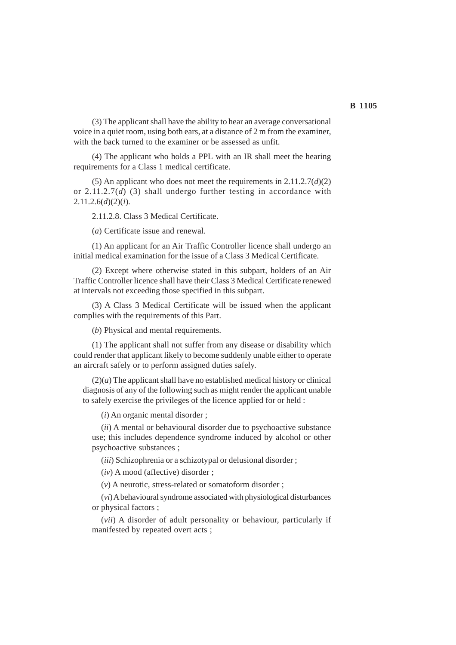(3) The applicant shall have the ability to hear an average conversational voice in a quiet room, using both ears, at a distance of 2 m from the examiner, with the back turned to the examiner or be assessed as unfit.

(4) The applicant who holds a PPL with an IR shall meet the hearing requirements for a Class 1 medical certificate.

(5) An applicant who does not meet the requirements in  $2.11.2.7(d)(2)$ or 2.11.2.7(*d*) (3) shall undergo further testing in accordance with 2.11.2.6(*d*)(2)(*i*).

2.11.2.8. Class 3 Medical Certificate.

(*a*) Certificate issue and renewal.

(1) An applicant for an Air Traffic Controller licence shall undergo an initial medical examination for the issue of a Class 3 Medical Certificate.

(2) Except where otherwise stated in this subpart, holders of an Air Traffic Controller licence shall have their Class 3 Medical Certificate renewed at intervals not exceeding those specified in this subpart.

(3) A Class 3 Medical Certificate will be issued when the applicant complies with the requirements of this Part.

(*b*) Physical and mental requirements.

(1) The applicant shall not suffer from any disease or disability which could render that applicant likely to become suddenly unable either to operate an aircraft safely or to perform assigned duties safely.

 $(2)(a)$  The applicant shall have no established medical history or clinical diagnosis of any of the following such as might render the applicant unable to safely exercise the privileges of the licence applied for or held :

(*i*) An organic mental disorder ;

(*ii*) A mental or behavioural disorder due to psychoactive substance use; this includes dependence syndrome induced by alcohol or other psychoactive substances ;

(*iii*) Schizophrenia or a schizotypal or delusional disorder ;

(*iv*) A mood (affective) disorder ;

(*v*) A neurotic, stress-related or somatoform disorder ;

(*vi*) A behavioural syndrome associated with physiological disturbances or physical factors ;

(*vii*) A disorder of adult personality or behaviour, particularly if manifested by repeated overt acts ;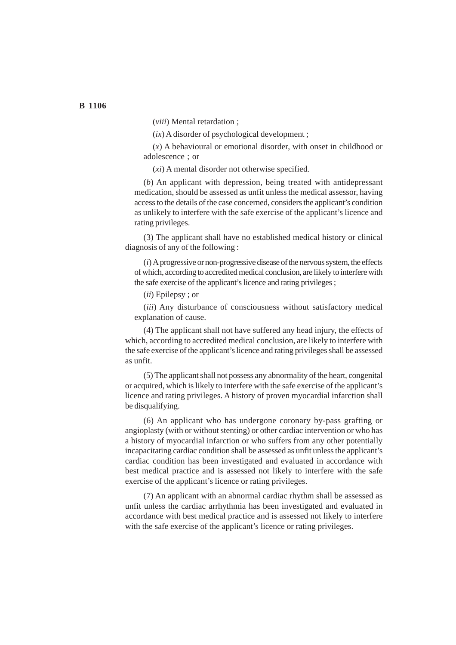(*viii*) Mental retardation ;

(*ix*) A disorder of psychological development ;

(*x*) A behavioural or emotional disorder, with onset in childhood or adolescence ; or

(*xi*) A mental disorder not otherwise specified.

(*b*) An applicant with depression, being treated with antidepressant medication, should be assessed as unfit unless the medical assessor, having access to the details of the case concerned, considers the applicant's condition as unlikely to interfere with the safe exercise of the applicant's licence and rating privileges.

(3) The applicant shall have no established medical history or clinical diagnosis of any of the following :

(*i*) A progressive or non-progressive disease of the nervous system, the effects of which, according to accredited medical conclusion, are likely to interfere with the safe exercise of the applicant's licence and rating privileges ;

(*ii*) Epilepsy ; or

(*iii*) Any disturbance of consciousness without satisfactory medical explanation of cause.

(4) The applicant shall not have suffered any head injury, the effects of which, according to accredited medical conclusion, are likely to interfere with the safe exercise of the applicant's licence and rating privileges shall be assessed as unfit.

(5) The applicant shall not possess any abnormality of the heart, congenital or acquired, which is likely to interfere with the safe exercise of the applicant's licence and rating privileges. A history of proven myocardial infarction shall be disqualifying.

(6) An applicant who has undergone coronary by-pass grafting or angioplasty (with or without stenting) or other cardiac intervention or who has a history of myocardial infarction or who suffers from any other potentially incapacitating cardiac condition shall be assessed as unfit unless the applicant's cardiac condition has been investigated and evaluated in accordance with best medical practice and is assessed not likely to interfere with the safe exercise of the applicant's licence or rating privileges.

(7) An applicant with an abnormal cardiac rhythm shall be assessed as unfit unless the cardiac arrhythmia has been investigated and evaluated in accordance with best medical practice and is assessed not likely to interfere with the safe exercise of the applicant's licence or rating privileges.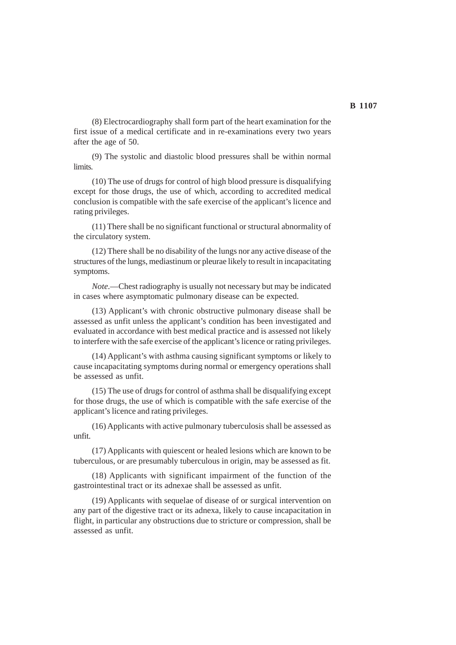(8) Electrocardiography shall form part of the heart examination for the first issue of a medical certificate and in re-examinations every two years after the age of 50.

(9) The systolic and diastolic blood pressures shall be within normal limits.

(10) The use of drugs for control of high blood pressure is disqualifying except for those drugs, the use of which, according to accredited medical conclusion is compatible with the safe exercise of the applicant's licence and rating privileges.

(11) There shall be no significant functional or structural abnormality of the circulatory system.

(12) There shall be no disability of the lungs nor any active disease of the structures of the lungs, mediastinum or pleurae likely to result in incapacitating symptoms.

*Note*.—Chest radiography is usually not necessary but may be indicated in cases where asymptomatic pulmonary disease can be expected.

(13) Applicant's with chronic obstructive pulmonary disease shall be assessed as unfit unless the applicant's condition has been investigated and evaluated in accordance with best medical practice and is assessed not likely to interfere with the safe exercise of the applicant's licence or rating privileges.

(14) Applicant's with asthma causing significant symptoms or likely to cause incapacitating symptoms during normal or emergency operations shall be assessed as unfit.

(15) The use of drugs for control of asthma shall be disqualifying except for those drugs, the use of which is compatible with the safe exercise of the applicant's licence and rating privileges.

(16) Applicants with active pulmonary tuberculosis shall be assessed as unfit.

(17) Applicants with quiescent or healed lesions which are known to be tuberculous, or are presumably tuberculous in origin, may be assessed as fit.

(18) Applicants with significant impairment of the function of the gastrointestinal tract or its adnexae shall be assessed as unfit.

(19) Applicants with sequelae of disease of or surgical intervention on any part of the digestive tract or its adnexa, likely to cause incapacitation in flight, in particular any obstructions due to stricture or compression, shall be assessed as unfit.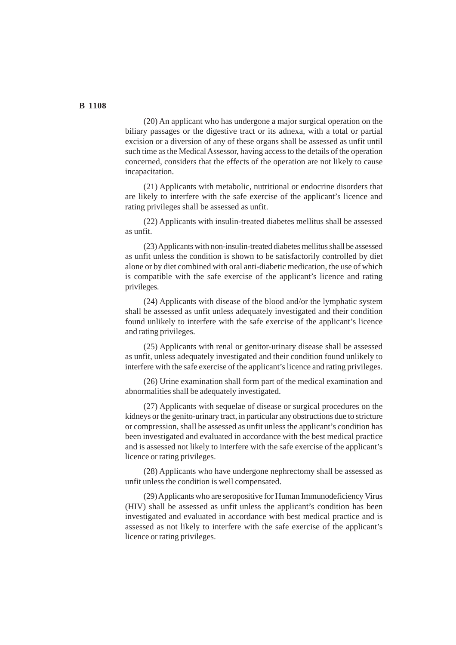(20) An applicant who has undergone a major surgical operation on the biliary passages or the digestive tract or its adnexa, with a total or partial excision or a diversion of any of these organs shall be assessed as unfit until such time as the Medical Assessor, having access to the details of the operation concerned, considers that the effects of the operation are not likely to cause incapacitation.

(21) Applicants with metabolic, nutritional or endocrine disorders that are likely to interfere with the safe exercise of the applicant's licence and rating privileges shall be assessed as unfit.

(22) Applicants with insulin-treated diabetes mellitus shall be assessed as unfit.

(23) Applicants with non-insulin-treated diabetes mellitus shall be assessed as unfit unless the condition is shown to be satisfactorily controlled by diet alone or by diet combined with oral anti-diabetic medication, the use of which is compatible with the safe exercise of the applicant's licence and rating privileges.

(24) Applicants with disease of the blood and/or the lymphatic system shall be assessed as unfit unless adequately investigated and their condition found unlikely to interfere with the safe exercise of the applicant's licence and rating privileges.

(25) Applicants with renal or genitor-urinary disease shall be assessed as unfit, unless adequately investigated and their condition found unlikely to interfere with the safe exercise of the applicant's licence and rating privileges.

(26) Urine examination shall form part of the medical examination and abnormalities shall be adequately investigated.

(27) Applicants with sequelae of disease or surgical procedures on the kidneys or the genito-urinary tract, in particular any obstructions due to stricture or compression, shall be assessed as unfit unless the applicant's condition has been investigated and evaluated in accordance with the best medical practice and is assessed not likely to interfere with the safe exercise of the applicant's licence or rating privileges.

(28) Applicants who have undergone nephrectomy shall be assessed as unfit unless the condition is well compensated.

(29) Applicants who are seropositive for Human Immunodeficiency Virus (HIV) shall be assessed as unfit unless the applicant's condition has been investigated and evaluated in accordance with best medical practice and is assessed as not likely to interfere with the safe exercise of the applicant's licence or rating privileges.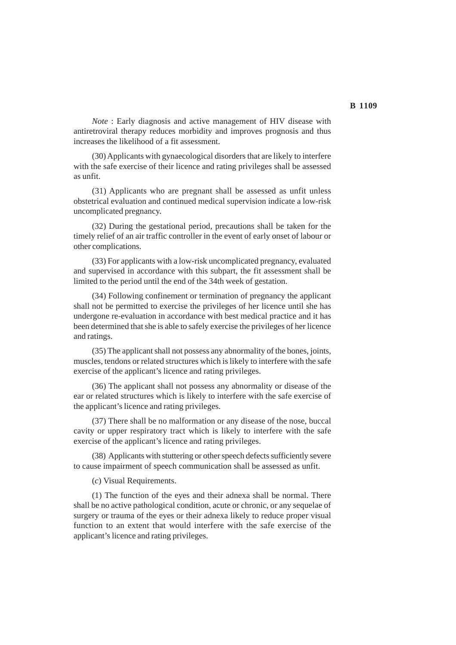*Note* : Early diagnosis and active management of HIV disease with antiretroviral therapy reduces morbidity and improves prognosis and thus

increases the likelihood of a fit assessment. (30) Applicants with gynaecological disorders that are likely to interfere with the safe exercise of their licence and rating privileges shall be assessed as unfit.

(31) Applicants who are pregnant shall be assessed as unfit unless obstetrical evaluation and continued medical supervision indicate a low-risk uncomplicated pregnancy.

(32) During the gestational period, precautions shall be taken for the timely relief of an air traffic controller in the event of early onset of labour or other complications.

(33) For applicants with a low-risk uncomplicated pregnancy, evaluated and supervised in accordance with this subpart, the fit assessment shall be limited to the period until the end of the 34th week of gestation.

(34) Following confinement or termination of pregnancy the applicant shall not be permitted to exercise the privileges of her licence until she has undergone re-evaluation in accordance with best medical practice and it has been determined that she is able to safely exercise the privileges of her licence and ratings.

(35) The applicant shall not possess any abnormality of the bones, joints, muscles, tendons or related structures which is likely to interfere with the safe exercise of the applicant's licence and rating privileges.

(36) The applicant shall not possess any abnormality or disease of the ear or related structures which is likely to interfere with the safe exercise of the applicant's licence and rating privileges.

(37) There shall be no malformation or any disease of the nose, buccal cavity or upper respiratory tract which is likely to interfere with the safe exercise of the applicant's licence and rating privileges.

(38) Applicants with stuttering or other speech defects sufficiently severe to cause impairment of speech communication shall be assessed as unfit.

(*c*) Visual Requirements.

(1) The function of the eyes and their adnexa shall be normal. There shall be no active pathological condition, acute or chronic, or any sequelae of surgery or trauma of the eyes or their adnexa likely to reduce proper visual function to an extent that would interfere with the safe exercise of the applicant's licence and rating privileges.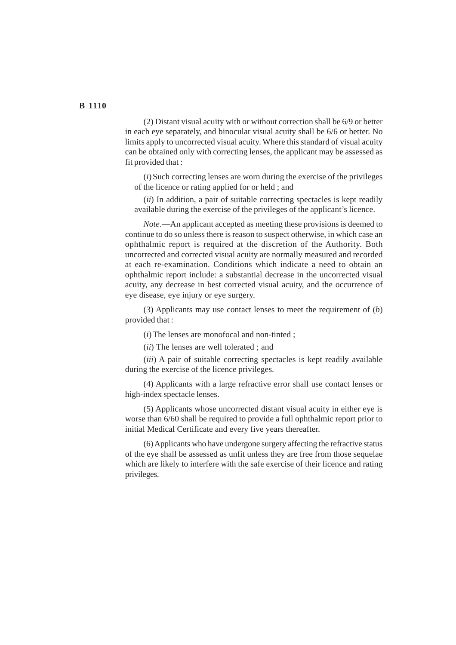(2) Distant visual acuity with or without correction shall be 6/9 or better in each eye separately, and binocular visual acuity shall be 6/6 or better. No limits apply to uncorrected visual acuity. Where this standard of visual acuity can be obtained only with correcting lenses, the applicant may be assessed as fit provided that :

(*i*) Such correcting lenses are worn during the exercise of the privileges of the licence or rating applied for or held ; and

(*ii*) In addition, a pair of suitable correcting spectacles is kept readily available during the exercise of the privileges of the applicant's licence.

*Note*.—An applicant accepted as meeting these provisions is deemed to continue to do so unless there is reason to suspect otherwise, in which case an ophthalmic report is required at the discretion of the Authority. Both uncorrected and corrected visual acuity are normally measured and recorded at each re-examination. Conditions which indicate a need to obtain an ophthalmic report include: a substantial decrease in the uncorrected visual acuity, any decrease in best corrected visual acuity, and the occurrence of eye disease, eye injury or eye surgery.

(3) Applicants may use contact lenses to meet the requirement of (*b*) provided that :

(*i*) The lenses are monofocal and non-tinted ;

(*ii*) The lenses are well tolerated ; and

(*iii*) A pair of suitable correcting spectacles is kept readily available during the exercise of the licence privileges.

(4) Applicants with a large refractive error shall use contact lenses or high-index spectacle lenses.

(5) Applicants whose uncorrected distant visual acuity in either eye is worse than 6/60 shall be required to provide a full ophthalmic report prior to initial Medical Certificate and every five years thereafter.

(6) Applicants who have undergone surgery affecting the refractive status of the eye shall be assessed as unfit unless they are free from those sequelae which are likely to interfere with the safe exercise of their licence and rating privileges.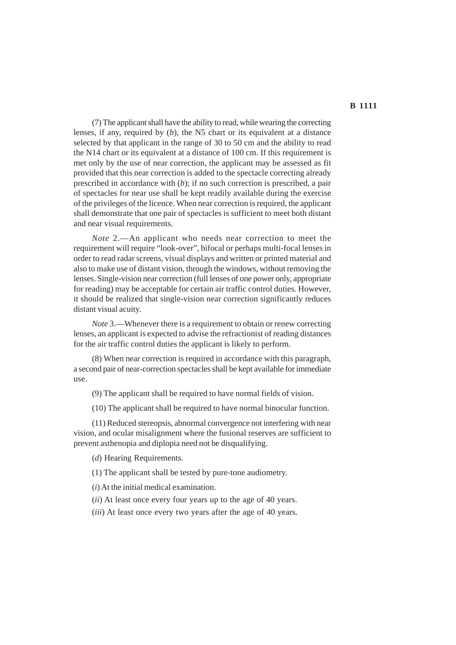(7) The applicant shall have the ability to read, while wearing the correcting lenses, if any, required by (*b*), the N5 chart or its equivalent at a distance selected by that applicant in the range of 30 to 50 cm and the ability to read the N14 chart or its equivalent at a distance of 100 cm. If this requirement is met only by the use of near correction, the applicant may be assessed as fit provided that this near correction is added to the spectacle correcting already prescribed in accordance with (*b*); if no such correction is prescribed, a pair of spectacles for near use shall be kept readily available during the exercise of the privileges of the licence. When near correction is required, the applicant shall demonstrate that one pair of spectacles is sufficient to meet both distant and near visual requirements.

*Note* 2.—An applicant who needs near correction to meet the requirement will require "look-over", bifocal or perhaps multi-focal lenses in order to read radar screens, visual displays and written or printed material and also to make use of distant vision, through the windows, without removing the lenses. Single-vision near correction (full lenses of one power only, appropriate for reading) may be acceptable for certain air traffic control duties. However, it should be realized that single-vision near correction significantly reduces distant visual acuity.

*Note* 3.—Whenever there is a requirement to obtain or renew correcting lenses, an applicant is expected to advise the refractionist of reading distances for the air traffic control duties the applicant is likely to perform.

(8) When near correction is required in accordance with this paragraph, a second pair of near-correction spectacles shall be kept available for immediate use.

(9) The applicant shall be required to have normal fields of vision.

(10) The applicant shall be required to have normal binocular function.

(11) Reduced stereopsis, abnormal convergence not interfering with near vision, and ocular misalignment where the fusional reserves are sufficient to prevent asthenopia and diplopia need not be disqualifying.

(*d*) Hearing Requirements.

(1) The applicant shall be tested by pure-tone audiometry.

(*i*) At the initial medical examination.

- (*ii*) At least once every four years up to the age of 40 years.
- (*iii*) At least once every two years after the age of 40 years.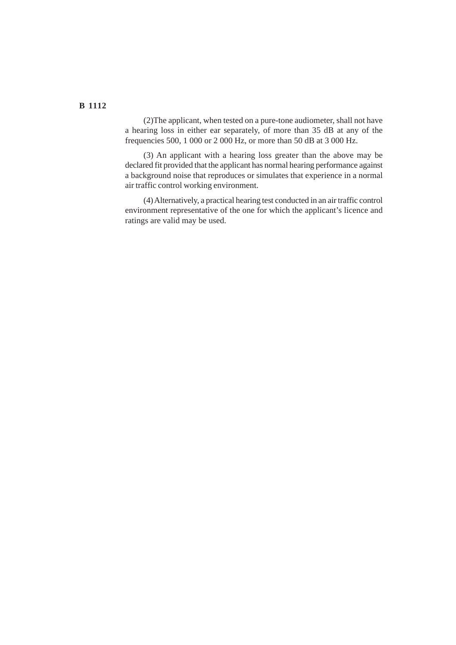(2)The applicant, when tested on a pure-tone audiometer, shall not have a hearing loss in either ear separately, of more than 35 dB at any of the frequencies 500, 1 000 or 2 000 Hz, or more than 50 dB at 3 000 Hz.

(3) An applicant with a hearing loss greater than the above may be declared fit provided that the applicant has normal hearing performance against a background noise that reproduces or simulates that experience in a normal air traffic control working environment.

(4) Alternatively, a practical hearing test conducted in an air traffic control environment representative of the one for which the applicant's licence and ratings are valid may be used.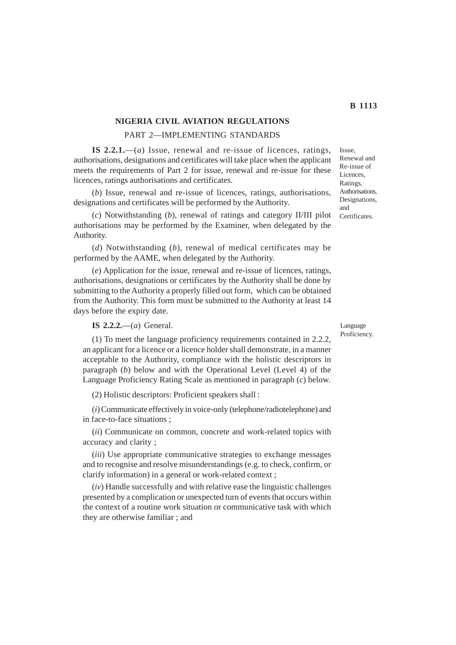## **NIGERIA CIVIL AVIATION REGULATIONS**

#### PART 2—IMPLEMENTING STANDARDS

**IS 2.2.1.**—(*a*) Issue, renewal and re-issue of licences, ratings, authorisations, designations and certificates will take place when the applicant meets the requirements of Part 2 for issue, renewal and re-issue for these licences, ratings authorisations and certificates.

(*b*) Issue, renewal and re-issue of licences, ratings, authorisations, designations and certificates will be performed by the Authority.

(*c*) Notwithstanding (*b*), renewal of ratings and category II/III pilot authorisations may be performed by the Examiner, when delegated by the Authority.

(*d*) Notwithstanding (*b*), renewal of medical certificates may be performed by the AAME, when delegated by the Authority.

(*e*) Application for the issue, renewal and re-issue of licences, ratings, authorisations, designations or certificates by the Authority shall be done by submitting to the Authority a properly filled out form, which can be obtained from the Authority. This form must be submitted to the Authority at least 14 days before the expiry date.

**IS 2.2.2.**—(*a*) General.

(1) To meet the language proficiency requirements contained in 2.2.2, an applicant for a licence or a licence holder shall demonstrate, in a manner acceptable to the Authority, compliance with the holistic descriptors in paragraph (*b*) below and with the Operational Level (Level 4) of the Language Proficiency Rating Scale as mentioned in paragraph (*c*) below.

(2) Holistic descriptors: Proficient speakers shall :

(*i*) Communicate effectively in voice-only (telephone/radiotelephone) and in face-to-face situations ;

(*ii*) Communicate on common, concrete and work-related topics with accuracy and clarity ;

(*iii*) Use appropriate communicative strategies to exchange messages and to recognise and resolve misunderstandings (e.g. to check, confirm, or clarify information) in a general or work-related context ;

(*iv*) Handle successfully and with relative ease the linguistic challenges presented by a complication or unexpected turn of events that occurs within the context of a routine work situation or communicative task with which they are otherwise familiar ; and

Language Proficiency.

Issue, Renewal and Re-issue of Licences, Ratings, Authorisations, Designations, and Certificates.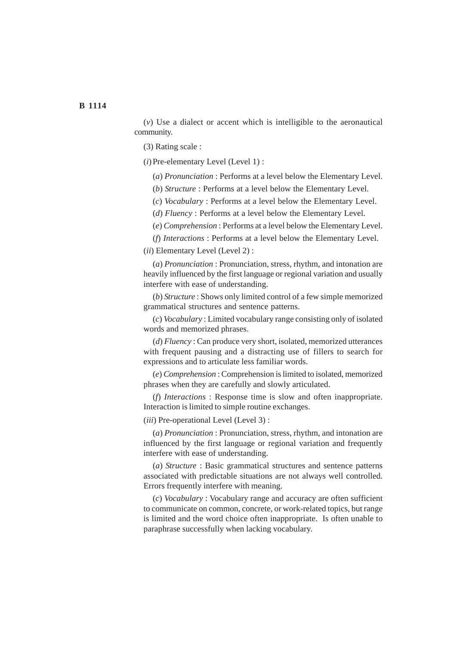(*v*) Use a dialect or accent which is intelligible to the aeronautical community.

(3) Rating scale :

(*i*) Pre-elementary Level (Level 1) :

(*a*) *Pronunciation* : Performs at a level below the Elementary Level.

(*b*) *Structure* : Performs at a level below the Elementary Level.

(*c*) *Vocabulary* : Performs at a level below the Elementary Level.

(*d*) *Fluency* : Performs at a level below the Elementary Level.

(*e*) *Comprehension* : Performs at a level below the Elementary Level.

(*f*) *Interactions* : Performs at a level below the Elementary Level.

(*ii*) Elementary Level (Level 2) :

(*a*) *Pronunciation* : Pronunciation, stress, rhythm, and intonation are heavily influenced by the first language or regional variation and usually interfere with ease of understanding.

(*b*) *Structure* : Shows only limited control of a few simple memorized grammatical structures and sentence patterns.

(*c*) *Vocabulary* : Limited vocabulary range consisting only of isolated words and memorized phrases.

(*d*) *Fluency* : Can produce very short, isolated, memorized utterances with frequent pausing and a distracting use of fillers to search for expressions and to articulate less familiar words.

(*e*) *Comprehension* : Comprehension is limited to isolated, memorized phrases when they are carefully and slowly articulated.

(*f*) *Interactions* : Response time is slow and often inappropriate. Interaction is limited to simple routine exchanges.

(*iii*) Pre-operational Level (Level 3) :

(*a*) *Pronunciation* : Pronunciation, stress, rhythm, and intonation are influenced by the first language or regional variation and frequently interfere with ease of understanding.

(*a*) *Structure* : Basic grammatical structures and sentence patterns associated with predictable situations are not always well controlled. Errors frequently interfere with meaning.

(*c*) *Vocabulary* : Vocabulary range and accuracy are often sufficient to communicate on common, concrete, or work-related topics, but range is limited and the word choice often inappropriate. Is often unable to paraphrase successfully when lacking vocabulary.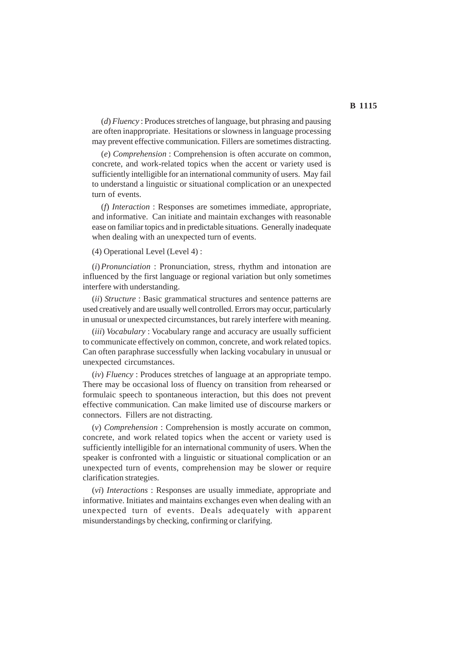(*d*) *Fluency* : Produces stretches of language, but phrasing and pausing are often inappropriate. Hesitations or slowness in language processing may prevent effective communication. Fillers are sometimes distracting.

(*e*) *Comprehension* : Comprehension is often accurate on common, concrete, and work-related topics when the accent or variety used is sufficiently intelligible for an international community of users. May fail to understand a linguistic or situational complication or an unexpected turn of events.

(*f*) *Interaction* : Responses are sometimes immediate, appropriate, and informative. Can initiate and maintain exchanges with reasonable ease on familiar topics and in predictable situations. Generally inadequate when dealing with an unexpected turn of events.

(4) Operational Level (Level 4) :

(*i*)*Pronunciation* : Pronunciation, stress, rhythm and intonation are influenced by the first language or regional variation but only sometimes interfere with understanding.

(*ii*) *Structure* : Basic grammatical structures and sentence patterns are used creatively and are usually well controlled. Errors may occur, particularly in unusual or unexpected circumstances, but rarely interfere with meaning.

(*iii*) *Vocabulary* : Vocabulary range and accuracy are usually sufficient to communicate effectively on common, concrete, and work related topics. Can often paraphrase successfully when lacking vocabulary in unusual or unexpected circumstances.

(*iv*) *Fluency* : Produces stretches of language at an appropriate tempo. There may be occasional loss of fluency on transition from rehearsed or formulaic speech to spontaneous interaction, but this does not prevent effective communication. Can make limited use of discourse markers or connectors. Fillers are not distracting.

(*v*) *Comprehension* : Comprehension is mostly accurate on common, concrete, and work related topics when the accent or variety used is sufficiently intelligible for an international community of users. When the speaker is confronted with a linguistic or situational complication or an unexpected turn of events, comprehension may be slower or require clarification strategies.

(*vi*) *Interactions* : Responses are usually immediate, appropriate and informative. Initiates and maintains exchanges even when dealing with an unexpected turn of events. Deals adequately with apparent misunderstandings by checking, confirming or clarifying.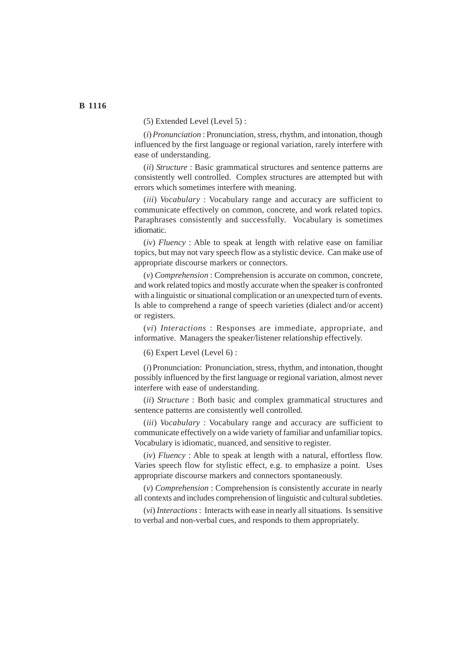(5) Extended Level (Level 5) :

(*i*)*Pronunciation* : Pronunciation, stress, rhythm, and intonation, though influenced by the first language or regional variation, rarely interfere with ease of understanding.

(*ii*) *Structure* : Basic grammatical structures and sentence patterns are consistently well controlled. Complex structures are attempted but with errors which sometimes interfere with meaning.

(*iii*) *Vocabulary* : Vocabulary range and accuracy are sufficient to communicate effectively on common, concrete, and work related topics. Paraphrases consistently and successfully. Vocabulary is sometimes idiomatic.

(*iv*) *Fluency* : Able to speak at length with relative ease on familiar topics, but may not vary speech flow as a stylistic device. Can make use of appropriate discourse markers or connectors.

(*v*) *Comprehension* : Comprehension is accurate on common, concrete, and work related topics and mostly accurate when the speaker is confronted with a linguistic or situational complication or an unexpected turn of events. Is able to comprehend a range of speech varieties (dialect and/or accent) or registers.

(*vi*) *Interactions* : Responses are immediate, appropriate, and informative. Managers the speaker/listener relationship effectively.

(6) Expert Level (Level 6) :

(*i*) Pronunciation: Pronunciation, stress, rhythm, and intonation, thought possibly influenced by the first language or regional variation, almost never interfere with ease of understanding.

(*ii*) *Structure* : Both basic and complex grammatical structures and sentence patterns are consistently well controlled.

(*iii*) *Vocabulary* : Vocabulary range and accuracy are sufficient to communicate effectively on a wide variety of familiar and unfamiliar topics. Vocabulary is idiomatic, nuanced, and sensitive to register.

(*iv*) *Fluency* : Able to speak at length with a natural, effortless flow. Varies speech flow for stylistic effect, e.g. to emphasize a point. Uses appropriate discourse markers and connectors spontaneously.

(*v*) *Comprehension* : Comprehension is consistently accurate in nearly all contexts and includes comprehension of linguistic and cultural subtleties.

(*vi*) *Interactions* : Interacts with ease in nearly all situations. Is sensitive to verbal and non-verbal cues, and responds to them appropriately.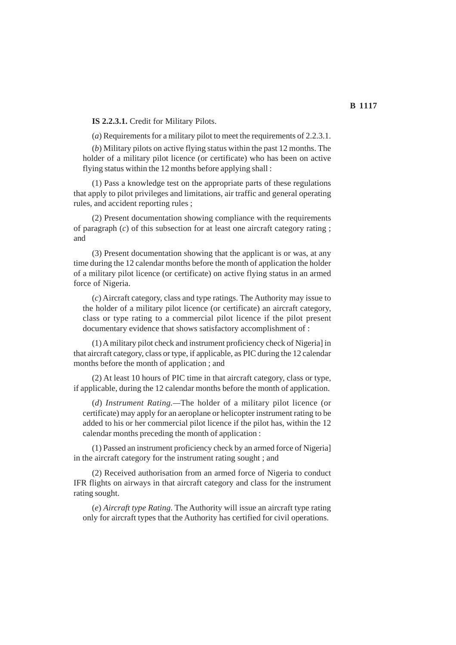**IS 2.2.3.1.** Credit for Military Pilots.

(*a*) Requirements for a military pilot to meet the requirements of 2.2.3.1.

(*b*) Military pilots on active flying status within the past 12 months. The holder of a military pilot licence (or certificate) who has been on active flying status within the 12 months before applying shall :

(1) Pass a knowledge test on the appropriate parts of these regulations that apply to pilot privileges and limitations, air traffic and general operating rules, and accident reporting rules ;

(2) Present documentation showing compliance with the requirements of paragraph (*c*) of this subsection for at least one aircraft category rating ; and

(3) Present documentation showing that the applicant is or was, at any time during the 12 calendar months before the month of application the holder of a military pilot licence (or certificate) on active flying status in an armed force of Nigeria.

(*c*) Aircraft category, class and type ratings. The Authority may issue to the holder of a military pilot licence (or certificate) an aircraft category, class or type rating to a commercial pilot licence if the pilot present documentary evidence that shows satisfactory accomplishment of :

(1) A military pilot check and instrument proficiency check of Nigeria] in that aircraft category, class or type, if applicable, as PIC during the 12 calendar months before the month of application ; and

(2) At least 10 hours of PIC time in that aircraft category, class or type, if applicable, during the 12 calendar months before the month of application.

(*d*) *Instrument Rating.—*The holder of a military pilot licence (or certificate) may apply for an aeroplane or helicopter instrument rating to be added to his or her commercial pilot licence if the pilot has, within the 12 calendar months preceding the month of application :

(1) Passed an instrument proficiency check by an armed force of Nigeria] in the aircraft category for the instrument rating sought ; and

(2) Received authorisation from an armed force of Nigeria to conduct IFR flights on airways in that aircraft category and class for the instrument rating sought.

(*e*) *Aircraft type Rating*. The Authority will issue an aircraft type rating only for aircraft types that the Authority has certified for civil operations.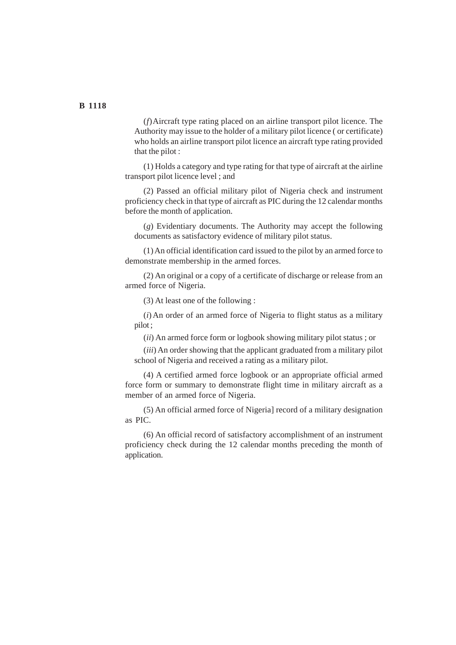(*f*)Aircraft type rating placed on an airline transport pilot licence. The Authority may issue to the holder of a military pilot licence ( or certificate) who holds an airline transport pilot licence an aircraft type rating provided that the pilot :

(1) Holds a category and type rating for that type of aircraft at the airline transport pilot licence level ; and

(2) Passed an official military pilot of Nigeria check and instrument proficiency check in that type of aircraft as PIC during the 12 calendar months before the month of application.

(*g*) Evidentiary documents. The Authority may accept the following documents as satisfactory evidence of military pilot status.

(1) An official identification card issued to the pilot by an armed force to demonstrate membership in the armed forces.

(2) An original or a copy of a certificate of discharge or release from an armed force of Nigeria.

(3) At least one of the following :

(*i*) An order of an armed force of Nigeria to flight status as a military pilot ;

(*ii*) An armed force form or logbook showing military pilot status ; or

(*iii*) An order showing that the applicant graduated from a military pilot school of Nigeria and received a rating as a military pilot.

(4) A certified armed force logbook or an appropriate official armed force form or summary to demonstrate flight time in military aircraft as a member of an armed force of Nigeria.

(5) An official armed force of Nigeria] record of a military designation as PIC.

(6) An official record of satisfactory accomplishment of an instrument proficiency check during the 12 calendar months preceding the month of application.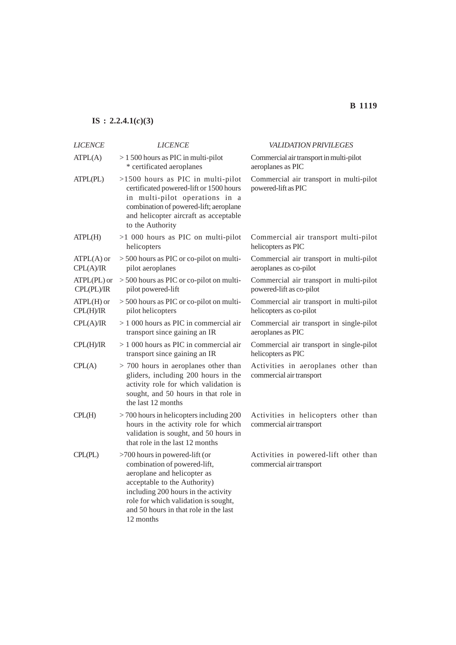# **IS : 2.2.4.1(***c***)(3)**

| <b>LICENCE</b>            | <b>LICENCE</b>                                                                                                                                                                                                                                                     | VALIDATION PRIVILEGES                                               |
|---------------------------|--------------------------------------------------------------------------------------------------------------------------------------------------------------------------------------------------------------------------------------------------------------------|---------------------------------------------------------------------|
| ATPL(A)                   | $> 1500$ hours as PIC in multi-pilot<br>* certificated aeroplanes                                                                                                                                                                                                  | Commercial air transport in multi-pilot<br>aeroplanes as PIC        |
| ATPL(PL)                  | $>1500$ hours as PIC in multi-pilot<br>certificated powered-lift or 1500 hours<br>in multi-pilot operations in a<br>combination of powered-lift; aeroplane<br>and helicopter aircraft as acceptable<br>to the Authority                                            | Commercial air transport in multi-pilot<br>powered-lift as PIC      |
| ATPL(H)                   | >1 000 hours as PIC on multi-pilot<br>helicopters                                                                                                                                                                                                                  | Commercial air transport multi-pilot<br>helicopters as PIC          |
| $ATPL(A)$ or<br>CPL(A)/IR | > 500 hours as PIC or co-pilot on multi-<br>pilot aeroplanes                                                                                                                                                                                                       | Commercial air transport in multi-pilot<br>aeroplanes as co-pilot   |
| ATPL(PL) or<br>CPL(PL)/IR | > 500 hours as PIC or co-pilot on multi-<br>pilot powered-lift                                                                                                                                                                                                     | Commercial air transport in multi-pilot<br>powered-lift as co-pilot |
| $ATPL(H)$ or<br>CPL(H)/IR | > 500 hours as PIC or co-pilot on multi-<br>pilot helicopters                                                                                                                                                                                                      | Commercial air transport in multi-pilot<br>helicopters as co-pilot  |
| CPL(A)/IR                 | $> 1000$ hours as PIC in commercial air<br>transport since gaining an IR                                                                                                                                                                                           | Commercial air transport in single-pilot<br>aeroplanes as PIC       |
| CPL(H)/IR                 | $>1000$ hours as PIC in commercial air<br>transport since gaining an IR                                                                                                                                                                                            | Commercial air transport in single-pilot<br>helicopters as PIC      |
| CPL(A)                    | $> 700$ hours in aeroplanes other than<br>gliders, including 200 hours in the<br>activity role for which validation is<br>sought, and 50 hours in that role in<br>the last 12 months                                                                               | Activities in aeroplanes other than<br>commercial air transport     |
| CPL(H)                    | $>$ 700 hours in helicopters including 200<br>hours in the activity role for which<br>validation is sought, and 50 hours in<br>that role in the last 12 months                                                                                                     | Activities in helicopters other than<br>commercial air transport    |
| CPL(PL)                   | >700 hours in powered-lift (or<br>combination of powered-lift,<br>aeroplane and helicopter as<br>acceptable to the Authority)<br>including 200 hours in the activity<br>role for which validation is sought,<br>and 50 hours in that role in the last<br>12 months | Activities in powered-lift other than<br>commercial air transport   |

# **B 1119**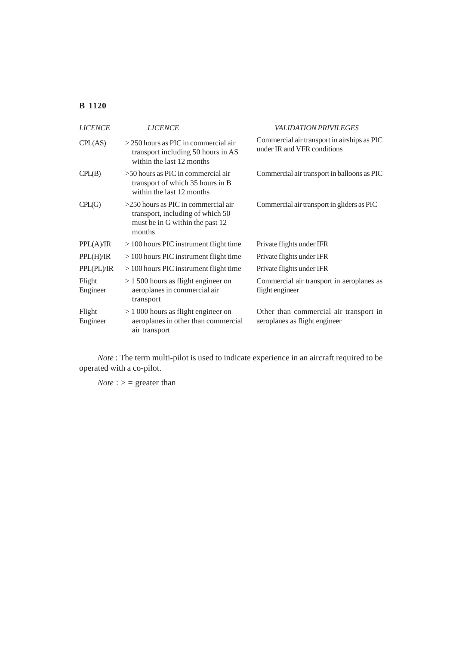| <b>LICENCE</b>     | <b>LICENCE</b>                                                                                                         | <i><b>VALIDATION PRIVILEGES</b></i>                                        |
|--------------------|------------------------------------------------------------------------------------------------------------------------|----------------------------------------------------------------------------|
| CPL(AS)            | $>$ 250 hours as PIC in commercial air<br>transport including 50 hours in AS<br>within the last 12 months              | Commercial air transport in airships as PIC<br>under IR and VFR conditions |
| CPL(B)             | $>50$ hours as PIC in commercial air<br>transport of which 35 hours in B<br>within the last 12 months                  | Commercial air transport in balloons as PIC                                |
| CPL(G)             | $>250$ hours as PIC in commercial air<br>transport, including of which 50<br>must be in G within the past 12<br>months | Commercial air transport in gliders as PIC                                 |
| PPL(A)/IR          | $>100$ hours PIC instrument flight time                                                                                | Private flights under IFR                                                  |
| PPL(H)/IR          | $>100$ hours PIC instrument flight time                                                                                | Private flights under IFR                                                  |
| PPL(PL)/IR         | $>100$ hours PIC instrument flight time                                                                                | Private flights under IFR                                                  |
| Flight<br>Engineer | $> 1500$ hours as flight engineer on<br>aeroplanes in commercial air<br>transport                                      | Commercial air transport in aeroplanes as<br>flight engineer               |
| Flight<br>Engineer | $> 1000$ hours as flight engineer on<br>aeroplanes in other than commercial<br>air transport                           | Other than commercial air transport in<br>aeroplanes as flight engineer    |

*Note* : The term multi-pilot is used to indicate experience in an aircraft required to be operated with a co-pilot.

 $Note:$  > = greater than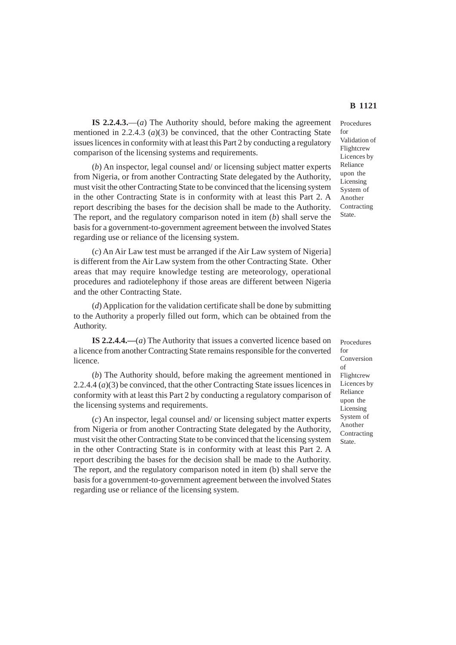**IS 2.2.4.3.**—(*a*) The Authority should, before making the agreement mentioned in 2.2.4.3 (*a*)(3) be convinced, that the other Contracting State issues licences in conformity with at least this Part 2 by conducting a regulatory comparison of the licensing systems and requirements.

(*b*) An inspector, legal counsel and/ or licensing subject matter experts from Nigeria, or from another Contracting State delegated by the Authority, must visit the other Contracting State to be convinced that the licensing system in the other Contracting State is in conformity with at least this Part 2. A report describing the bases for the decision shall be made to the Authority. The report, and the regulatory comparison noted in item (*b*) shall serve the basis for a government-to-government agreement between the involved States regarding use or reliance of the licensing system.

(*c*) An Air Law test must be arranged if the Air Law system of Nigeria] is different from the Air Law system from the other Contracting State. Other areas that may require knowledge testing are meteorology, operational procedures and radiotelephony if those areas are different between Nigeria and the other Contracting State.

(*d*) Application for the validation certificate shall be done by submitting to the Authority a properly filled out form, which can be obtained from the Authority.

**IS 2.2.4.4.—**(*a*) The Authority that issues a converted licence based on a licence from another Contracting State remains responsible for the converted licence.

(*b*) The Authority should, before making the agreement mentioned in 2.2.4.4 (*a*)(3) be convinced, that the other Contracting State issues licences in conformity with at least this Part 2 by conducting a regulatory comparison of the licensing systems and requirements.

(*c*) An inspector, legal counsel and/ or licensing subject matter experts from Nigeria or from another Contracting State delegated by the Authority, must visit the other Contracting State to be convinced that the licensing system in the other Contracting State is in conformity with at least this Part 2. A report describing the bases for the decision shall be made to the Authority. The report, and the regulatory comparison noted in item (b) shall serve the basis for a government-to-government agreement between the involved States regarding use or reliance of the licensing system.

Procedures for Validation of Flightcrew Licences by Reliance upon the Licensing System of Another Contracting State.

Procedures for Conversion of Flightcrew Licences by Reliance upon the Licensing System of Another Contracting State.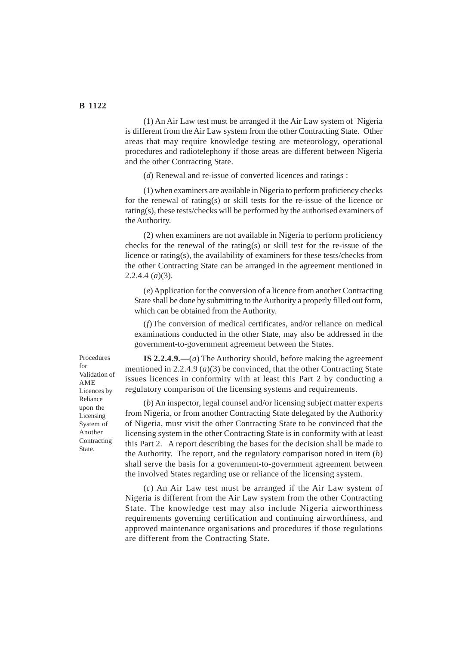(1) An Air Law test must be arranged if the Air Law system of Nigeria is different from the Air Law system from the other Contracting State. Other areas that may require knowledge testing are meteorology, operational procedures and radiotelephony if those areas are different between Nigeria and the other Contracting State.

(*d*) Renewal and re-issue of converted licences and ratings :

(1) when examiners are available in Nigeria to perform proficiency checks for the renewal of rating(s) or skill tests for the re-issue of the licence or rating(s), these tests/checks will be performed by the authorised examiners of the Authority.

(2) when examiners are not available in Nigeria to perform proficiency checks for the renewal of the rating(s) or skill test for the re-issue of the licence or rating(s), the availability of examiners for these tests/checks from the other Contracting State can be arranged in the agreement mentioned in 2.2.4.4 (*a*)(3).

(*e*) Application for the conversion of a licence from another Contracting State shall be done by submitting to the Authority a properly filled out form, which can be obtained from the Authority.

(*f*)The conversion of medical certificates, and/or reliance on medical examinations conducted in the other State, may also be addressed in the government-to-government agreement between the States.

**IS 2.2.4.9.—**(*a*) The Authority should, before making the agreement mentioned in 2.2.4.9 (*a*)(3) be convinced, that the other Contracting State issues licences in conformity with at least this Part 2 by conducting a regulatory comparison of the licensing systems and requirements.

(*b*) An inspector, legal counsel and/or licensing subject matter experts from Nigeria, or from another Contracting State delegated by the Authority of Nigeria, must visit the other Contracting State to be convinced that the licensing system in the other Contracting State is in conformity with at least this Part 2. A report describing the bases for the decision shall be made to the Authority. The report, and the regulatory comparison noted in item (*b*) shall serve the basis for a government-to-government agreement between the involved States regarding use or reliance of the licensing system.

(*c*) An Air Law test must be arranged if the Air Law system of Nigeria is different from the Air Law system from the other Contracting State. The knowledge test may also include Nigeria airworthiness requirements governing certification and continuing airworthiness, and approved maintenance organisations and procedures if those regulations are different from the Contracting State.

Procedures for Validation of AME Licences by Reliance upon the Licensing System of Another Contracting State.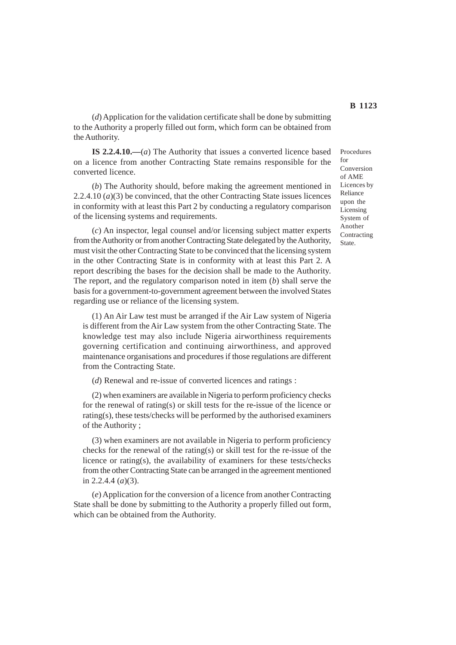(*d*) Application for the validation certificate shall be done by submitting to the Authority a properly filled out form, which form can be obtained from the Authority.

**IS 2.2.4.10.—**(*a*) The Authority that issues a converted licence based on a licence from another Contracting State remains responsible for the converted licence.

(*b*) The Authority should, before making the agreement mentioned in 2.2.4.10 (*a*)(3) be convinced, that the other Contracting State issues licences in conformity with at least this Part 2 by conducting a regulatory comparison of the licensing systems and requirements.

(*c*) An inspector, legal counsel and/or licensing subject matter experts from the Authority or from another Contracting State delegated by the Authority, must visit the other Contracting State to be convinced that the licensing system in the other Contracting State is in conformity with at least this Part 2. A report describing the bases for the decision shall be made to the Authority. The report, and the regulatory comparison noted in item (*b*) shall serve the basis for a government-to-government agreement between the involved States regarding use or reliance of the licensing system.

(1) An Air Law test must be arranged if the Air Law system of Nigeria is different from the Air Law system from the other Contracting State. The knowledge test may also include Nigeria airworthiness requirements governing certification and continuing airworthiness, and approved maintenance organisations and procedures if those regulations are different from the Contracting State.

(*d*) Renewal and re-issue of converted licences and ratings :

(2) when examiners are available in Nigeria to perform proficiency checks for the renewal of rating(s) or skill tests for the re-issue of the licence or rating(s), these tests/checks will be performed by the authorised examiners of the Authority ;

(3) when examiners are not available in Nigeria to perform proficiency checks for the renewal of the rating(s) or skill test for the re-issue of the licence or rating(s), the availability of examiners for these tests/checks from the other Contracting State can be arranged in the agreement mentioned in 2.2.4.4 (*a*)(3).

(*e*) Application for the conversion of a licence from another Contracting State shall be done by submitting to the Authority a properly filled out form, which can be obtained from the Authority.

Procedures  $for$ Conversion of AME Licences by Reliance upon the Licensing System of Another Contracting State.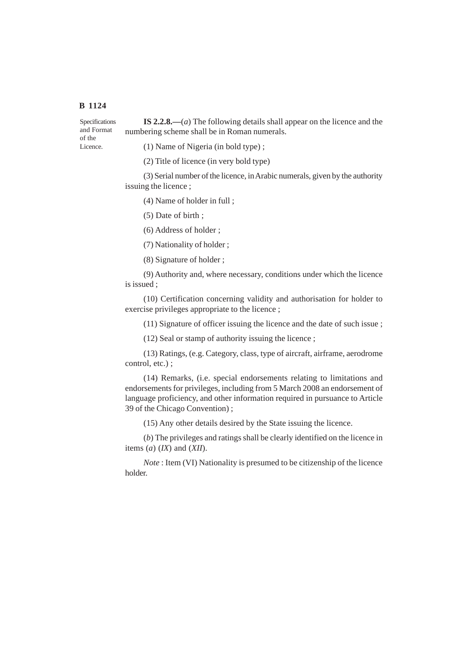of the Licence.

**IS 2.2.8.—**(*a*) The following details shall appear on the licence and the numbering scheme shall be in Roman numerals. Specifications and Format

(1) Name of Nigeria (in bold type) ;

(2) Title of licence (in very bold type)

(3) Serial number of the licence, in Arabic numerals, given by the authority issuing the licence ;

(4) Name of holder in full ;

(5) Date of birth ;

(6) Address of holder ;

(7) Nationality of holder ;

(8) Signature of holder ;

(9) Authority and, where necessary, conditions under which the licence is issued ;

(10) Certification concerning validity and authorisation for holder to exercise privileges appropriate to the licence ;

(11) Signature of officer issuing the licence and the date of such issue ;

(12) Seal or stamp of authority issuing the licence ;

(13) Ratings, (e.g. Category, class, type of aircraft, airframe, aerodrome control, etc.) ;

(14) Remarks, (i.e. special endorsements relating to limitations and endorsements for privileges, including from 5 March 2008 an endorsement of language proficiency, and other information required in pursuance to Article 39 of the Chicago Convention) ;

(15) Any other details desired by the State issuing the licence.

(*b*) The privileges and ratings shall be clearly identified on the licence in items (*a*) (*IX*) and (*XII*).

*Note* : Item (VI) Nationality is presumed to be citizenship of the licence holder.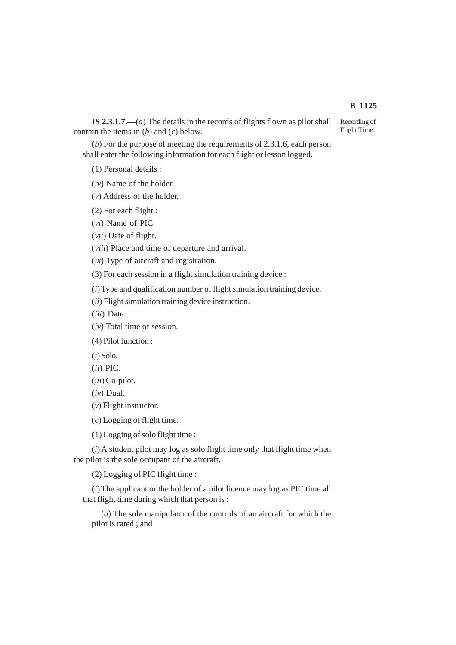## **IS 2.3.1.7.**—(*a*) The details in the records of flights flown as pilot shall contain the items in (*b*) and (*c*) below.

(*b*) For the purpose of meeting the requirements of 2.3.1.6, each person shall enter the following information for each flight or lesson logged.

(1) Personal details :

(*iv*) Name of the holder.

(*v*) Address of the holder.

(2) For each flight :

(*vi*) Name of PIC.

(*vii*) Date of flight.

(*viii*) Place and time of departure and arrival.

(*ix*) Type of aircraft and registration.

(3) For each session in a flight simulation training device :

(*i*) Type and qualification number of flight simulation training device.

(*ii*) Flight simulation training device instruction.

(*iii*) Date.

(*iv*) Total time of session.

(4) Pilot function :

(*i*) Solo.

(*ii*) PIC.

(*iii*) Co-pilot.

(*iv*) Dual.

(*v*) Flight instructor.

(*c*) Logging of flight time.

(1) Logging of solo flight time :

(*i*) A student pilot may log as solo flight time only that flight time when the pilot is the sole occupant of the aircraft.

(2) Logging of PIC flight time :

(*i*) The applicant or the holder of a pilot licence may log as PIC time all that flight time during which that person is :

(*a*) The sole manipulator of the controls of an aircraft for which the pilot is rated ; and

**B 1125**

Recording of Flight Time.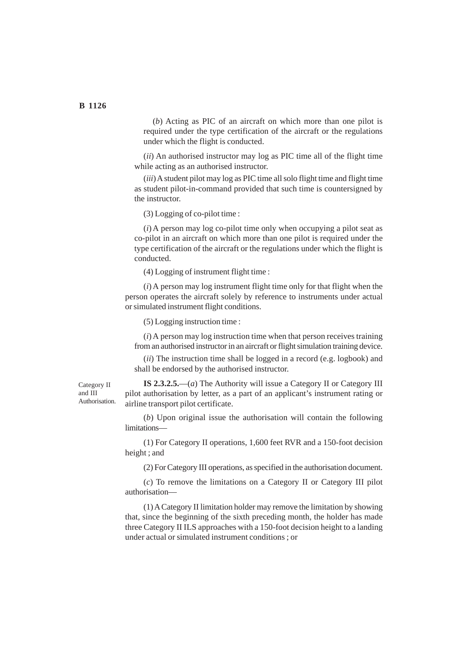(*b*) Acting as PIC of an aircraft on which more than one pilot is required under the type certification of the aircraft or the regulations under which the flight is conducted.

(*ii*) An authorised instructor may log as PIC time all of the flight time while acting as an authorised instructor.

(*iii*) A student pilot may log as PIC time all solo flight time and flight time as student pilot-in-command provided that such time is countersigned by the instructor.

(3) Logging of co-pilot time :

(*i*) A person may log co-pilot time only when occupying a pilot seat as co-pilot in an aircraft on which more than one pilot is required under the type certification of the aircraft or the regulations under which the flight is conducted.

(4) Logging of instrument flight time :

(*i*) A person may log instrument flight time only for that flight when the person operates the aircraft solely by reference to instruments under actual or simulated instrument flight conditions.

(5) Logging instruction time :

(*i*) A person may log instruction time when that person receives training from an authorised instructor in an aircraft or flight simulation training device.

(*ii*) The instruction time shall be logged in a record (e.g. logbook) and shall be endorsed by the authorised instructor.

Category II and III Authorisation.

**IS 2.3.2.5.**—(*a*) The Authority will issue a Category II or Category III pilot authorisation by letter, as a part of an applicant's instrument rating or airline transport pilot certificate.

(*b*) Upon original issue the authorisation will contain the following limitations—

(1) For Category II operations, 1,600 feet RVR and a 150-foot decision height ; and

(2) For Category III operations, as specified in the authorisation document.

(*c*) To remove the limitations on a Category II or Category III pilot authorisation—

(1) A Category II limitation holder may remove the limitation by showing that, since the beginning of the sixth preceding month, the holder has made three Category II ILS approaches with a 150-foot decision height to a landing under actual or simulated instrument conditions ; or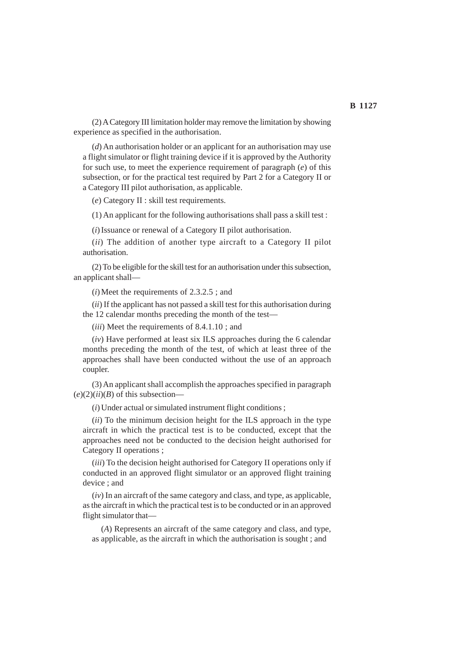(2) A Category III limitation holder may remove the limitation by showing experience as specified in the authorisation.

(*d*) An authorisation holder or an applicant for an authorisation may use a flight simulator or flight training device if it is approved by the Authority for such use, to meet the experience requirement of paragraph (*e*) of this subsection, or for the practical test required by Part 2 for a Category II or a Category III pilot authorisation, as applicable.

(*e*) Category II : skill test requirements.

(1) An applicant for the following authorisations shall pass a skill test :

(*i*) Issuance or renewal of a Category II pilot authorisation.

(*ii*) The addition of another type aircraft to a Category II pilot authorisation.

(2) To be eligible for the skill test for an authorisation under this subsection, an applicant shall—

(*i*) Meet the requirements of 2.3.2.5 ; and

(*ii*) If the applicant has not passed a skill test for this authorisation during the 12 calendar months preceding the month of the test—

(*iii*) Meet the requirements of 8.4.1.10 ; and

(*iv*) Have performed at least six ILS approaches during the 6 calendar months preceding the month of the test, of which at least three of the approaches shall have been conducted without the use of an approach coupler.

(3) An applicant shall accomplish the approaches specified in paragraph  $(e)(2)(ii)(B)$  of this subsection-

(*i*) Under actual or simulated instrument flight conditions ;

(*ii*) To the minimum decision height for the ILS approach in the type aircraft in which the practical test is to be conducted, except that the approaches need not be conducted to the decision height authorised for Category II operations ;

(*iii*) To the decision height authorised for Category II operations only if conducted in an approved flight simulator or an approved flight training device ; and

(*iv*) In an aircraft of the same category and class, and type, as applicable, as the aircraft in which the practical test is to be conducted or in an approved flight simulator that—

(*A*) Represents an aircraft of the same category and class, and type, as applicable, as the aircraft in which the authorisation is sought ; and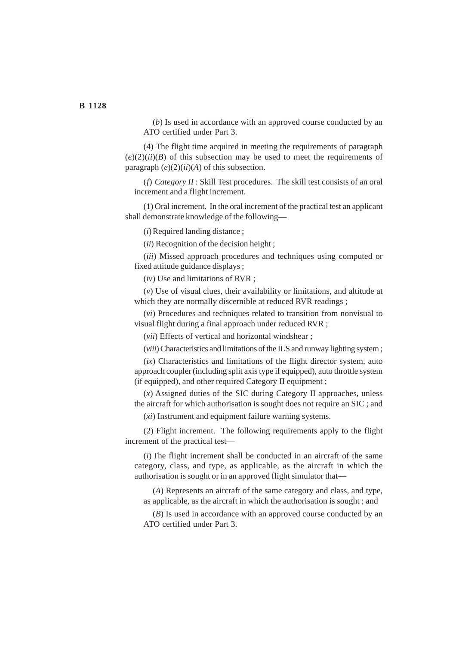(*b*) Is used in accordance with an approved course conducted by an ATO certified under Part 3.

(4) The flight time acquired in meeting the requirements of paragraph  $(e)(2)(ii)(B)$  of this subsection may be used to meet the requirements of paragraph (*e*)(2)(*ii*)(*A*) of this subsection.

(*f*) *Category II* : Skill Test procedures. The skill test consists of an oral increment and a flight increment.

(1) Oral increment. In the oral increment of the practical test an applicant shall demonstrate knowledge of the following—

(*i*) Required landing distance ;

(*ii*) Recognition of the decision height ;

(*iii*) Missed approach procedures and techniques using computed or fixed attitude guidance displays ;

(*iv*) Use and limitations of RVR ;

(*v*) Use of visual clues, their availability or limitations, and altitude at which they are normally discernible at reduced RVR readings;

(*vi*) Procedures and techniques related to transition from nonvisual to visual flight during a final approach under reduced RVR ;

(*vii*) Effects of vertical and horizontal windshear ;

(*viii*) Characteristics and limitations of the ILS and runway lighting system ;

(*ix*) Characteristics and limitations of the flight director system, auto approach coupler (including split axis type if equipped), auto throttle system (if equipped), and other required Category II equipment ;

(*x*) Assigned duties of the SIC during Category II approaches, unless the aircraft for which authorisation is sought does not require an SIC ; and

(*xi*) Instrument and equipment failure warning systems.

(2) Flight increment. The following requirements apply to the flight increment of the practical test—

(*i*) The flight increment shall be conducted in an aircraft of the same category, class, and type, as applicable, as the aircraft in which the authorisation is sought or in an approved flight simulator that—

(*A*) Represents an aircraft of the same category and class, and type, as applicable, as the aircraft in which the authorisation is sought ; and

(*B*) Is used in accordance with an approved course conducted by an ATO certified under Part 3.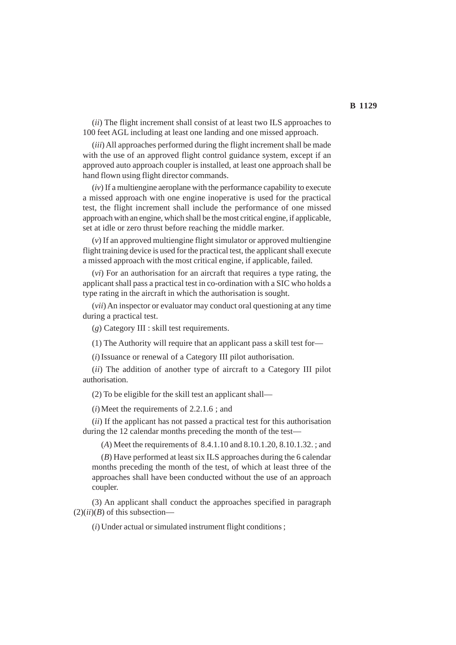(*ii*) The flight increment shall consist of at least two ILS approaches to 100 feet AGL including at least one landing and one missed approach.

(*iii*) All approaches performed during the flight increment shall be made with the use of an approved flight control guidance system, except if an approved auto approach coupler is installed, at least one approach shall be hand flown using flight director commands.

(*iv*) If a multiengine aeroplane with the performance capability to execute a missed approach with one engine inoperative is used for the practical test, the flight increment shall include the performance of one missed approach with an engine, which shall be the most critical engine, if applicable, set at idle or zero thrust before reaching the middle marker.

(*v*) If an approved multiengine flight simulator or approved multiengine flight training device is used for the practical test, the applicant shall execute a missed approach with the most critical engine, if applicable, failed.

(*vi*) For an authorisation for an aircraft that requires a type rating, the applicant shall pass a practical test in co-ordination with a SIC who holds a type rating in the aircraft in which the authorisation is sought.

(*vii*) An inspector or evaluator may conduct oral questioning at any time during a practical test.

(*g*) Category III : skill test requirements.

(1) The Authority will require that an applicant pass a skill test for—

(*i*) Issuance or renewal of a Category III pilot authorisation.

(*ii*) The addition of another type of aircraft to a Category III pilot authorisation.

(2) To be eligible for the skill test an applicant shall—

(*i*) Meet the requirements of 2.2.1.6 ; and

(*ii*) If the applicant has not passed a practical test for this authorisation during the 12 calendar months preceding the month of the test—

(*A*) Meet the requirements of 8.4.1.10 and 8.10.1.20, 8.10.1.32. ; and

(*B*) Have performed at least six ILS approaches during the 6 calendar months preceding the month of the test, of which at least three of the approaches shall have been conducted without the use of an approach coupler.

(3) An applicant shall conduct the approaches specified in paragraph  $(2)(ii)(B)$  of this subsection—

(*i*) Under actual or simulated instrument flight conditions ;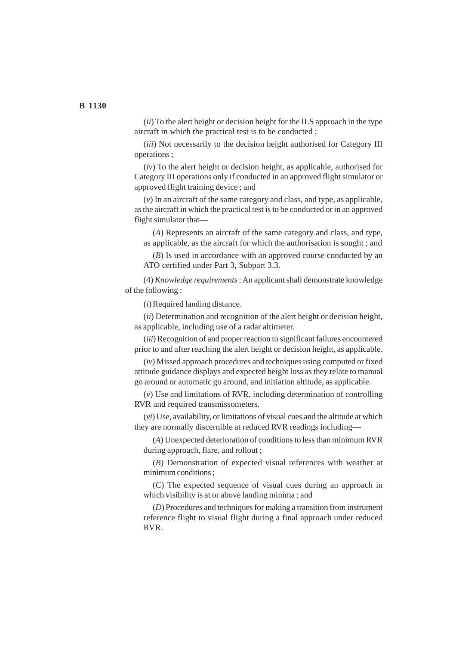(*ii*) To the alert height or decision height for the ILS approach in the type aircraft in which the practical test is to be conducted ;

(*iii*) Not necessarily to the decision height authorised for Category III operations ;

(*iv*) To the alert height or decision height, as applicable, authorised for Category III operations only if conducted in an approved flight simulator or approved flight training device ; and

(*v*) In an aircraft of the same category and class, and type, as applicable, as the aircraft in which the practical test is to be conducted or in an approved flight simulator that—

(*A*) Represents an aircraft of the same category and class, and type, as applicable, as the aircraft for which the authorisation is sought ; and

(*B*) Is used in accordance with an approved course conducted by an ATO certified under Part 3, Subpart 3.3.

(4) *Knowledge requirements* : An applicant shall demonstrate knowledge of the following :

(*i*) Required landing distance.

(*ii*) Determination and recognition of the alert height or decision height, as applicable, including use of a radar altimeter.

(*iii*) Recognition of and proper reaction to significant failures encountered prior to and after reaching the alert height or decision height, as applicable.

(*iv*) Missed approach procedures and techniques using computed or fixed attitude guidance displays and expected height loss as they relate to manual go around or automatic go around, and initiation altitude, as applicable.

(*v*) Use and limitations of RVR, including determination of controlling RVR and required transmissometers.

(*vi*) Use, availability, or limitations of visual cues and the altitude at which they are normally discernible at reduced RVR readings including—

(*A*) Unexpected deterioration of conditions to less than minimum RVR during approach, flare, and rollout ;

(*B*) Demonstration of expected visual references with weather at minimum conditions ;

(*C*) The expected sequence of visual cues during an approach in which visibility is at or above landing minima ; and

(*D*) Procedures and techniques for making a transition from instrument reference flight to visual flight during a final approach under reduced RVR.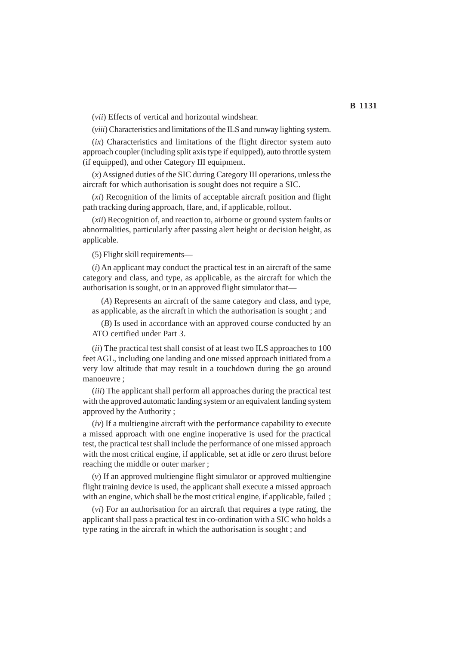(*vii*) Effects of vertical and horizontal windshear.

(*viii*) Characteristics and limitations of the ILS and runway lighting system.

(*ix*) Characteristics and limitations of the flight director system auto approach coupler (including split axis type if equipped), auto throttle system (if equipped), and other Category III equipment.

(*x*) Assigned duties of the SIC during Category III operations, unless the aircraft for which authorisation is sought does not require a SIC.

(*xi*) Recognition of the limits of acceptable aircraft position and flight path tracking during approach, flare, and, if applicable, rollout.

(*xii*) Recognition of, and reaction to, airborne or ground system faults or abnormalities, particularly after passing alert height or decision height, as applicable.

(5) Flight skill requirements—

(*i*) An applicant may conduct the practical test in an aircraft of the same category and class, and type, as applicable, as the aircraft for which the authorisation is sought, or in an approved flight simulator that—

(*A*) Represents an aircraft of the same category and class, and type, as applicable, as the aircraft in which the authorisation is sought ; and

(*B*) Is used in accordance with an approved course conducted by an ATO certified under Part 3.

(*ii*) The practical test shall consist of at least two ILS approaches to 100 feet AGL, including one landing and one missed approach initiated from a very low altitude that may result in a touchdown during the go around manoeuvre ;

(*iii*) The applicant shall perform all approaches during the practical test with the approved automatic landing system or an equivalent landing system approved by the Authority ;

(*iv*) If a multiengine aircraft with the performance capability to execute a missed approach with one engine inoperative is used for the practical test, the practical test shall include the performance of one missed approach with the most critical engine, if applicable, set at idle or zero thrust before reaching the middle or outer marker ;

(*v*) If an approved multiengine flight simulator or approved multiengine flight training device is used, the applicant shall execute a missed approach with an engine, which shall be the most critical engine, if applicable, failed;

(*vi*) For an authorisation for an aircraft that requires a type rating, the applicant shall pass a practical test in co-ordination with a SIC who holds a type rating in the aircraft in which the authorisation is sought ; and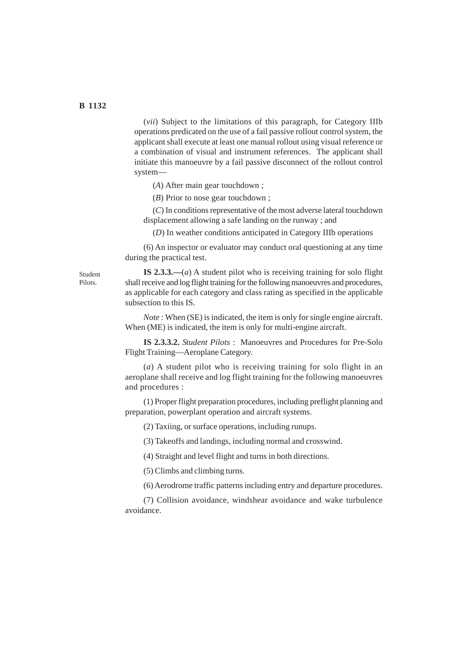(*vii*) Subject to the limitations of this paragraph, for Category IIIb operations predicated on the use of a fail passive rollout control system, the applicant shall execute at least one manual rollout using visual reference or a combination of visual and instrument references. The applicant shall initiate this manoeuvre by a fail passive disconnect of the rollout control system—

(*A*) After main gear touchdown ;

(*B*) Prior to nose gear touchdown ;

(*C*) In conditions representative of the most adverse lateral touchdown displacement allowing a safe landing on the runway ; and

(*D*) In weather conditions anticipated in Category IIIb operations

(6) An inspector or evaluator may conduct oral questioning at any time during the practical test.

Student Pilots.

**IS 2.3.3.—**(*a*) A student pilot who is receiving training for solo flight shall receive and log flight training for the following manoeuvres and procedures, as applicable for each category and class rating as specified in the applicable subsection to this IS.

*Note* : When (SE) is indicated, the item is only for single engine aircraft. When (ME) is indicated, the item is only for multi-engine aircraft.

**IS 2.3.3.2.** *Student Pilots* : Manoeuvres and Procedures for Pre-Solo Flight Training—Aeroplane Category.

(*a*) A student pilot who is receiving training for solo flight in an aeroplane shall receive and log flight training for the following manoeuvres and procedures :

(1) Proper flight preparation procedures, including preflight planning and preparation, powerplant operation and aircraft systems.

(2) Taxiing, or surface operations, including runups.

(3) Takeoffs and landings, including normal and crosswind.

(4) Straight and level flight and turns in both directions.

(5) Climbs and climbing turns.

(6) Aerodrome traffic patterns including entry and departure procedures.

(7) Collision avoidance, windshear avoidance and wake turbulence avoidance.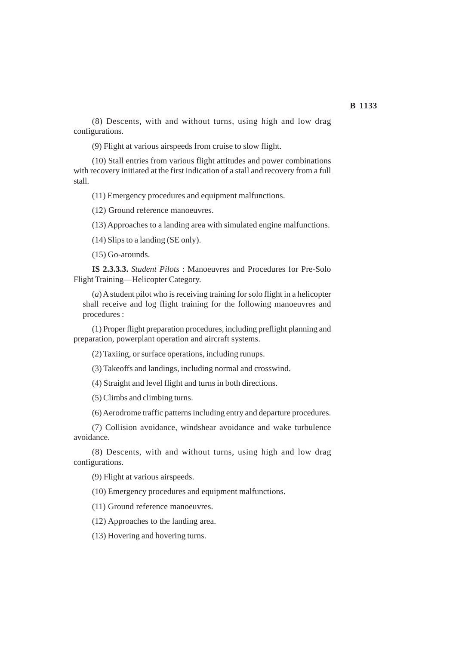(8) Descents, with and without turns, using high and low drag configurations.

(9) Flight at various airspeeds from cruise to slow flight.

(10) Stall entries from various flight attitudes and power combinations with recovery initiated at the first indication of a stall and recovery from a full stall.

(11) Emergency procedures and equipment malfunctions.

(12) Ground reference manoeuvres.

(13) Approaches to a landing area with simulated engine malfunctions.

(14) Slips to a landing (SE only).

(15) Go-arounds.

**IS 2.3.3.3.** *Student Pilots* : Manoeuvres and Procedures for Pre-Solo Flight Training—Helicopter Category.

(*a*) A student pilot who is receiving training for solo flight in a helicopter shall receive and log flight training for the following manoeuvres and procedures :

(1) Proper flight preparation procedures, including preflight planning and preparation, powerplant operation and aircraft systems.

(2) Taxiing, or surface operations, including runups.

(3) Takeoffs and landings, including normal and crosswind.

(4) Straight and level flight and turns in both directions.

(5) Climbs and climbing turns.

(6) Aerodrome traffic patterns including entry and departure procedures.

(7) Collision avoidance, windshear avoidance and wake turbulence avoidance.

(8) Descents, with and without turns, using high and low drag configurations.

(9) Flight at various airspeeds.

(10) Emergency procedures and equipment malfunctions.

(11) Ground reference manoeuvres.

(12) Approaches to the landing area.

(13) Hovering and hovering turns.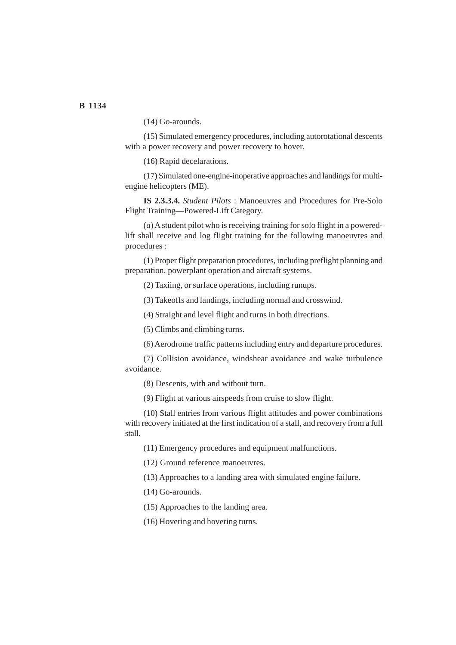**B 1134**

(14) Go-arounds.

(15) Simulated emergency procedures, including autorotational descents with a power recovery and power recovery to hover.

(16) Rapid decelarations.

(17) Simulated one-engine-inoperative approaches and landings for multiengine helicopters (ME).

**IS 2.3.3.4.** *Student Pilots* : Manoeuvres and Procedures for Pre-Solo Flight Training—Powered-Lift Category.

(*a*) A student pilot who is receiving training for solo flight in a poweredlift shall receive and log flight training for the following manoeuvres and procedures :

(1) Proper flight preparation procedures, including preflight planning and preparation, powerplant operation and aircraft systems.

(2) Taxiing, or surface operations, including runups.

(3) Takeoffs and landings, including normal and crosswind.

(4) Straight and level flight and turns in both directions.

(5) Climbs and climbing turns.

(6) Aerodrome traffic patterns including entry and departure procedures.

(7) Collision avoidance, windshear avoidance and wake turbulence avoidance.

(8) Descents, with and without turn.

(9) Flight at various airspeeds from cruise to slow flight.

(10) Stall entries from various flight attitudes and power combinations with recovery initiated at the first indication of a stall, and recovery from a full stall.

(11) Emergency procedures and equipment malfunctions.

(12) Ground reference manoeuvres.

(13) Approaches to a landing area with simulated engine failure.

(14) Go-arounds.

(15) Approaches to the landing area.

(16) Hovering and hovering turns.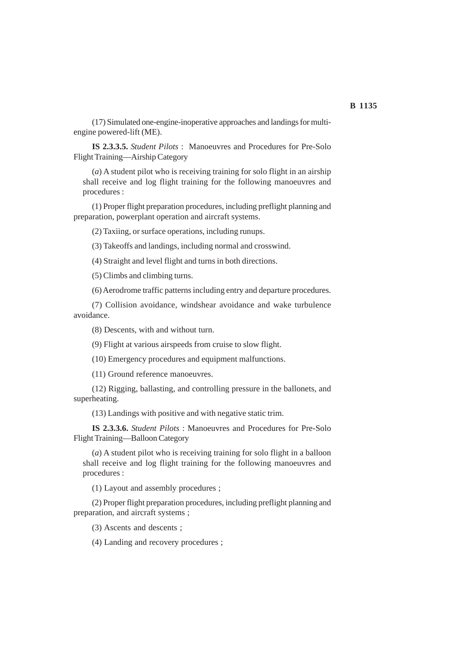## (17) Simulated one-engine-inoperative approaches and landings for multiengine powered-lift (ME).

**IS 2.3.3.5.** *Student Pilots* : Manoeuvres and Procedures for Pre-Solo Flight Training—Airship Category

(*a*) A student pilot who is receiving training for solo flight in an airship shall receive and log flight training for the following manoeuvres and procedures :

(1) Proper flight preparation procedures, including preflight planning and preparation, powerplant operation and aircraft systems.

(2) Taxiing, or surface operations, including runups.

(3) Takeoffs and landings, including normal and crosswind.

(4) Straight and level flight and turns in both directions.

(5) Climbs and climbing turns.

(6) Aerodrome traffic patterns including entry and departure procedures.

(7) Collision avoidance, windshear avoidance and wake turbulence avoidance.

(8) Descents, with and without turn.

(9) Flight at various airspeeds from cruise to slow flight.

(10) Emergency procedures and equipment malfunctions.

(11) Ground reference manoeuvres.

(12) Rigging, ballasting, and controlling pressure in the ballonets, and superheating.

(13) Landings with positive and with negative static trim.

**IS 2.3.3.6.** *Student Pilots* : Manoeuvres and Procedures for Pre-Solo Flight Training—Balloon Category

(*a*) A student pilot who is receiving training for solo flight in a balloon shall receive and log flight training for the following manoeuvres and procedures :

(1) Layout and assembly procedures ;

(2) Proper flight preparation procedures, including preflight planning and preparation, and aircraft systems ;

(3) Ascents and descents ;

(4) Landing and recovery procedures ;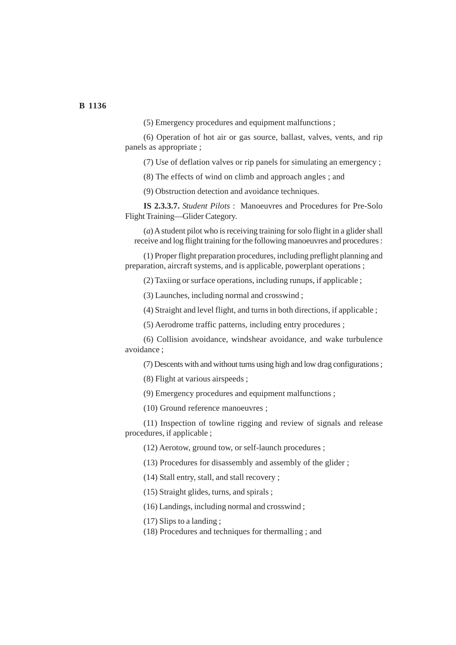**B 1136**

(5) Emergency procedures and equipment malfunctions ;

(6) Operation of hot air or gas source, ballast, valves, vents, and rip panels as appropriate ;

(7) Use of deflation valves or rip panels for simulating an emergency ;

(8) The effects of wind on climb and approach angles ; and

(9) Obstruction detection and avoidance techniques.

**IS 2.3.3.7.** *Student Pilots* : Manoeuvres and Procedures for Pre-Solo Flight Training—Glider Category.

(*a*) A student pilot who is receiving training for solo flight in a glider shall receive and log flight training for the following manoeuvres and procedures :

(1) Proper flight preparation procedures, including preflight planning and preparation, aircraft systems, and is applicable, powerplant operations ;

(2) Taxiing or surface operations, including runups, if applicable ;

(3) Launches, including normal and crosswind ;

(4) Straight and level flight, and turns in both directions, if applicable ;

(5) Aerodrome traffic patterns, including entry procedures ;

(6) Collision avoidance, windshear avoidance, and wake turbulence avoidance ;

(7) Descents with and without turns using high and low drag configurations ;

(8) Flight at various airspeeds ;

(9) Emergency procedures and equipment malfunctions ;

(10) Ground reference manoeuvres ;

(11) Inspection of towline rigging and review of signals and release procedures, if applicable ;

(12) Aerotow, ground tow, or self-launch procedures ;

(13) Procedures for disassembly and assembly of the glider ;

(14) Stall entry, stall, and stall recovery ;

(15) Straight glides, turns, and spirals ;

(16) Landings, including normal and crosswind ;

(17) Slips to a landing ;

(18) Procedures and techniques for thermalling ; and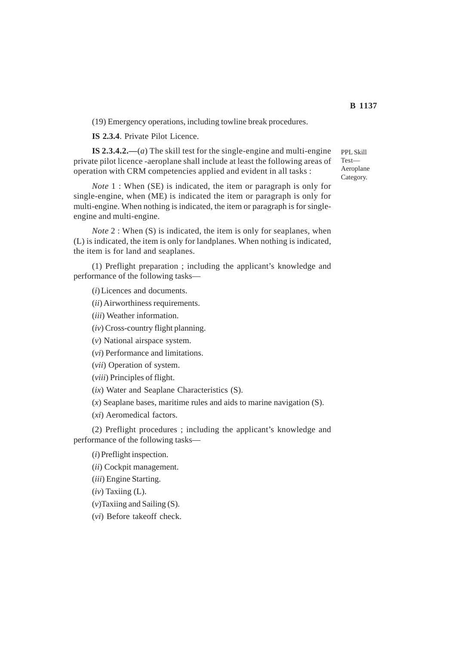(19) Emergency operations, including towline break procedures.

**IS 2.3.4**. Private Pilot Licence.

**IS 2.3.4.2.—**(*a*) The skill test for the single-engine and multi-engine private pilot licence -aeroplane shall include at least the following areas of operation with CRM competencies applied and evident in all tasks :

*Note* 1 : When (SE) is indicated, the item or paragraph is only for single-engine, when (ME) is indicated the item or paragraph is only for multi-engine. When nothing is indicated, the item or paragraph is for singleengine and multi-engine.

*Note* 2 : When (S) is indicated, the item is only for seaplanes, when (L) is indicated, the item is only for landplanes. When nothing is indicated, the item is for land and seaplanes.

(1) Preflight preparation ; including the applicant's knowledge and performance of the following tasks—

(*i*) Licences and documents.

- (*ii*) Airworthiness requirements.
- (*iii*) Weather information.
- (*iv*) Cross-country flight planning.
- (*v*) National airspace system.
- (*vi*) Performance and limitations.
- (*vii*) Operation of system.
- (*viii*) Principles of flight.
- (*ix*) Water and Seaplane Characteristics (S).
- (*x*) Seaplane bases, maritime rules and aids to marine navigation (S).

(*xi*) Aeromedical factors.

(2) Preflight procedures ; including the applicant's knowledge and performance of the following tasks—

(*i*) Preflight inspection.

(*ii*) Cockpit management.

- (*iii*) Engine Starting.
- (*iv*) Taxiing (L).
- (*v*)Taxiing and Sailing (S).

(*vi*) Before takeoff check.

PPL Skill Test— Aeroplane Category.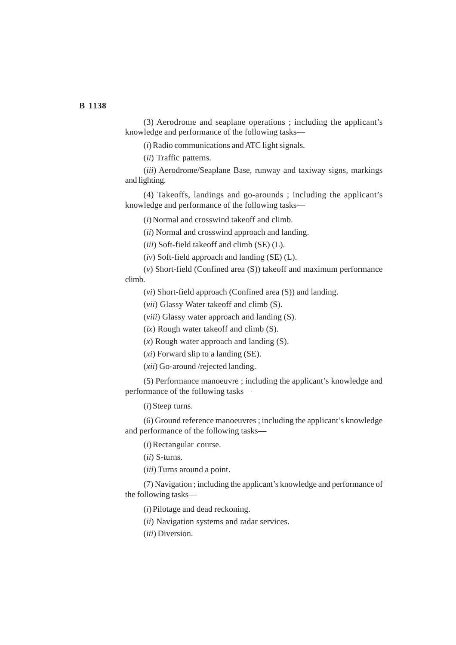(3) Aerodrome and seaplane operations ; including the applicant's knowledge and performance of the following tasks—

(*i*) Radio communications and ATC light signals.

(*ii*) Traffic patterns.

(*iii*) Aerodrome/Seaplane Base, runway and taxiway signs, markings and lighting.

(4) Takeoffs, landings and go-arounds ; including the applicant's knowledge and performance of the following tasks—

(*i*) Normal and crosswind takeoff and climb.

(*ii*) Normal and crosswind approach and landing.

(*iii*) Soft-field takeoff and climb (SE) (L).

(*iv*) Soft-field approach and landing (SE) (L).

(*v*) Short-field (Confined area (S)) takeoff and maximum performance climb.

(*vi*) Short-field approach (Confined area (S)) and landing.

(*vii*) Glassy Water takeoff and climb (S).

(*viii*) Glassy water approach and landing (S).

(*ix*) Rough water takeoff and climb (S).

(*x*) Rough water approach and landing (S).

(*xi*) Forward slip to a landing (SE).

(*xii*) Go-around /rejected landing.

(5) Performance manoeuvre ; including the applicant's knowledge and performance of the following tasks—

(*i*) Steep turns.

(6) Ground reference manoeuvres ; including the applicant's knowledge and performance of the following tasks—

(*i*) Rectangular course.

(*ii*) S-turns.

(*iii*) Turns around a point.

(7) Navigation ; including the applicant's knowledge and performance of the following tasks—

(*i*) Pilotage and dead reckoning.

(*ii*) Navigation systems and radar services.

(*iii*) Diversion.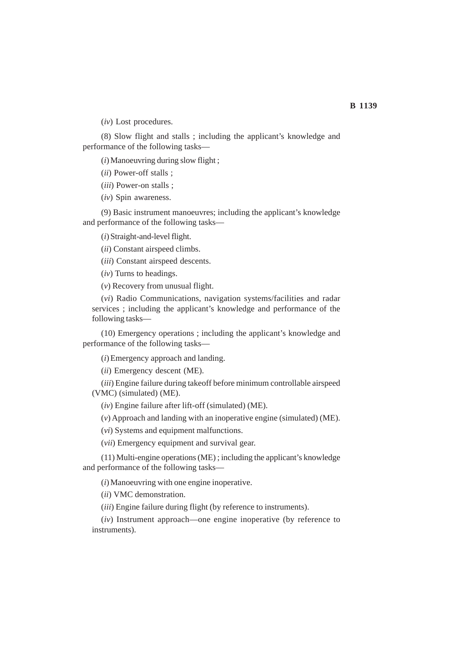(*iv*) Lost procedures.

(8) Slow flight and stalls ; including the applicant's knowledge and performance of the following tasks—

(*i*) Manoeuvring during slow flight ;

(*ii*) Power-off stalls ;

(*iii*) Power-on stalls ;

(*iv*) Spin awareness.

(9) Basic instrument manoeuvres; including the applicant's knowledge and performance of the following tasks—

(*i*) Straight-and-level flight.

(*ii*) Constant airspeed climbs.

(*iii*) Constant airspeed descents.

(*iv*) Turns to headings.

(*v*) Recovery from unusual flight.

(*vi*) Radio Communications, navigation systems/facilities and radar services ; including the applicant's knowledge and performance of the following tasks—

(10) Emergency operations ; including the applicant's knowledge and performance of the following tasks—

(*i*) Emergency approach and landing.

(*ii*) Emergency descent (ME).

(*iii*) Engine failure during takeoff before minimum controllable airspeed (VMC) (simulated) (ME).

(*iv*) Engine failure after lift-off (simulated) (ME).

(*v*) Approach and landing with an inoperative engine (simulated) (ME).

(*vi*) Systems and equipment malfunctions.

(*vii*) Emergency equipment and survival gear.

(11) Multi-engine operations (ME) ; including the applicant's knowledge and performance of the following tasks—

(*i*) Manoeuvring with one engine inoperative.

(*ii*) VMC demonstration.

(*iii*) Engine failure during flight (by reference to instruments).

(*iv*) Instrument approach—one engine inoperative (by reference to instruments).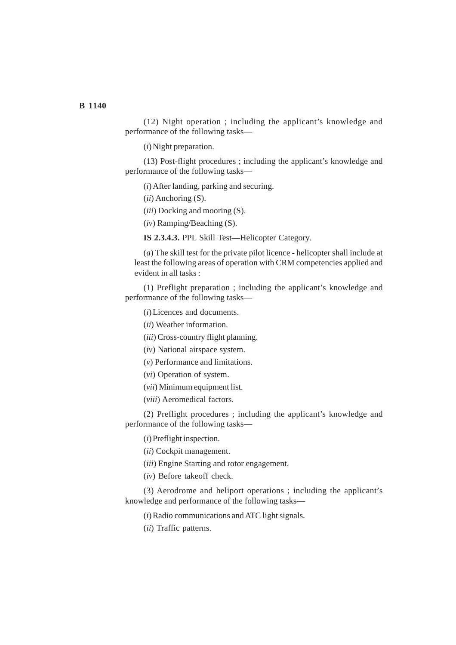## **B 1140**

(12) Night operation ; including the applicant's knowledge and performance of the following tasks—

(*i*) Night preparation.

(13) Post-flight procedures ; including the applicant's knowledge and performance of the following tasks—

- (*i*) After landing, parking and securing.
- (*ii*) Anchoring (S).
- (*iii*) Docking and mooring (S).
- (*iv*) Ramping/Beaching (S).

**IS 2.3.4.3.** PPL Skill Test—Helicopter Category.

(*a*) The skill test for the private pilot licence - helicopter shall include at least the following areas of operation with CRM competencies applied and evident in all tasks :

(1) Preflight preparation ; including the applicant's knowledge and performance of the following tasks—

(*i*) Licences and documents.

(*ii*) Weather information.

(*iii*) Cross-country flight planning.

(*iv*) National airspace system.

(*v*) Performance and limitations.

(*vi*) Operation of system.

- (*vii*) Minimum equipment list.
- (*viii*) Aeromedical factors.

(2) Preflight procedures ; including the applicant's knowledge and performance of the following tasks—

(*i*) Preflight inspection.

(*ii*) Cockpit management.

(*iii*) Engine Starting and rotor engagement.

(*iv*) Before takeoff check.

(3) Aerodrome and heliport operations ; including the applicant's knowledge and performance of the following tasks—

(*i*) Radio communications and ATC light signals.

(*ii*) Traffic patterns.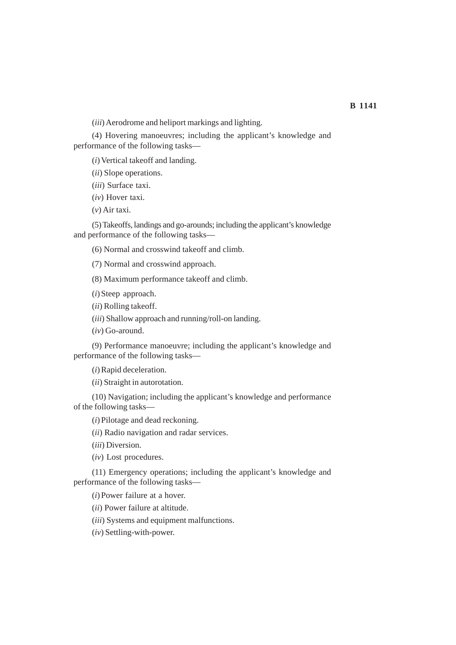(*iii*) Aerodrome and heliport markings and lighting.

(4) Hovering manoeuvres; including the applicant's knowledge and performance of the following tasks—

(*i*) Vertical takeoff and landing.

(*ii*) Slope operations.

(*iii*) Surface taxi.

(*iv*) Hover taxi.

(*v*) Air taxi.

(5) Takeoffs, landings and go-arounds; including the applicant's knowledge and performance of the following tasks—

(6) Normal and crosswind takeoff and climb.

(7) Normal and crosswind approach.

(8) Maximum performance takeoff and climb.

(*i*) Steep approach.

(*ii*) Rolling takeoff.

(*iii*) Shallow approach and running/roll-on landing.

(*iv*) Go-around.

(9) Performance manoeuvre; including the applicant's knowledge and performance of the following tasks—

(*i*) Rapid deceleration.

(*ii*) Straight in autorotation.

(10) Navigation; including the applicant's knowledge and performance of the following tasks—

(*i*) Pilotage and dead reckoning.

(*ii*) Radio navigation and radar services.

(*iii*) Diversion.

(*iv*) Lost procedures.

(11) Emergency operations; including the applicant's knowledge and performance of the following tasks—

(*i*) Power failure at a hover.

(*ii*) Power failure at altitude.

(*iii*) Systems and equipment malfunctions.

(*iv*) Settling-with-power.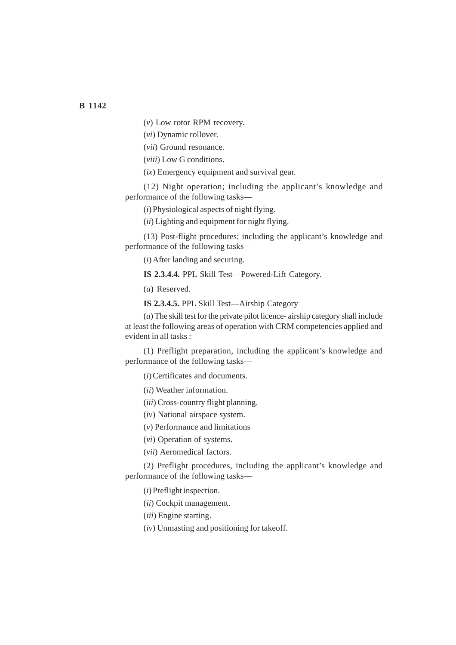(*v*) Low rotor RPM recovery.

(*vi*) Dynamic rollover.

(*vii*) Ground resonance.

(*viii*) Low G conditions.

(*ix*) Emergency equipment and survival gear.

(12) Night operation; including the applicant's knowledge and performance of the following tasks—

(*i*) Physiological aspects of night flying.

(*ii*) Lighting and equipment for night flying.

(13) Post-flight procedures; including the applicant's knowledge and performance of the following tasks—

(*i*) After landing and securing.

**IS 2.3.4.4.** PPL Skill Test—Powered-Lift Category.

(*a*) Reserved.

**IS 2.3.4.5.** PPL Skill Test—Airship Category

(*a*) The skill test for the private pilot licence- airship category shall include at least the following areas of operation with CRM competencies applied and evident in all tasks :

(1) Preflight preparation, including the applicant's knowledge and performance of the following tasks—

(*i*) Certificates and documents.

(*ii*) Weather information.

(*iii*) Cross-country flight planning.

(*iv*) National airspace system.

(*v*) Performance and limitations

(*vi*) Operation of systems.

(*vii*) Aeromedical factors.

(2) Preflight procedures, including the applicant's knowledge and performance of the following tasks—

(*i*) Preflight inspection.

(*ii*) Cockpit management.

(*iii*) Engine starting.

(*iv*) Unmasting and positioning for takeoff.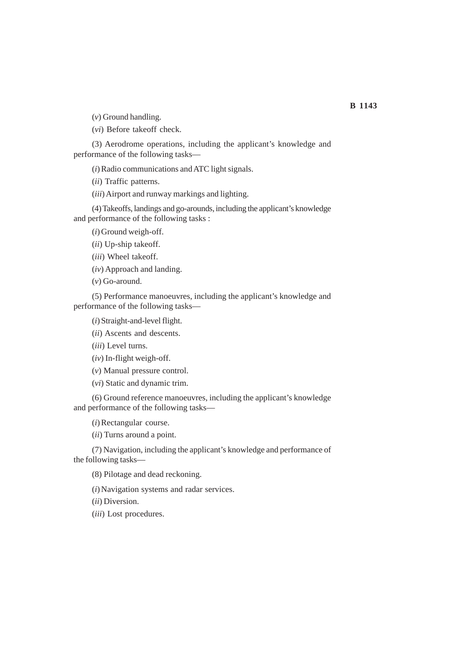(*v*) Ground handling.

(*vi*) Before takeoff check.

(3) Aerodrome operations, including the applicant's knowledge and performance of the following tasks—

(*i*) Radio communications and ATC light signals.

(*ii*) Traffic patterns.

(*iii*) Airport and runway markings and lighting.

(4) Takeoffs, landings and go-arounds, including the applicant's knowledge and performance of the following tasks :

(*i*) Ground weigh-off.

(*ii*) Up-ship takeoff.

(*iii*) Wheel takeoff.

(*iv*) Approach and landing.

(*v*) Go-around.

(5) Performance manoeuvres, including the applicant's knowledge and performance of the following tasks—

(*i*) Straight-and-level flight.

(*ii*) Ascents and descents.

(*iii*) Level turns.

(*iv*) In-flight weigh-off.

(*v*) Manual pressure control.

(*vi*) Static and dynamic trim.

(6) Ground reference manoeuvres, including the applicant's knowledge and performance of the following tasks—

(*i*) Rectangular course.

(*ii*) Turns around a point.

(7) Navigation, including the applicant's knowledge and performance of the following tasks—

(8) Pilotage and dead reckoning.

(*i*) Navigation systems and radar services.

(*ii*) Diversion.

(*iii*) Lost procedures.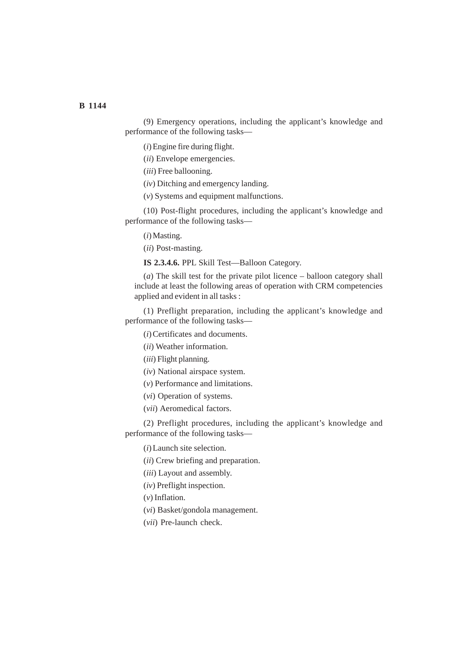(9) Emergency operations, including the applicant's knowledge and performance of the following tasks—

(*i*) Engine fire during flight.

(*ii*) Envelope emergencies.

(*iii*) Free ballooning.

(*iv*) Ditching and emergency landing.

(*v*) Systems and equipment malfunctions.

(10) Post-flight procedures, including the applicant's knowledge and performance of the following tasks—

(*i*) Masting.

(*ii*) Post-masting.

**IS 2.3.4.6.** PPL Skill Test—Balloon Category.

(*a*) The skill test for the private pilot licence – balloon category shall include at least the following areas of operation with CRM competencies applied and evident in all tasks :

(1) Preflight preparation, including the applicant's knowledge and performance of the following tasks—

(*i*) Certificates and documents.

(*ii*) Weather information.

(*iii*) Flight planning.

(*iv*) National airspace system.

(*v*) Performance and limitations.

(*vi*) Operation of systems.

(*vii*) Aeromedical factors.

(2) Preflight procedures, including the applicant's knowledge and performance of the following tasks—

(*i*) Launch site selection.

(*ii*) Crew briefing and preparation.

(*iii*) Layout and assembly.

(*iv*) Preflight inspection.

(*v*) Inflation.

(*vi*) Basket/gondola management.

(*vii*) Pre-launch check.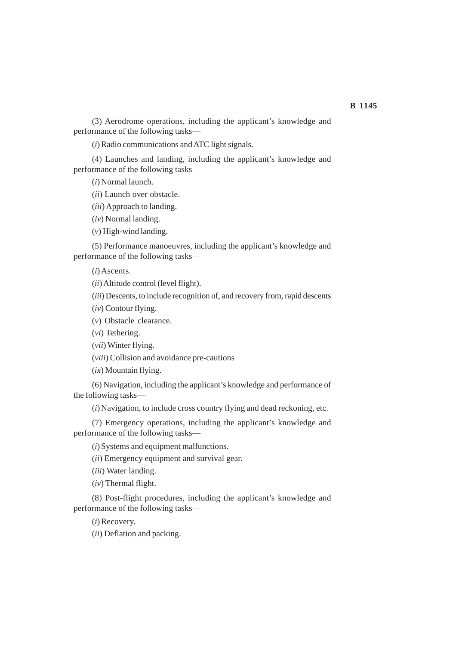## **B 1145**

(3) Aerodrome operations, including the applicant's knowledge and performance of the following tasks—

(*i*) Radio communications and ATC light signals.

(4) Launches and landing, including the applicant's knowledge and performance of the following tasks—

(*i*) Normal launch.

(*ii*) Launch over obstacle.

(*iii*) Approach to landing.

(*iv*) Normal landing.

(*v*) High-wind landing.

(5) Performance manoeuvres, including the applicant's knowledge and performance of the following tasks—

(*i*)Ascents.

(*ii*) Altitude control (level flight).

(*iii*) Descents, to include recognition of, and recovery from, rapid descents

(*iv*) Contour flying.

(*v*) Obstacle clearance.

(*vi*) Tethering.

(*vii*) Winter flying.

(*viii*) Collision and avoidance pre-cautions

(*ix*) Mountain flying.

(6) Navigation, including the applicant's knowledge and performance of the following tasks—

(*i*) Navigation, to include cross country flying and dead reckoning, etc.

(7) Emergency operations, including the applicant's knowledge and performance of the following tasks—

(*i*) Systems and equipment malfunctions.

(*ii*) Emergency equipment and survival gear.

(*iii*) Water landing.

(*iv*) Thermal flight.

(8) Post-flight procedures, including the applicant's knowledge and performance of the following tasks—

(*i*) Recovery.

(*ii*) Deflation and packing.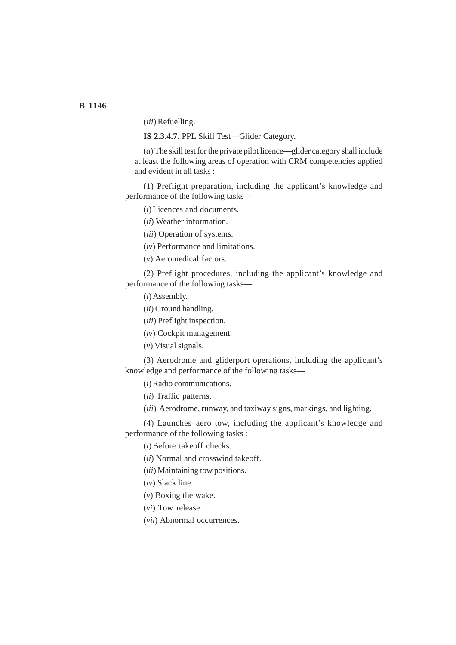**B 1146**

(*iii*) Refuelling.

**IS 2.3.4.7.** PPL Skill Test—Glider Category.

(*a*) The skill test for the private pilot licence—glider category shall include at least the following areas of operation with CRM competencies applied and evident in all tasks :

(1) Preflight preparation, including the applicant's knowledge and performance of the following tasks—

(*i*) Licences and documents.

(*ii*) Weather information.

(*iii*) Operation of systems.

(*iv*) Performance and limitations.

(*v*) Aeromedical factors.

(2) Preflight procedures, including the applicant's knowledge and performance of the following tasks—

(*i*) Assembly.

(*ii*) Ground handling.

(*iii*) Preflight inspection.

(*iv*) Cockpit management.

(*v*) Visual signals.

(3) Aerodrome and gliderport operations, including the applicant's knowledge and performance of the following tasks—

(*i*) Radio communications.

(*ii*) Traffic patterns.

(*iii*) Aerodrome, runway, and taxiway signs, markings, and lighting.

(4) Launches–aero tow, including the applicant's knowledge and performance of the following tasks :

(*i*) Before takeoff checks.

(*ii*) Normal and crosswind takeoff.

(*iii*) Maintaining tow positions.

(*iv*) Slack line.

(*v*) Boxing the wake.

(*vi*) Tow release.

(*vii*) Abnormal occurrences.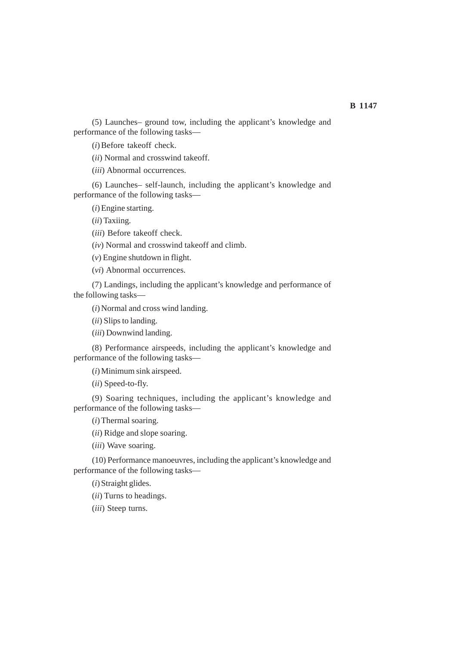(5) Launches– ground tow, including the applicant's knowledge and performance of the following tasks—

(*i*) Before takeoff check.

(*ii*) Normal and crosswind takeoff.

(*iii*) Abnormal occurrences.

(6) Launches– self-launch, including the applicant's knowledge and performance of the following tasks—

(*i*) Engine starting.

(*ii*) Taxiing.

(*iii*) Before takeoff check.

(*iv*) Normal and crosswind takeoff and climb.

(*v*) Engine shutdown in flight.

(*vi*) Abnormal occurrences.

(7) Landings, including the applicant's knowledge and performance of the following tasks—

(*i*) Normal and cross wind landing.

(*ii*) Slips to landing.

(*iii*) Downwind landing.

(8) Performance airspeeds, including the applicant's knowledge and performance of the following tasks—

(*i*) Minimum sink airspeed.

(*ii*) Speed-to-fly.

(9) Soaring techniques, including the applicant's knowledge and performance of the following tasks—

(*i*) Thermal soaring.

(*ii*) Ridge and slope soaring.

(*iii*) Wave soaring.

(10) Performance manoeuvres, including the applicant's knowledge and performance of the following tasks—

(*i*) Straight glides.

(*ii*) Turns to headings.

(*iii*) Steep turns.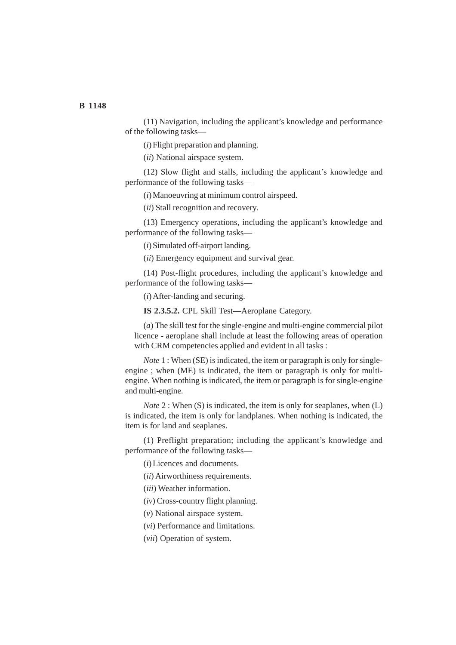(11) Navigation, including the applicant's knowledge and performance of the following tasks—

(*i*) Flight preparation and planning.

(*ii*) National airspace system.

(12) Slow flight and stalls, including the applicant's knowledge and performance of the following tasks—

(*i*) Manoeuvring at minimum control airspeed.

(*ii*) Stall recognition and recovery.

(13) Emergency operations, including the applicant's knowledge and performance of the following tasks—

(*i*) Simulated off-airport landing.

(*ii*) Emergency equipment and survival gear.

(14) Post-flight procedures, including the applicant's knowledge and performance of the following tasks—

(*i*) After-landing and securing.

**IS 2.3.5.2.** CPL Skill Test—Aeroplane Category.

(*a*) The skill test for the single-engine and multi-engine commercial pilot licence - aeroplane shall include at least the following areas of operation with CRM competencies applied and evident in all tasks :

*Note* 1 : When (SE) is indicated, the item or paragraph is only for singleengine ; when (ME) is indicated, the item or paragraph is only for multiengine. When nothing is indicated, the item or paragraph is for single-engine and multi-engine.

*Note* 2 : When (S) is indicated, the item is only for seaplanes, when (L) is indicated, the item is only for landplanes. When nothing is indicated, the item is for land and seaplanes.

(1) Preflight preparation; including the applicant's knowledge and performance of the following tasks—

(*i*) Licences and documents.

(*ii*) Airworthiness requirements.

(*iii*) Weather information.

(*iv*) Cross-country flight planning.

(*v*) National airspace system.

(*vi*) Performance and limitations.

(*vii*) Operation of system.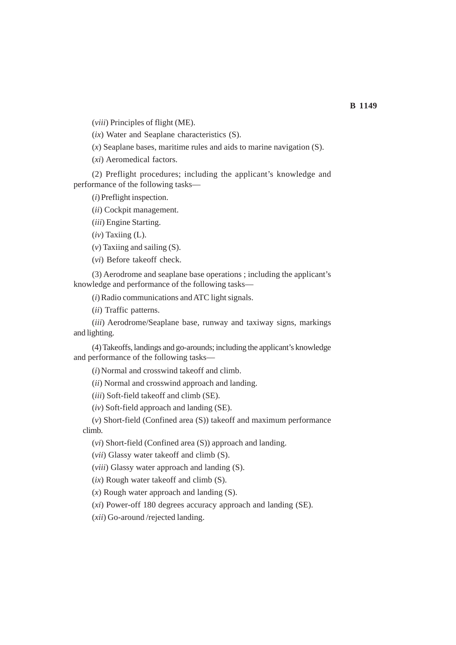(*viii*) Principles of flight (ME).

(*ix*) Water and Seaplane characteristics (S).

(*x*) Seaplane bases, maritime rules and aids to marine navigation (S).

(*xi*) Aeromedical factors.

(2) Preflight procedures; including the applicant's knowledge and performance of the following tasks—

(*i*) Preflight inspection.

(*ii*) Cockpit management.

(*iii*) Engine Starting.

(*iv*) Taxiing (L).

(*v*) Taxiing and sailing (S).

(*vi*) Before takeoff check.

(3) Aerodrome and seaplane base operations ; including the applicant's knowledge and performance of the following tasks—

(*i*) Radio communications and ATC light signals.

(*ii*) Traffic patterns.

(*iii*) Aerodrome/Seaplane base, runway and taxiway signs, markings and lighting.

(4) Takeoffs, landings and go-arounds; including the applicant's knowledge and performance of the following tasks—

(*i*) Normal and crosswind takeoff and climb.

(*ii*) Normal and crosswind approach and landing.

(*iii*) Soft-field takeoff and climb (SE).

(*iv*) Soft-field approach and landing (SE).

(*v*) Short-field (Confined area (S)) takeoff and maximum performance climb.

(*vi*) Short-field (Confined area (S)) approach and landing.

(*vii*) Glassy water takeoff and climb (S).

(*viii*) Glassy water approach and landing (S).

(*ix*) Rough water takeoff and climb (S).

(*x*) Rough water approach and landing (S).

(*xi*) Power-off 180 degrees accuracy approach and landing (SE).

(*xii*) Go-around /rejected landing.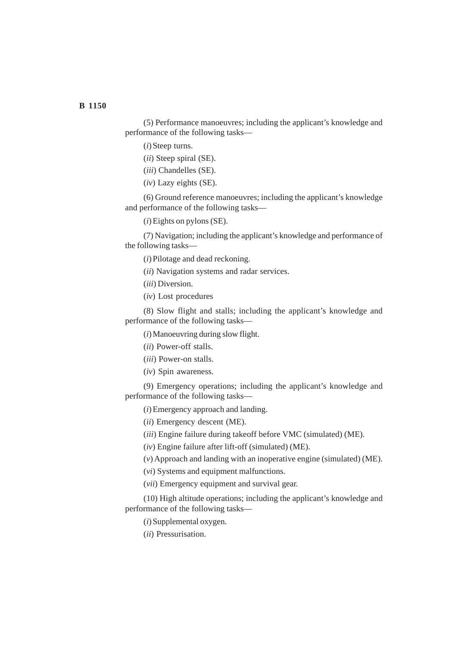(5) Performance manoeuvres; including the applicant's knowledge and performance of the following tasks—

(*i*) Steep turns.

(*ii*) Steep spiral (SE).

(*iii*) Chandelles (SE).

(*iv*) Lazy eights (SE).

(6) Ground reference manoeuvres; including the applicant's knowledge and performance of the following tasks—

(*i*) Eights on pylons (SE).

(7) Navigation; including the applicant's knowledge and performance of the following tasks—

(*i*) Pilotage and dead reckoning.

(*ii*) Navigation systems and radar services.

(*iii*) Diversion.

(*iv*) Lost procedures

(8) Slow flight and stalls; including the applicant's knowledge and performance of the following tasks—

(*i*) Manoeuvring during slow flight.

(*ii*) Power-off stalls.

(*iii*) Power-on stalls.

(*iv*) Spin awareness.

(9) Emergency operations; including the applicant's knowledge and performance of the following tasks—

(*i*) Emergency approach and landing.

(*ii*) Emergency descent (ME).

(*iii*) Engine failure during takeoff before VMC (simulated) (ME).

(*iv*) Engine failure after lift-off (simulated) (ME).

(*v*) Approach and landing with an inoperative engine (simulated) (ME).

(*vi*) Systems and equipment malfunctions.

(*vii*) Emergency equipment and survival gear.

(10) High altitude operations; including the applicant's knowledge and performance of the following tasks—

(*i*) Supplemental oxygen.

(*ii*) Pressurisation.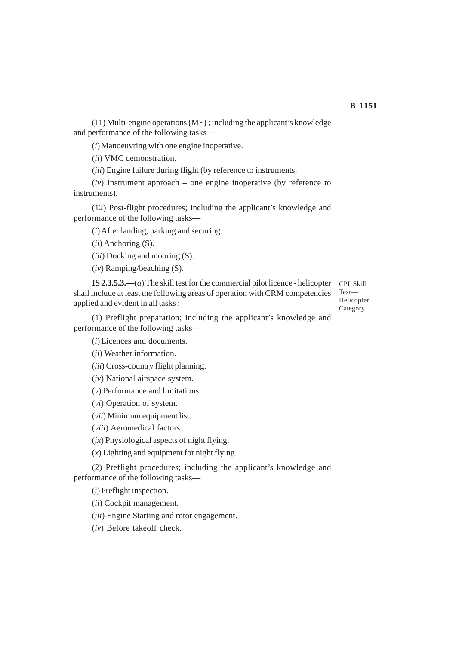(11) Multi-engine operations (ME) ; including the applicant's knowledge and performance of the following tasks—

(*i*) Manoeuvring with one engine inoperative.

(*ii*) VMC demonstration.

(*iii*) Engine failure during flight (by reference to instruments.

(*iv*) Instrument approach – one engine inoperative (by reference to instruments).

(12) Post-flight procedures; including the applicant's knowledge and performance of the following tasks—

(*i*) After landing, parking and securing.

(*ii*) Anchoring (S).

(*iii*) Docking and mooring (S).

(*iv*) Ramping/beaching (S).

**IS 2.3.5.3.—**(*a*) The skill test for the commercial pilot licence - helicopter shall include at least the following areas of operation with CRM competencies applied and evident in all tasks :

CPL Skill Test— Helicopter Category.

(1) Preflight preparation; including the applicant's knowledge and performance of the following tasks—

(*i*) Licences and documents.

(*ii*) Weather information.

(*iii*) Cross-country flight planning.

(*iv*) National airspace system.

(*v*) Performance and limitations.

(*vi*) Operation of system.

(*vii*) Minimum equipment list.

(*viii*) Aeromedical factors.

(*ix*) Physiological aspects of night flying.

(*x*) Lighting and equipment for night flying.

(2) Preflight procedures; including the applicant's knowledge and performance of the following tasks—

(*i*) Preflight inspection.

(*ii*) Cockpit management.

(*iii*) Engine Starting and rotor engagement.

(*iv*) Before takeoff check.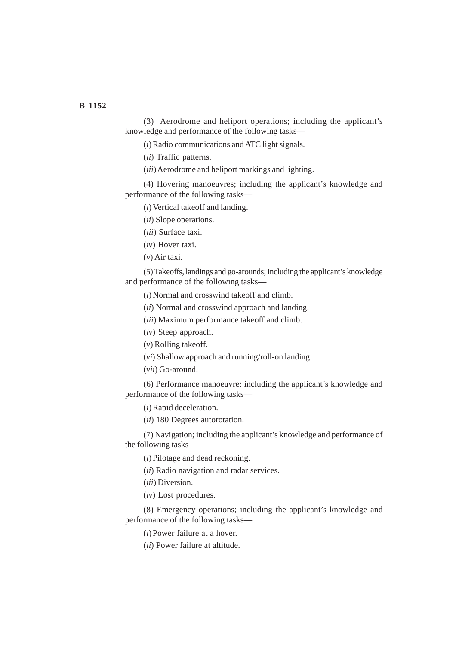(3) Aerodrome and heliport operations; including the applicant's knowledge and performance of the following tasks—

(*i*) Radio communications and ATC light signals.

(*ii*) Traffic patterns.

(*iii*) Aerodrome and heliport markings and lighting.

(4) Hovering manoeuvres; including the applicant's knowledge and performance of the following tasks—

(*i*) Vertical takeoff and landing.

(*ii*) Slope operations.

(*iii*) Surface taxi.

(*iv*) Hover taxi.

(*v*) Air taxi.

(5) Takeoffs, landings and go-arounds; including the applicant's knowledge and performance of the following tasks—

(*i*) Normal and crosswind takeoff and climb.

(*ii*) Normal and crosswind approach and landing.

(*iii*) Maximum performance takeoff and climb.

(*iv*) Steep approach.

(*v*) Rolling takeoff.

(*vi*) Shallow approach and running/roll-on landing.

(*vii*) Go-around.

(6) Performance manoeuvre; including the applicant's knowledge and performance of the following tasks—

(*i*) Rapid deceleration.

(*ii*) 180 Degrees autorotation.

(7) Navigation; including the applicant's knowledge and performance of the following tasks—

(*i*) Pilotage and dead reckoning.

(*ii*) Radio navigation and radar services.

(*iii*) Diversion.

(*iv*) Lost procedures.

(8) Emergency operations; including the applicant's knowledge and performance of the following tasks—

(*i*) Power failure at a hover.

(*ii*) Power failure at altitude.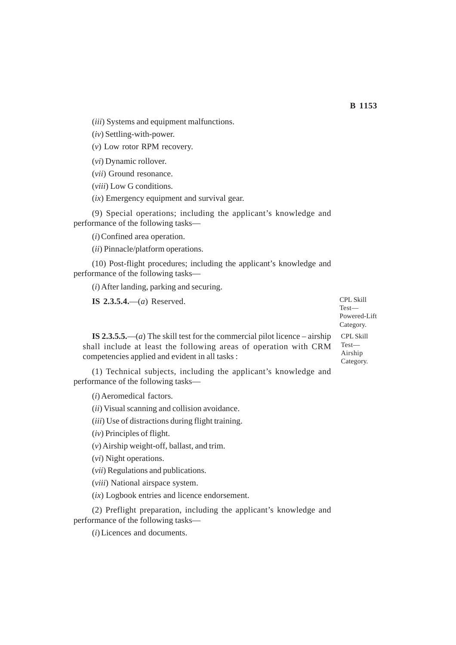(*iii*) Systems and equipment malfunctions.

(*iv*) Settling-with-power.

(*v*) Low rotor RPM recovery.

(*vi*) Dynamic rollover.

(*vii*) Ground resonance.

(*viii*) Low G conditions.

(*ix*) Emergency equipment and survival gear.

(9) Special operations; including the applicant's knowledge and performance of the following tasks—

(*i*) Confined area operation.

(*ii*) Pinnacle/platform operations.

(10) Post-flight procedures; including the applicant's knowledge and performance of the following tasks—

(*i*) After landing, parking and securing.

**IS 2.3.5.4.**—(*a*) Reserved.

**IS 2.3.5.5.**—(*a*) The skill test for the commercial pilot licence – airship shall include at least the following areas of operation with CRM competencies applied and evident in all tasks :

(1) Technical subjects, including the applicant's knowledge and performance of the following tasks—

(*i*) Aeromedical factors.

(*ii*) Visual scanning and collision avoidance.

(*iii*) Use of distractions during flight training.

(*iv*) Principles of flight.

(*v*) Airship weight-off, ballast, and trim.

(*vi*) Night operations.

(*vii*) Regulations and publications.

(*viii*) National airspace system.

(*ix*) Logbook entries and licence endorsement.

(2) Preflight preparation, including the applicant's knowledge and performance of the following tasks—

(*i*) Licences and documents.

CPL Skill Test— CPL Skill Test— Powered-Lift Category.

Airship Category.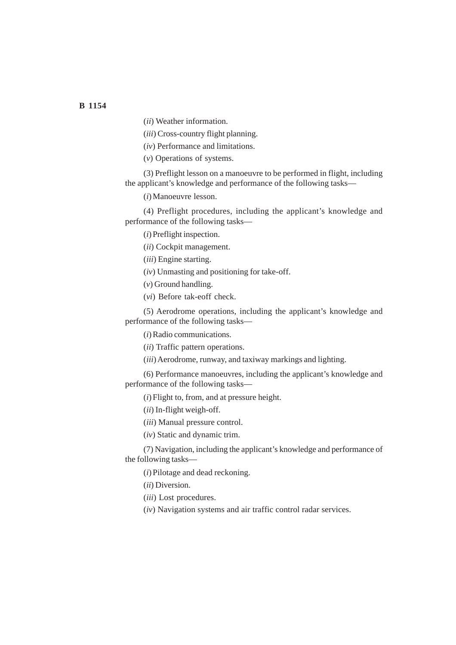(*ii*) Weather information.

(*iii*) Cross-country flight planning.

(*iv*) Performance and limitations.

(*v*) Operations of systems.

(3) Preflight lesson on a manoeuvre to be performed in flight, including the applicant's knowledge and performance of the following tasks—

(*i*) Manoeuvre lesson.

(4) Preflight procedures, including the applicant's knowledge and performance of the following tasks—

(*i*) Preflight inspection.

(*ii*) Cockpit management.

(*iii*) Engine starting.

(*iv*) Unmasting and positioning for take-off.

(*v*) Ground handling.

(*vi*) Before tak-eoff check.

(5) Aerodrome operations, including the applicant's knowledge and performance of the following tasks—

(*i*) Radio communications.

(*ii*) Traffic pattern operations.

(*iii*) Aerodrome, runway, and taxiway markings and lighting.

(6) Performance manoeuvres, including the applicant's knowledge and performance of the following tasks—

(*i*) Flight to, from, and at pressure height.

(*ii*) In-flight weigh-off.

(*iii*) Manual pressure control.

(*iv*) Static and dynamic trim.

(7) Navigation, including the applicant's knowledge and performance of the following tasks—

(*i*) Pilotage and dead reckoning.

(*ii*) Diversion.

(*iii*) Lost procedures.

(*iv*) Navigation systems and air traffic control radar services.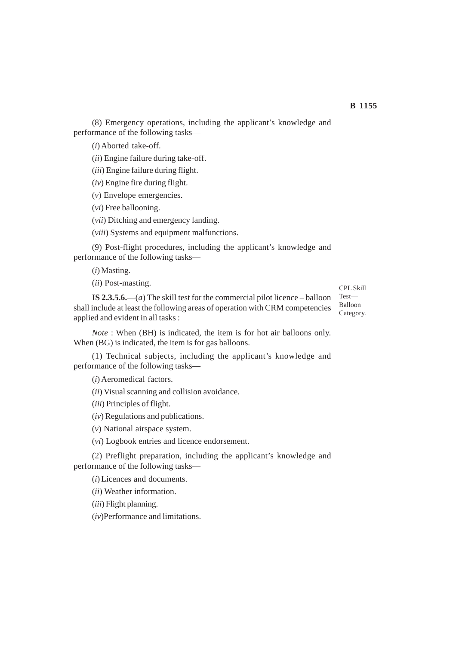(8) Emergency operations, including the applicant's knowledge and performance of the following tasks—

(*i*) Aborted take-off.

(*ii*) Engine failure during take-off.

(*iii*) Engine failure during flight.

(*iv*) Engine fire during flight.

(*v*) Envelope emergencies.

(*vi*) Free ballooning.

(*vii*) Ditching and emergency landing.

(*viii*) Systems and equipment malfunctions.

(9) Post-flight procedures, including the applicant's knowledge and performance of the following tasks—

(*i*) Masting.

(*ii*) Post-masting.

**IS 2.3.5.6.**—(*a*) The skill test for the commercial pilot licence – balloon shall include at least the following areas of operation with CRM competencies applied and evident in all tasks :

CPL Skill Test— Balloon Category.

*Note* : When (BH) is indicated, the item is for hot air balloons only. When (BG) is indicated, the item is for gas balloons.

(1) Technical subjects, including the applicant's knowledge and performance of the following tasks—

(*i*) Aeromedical factors.

(*ii*) Visual scanning and collision avoidance.

(*iii*) Principles of flight.

(*iv*) Regulations and publications.

(*v*) National airspace system.

(*vi*) Logbook entries and licence endorsement.

(2) Preflight preparation, including the applicant's knowledge and performance of the following tasks—

(*i*) Licences and documents.

(*ii*) Weather information.

(*iii*) Flight planning.

(*iv*)Performance and limitations.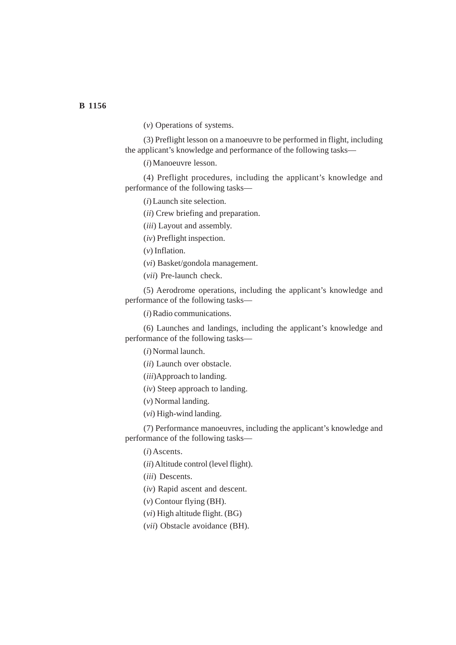(*v*) Operations of systems.

(3) Preflight lesson on a manoeuvre to be performed in flight, including the applicant's knowledge and performance of the following tasks—

(*i*) Manoeuvre lesson.

(4) Preflight procedures, including the applicant's knowledge and performance of the following tasks—

(*i*) Launch site selection.

(*ii*) Crew briefing and preparation.

(*iii*) Layout and assembly.

(*iv*) Preflight inspection.

(*v*) Inflation.

(*vi*) Basket/gondola management.

(*vii*) Pre-launch check.

(5) Aerodrome operations, including the applicant's knowledge and performance of the following tasks—

(*i*) Radio communications.

(6) Launches and landings, including the applicant's knowledge and performance of the following tasks—

(*i*) Normal launch.

(*ii*) Launch over obstacle.

(*iii*)Approach to landing.

(*iv*) Steep approach to landing.

(*v*) Normal landing.

(*vi*) High-wind landing.

(7) Performance manoeuvres, including the applicant's knowledge and performance of the following tasks—

(*i*)Ascents.

(*ii*) Altitude control (level flight).

(*iii*) Descents.

(*iv*) Rapid ascent and descent.

(*v*) Contour flying (BH).

(*vi*) High altitude flight. (BG)

(*vii*) Obstacle avoidance (BH).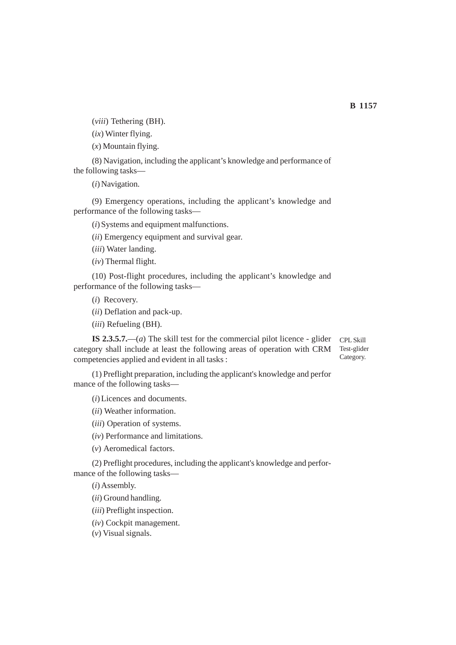(*viii*) Tethering (BH).

(*ix*) Winter flying.

(*x*) Mountain flying.

(8) Navigation, including the applicant's knowledge and performance of the following tasks—

(*i*) Navigation.

(9) Emergency operations, including the applicant's knowledge and performance of the following tasks—

(*i*) Systems and equipment malfunctions.

(*ii*) Emergency equipment and survival gear.

(*iii*) Water landing.

(*iv*) Thermal flight.

(10) Post-flight procedures, including the applicant's knowledge and performance of the following tasks—

(*i*) Recovery.

(*ii*) Deflation and pack-up.

(*iii*) Refueling (BH).

**IS 2.3.5.7.**—(*a*) The skill test for the commercial pilot licence - glider category shall include at least the following areas of operation with CRM competencies applied and evident in all tasks : CPL Skill Test-glider Category.

(1) Preflight preparation, including the applicant's knowledge and perfor mance of the following tasks—

(*i*) Licences and documents.

(*ii*) Weather information.

(*iii*) Operation of systems.

(*iv*) Performance and limitations.

(*v*) Aeromedical factors.

(2) Preflight procedures, including the applicant's knowledge and performance of the following tasks—

(*i*) Assembly.

(*ii*) Ground handling.

(*iii*) Preflight inspection.

(*iv*) Cockpit management.

(*v*) Visual signals.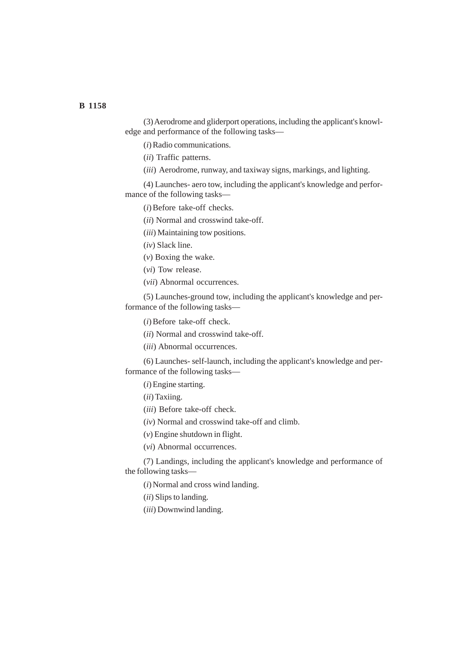(3) Aerodrome and gliderport operations, including the applicant's knowledge and performance of the following tasks—

(*i*) Radio communications.

(*ii*) Traffic patterns.

(*iii*) Aerodrome, runway, and taxiway signs, markings, and lighting.

(4) Launches- aero tow, including the applicant's knowledge and performance of the following tasks—

(*i*) Before take-off checks.

(*ii*) Normal and crosswind take-off.

(*iii*) Maintaining tow positions.

(*iv*) Slack line.

(*v*) Boxing the wake.

(*vi*) Tow release.

(*vii*) Abnormal occurrences.

(5) Launches-ground tow, including the applicant's knowledge and performance of the following tasks—

(*i*) Before take-off check.

(*ii*) Normal and crosswind take-off.

(*iii*) Abnormal occurrences.

(6) Launches- self-launch, including the applicant's knowledge and performance of the following tasks—

(*i*) Engine starting.

(*ii*) Taxiing.

(*iii*) Before take-off check.

(*iv*) Normal and crosswind take-off and climb.

(*v*) Engine shutdown in flight.

(*vi*) Abnormal occurrences.

(7) Landings, including the applicant's knowledge and performance of the following tasks—

(*i*) Normal and cross wind landing.

(*ii*) Slips to landing.

(*iii*) Downwind landing.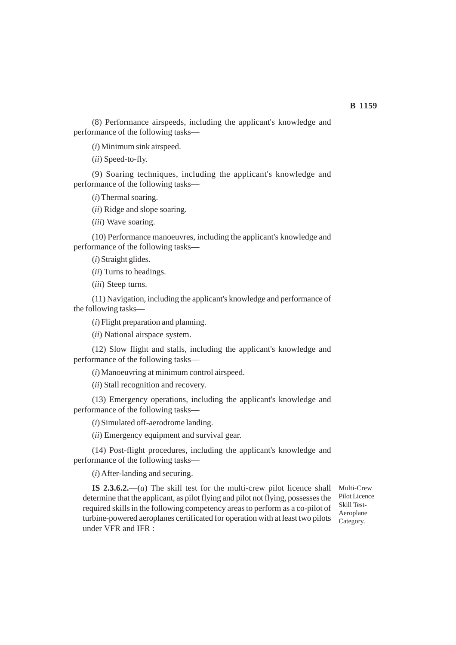(8) Performance airspeeds, including the applicant's knowledge and performance of the following tasks—

(*i*) Minimum sink airspeed.

(*ii*) Speed-to-fly.

(9) Soaring techniques, including the applicant's knowledge and performance of the following tasks—

(*i*) Thermal soaring.

(*ii*) Ridge and slope soaring.

(*iii*) Wave soaring.

(10) Performance manoeuvres, including the applicant's knowledge and performance of the following tasks—

(*i*) Straight glides.

(*ii*) Turns to headings.

(*iii*) Steep turns.

(11) Navigation, including the applicant's knowledge and performance of the following tasks—

(*i*) Flight preparation and planning.

(*ii*) National airspace system.

(12) Slow flight and stalls, including the applicant's knowledge and performance of the following tasks—

(*i*) Manoeuvring at minimum control airspeed.

(*ii*) Stall recognition and recovery.

(13) Emergency operations, including the applicant's knowledge and performance of the following tasks—

(*i*) Simulated off-aerodrome landing.

(*ii*) Emergency equipment and survival gear.

(14) Post-flight procedures, including the applicant's knowledge and performance of the following tasks—

(*i*) After-landing and securing.

**IS 2.3.6.2.**—(*a*) The skill test for the multi-crew pilot licence shall determine that the applicant, as pilot flying and pilot not flying, possesses the required skills in the following competency areas to perform as a co-pilot of turbine-powered aeroplanes certificated for operation with at least two pilots under VFR and IFR :

Multi-Crew Pilot Licence Skill Test-Aeroplane Category.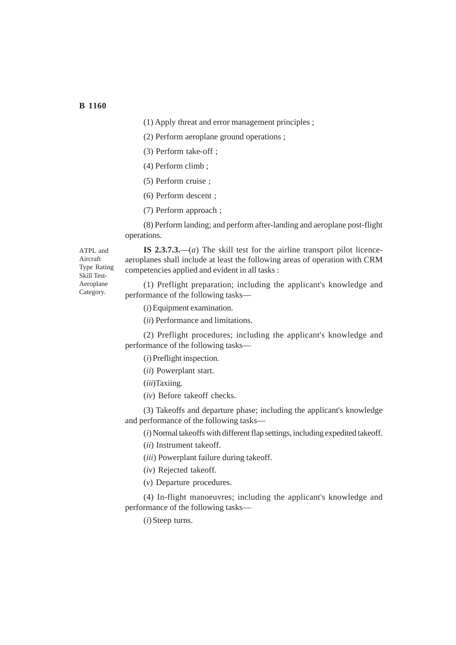- (1) Apply threat and error management principles ;
- (2) Perform aeroplane ground operations ;
- (3) Perform take-off ;
- (4) Perform climb ;
- (5) Perform cruise ;
- (6) Perform descent ;
- (7) Perform approach ;

(8) Perform landing; and perform after-landing and aeroplane post-flight operations.

ATPL and Aircraft Type Rating Skill Test-Aeroplane Category.

**IS 2.3.7.3.**—(*a*) The skill test for the airline transport pilot licenceaeroplanes shall include at least the following areas of operation with CRM competencies applied and evident in all tasks :

(1) Preflight preparation; including the applicant's knowledge and performance of the following tasks—

(*i*) Equipment examination.

(*ii*) Performance and limitations.

(2) Preflight procedures; including the applicant's knowledge and performance of the following tasks—

- (*i*) Preflight inspection.
- (*ii*) Powerplant start.

(*iii*)Taxiing.

(*iv*) Before takeoff checks.

(3) Takeoffs and departure phase; including the applicant's knowledge and performance of the following tasks—

(*i*) Normal takeoffs with different flap settings, including expedited takeoff.

(*ii*) Instrument takeoff.

(*iii*) Powerplant failure during takeoff.

(*iv*) Rejected takeoff.

(*v*) Departure procedures.

(4) In-flight manoeuvres; including the applicant's knowledge and performance of the following tasks—

(*i*) Steep turns.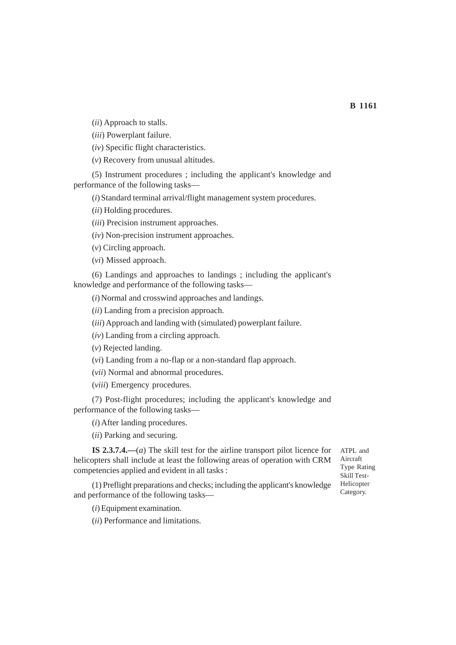(*ii*) Approach to stalls.

(*iii*) Powerplant failure.

(*iv*) Specific flight characteristics.

(*v*) Recovery from unusual altitudes.

(5) Instrument procedures ; including the applicant's knowledge and performance of the following tasks—

(*i*) Standard terminal arrival/flight management system procedures.

(*ii*) Holding procedures.

(*iii*) Precision instrument approaches.

(*iv*) Non-precision instrument approaches.

(*v*) Circling approach.

(*vi*) Missed approach.

(6) Landings and approaches to landings ; including the applicant's knowledge and performance of the following tasks—

(*i*) Normal and crosswind approaches and landings.

(*ii*) Landing from a precision approach.

(*iii*) Approach and landing with (simulated) powerplant failure.

(*iv*) Landing from a circling approach.

(*v*) Rejected landing.

(*vi*) Landing from a no-flap or a non-standard flap approach.

(*vii*) Normal and abnormal procedures.

(*viii*) Emergency procedures.

(7) Post-flight procedures; including the applicant's knowledge and performance of the following tasks—

(*i*) After landing procedures.

(*ii*) Parking and securing.

**IS 2.3.7.4.—**(*a*) The skill test for the airline transport pilot licence for helicopters shall include at least the following areas of operation with CRM competencies applied and evident in all tasks :

(1) Preflight preparations and checks; including the applicant's knowledge and performance of the following tasks—

(*i*) Equipment examination.

(*ii*) Performance and limitations.

ATPL and Aircraft Type Rating Skill Test-Helicopter Category.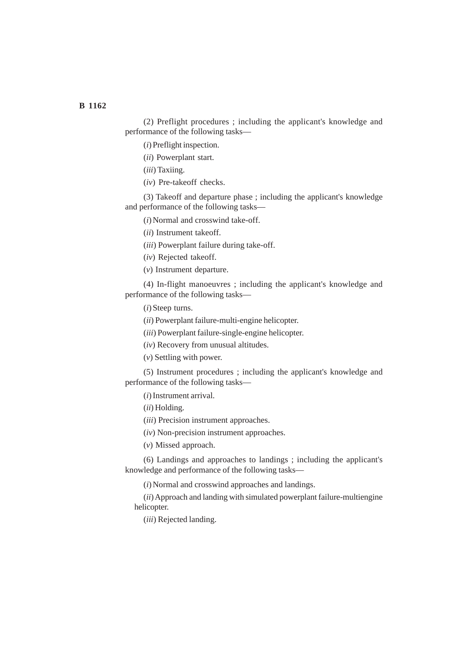(2) Preflight procedures ; including the applicant's knowledge and performance of the following tasks—

(*i*) Preflight inspection.

(*ii*) Powerplant start.

(*iii*) Taxiing.

(*iv*) Pre-takeoff checks.

(3) Takeoff and departure phase ; including the applicant's knowledge and performance of the following tasks—

(*i*) Normal and crosswind take-off.

(*ii*) Instrument takeoff.

(*iii*) Powerplant failure during take-off.

(*iv*) Rejected takeoff.

(*v*) Instrument departure.

(4) In-flight manoeuvres ; including the applicant's knowledge and performance of the following tasks—

(*i*) Steep turns.

(*ii*) Powerplant failure-multi-engine helicopter.

(*iii*) Powerplant failure-single-engine helicopter.

(*iv*) Recovery from unusual altitudes.

(*v*) Settling with power.

(5) Instrument procedures ; including the applicant's knowledge and performance of the following tasks—

(*i*) Instrument arrival.

(*ii*) Holding.

(*iii*) Precision instrument approaches.

(*iv*) Non-precision instrument approaches.

(*v*) Missed approach.

(6) Landings and approaches to landings ; including the applicant's knowledge and performance of the following tasks—

(*i*) Normal and crosswind approaches and landings.

(*ii*) Approach and landing with simulated powerplant failure-multiengine helicopter.

(*iii*) Rejected landing.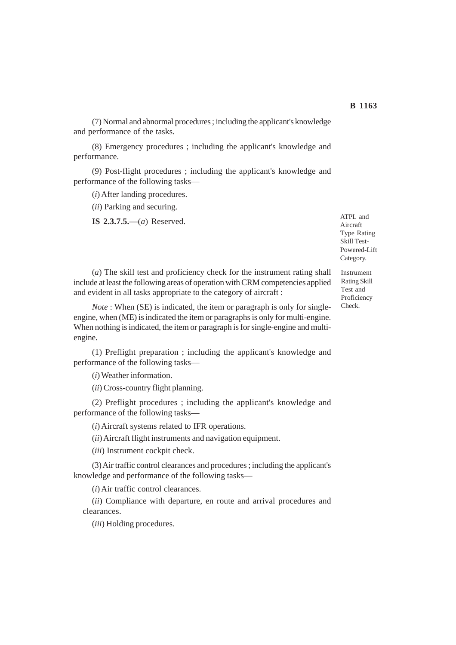(7) Normal and abnormal procedures ; including the applicant's knowledge and performance of the tasks.

(8) Emergency procedures ; including the applicant's knowledge and performance.

(9) Post-flight procedures ; including the applicant's knowledge and performance of the following tasks—

(*i*) After landing procedures.

(*ii*) Parking and securing.

**IS 2.3.7.5.—**(*a*) Reserved.

ATPL and Aircraft Type Rating Skill Test-Powered-Lift Category.

(*a*) The skill test and proficiency check for the instrument rating shall include at least the following areas of operation with CRM competencies applied and evident in all tasks appropriate to the category of aircraft :

*Note* : When (SE) is indicated, the item or paragraph is only for singleengine, when (ME) is indicated the item or paragraphs is only for multi-engine. When nothing is indicated, the item or paragraph is for single-engine and multiengine.

(1) Preflight preparation ; including the applicant's knowledge and performance of the following tasks—

(*i*) Weather information.

(*ii*) Cross-country flight planning.

(2) Preflight procedures ; including the applicant's knowledge and performance of the following tasks—

(*i*) Aircraft systems related to IFR operations.

(*ii*) Aircraft flight instruments and navigation equipment.

(*iii*) Instrument cockpit check.

(3) Air traffic control clearances and procedures ; including the applicant's knowledge and performance of the following tasks—

(*i*) Air traffic control clearances.

(*ii*) Compliance with departure, en route and arrival procedures and clearances.

(*iii*) Holding procedures.

Instrument Rating Skill Test and Proficiency Check.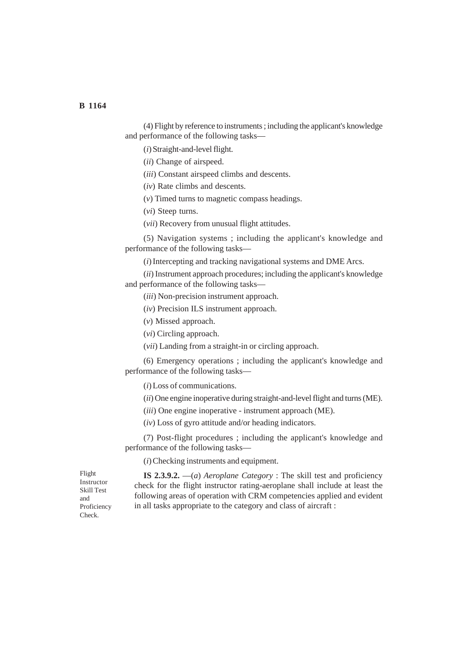(4) Flight by reference to instruments ; including the applicant's knowledge and performance of the following tasks—

(*i*) Straight-and-level flight.

(*ii*) Change of airspeed.

- (*iii*) Constant airspeed climbs and descents.
- (*iv*) Rate climbs and descents.
- (*v*) Timed turns to magnetic compass headings.

(*vi*) Steep turns.

(*vii*) Recovery from unusual flight attitudes.

(5) Navigation systems ; including the applicant's knowledge and performance of the following tasks—

(*i*) Intercepting and tracking navigational systems and DME Arcs.

(*ii*) Instrument approach procedures; including the applicant's knowledge and performance of the following tasks—

(*iii*) Non-precision instrument approach.

(*iv*) Precision ILS instrument approach.

(*v*) Missed approach.

(*vi*) Circling approach.

(*vii*) Landing from a straight-in or circling approach.

(6) Emergency operations ; including the applicant's knowledge and performance of the following tasks—

(*i*) Loss of communications.

(*ii*) One engine inoperative during straight-and-level flight and turns (ME).

(*iii*) One engine inoperative - instrument approach (ME).

(*iv*) Loss of gyro attitude and/or heading indicators.

(7) Post-flight procedures ; including the applicant's knowledge and performance of the following tasks—

(*i*) Checking instruments and equipment.

Flight Instructor Skill Test and Proficiency Check.

**IS 2.3.9.2.** —(*a*) *Aeroplane Category* : The skill test and proficiency check for the flight instructor rating-aeroplane shall include at least the following areas of operation with CRM competencies applied and evident in all tasks appropriate to the category and class of aircraft :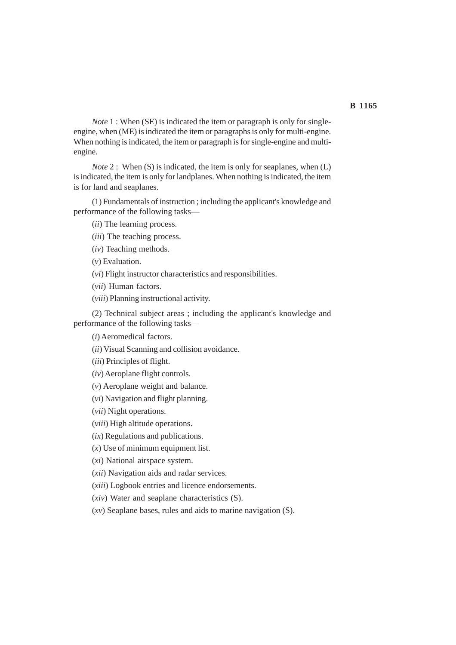*Note* 1 : When (SE) is indicated the item or paragraph is only for singleengine, when (ME) is indicated the item or paragraphs is only for multi-engine. When nothing is indicated, the item or paragraph is for single-engine and multiengine.

*Note* 2 : When (S) is indicated, the item is only for seaplanes, when (L) is indicated, the item is only for landplanes. When nothing is indicated, the item is for land and seaplanes.

(1) Fundamentals of instruction ; including the applicant's knowledge and performance of the following tasks—

(*ii*) The learning process.

- (*iii*) The teaching process.
- (*iv*) Teaching methods.

(*v*) Evaluation.

(*vi*) Flight instructor characteristics and responsibilities.

(*vii*) Human factors.

(*viii*) Planning instructional activity.

(2) Technical subject areas ; including the applicant's knowledge and performance of the following tasks—

(*i*) Aeromedical factors.

(*ii*) Visual Scanning and collision avoidance.

(*iii*) Principles of flight.

(*iv*) Aeroplane flight controls.

(*v*) Aeroplane weight and balance.

(*vi*) Navigation and flight planning.

(*vii*) Night operations.

(*viii*) High altitude operations.

(*ix*) Regulations and publications.

(*x*) Use of minimum equipment list.

(*xi*) National airspace system.

(*xii*) Navigation aids and radar services.

(*xiii*) Logbook entries and licence endorsements.

(*xiv*) Water and seaplane characteristics (S).

(*xv*) Seaplane bases, rules and aids to marine navigation (S).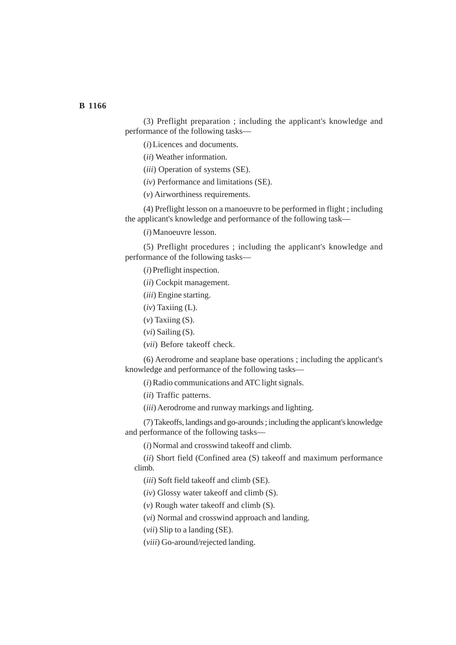(3) Preflight preparation ; including the applicant's knowledge and performance of the following tasks—

(*i*) Licences and documents.

(*ii*) Weather information.

(*iii*) Operation of systems (SE).

(*iv*) Performance and limitations (SE).

(*v*) Airworthiness requirements.

(4) Preflight lesson on a manoeuvre to be performed in flight ; including the applicant's knowledge and performance of the following task—

(*i*) Manoeuvre lesson.

(5) Preflight procedures ; including the applicant's knowledge and performance of the following tasks—

(*i*) Preflight inspection.

(*ii*) Cockpit management.

(*iii*) Engine starting.

(*iv*) Taxiing (L).

(*v*) Taxiing (S).

(*vi*) Sailing (S).

(*vii*) Before takeoff check.

(6) Aerodrome and seaplane base operations ; including the applicant's knowledge and performance of the following tasks—

(*i*) Radio communications and ATC light signals.

(*ii*) Traffic patterns.

(*iii*) Aerodrome and runway markings and lighting.

(7) Takeoffs, landings and go-arounds ; including the applicant's knowledge and performance of the following tasks—

(*i*) Normal and crosswind takeoff and climb.

(*ii*) Short field (Confined area (S) takeoff and maximum performance climb.

(*iii*) Soft field takeoff and climb (SE).

(*iv*) Glossy water takeoff and climb (S).

(*v*) Rough water takeoff and climb (S).

(*vi*) Normal and crosswind approach and landing.

(*vii*) Slip to a landing (SE).

(*viii*) Go-around/rejected landing.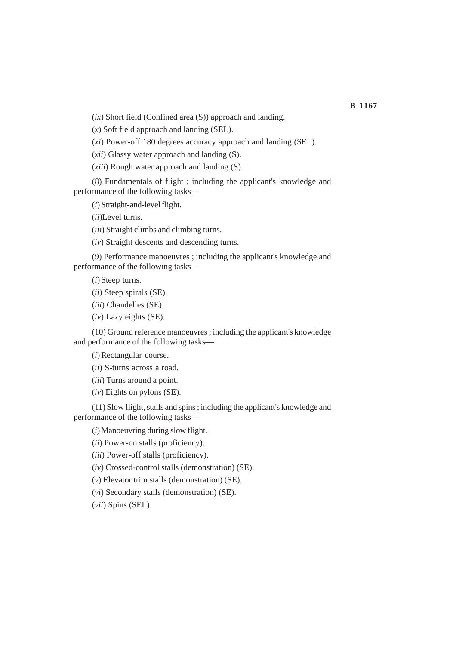(*ix*) Short field (Confined area (S)) approach and landing.

(*x*) Soft field approach and landing (SEL).

(*xi*) Power-off 180 degrees accuracy approach and landing (SEL).

(*xii*) Glassy water approach and landing (S).

(*xiii*) Rough water approach and landing (S).

(8) Fundamentals of flight ; including the applicant's knowledge and performance of the following tasks—

(*i*) Straight-and-level flight.

(*ii*)Level turns.

(*iii*) Straight climbs and climbing turns.

(*iv*) Straight descents and descending turns.

(9) Performance manoeuvres ; including the applicant's knowledge and performance of the following tasks—

(*i*) Steep turns.

(*ii*) Steep spirals (SE).

(*iii*) Chandelles (SE).

(*iv*) Lazy eights (SE).

(10) Ground reference manoeuvres ; including the applicant's knowledge and performance of the following tasks—

(*i*) Rectangular course.

(*ii*) S-turns across a road.

(*iii*) Turns around a point.

(*iv*) Eights on pylons (SE).

(11) Slow flight, stalls and spins ; including the applicant's knowledge and performance of the following tasks—

(*i*) Manoeuvring during slow flight.

(*ii*) Power-on stalls (proficiency).

(*iii*) Power-off stalls (proficiency).

(*iv*) Crossed-control stalls (demonstration) (SE).

(*v*) Elevator trim stalls (demonstration) (SE).

(*vi*) Secondary stalls (demonstration) (SE).

(*vii*) Spins (SEL).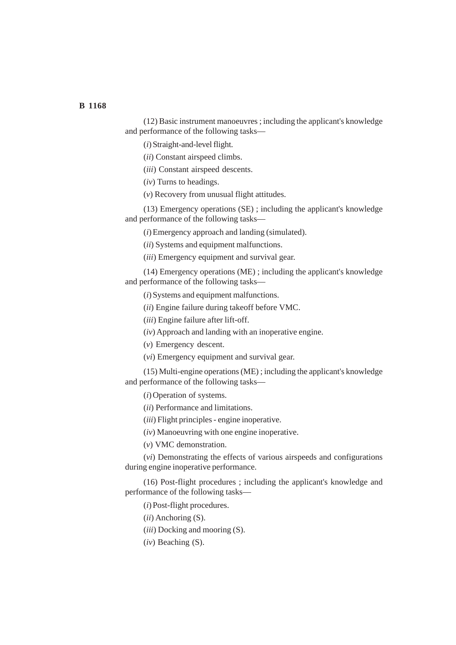(12) Basic instrument manoeuvres ; including the applicant's knowledge and performance of the following tasks—

(*i*) Straight-and-level flight.

(*ii*) Constant airspeed climbs.

(*iii*) Constant airspeed descents.

(*iv*) Turns to headings.

(*v*) Recovery from unusual flight attitudes.

(13) Emergency operations (SE) ; including the applicant's knowledge and performance of the following tasks—

(*i*) Emergency approach and landing (simulated).

(*ii*) Systems and equipment malfunctions.

(*iii*) Emergency equipment and survival gear.

(14) Emergency operations (ME) ; including the applicant's knowledge and performance of the following tasks—

(*i*) Systems and equipment malfunctions.

(*ii*) Engine failure during takeoff before VMC.

(*iii*) Engine failure after lift-off.

(*iv*) Approach and landing with an inoperative engine.

(*v*) Emergency descent.

(*vi*) Emergency equipment and survival gear.

(15) Multi-engine operations (ME) ; including the applicant's knowledge and performance of the following tasks—

(*i*) Operation of systems.

(*ii*) Performance and limitations.

(*iii*) Flight principles - engine inoperative.

(*iv*) Manoeuvring with one engine inoperative.

(*v*) VMC demonstration.

(*vi*) Demonstrating the effects of various airspeeds and configurations during engine inoperative performance.

(16) Post-flight procedures ; including the applicant's knowledge and performance of the following tasks—

(*i*) Post-flight procedures.

(*ii*) Anchoring (S).

(*iii*) Docking and mooring (S).

(*iv*) Beaching (S).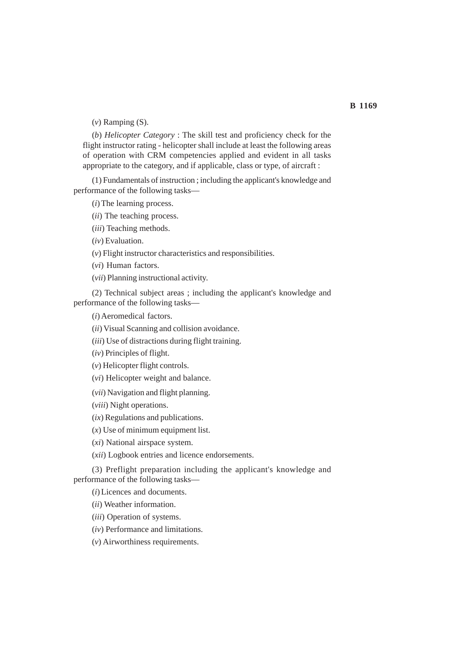(*v*) Ramping (S).

(*b*) *Helicopter Category* : The skill test and proficiency check for the flight instructor rating - helicopter shall include at least the following areas of operation with CRM competencies applied and evident in all tasks appropriate to the category, and if applicable, class or type, of aircraft :

(1) Fundamentals of instruction ; including the applicant's knowledge and performance of the following tasks—

(*i*) The learning process.

- (*ii*) The teaching process.
- (*iii*) Teaching methods.

(*iv*) Evaluation.

(*v*) Flight instructor characteristics and responsibilities.

(*vi*) Human factors.

(*vii*) Planning instructional activity.

(2) Technical subject areas ; including the applicant's knowledge and performance of the following tasks—

(*i*) Aeromedical factors.

(*ii*) Visual Scanning and collision avoidance.

(*iii*) Use of distractions during flight training.

(*iv*) Principles of flight.

(*v*) Helicopter flight controls.

(*vi*) Helicopter weight and balance.

(*vii*) Navigation and flight planning.

(*viii*) Night operations.

(*ix*) Regulations and publications.

(*x*) Use of minimum equipment list.

(*xi*) National airspace system.

(*xii*) Logbook entries and licence endorsements.

(3) Preflight preparation including the applicant's knowledge and performance of the following tasks—

(*i*) Licences and documents.

(*ii*) Weather information.

(*iii*) Operation of systems.

(*iv*) Performance and limitations.

(*v*) Airworthiness requirements.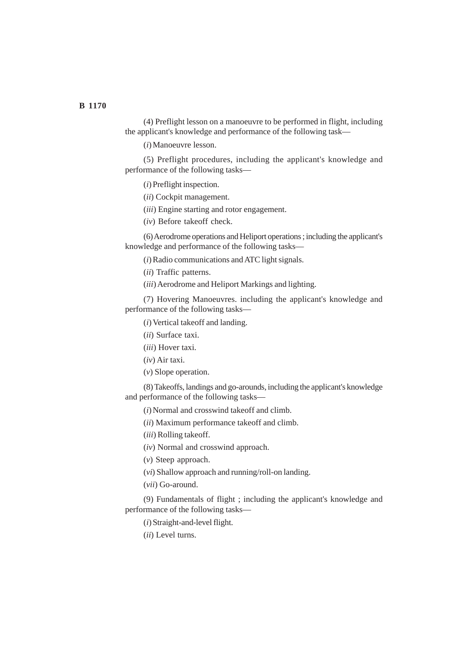(4) Preflight lesson on a manoeuvre to be performed in flight, including the applicant's knowledge and performance of the following task—

(*i*) Manoeuvre lesson.

(5) Preflight procedures, including the applicant's knowledge and performance of the following tasks—

(*i*) Preflight inspection.

(*ii*) Cockpit management.

(*iii*) Engine starting and rotor engagement.

(*iv*) Before takeoff check.

(6) Aerodrome operations and Heliport operations ; including the applicant's knowledge and performance of the following tasks—

(*i*) Radio communications and ATC light signals.

(*ii*) Traffic patterns.

(*iii*) Aerodrome and Heliport Markings and lighting.

(7) Hovering Manoeuvres. including the applicant's knowledge and performance of the following tasks—

(*i*) Vertical takeoff and landing.

(*ii*) Surface taxi.

(*iii*) Hover taxi.

(*iv*) Air taxi.

(*v*) Slope operation.

(8) Takeoffs, landings and go-arounds, including the applicant's knowledge and performance of the following tasks—

(*i*) Normal and crosswind takeoff and climb.

(*ii*) Maximum performance takeoff and climb.

(*iii*) Rolling takeoff.

(*iv*) Normal and crosswind approach.

(*v*) Steep approach.

(*vi*) Shallow approach and running/roll-on landing.

(*vii*) Go-around.

(9) Fundamentals of flight ; including the applicant's knowledge and performance of the following tasks—

(*i*) Straight-and-level flight.

(*ii*) Level turns.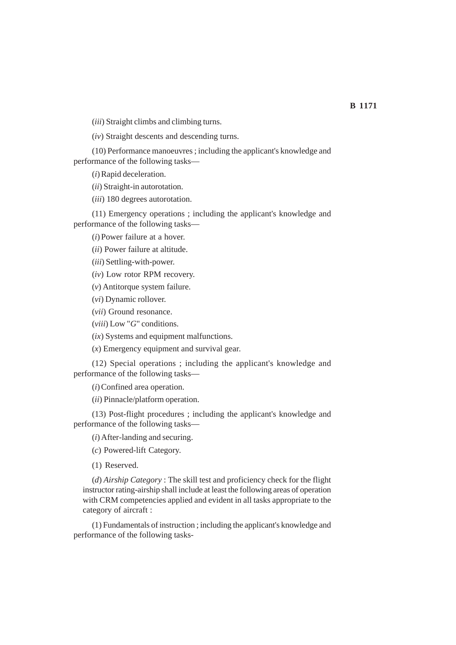(*iii*) Straight climbs and climbing turns.

(*iv*) Straight descents and descending turns.

(10) Performance manoeuvres ; including the applicant's knowledge and performance of the following tasks—

(*i*) Rapid deceleration.

(*ii*) Straight-in autorotation.

(*iii*) 180 degrees autorotation.

(11) Emergency operations ; including the applicant's knowledge and performance of the following tasks—

(*i*) Power failure at a hover.

(*ii*) Power failure at altitude.

(*iii*) Settling-with-power.

(*iv*) Low rotor RPM recovery.

(*v*) Antitorque system failure.

(*vi*) Dynamic rollover.

(*vii*) Ground resonance.

(*viii*) Low "*G*" conditions.

(*ix*) Systems and equipment malfunctions.

(*x*) Emergency equipment and survival gear.

(12) Special operations ; including the applicant's knowledge and performance of the following tasks—

(*i*) Confined area operation.

(*ii*) Pinnacle/platform operation.

(13) Post-flight procedures ; including the applicant's knowledge and performance of the following tasks—

(*i*) After-landing and securing.

(*c*) Powered-lift Category.

(1) Reserved.

(*d*) *Airship Category* : The skill test and proficiency check for the flight instructor rating-airship shall include at least the following areas of operation with CRM competencies applied and evident in all tasks appropriate to the category of aircraft :

(1) Fundamentals of instruction ; including the applicant's knowledge and performance of the following tasks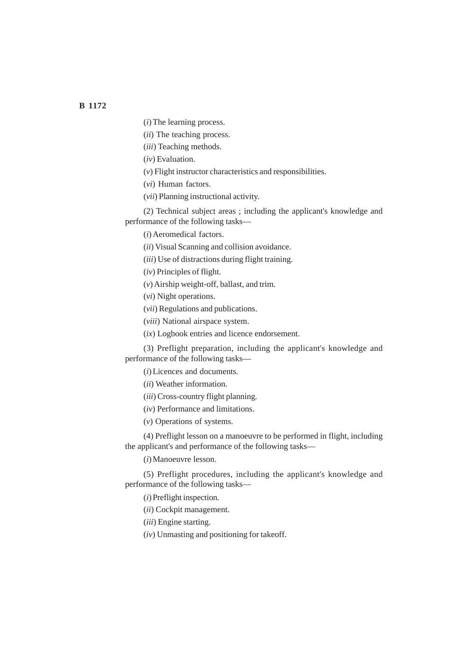(*i*) The learning process.

(*ii*) The teaching process.

(*iii*) Teaching methods.

(*iv*) Evaluation.

(*v*) Flight instructor characteristics and responsibilities.

(*vi*) Human factors.

(*vii*) Planning instructional activity.

(2) Technical subject areas ; including the applicant's knowledge and performance of the following tasks—

(*i*) Aeromedical factors.

(*ii*) Visual Scanning and collision avoidance.

(*iii*) Use of distractions during flight training.

(*iv*) Principles of flight.

(*v*) Airship weight-off, ballast, and trim.

(*vi*) Night operations.

(*vii*) Regulations and publications.

(*viii*) National airspace system.

(*ix*) Logbook entries and licence endorsement.

(3) Preflight preparation, including the applicant's knowledge and performance of the following tasks—

(*i*) Licences and documents.

(*ii*) Weather information.

(*iii*) Cross-country flight planning.

(*iv*) Performance and limitations.

(*v*) Operations of systems.

(4) Preflight lesson on a manoeuvre to be performed in flight, including the applicant's and performance of the following tasks—

(*i*) Manoeuvre lesson.

(5) Preflight procedures, including the applicant's knowledge and performance of the following tasks—

(*i*) Preflight inspection.

(*ii*) Cockpit management.

(*iii*) Engine starting.

(*iv*) Unmasting and positioning for takeoff.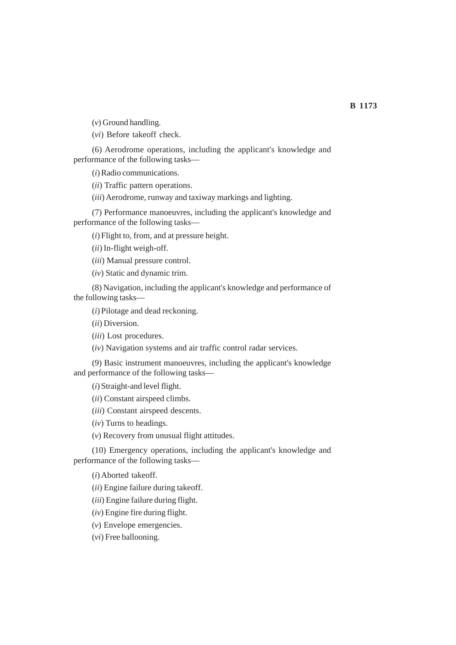(*v*) Ground handling.

(*vi*) Before takeoff check.

(6) Aerodrome operations, including the applicant's knowledge and performance of the following tasks—

(*i*) Radio communications.

(*ii*) Traffic pattern operations.

(*iii*) Aerodrome, runway and taxiway markings and lighting.

(7) Performance manoeuvres, including the applicant's knowledge and performance of the following tasks—

(*i*) Flight to, from, and at pressure height.

(*ii*) In-flight weigh-off.

(*iii*) Manual pressure control.

(*iv*) Static and dynamic trim.

(8) Navigation, including the applicant's knowledge and performance of the following tasks—

(*i*) Pilotage and dead reckoning.

(*ii*) Diversion.

(*iii*) Lost procedures.

(*iv*) Navigation systems and air traffic control radar services.

(9) Basic instrument manoeuvres, including the applicant's knowledge and performance of the following tasks—

(*i*) Straight-and level flight.

(*ii*) Constant airspeed climbs.

(*iii*) Constant airspeed descents.

(*iv*) Turns to headings.

(*v*) Recovery from unusual flight attitudes.

(10) Emergency operations, including the applicant's knowledge and performance of the following tasks—

(*i*) Aborted takeoff.

(*ii*) Engine failure during takeoff.

(*iii*) Engine failure during flight.

(*iv*) Engine fire during flight.

(*v*) Envelope emergencies.

(*vi*) Free ballooning.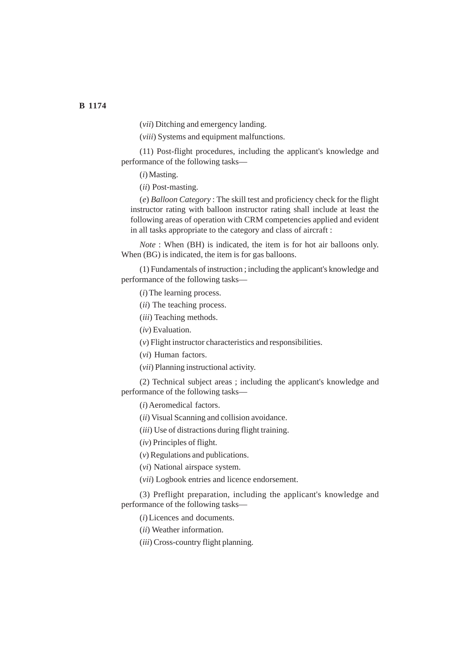(*vii*) Ditching and emergency landing.

(*viii*) Systems and equipment malfunctions.

(11) Post-flight procedures, including the applicant's knowledge and performance of the following tasks—

(*i*) Masting.

(*ii*) Post-masting.

(*e*) *Balloon Category* : The skill test and proficiency check for the flight instructor rating with balloon instructor rating shall include at least the following areas of operation with CRM competencies applied and evident in all tasks appropriate to the category and class of aircraft :

*Note* : When (BH) is indicated, the item is for hot air balloons only. When (BG) is indicated, the item is for gas balloons.

(1) Fundamentals of instruction ; including the applicant's knowledge and performance of the following tasks—

(*i*) The learning process.

(*ii*) The teaching process.

(*iii*) Teaching methods.

(*iv*) Evaluation.

(*v*) Flight instructor characteristics and responsibilities.

(*vi*) Human factors.

(*vii*) Planning instructional activity.

(2) Technical subject areas ; including the applicant's knowledge and performance of the following tasks—

(*i*) Aeromedical factors.

(*ii*) Visual Scanning and collision avoidance.

(*iii*) Use of distractions during flight training.

(*iv*) Principles of flight.

(*v*) Regulations and publications.

(*vi*) National airspace system.

(*vii*) Logbook entries and licence endorsement.

(3) Preflight preparation, including the applicant's knowledge and performance of the following tasks—

(*i*) Licences and documents.

(*ii*) Weather information.

(*iii*) Cross-country flight planning.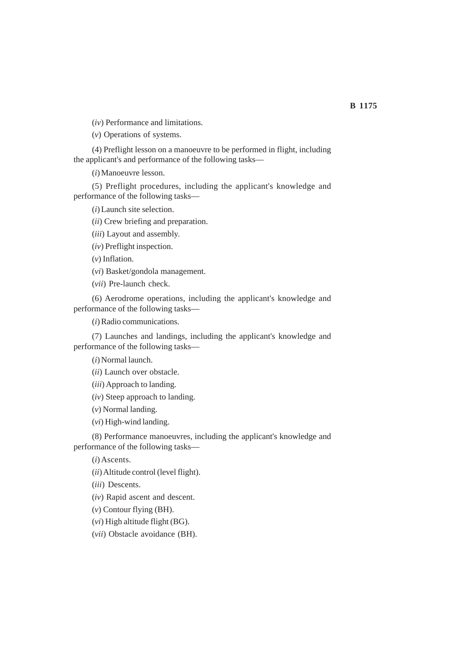(*iv*) Performance and limitations.

(*v*) Operations of systems.

(4) Preflight lesson on a manoeuvre to be performed in flight, including the applicant's and performance of the following tasks—

(*i*) Manoeuvre lesson.

(5) Preflight procedures, including the applicant's knowledge and performance of the following tasks—

(*i*) Launch site selection.

(*ii*) Crew briefing and preparation.

(*iii*) Layout and assembly.

(*iv*) Preflight inspection.

(*v*) Inflation.

(*vi*) Basket/gondola management.

(*vii*) Pre-launch check.

(6) Aerodrome operations, including the applicant's knowledge and performance of the following tasks—

(*i*) Radio communications.

(7) Launches and landings, including the applicant's knowledge and performance of the following tasks—

(*i*) Normal launch.

(*ii*) Launch over obstacle.

(*iii*) Approach to landing.

(*iv*) Steep approach to landing.

(*v*) Normal landing.

(*vi*) High-wind landing.

(8) Performance manoeuvres, including the applicant's knowledge and performance of the following tasks—

(*i*)Ascents.

(*ii*) Altitude control (level flight).

(*iii*) Descents.

(*iv*) Rapid ascent and descent.

(*v*) Contour flying (BH).

(*vi*) High altitude flight (BG).

(*vii*) Obstacle avoidance (BH).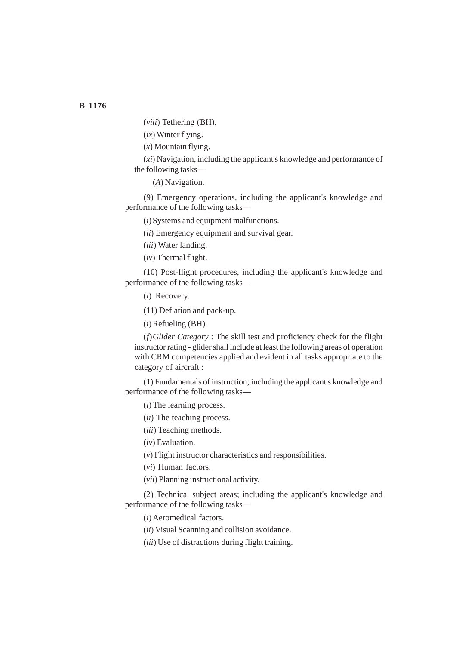(*viii*) Tethering (BH).

(*ix*) Winter flying.

(*x*) Mountain flying.

(*xi*) Navigation, including the applicant's knowledge and performance of the following tasks—

(*A*) Navigation.

(9) Emergency operations, including the applicant's knowledge and performance of the following tasks—

(*i*) Systems and equipment malfunctions.

(*ii*) Emergency equipment and survival gear.

(*iii*) Water landing.

(*iv*) Thermal flight.

(10) Post-flight procedures, including the applicant's knowledge and performance of the following tasks—

(*i*) Recovery.

(11) Deflation and pack-up.

(*i*) Refueling (BH).

(*f*)*Glider Category* : The skill test and proficiency check for the flight instructor rating - glider shall include at least the following areas of operation with CRM competencies applied and evident in all tasks appropriate to the category of aircraft :

(1) Fundamentals of instruction; including the applicant's knowledge and performance of the following tasks—

(*i*) The learning process.

(*ii*) The teaching process.

(*iii*) Teaching methods.

(*iv*) Evaluation.

(*v*) Flight instructor characteristics and responsibilities.

(*vi*) Human factors.

(*vii*) Planning instructional activity.

(2) Technical subject areas; including the applicant's knowledge and performance of the following tasks—

(*i*) Aeromedical factors.

(*ii*) Visual Scanning and collision avoidance.

(*iii*) Use of distractions during flight training.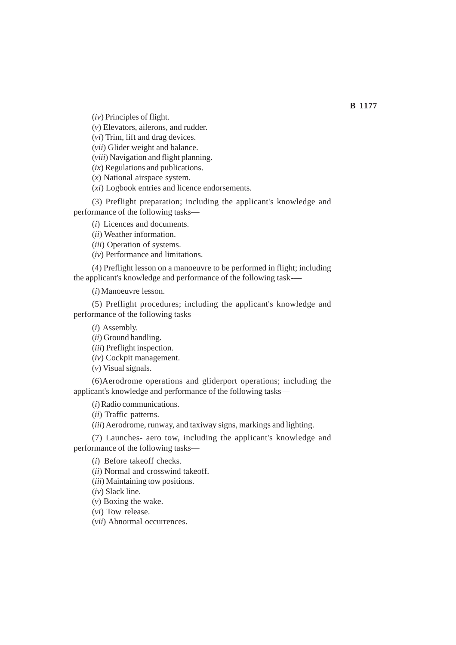(*iv*) Principles of flight.

(*v*) Elevators, ailerons, and rudder.

(*vi*) Trim, lift and drag devices.

(*vii*) Glider weight and balance.

(*viii*) Navigation and flight planning.

(*ix*) Regulations and publications.

(*x*) National airspace system.

(*xi*) Logbook entries and licence endorsements.

(3) Preflight preparation; including the applicant's knowledge and performance of the following tasks—

(*i*) Licences and documents.

(*ii*) Weather information.

(*iii*) Operation of systems.

(*iv*) Performance and limitations.

(4) Preflight lesson on a manoeuvre to be performed in flight; including the applicant's knowledge and performance of the following task-—

(*i*) Manoeuvre lesson.

(5) Preflight procedures; including the applicant's knowledge and performance of the following tasks—

(*i*) Assembly.

(*ii*) Ground handling.

(*iii*) Preflight inspection.

(*iv*) Cockpit management.

(*v*) Visual signals.

(6)Aerodrome operations and gliderport operations; including the applicant's knowledge and performance of the following tasks—

(*i*) Radio communications.

(*ii*) Traffic patterns.

(*iii*) Aerodrome, runway, and taxiway signs, markings and lighting.

(7) Launches- aero tow, including the applicant's knowledge and performance of the following tasks—

(*i*) Before takeoff checks.

(*ii*) Normal and crosswind takeoff.

(*iii*) Maintaining tow positions.

(*iv*) Slack line.

(*v*) Boxing the wake.

(*vi*) Tow release.

(*vii*) Abnormal occurrences.

**B 1177**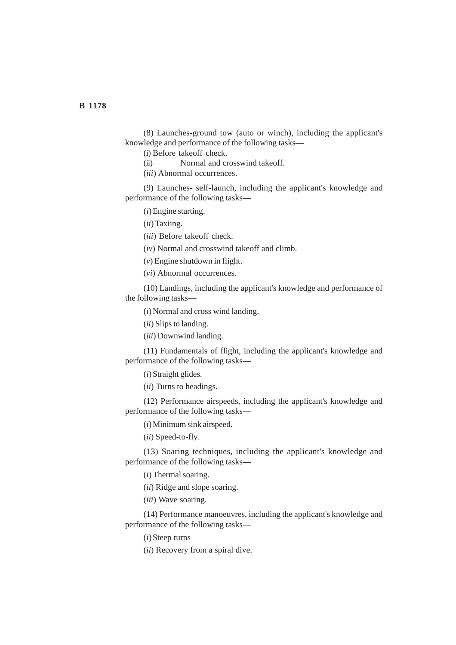(8) Launches-ground tow (auto or winch), including the applicant's knowledge and performance of the following tasks—

(i) Before takeoff check.

(ii) Normal and crosswind takeoff.

(*iii*) Abnormal occurrences.

(9) Launches- self-launch, including the applicant's knowledge and performance of the following tasks—

(*i*) Engine starting.

(*ii*) Taxiing.

(*iii*) Before takeoff check.

(*iv*) Normal and crosswind takeoff and climb.

(*v*) Engine shutdown in flight.

(*vi*) Abnormal occurrences.

(10) Landings, including the applicant's knowledge and performance of the following tasks—

(*i*) Normal and cross wind landing.

(*ii*) Slips to landing.

(*iii*) Downwind landing.

(11) Fundamentals of flight, including the applicant's knowledge and performance of the following tasks—

(*i*) Straight glides.

(*ii*) Turns to headings.

(12) Performance airspeeds, including the applicant's knowledge and performance of the following tasks—

(*i*) Minimum sink airspeed.

(*ii*) Speed-to-fly.

(13) Soaring techniques, including the applicant's knowledge and performance of the following tasks—

(*i*) Thermal soaring.

(*ii*) Ridge and slope soaring.

(*iii*) Wave soaring.

(14) Performance manoeuvres, including the applicant's knowledge and performance of the following tasks—

(*i*) Steep turns

(*ii*) Recovery from a spiral dive.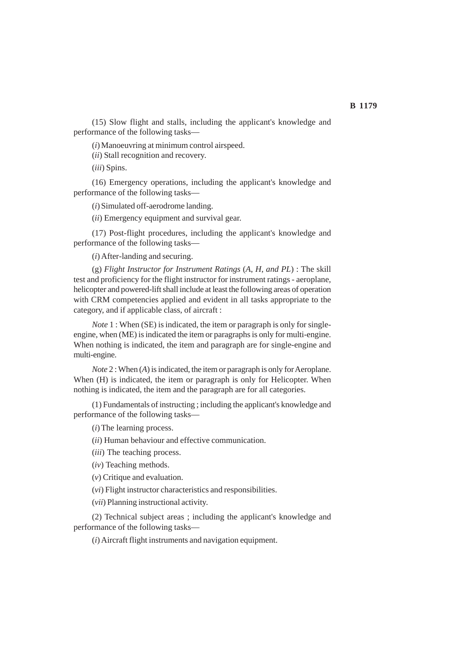(15) Slow flight and stalls, including the applicant's knowledge and performance of the following tasks—

(*i*) Manoeuvring at minimum control airspeed.

(*ii*) Stall recognition and recovery.

(*iii*) Spins.

(16) Emergency operations, including the applicant's knowledge and performance of the following tasks—

(*i*) Simulated off-aerodrome landing.

(*ii*) Emergency equipment and survival gear.

(17) Post-flight procedures, including the applicant's knowledge and performance of the following tasks—

(*i*) After-landing and securing.

(g) *Flight Instructor for Instrument Ratings* (*A*, *H*, *and PL*) : The skill test and proficiency for the flight instructor for instrument ratings - aeroplane, helicopter and powered-lift shall include at least the following areas of operation with CRM competencies applied and evident in all tasks appropriate to the category, and if applicable class, of aircraft :

*Note* 1 : When (SE) is indicated, the item or paragraph is only for singleengine, when (ME) is indicated the item or paragraphs is only for multi-engine. When nothing is indicated, the item and paragraph are for single-engine and multi-engine.

*Note* 2 : When (*A*) is indicated, the item or paragraph is only for Aeroplane. When (H) is indicated, the item or paragraph is only for Helicopter. When nothing is indicated, the item and the paragraph are for all categories.

(1) Fundamentals of instructing ; including the applicant's knowledge and performance of the following tasks—

(*i*) The learning process.

(*ii*) Human behaviour and effective communication.

(*iii*) The teaching process.

(*iv*) Teaching methods.

(*v*) Critique and evaluation.

(*vi*) Flight instructor characteristics and responsibilities.

(*vii*) Planning instructional activity.

(2) Technical subject areas ; including the applicant's knowledge and performance of the following tasks—

(*i*) Aircraft flight instruments and navigation equipment.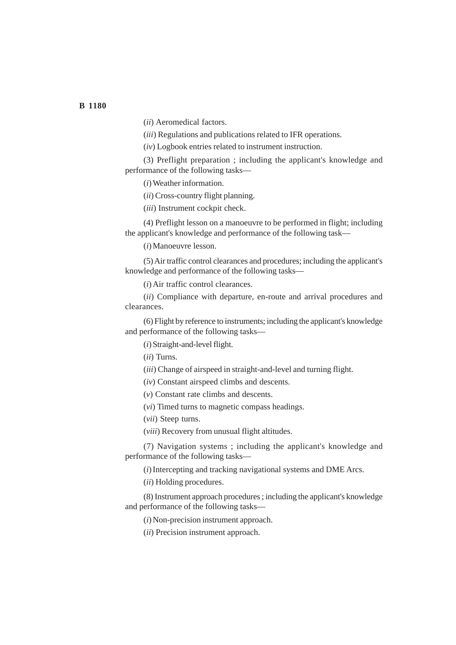(*ii*) Aeromedical factors.

(*iii*) Regulations and publications related to IFR operations.

(*iv*) Logbook entries related to instrument instruction.

(3) Preflight preparation ; including the applicant's knowledge and performance of the following tasks—

(*i*) Weather information.

(*ii*) Cross-country flight planning.

(*iii*) Instrument cockpit check.

(4) Preflight lesson on a manoeuvre to be performed in flight; including the applicant's knowledge and performance of the following task—

(*i*) Manoeuvre lesson.

(5) Air traffic control clearances and procedures; including the applicant's knowledge and performance of the following tasks—

(*i*) Air traffic control clearances.

(*ii*) Compliance with departure, en-route and arrival procedures and clearances.

(6) Flight by reference to instruments; including the applicant's knowledge and performance of the following tasks—

(*i*) Straight-and-level flight.

(*ii*) Turns.

(*iii*) Change of airspeed in straight-and-level and turning flight.

(*iv*) Constant airspeed climbs and descents.

(*v*) Constant rate climbs and descents.

(*vi*) Timed turns to magnetic compass headings.

(*vii*) Steep turns.

(*viii*) Recovery from unusual flight altitudes.

(7) Navigation systems ; including the applicant's knowledge and performance of the following tasks—

(*i*) Intercepting and tracking navigational systems and DME Arcs.

(*ii*) Holding procedures.

(8) Instrument approach procedures ; including the applicant's knowledge and performance of the following tasks—

(*i*) Non-precision instrument approach.

(*ii*) Precision instrument approach.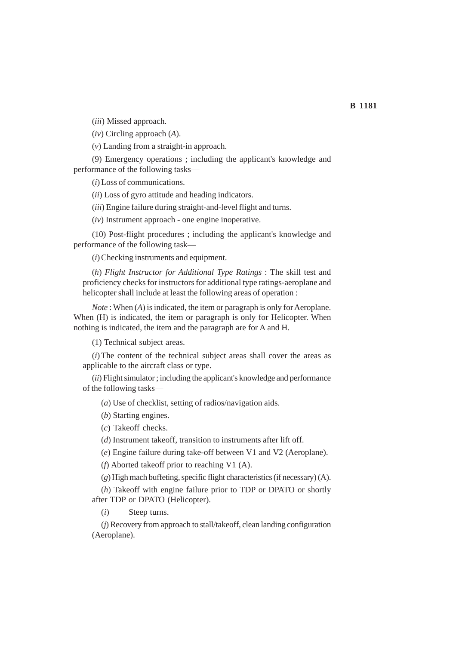(*iii*) Missed approach.

(*iv*) Circling approach (*A*).

(*v*) Landing from a straight-in approach.

(9) Emergency operations ; including the applicant's knowledge and performance of the following tasks—

(*i*) Loss of communications.

(*ii*) Loss of gyro attitude and heading indicators.

(*iii*) Engine failure during straight-and-level flight and turns.

(*iv*) Instrument approach - one engine inoperative.

(10) Post-flight procedures ; including the applicant's knowledge and performance of the following task—

(*i*) Checking instruments and equipment.

(*h*) *Flight Instructor for Additional Type Ratings* : The skill test and proficiency checks for instructors for additional type ratings-aeroplane and helicopter shall include at least the following areas of operation :

*Note* : When (*A*) is indicated, the item or paragraph is only for Aeroplane. When (H) is indicated, the item or paragraph is only for Helicopter. When nothing is indicated, the item and the paragraph are for A and H.

(1) Technical subject areas.

(*i*) The content of the technical subject areas shall cover the areas as applicable to the aircraft class or type.

(*ii*) Flight simulator ; including the applicant's knowledge and performance of the following tasks—

(*a*) Use of checklist, setting of radios/navigation aids.

(*b*) Starting engines.

(*c*) Takeoff checks.

(*d*) Instrument takeoff, transition to instruments after lift off.

(*e*) Engine failure during take-off between V1 and V2 (Aeroplane).

(*f*) Aborted takeoff prior to reaching V1 (A).

(*g*) High mach buffeting, specific flight characteristics (if necessary) (A).

(*h*) Takeoff with engine failure prior to TDP or DPATO or shortly after TDP or DPATO (Helicopter).

(*i*) Steep turns.

(*j*) Recovery from approach to stall/takeoff, clean landing configuration (Aeroplane).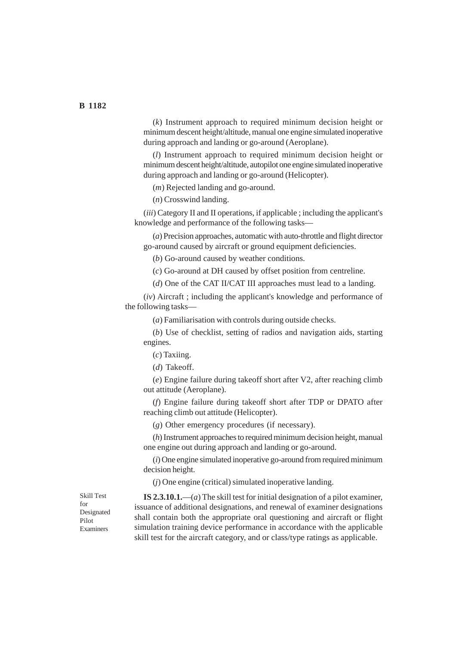(*k*) Instrument approach to required minimum decision height or minimum descent height/altitude, manual one engine simulated inoperative during approach and landing or go-around (Aeroplane).

(*l*) Instrument approach to required minimum decision height or minimum descent height/altitude, autopilot one engine simulated inoperative during approach and landing or go-around (Helicopter).

(*m*) Rejected landing and go-around.

(*n*) Crosswind landing.

(*iii*) Category II and II operations, if applicable ; including the applicant's knowledge and performance of the following tasks—

(*a*) Precision approaches, automatic with auto-throttle and flight director go-around caused by aircraft or ground equipment deficiencies.

(*b*) Go-around caused by weather conditions.

(*c*) Go-around at DH caused by offset position from centreline.

(*d*) One of the CAT II/CAT III approaches must lead to a landing.

(*iv*) Aircraft ; including the applicant's knowledge and performance of the following tasks—

(*a*) Familiarisation with controls during outside checks.

(*b*) Use of checklist, setting of radios and navigation aids, starting engines.

(*c*) Taxiing.

(*d*) Takeoff.

(*e*) Engine failure during takeoff short after V2, after reaching climb out attitude (Aeroplane).

(*f*) Engine failure during takeoff short after TDP or DPATO after reaching climb out attitude (Helicopter).

(*g*) Other emergency procedures (if necessary).

(*h*) Instrument approaches to required minimum decision height, manual one engine out during approach and landing or go-around.

(*i*) One engine simulated inoperative go-around from required minimum decision height.

(*j*) One engine (critical) simulated inoperative landing.

Skill Test for Designated Pilot Examiners

**IS 2.3.10.1.**—(*a*) The skill test for initial designation of a pilot examiner, issuance of additional designations, and renewal of examiner designations shall contain both the appropriate oral questioning and aircraft or flight simulation training device performance in accordance with the applicable skill test for the aircraft category, and or class/type ratings as applicable.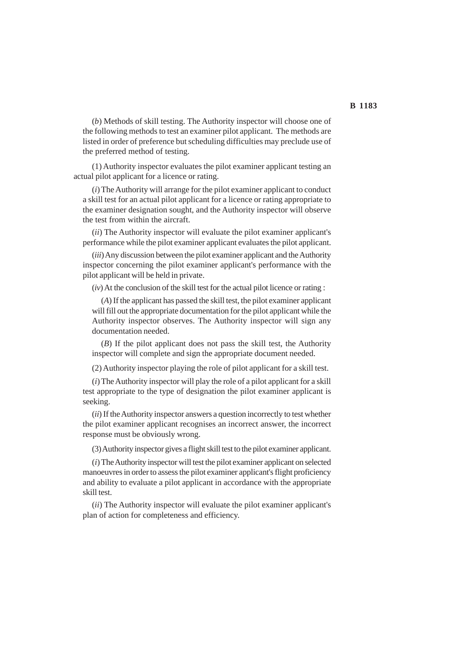(*b*) Methods of skill testing. The Authority inspector will choose one of the following methods to test an examiner pilot applicant. The methods are listed in order of preference but scheduling difficulties may preclude use of the preferred method of testing.

(1) Authority inspector evaluates the pilot examiner applicant testing an actual pilot applicant for a licence or rating.

(*i*) The Authority will arrange for the pilot examiner applicant to conduct a skill test for an actual pilot applicant for a licence or rating appropriate to the examiner designation sought, and the Authority inspector will observe the test from within the aircraft.

(*ii*) The Authority inspector will evaluate the pilot examiner applicant's performance while the pilot examiner applicant evaluates the pilot applicant.

(*iii*) Any discussion between the pilot examiner applicant and the Authority inspector concerning the pilot examiner applicant's performance with the pilot applicant will be held in private.

(*iv*) At the conclusion of the skill test for the actual pilot licence or rating :

(*A*) If the applicant has passed the skill test, the pilot examiner applicant will fill out the appropriate documentation for the pilot applicant while the Authority inspector observes. The Authority inspector will sign any documentation needed.

(*B*) If the pilot applicant does not pass the skill test, the Authority inspector will complete and sign the appropriate document needed.

(2) Authority inspector playing the role of pilot applicant for a skill test.

(*i*) The Authority inspector will play the role of a pilot applicant for a skill test appropriate to the type of designation the pilot examiner applicant is seeking.

(*ii*) If the Authority inspector answers a question incorrectly to test whether the pilot examiner applicant recognises an incorrect answer, the incorrect response must be obviously wrong.

(3) Authority inspector gives a flight skill test to the pilot examiner applicant.

(*i*) The Authority inspector will test the pilot examiner applicant on selected manoeuvres in order to assess the pilot examiner applicant's flight proficiency and ability to evaluate a pilot applicant in accordance with the appropriate skill test.

(*ii*) The Authority inspector will evaluate the pilot examiner applicant's plan of action for completeness and efficiency.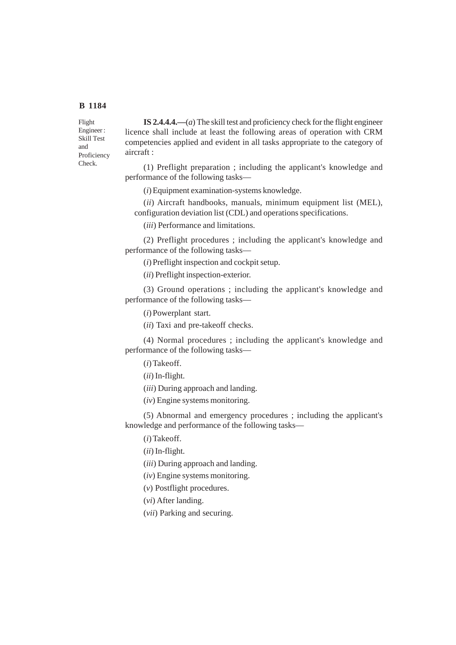Flight Engineer : Skill Test and Proficiency Check.

**IS 2.4.4.4.—**(*a*) The skill test and proficiency check for the flight engineer licence shall include at least the following areas of operation with CRM competencies applied and evident in all tasks appropriate to the category of aircraft :

(1) Preflight preparation ; including the applicant's knowledge and performance of the following tasks—

(*i*) Equipment examination-systems knowledge.

(*ii*) Aircraft handbooks, manuals, minimum equipment list (MEL), configuration deviation list (CDL) and operations specifications.

(*iii*) Performance and limitations.

(2) Preflight procedures ; including the applicant's knowledge and performance of the following tasks—

(*i*) Preflight inspection and cockpit setup.

(*ii*) Preflight inspection-exterior.

(3) Ground operations ; including the applicant's knowledge and performance of the following tasks—

(*i*) Powerplant start.

(*ii*) Taxi and pre-takeoff checks.

(4) Normal procedures ; including the applicant's knowledge and performance of the following tasks—

(*i*) Takeoff.

(*ii*) In-flight.

(*iii*) During approach and landing.

(*iv*) Engine systems monitoring.

(5) Abnormal and emergency procedures ; including the applicant's knowledge and performance of the following tasks—

(*i*) Takeoff.

(*ii*) In-flight.

(*iii*) During approach and landing.

(*iv*) Engine systems monitoring.

(*v*) Postflight procedures.

(*vi*) After landing.

(*vii*) Parking and securing.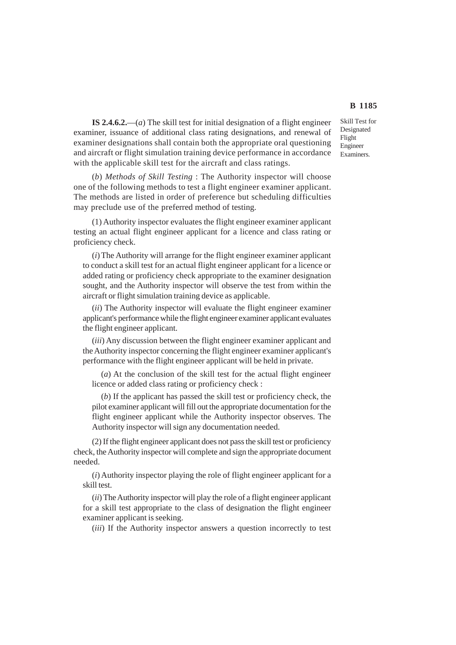Skill Test for Designated Flight Engineer Examiners.

**IS 2.4.6.2.**—(*a*) The skill test for initial designation of a flight engineer examiner, issuance of additional class rating designations, and renewal of examiner designations shall contain both the appropriate oral questioning and aircraft or flight simulation training device performance in accordance with the applicable skill test for the aircraft and class ratings.

(*b*) *Methods of Skill Testing* : The Authority inspector will choose one of the following methods to test a flight engineer examiner applicant. The methods are listed in order of preference but scheduling difficulties may preclude use of the preferred method of testing.

(1) Authority inspector evaluates the flight engineer examiner applicant testing an actual flight engineer applicant for a licence and class rating or proficiency check.

(*i*) The Authority will arrange for the flight engineer examiner applicant to conduct a skill test for an actual flight engineer applicant for a licence or added rating or proficiency check appropriate to the examiner designation sought, and the Authority inspector will observe the test from within the aircraft or flight simulation training device as applicable.

(*ii*) The Authority inspector will evaluate the flight engineer examiner applicant's performance while the flight engineer examiner applicant evaluates the flight engineer applicant.

(*iii*) Any discussion between the flight engineer examiner applicant and the Authority inspector concerning the flight engineer examiner applicant's performance with the flight engineer applicant will be held in private.

(*a*) At the conclusion of the skill test for the actual flight engineer licence or added class rating or proficiency check :

(*b*) If the applicant has passed the skill test or proficiency check, the pilot examiner applicant will fill out the appropriate documentation for the flight engineer applicant while the Authority inspector observes. The Authority inspector will sign any documentation needed.

(2) If the flight engineer applicant does not pass the skill test or proficiency check, the Authority inspector will complete and sign the appropriate document needed.

(*i*) Authority inspector playing the role of flight engineer applicant for a skill test.

(*ii*) The Authority inspector will play the role of a flight engineer applicant for a skill test appropriate to the class of designation the flight engineer examiner applicant is seeking.

(*iii*) If the Authority inspector answers a question incorrectly to test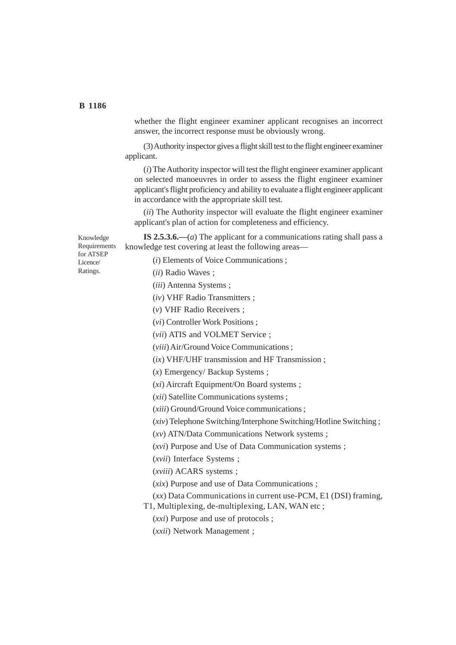whether the flight engineer examiner applicant recognises an incorrect answer, the incorrect response must be obviously wrong.

(3) Authority inspector gives a flight skill test to the flight engineer examiner applicant.

(*i*) The Authority inspector will test the flight engineer examiner applicant on selected manoeuvres in order to assess the flight engineer examiner applicant's flight proficiency and ability to evaluate a flight engineer applicant in accordance with the appropriate skill test.

(*ii*) The Authority inspector will evaluate the flight engineer examiner applicant's plan of action for completeness and efficiency.

**IS 2.5.3.6.—**(*a*) The applicant for a communications rating shall pass a knowledge test covering at least the following areas—

Knowledge Requirements for ATSEP Licence/ Ratings.

(*i*) Elements of Voice Communications ;

(*ii*) Radio Waves ;

(*iii*) Antenna Systems ;

(*iv*) VHF Radio Transmitters ;

(*v*) VHF Radio Receivers ;

(*vi*) Controller Work Positions ;

(*vii*) ATIS and VOLMET Service ;

(*viii*) Air/Ground Voice Communications ;

(*ix*) VHF/UHF transmission and HF Transmission ;

(*x*) Emergency/ Backup Systems ;

(*xi*) Aircraft Equipment/On Board systems ;

(*xii*) Satellite Communications systems ;

(*xiii*) Ground/Ground Voice communications ;

(*xiv*) Telephone Switching/Interphone Switching/Hotline Switching ;

(*xv*) ATN/Data Communications Network systems ;

(*xvi*) Purpose and Use of Data Communication systems ;

(*xvii*) Interface Systems ;

(*xviii*) ACARS systems ;

(*xix*) Purpose and use of Data Communications ;

(*xx*) Data Communications in current use-PCM, E1 (DSI) framing,

T1, Multiplexing, de-multiplexing, LAN, WAN etc ;

(*xxi*) Purpose and use of protocols ;

(*xxii*) Network Management ;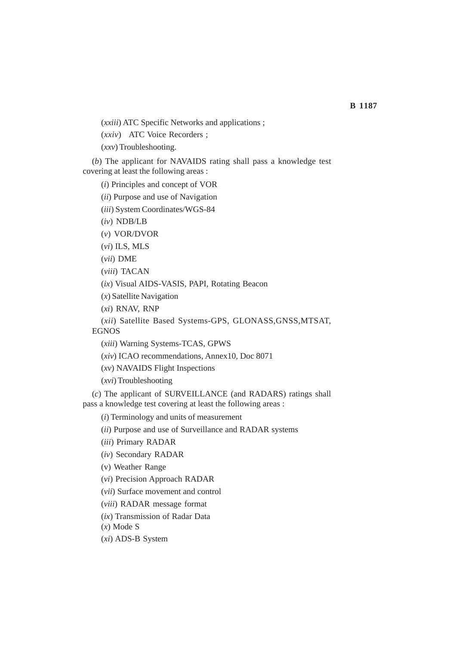(*xxiii*) ATC Specific Networks and applications ;

(*xxiv*) ATC Voice Recorders ;

(*xxv*) Troubleshooting.

(*b*) The applicant for NAVAIDS rating shall pass a knowledge test covering at least the following areas :

(*i*) Principles and concept of VOR

(*ii*) Purpose and use of Navigation

(*iii*) System Coordinates/WGS-84

(*iv*) NDB/LB

(*v*) VOR/DVOR

(*vi*) ILS, MLS

(*vii*) DME

(*viii*) TACAN

(*ix*) Visual AIDS-VASIS, PAPI, Rotating Beacon

(*x*) Satellite Navigation

(*xi*) RNAV, RNP

(*xii*) Satellite Based Systems-GPS, GLONASS,GNSS,MTSAT, EGNOS

(*xiii*) Warning Systems-TCAS, GPWS

(*xiv*) ICAO recommendations, Annex10, Doc 8071

(*xv*) NAVAIDS Flight Inspections

(*xvi*) Troubleshooting

(*c*) The applicant of SURVEILLANCE (and RADARS) ratings shall pass a knowledge test covering at least the following areas :

(*i*) Terminology and units of measurement

(*ii*) Purpose and use of Surveillance and RADAR systems

(*iii*) Primary RADAR

(*iv*) Secondary RADAR

(v) Weather Range

(*vi*) Precision Approach RADAR

(*vii*) Surface movement and control

(*viii*) RADAR message format

(*ix*) Transmission of Radar Data

(*x*) Mode S

(*xi*) ADS-B System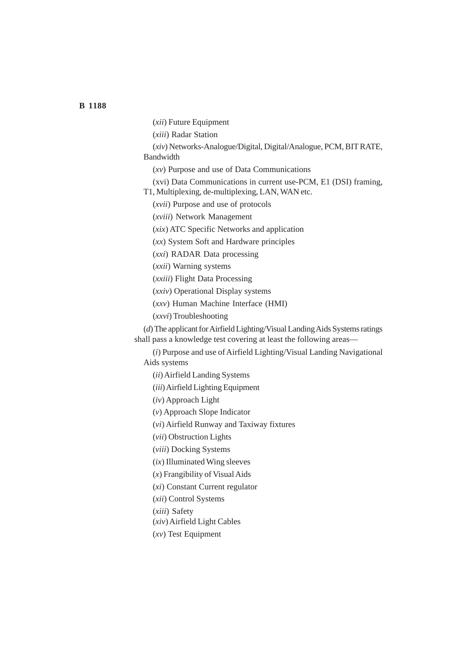- (*xii*) Future Equipment
- (*xiii*) Radar Station
- (*xiv*) Networks-Analogue/Digital, Digital/Analogue, PCM, BIT RATE, Bandwidth
	- (*xv*) Purpose and use of Data Communications
	- (xvi) Data Communications in current use-PCM, E1 (DSI) framing,
- T1, Multiplexing, de-multiplexing, LAN, WAN etc.
	- (*xvii*) Purpose and use of protocols
	- (*xviii*) Network Management
	- (*xix*) ATC Specific Networks and application
	- (*xx*) System Soft and Hardware principles
	- (*xxi*) RADAR Data processing
	- (*xxii*) Warning systems
	- (*xxiii*) Flight Data Processing
	- (*xxiv*) Operational Display systems
	- (*xxv*) Human Machine Interface (HMI)
	- (*xxvi*) Troubleshooting

(*d*) The applicant for Airfield Lighting/Visual Landing Aids Systems ratings shall pass a knowledge test covering at least the following areas—

(*i*) Purpose and use of Airfield Lighting/Visual Landing Navigational Aids systems

(*ii*) Airfield Landing Systems

- (*iii*) Airfield Lighting Equipment
- (*iv*) Approach Light
- (*v*) Approach Slope Indicator
- (*vi*) Airfield Runway and Taxiway fixtures
- (*vii*) Obstruction Lights
- (*viii*) Docking Systems
- (*ix*) Illuminated Wing sleeves
- (*x*) Frangibility of Visual Aids
- (*xi*) Constant Current regulator
- (*xii*) Control Systems
- (*xiii*) Safety
- (*xiv*) Airfield Light Cables
- (*xv*) Test Equipment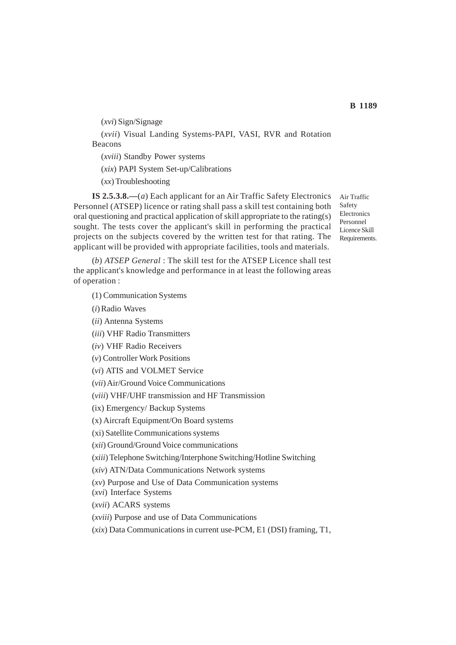(*xvi*) Sign/Signage (*xvii*) Visual Landing Systems-PAPI, VASI, RVR and Rotation Beacons (*xviii*) Standby Power systems (*xix*) PAPI System Set-up/Calibrations

(*xx*) Troubleshooting

**IS 2.5.3.8.—**(*a*) Each applicant for an Air Traffic Safety Electronics Personnel (ATSEP) licence or rating shall pass a skill test containing both oral questioning and practical application of skill appropriate to the rating(s) sought. The tests cover the applicant's skill in performing the practical projects on the subjects covered by the written test for that rating. The applicant will be provided with appropriate facilities, tools and materials.

(*b*) *ATSEP General* : The skill test for the ATSEP Licence shall test the applicant's knowledge and performance in at least the following areas of operation :

## (1) Communication Systems

(*i*) Radio Waves

(*ii*) Antenna Systems

(*iii*) VHF Radio Transmitters

(*iv*) VHF Radio Receivers

(*v*) Controller Work Positions

(*vi*) ATIS and VOLMET Service

(*vii*) Air/Ground Voice Communications

(*viii*) VHF/UHF transmission and HF Transmission

(ix) Emergency/ Backup Systems

(x) Aircraft Equipment/On Board systems

(xi) Satellite Communications systems

(*xii*) Ground/Ground Voice communications

(*xiii*) Telephone Switching/Interphone Switching/Hotline Switching

(*xiv*) ATN/Data Communications Network systems

(*xv*) Purpose and Use of Data Communication systems

(*xvi*) Interface Systems

(*xvii*) ACARS systems

(*xviii*) Purpose and use of Data Communications

(*xix*) Data Communications in current use-PCM, E1 (DSI) framing, T1,

Air Traffic Safety Electronics Personnel Licence Skill Requirements.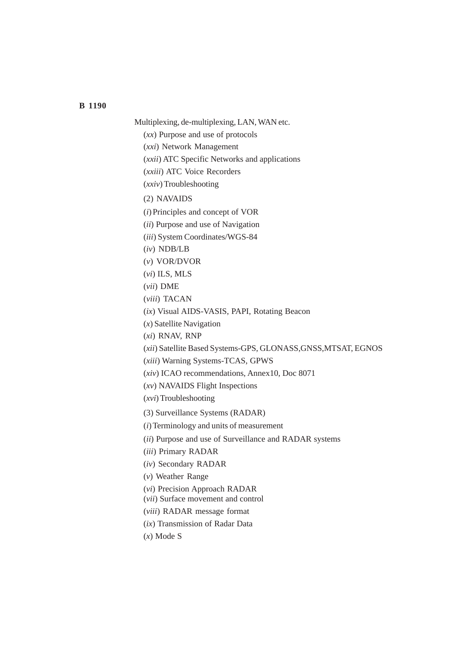Multiplexing, de-multiplexing, LAN, WAN etc.

(*xx*) Purpose and use of protocols

(*xxi*) Network Management

(*xxii*) ATC Specific Networks and applications

(*xxiii*) ATC Voice Recorders

(*xxiv*) Troubleshooting

(2) NAVAIDS

(*i*) Principles and concept of VOR

(*ii*) Purpose and use of Navigation

(*iii*) System Coordinates/WGS-84

(*iv*) NDB/LB

(*v*) VOR/DVOR

(*vi*) ILS, MLS

(*vii*) DME

(*viii*) TACAN

(*ix*) Visual AIDS-VASIS, PAPI, Rotating Beacon

(*x*) Satellite Navigation

(*xi*) RNAV, RNP

(*xii*) Satellite Based Systems-GPS, GLONASS,GNSS,MTSAT, EGNOS

(*xiii*) Warning Systems-TCAS, GPWS

(*xiv*) ICAO recommendations, Annex10, Doc 8071

(*xv*) NAVAIDS Flight Inspections

(*xvi*) Troubleshooting

(3) Surveillance Systems (RADAR)

(*i*) Terminology and units of measurement

(*ii*) Purpose and use of Surveillance and RADAR systems

(*iii*) Primary RADAR

(*iv*) Secondary RADAR

(*v*) Weather Range

(*vi*) Precision Approach RADAR

(*vii*) Surface movement and control

(*viii*) RADAR message format

(*ix*) Transmission of Radar Data

(*x*) Mode S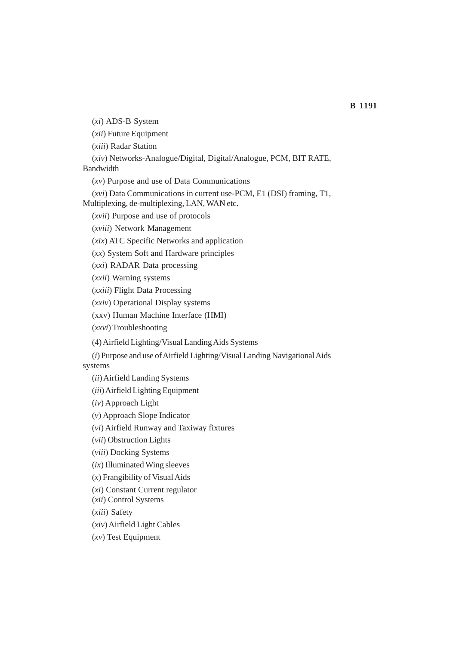(*xi*) ADS-B System

(*xii*) Future Equipment

(*xiii*) Radar Station

(*xiv*) Networks-Analogue/Digital, Digital/Analogue, PCM, BIT RATE,

Bandwidth

(*xv*) Purpose and use of Data Communications

(*xvi*) Data Communications in current use-PCM, E1 (DSI) framing, T1,

Multiplexing, de-multiplexing, LAN, WAN etc.

(*xvii*) Purpose and use of protocols

(*xviii*) Network Management

(*xix*) ATC Specific Networks and application

(*xx*) System Soft and Hardware principles

(*xxi*) RADAR Data processing

(*xxii*) Warning systems

(*xxiii*) Flight Data Processing

(*xxiv*) Operational Display systems

(xxv) Human Machine Interface (HMI)

(*xxvi*) Troubleshooting

(4) Airfield Lighting/Visual Landing Aids Systems

(*i*) Purpose and use of Airfield Lighting/Visual Landing Navigational Aids systems

(*ii*) Airfield Landing Systems

(*iii*) Airfield Lighting Equipment

(*iv*) Approach Light

(*v*) Approach Slope Indicator

(*vi*) Airfield Runway and Taxiway fixtures

(*vii*) Obstruction Lights

(*viii*) Docking Systems

(*ix*) Illuminated Wing sleeves

(*x*) Frangibility of Visual Aids

(*xi*) Constant Current regulator

(*xii*) Control Systems

(*xiii*) Safety

(*xiv*) Airfield Light Cables

(*xv*) Test Equipment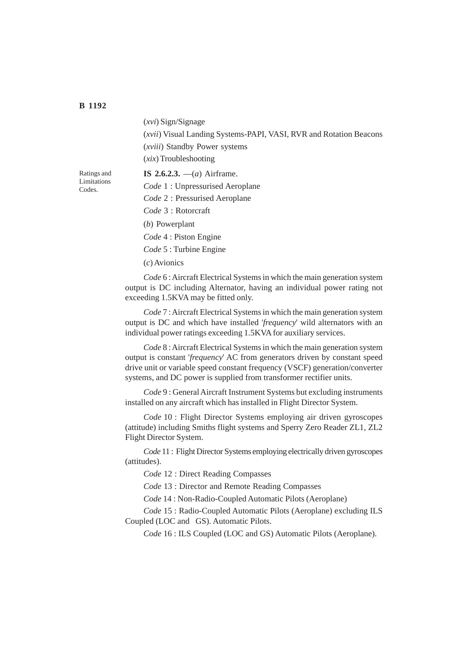(*xvi*) Sign/Signage (*xvii*) Visual Landing Systems-PAPI, VASI, RVR and Rotation Beacons (*xviii*) Standby Power systems (*xix*) Troubleshooting

Ratings and Limitations Codes.

**IS 2.6.2.3.** —(*a*) Airframe. *Code* 1 : Unpressurised Aeroplane *Code* 2 : Pressurised Aeroplane *Code* 3 : Rotorcraft (*b*) Powerplant *Code* 4 : Piston Engine *Code* 5 : Turbine Engine (*c*) Avionics

*Code* 6 : Aircraft Electrical Systems in which the main generation system output is DC including Alternator, having an individual power rating not exceeding 1.5KVA may be fitted only.

*Code* 7 : Aircraft Electrical Systems in which the main generation system output is DC and which have installed '*frequency*' wild alternators with an individual power ratings exceeding 1.5KVA for auxiliary services.

*Code* 8 : Aircraft Electrical Systems in which the main generation system output is constant '*frequency*' AC from generators driven by constant speed drive unit or variable speed constant frequency (VSCF) generation/converter systems, and DC power is supplied from transformer rectifier units.

*Code* 9 : General Aircraft Instrument Systems but excluding instruments installed on any aircraft which has installed in Flight Director System.

*Code* 10 : Flight Director Systems employing air driven gyroscopes (attitude) including Smiths flight systems and Sperry Zero Reader ZL1, ZL2 Flight Director System.

*Code* 11 : Flight Director Systems employing electrically driven gyroscopes (attitudes).

*Code* 12 : Direct Reading Compasses

*Code* 13 : Director and Remote Reading Compasses

*Code* 14 : Non-Radio-Coupled Automatic Pilots (Aeroplane)

*Code* 15 : Radio-Coupled Automatic Pilots (Aeroplane) excluding ILS Coupled (LOC and GS). Automatic Pilots.

*Code* 16 : ILS Coupled (LOC and GS) Automatic Pilots (Aeroplane).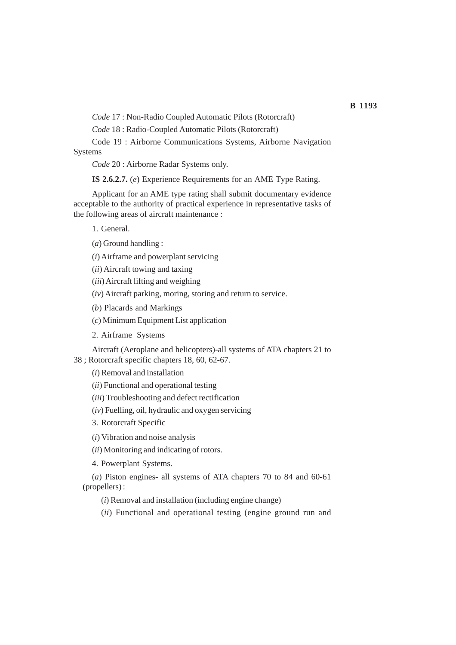*Code* 17 : Non-Radio Coupled Automatic Pilots (Rotorcraft)

*Code* 18 : Radio-Coupled Automatic Pilots (Rotorcraft)

Code 19 : Airborne Communications Systems, Airborne Navigation Systems

*Code* 20 : Airborne Radar Systems only.

**IS 2.6.2.7.** (*e*) Experience Requirements for an AME Type Rating.

Applicant for an AME type rating shall submit documentary evidence acceptable to the authority of practical experience in representative tasks of the following areas of aircraft maintenance :

1. General.

(*a*) Ground handling :

(*i*) Airframe and powerplant servicing

(*ii*) Aircraft towing and taxing

(*iii*) Aircraft lifting and weighing

(*iv*) Aircraft parking, moring, storing and return to service.

(*b*) Placards and Markings

(*c*) Minimum Equipment List application

2. Airframe Systems

Aircraft (Aeroplane and helicopters)-all systems of ATA chapters 21 to 38 ; Rotorcraft specific chapters 18, 60, 62-67.

(*i*) Removal and installation

(*ii*) Functional and operational testing

(*iii*) Troubleshooting and defect rectification

(*iv*) Fuelling, oil, hydraulic and oxygen servicing

3. Rotorcraft Specific

(*i*) Vibration and noise analysis

(*ii*) Monitoring and indicating of rotors.

4. Powerplant Systems.

(*a*) Piston engines- all systems of ATA chapters 70 to 84 and 60-61 (propellers) :

(*i*) Removal and installation (including engine change)

(*ii*) Functional and operational testing (engine ground run and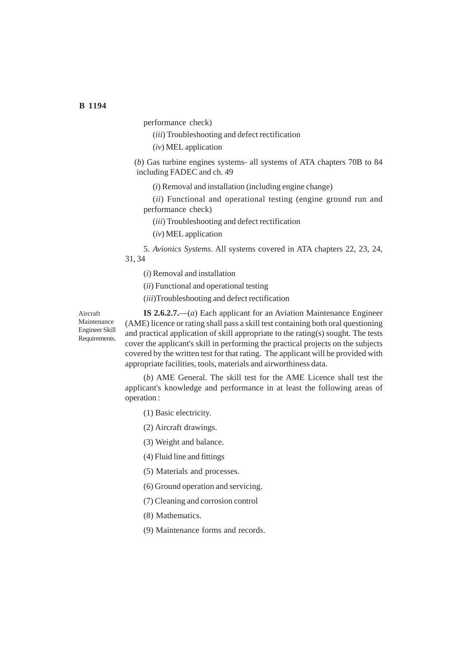performance check)

- (*iii*) Troubleshooting and defect rectification
- (*iv*) MEL application

(*b*) Gas turbine engines systems- all systems of ATA chapters 70B to 84 including FADEC and ch. 49

(*i*) Removal and installation (including engine change)

(*ii*) Functional and operational testing (engine ground run and performance check)

(*iii*) Troubleshooting and defect rectification

(*iv*) MEL application

5. *Avionics Systems*. All systems covered in ATA chapters 22, 23, 24,

31, 34

(*i*) Removal and installation

(*ii*) Functional and operational testing

(*iii*)Troubleshooting and defect rectification

Aircraft Maintenance Engineer Skill Requirements.

**IS 2.6.2.7.**—(*a*) Each applicant for an Aviation Maintenance Engineer (AME) licence or rating shall pass a skill test containing both oral questioning and practical application of skill appropriate to the rating(s) sought. The tests cover the applicant's skill in performing the practical projects on the subjects covered by the written test for that rating. The applicant will be provided with appropriate facilities, tools, materials and airworthiness data.

(*b*) AME General. The skill test for the AME Licence shall test the applicant's knowledge and performance in at least the following areas of operation :

(1) Basic electricity.

(2) Aircraft drawings.

(3) Weight and balance.

(4) Fluid line and fittings

(5) Materials and processes.

(6) Ground operation and servicing.

(7) Cleaning and corrosion control

(8) Mathematics.

(9) Maintenance forms and records.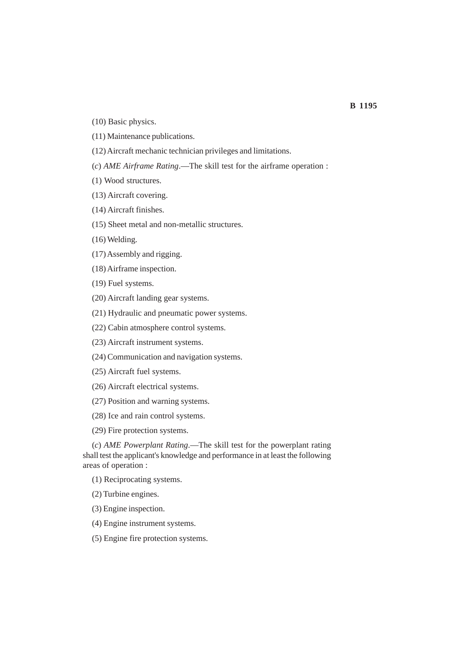- (10) Basic physics.
- (11) Maintenance publications.
- (12) Aircraft mechanic technician privileges and limitations.
- (*c*) *AME Airframe Rating*.—The skill test for the airframe operation :
- (1) Wood structures.
- (13) Aircraft covering.
- (14) Aircraft finishes.
- (15) Sheet metal and non-metallic structures.
- (16) Welding.
- (17) Assembly and rigging.
- (18) Airframe inspection.
- (19) Fuel systems.
- (20) Aircraft landing gear systems.
- (21) Hydraulic and pneumatic power systems.
- (22) Cabin atmosphere control systems.
- (23) Aircraft instrument systems.
- (24) Communication and navigation systems.
- (25) Aircraft fuel systems.
- (26) Aircraft electrical systems.
- (27) Position and warning systems.
- (28) Ice and rain control systems.
- (29) Fire protection systems.

(*c*) *AME Powerplant Rating*.—The skill test for the powerplant rating shall test the applicant's knowledge and performance in at least the following areas of operation :

(1) Reciprocating systems.

(2) Turbine engines.

(3) Engine inspection.

- (4) Engine instrument systems.
- (5) Engine fire protection systems.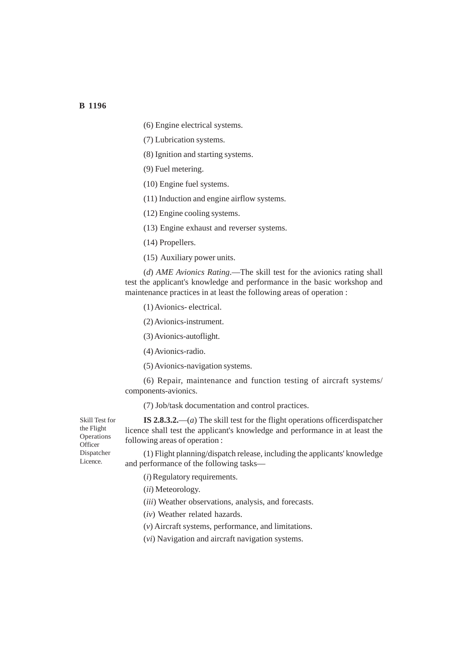- (6) Engine electrical systems.
- (7) Lubrication systems.
- (8) Ignition and starting systems.
- (9) Fuel metering.
- (10) Engine fuel systems.
- (11) Induction and engine airflow systems.
- (12) Engine cooling systems.
- (13) Engine exhaust and reverser systems.
- (14) Propellers.
- (15) Auxiliary power units.

(*d*) *AME Avionics Rating*.—The skill test for the avionics rating shall test the applicant's knowledge and performance in the basic workshop and maintenance practices in at least the following areas of operation :

- (1) Avionics- electrical.
- (2) Avionics-instrument.
- (3) Avionics-autoflight.
- (4) Avionics-radio.
- (5) Avionics-navigation systems.

(6) Repair, maintenance and function testing of aircraft systems/ components-avionics.

(7) Job/task documentation and control practices.

**IS 2.8.3.2.**—(*a*) The skill test for the flight operations officerdispatcher licence shall test the applicant's knowledge and performance in at least the following areas of operation :

(1) Flight planning/dispatch release, including the applicants' knowledge and performance of the following tasks—

- (*i*) Regulatory requirements.
- (*ii*) Meteorology.
- (*iii*) Weather observations, analysis, and forecasts.
- (*iv*) Weather related hazards.
- (*v*) Aircraft systems, performance, and limitations.
- (*vi*) Navigation and aircraft navigation systems.

Skill Test for the Flight Operations **Officer** Dispatcher Licence.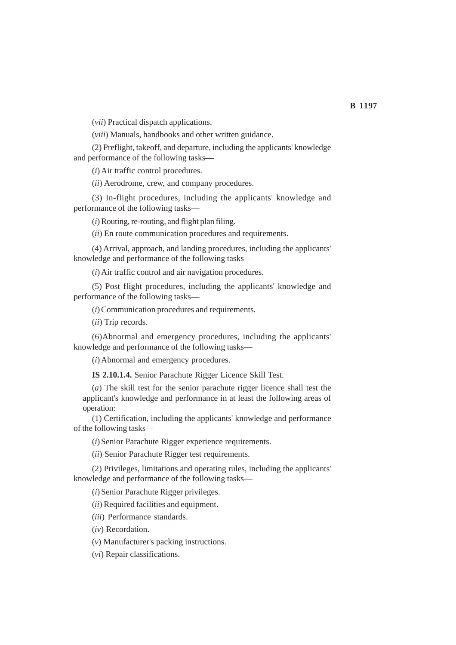(*vii*) Practical dispatch applications.

(*viii*) Manuals, handbooks and other written guidance.

(2) Preflight, takeoff, and departure, including the applicants' knowledge and performance of the following tasks—

(*i*) Air traffic control procedures.

(*ii*) Aerodrome, crew, and company procedures.

(3) In-flight procedures, including the applicants' knowledge and performance of the following tasks—

(*i*) Routing, re-routing, and flight plan filing.

(*ii*) En route communication procedures and requirements.

(4) Arrival, approach, and landing procedures, including the applicants' knowledge and performance of the following tasks—

(*i*) Air traffic control and air navigation procedures.

(5) Post flight procedures, including the applicants' knowledge and performance of the following tasks—

(*i*) Communication procedures and requirements.

(*ii*) Trip records.

(6)Abnormal and emergency procedures, including the applicants' knowledge and performance of the following tasks—

(*i*) Abnormal and emergency procedures.

**IS 2.10.1.4.** Senior Parachute Rigger Licence Skill Test.

(*a*) The skill test for the senior parachute rigger licence shall test the applicant's knowledge and performance in at least the following areas of operation:

(1) Certification, including the applicants' knowledge and performance of the following tasks—

(*i*) Senior Parachute Rigger experience requirements.

(*ii*) Senior Parachute Rigger test requirements.

(2) Privileges, limitations and operating rules, including the applicants' knowledge and performance of the following tasks—

(*i*) Senior Parachute Rigger privileges.

(*ii*) Required facilities and equipment.

(*iii*) Performance standards.

(*iv*) Recordation.

(*v*) Manufacturer's packing instructions.

(*vi*) Repair classifications.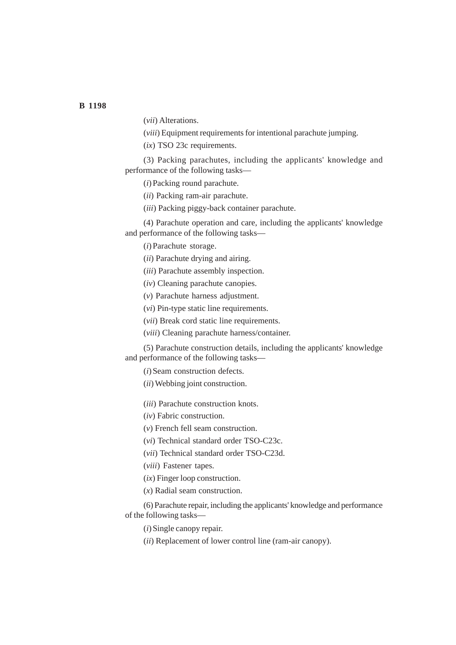(*vii*) Alterations.

(*viii*) Equipment requirements for intentional parachute jumping.

(*ix*) TSO 23c requirements.

(3) Packing parachutes, including the applicants' knowledge and performance of the following tasks—

(*i*) Packing round parachute.

(*ii*) Packing ram-air parachute.

(*iii*) Packing piggy-back container parachute.

(4) Parachute operation and care, including the applicants' knowledge and performance of the following tasks—

(*i*) Parachute storage.

(*ii*) Parachute drying and airing.

(*iii*) Parachute assembly inspection.

(*iv*) Cleaning parachute canopies.

(*v*) Parachute harness adjustment.

(*vi*) Pin-type static line requirements.

(*vii*) Break cord static line requirements.

(*viii*) Cleaning parachute harness/container.

(5) Parachute construction details, including the applicants' knowledge and performance of the following tasks—

(*i*) Seam construction defects.

(*ii*) Webbing joint construction.

(*iii*) Parachute construction knots.

(*iv*) Fabric construction.

(*v*) French fell seam construction.

(*vi*) Technical standard order TSO-C23c.

(*vii*) Technical standard order TSO-C23d.

(*viii*) Fastener tapes.

(*ix*) Finger loop construction.

(*x*) Radial seam construction.

(6) Parachute repair, including the applicants' knowledge and performance of the following tasks—

(*i*) Single canopy repair.

(*ii*) Replacement of lower control line (ram-air canopy).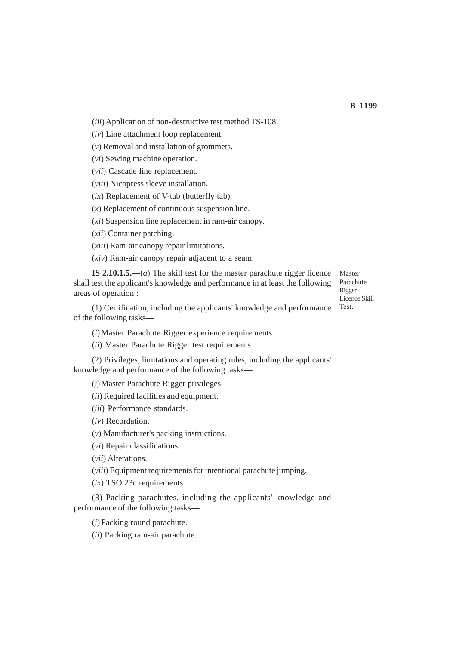(*iii*) Application of non-destructive test method TS-108.

(*iv*) Line attachment loop replacement.

(*v*) Removal and installation of grommets.

(*vi*) Sewing machine operation.

(*vii*) Cascade line replacement.

(*viii*) Nicopress sleeve installation.

(*ix*) Replacement of V-tab (butterfly tab).

(*x*) Replacement of continuous suspension line.

(*xi*) Suspension line replacement in ram-air canopy.

(*xii*) Container patching.

(*xiii*) Ram-air canopy repair limitations.

(*xiv*) Ram-air canopy repair adjacent to a seam.

**IS 2.10.1.5.**—(*a*) The skill test for the master parachute rigger licence shall test the applicant's knowledge and performance in at least the following areas of operation :

(1) Certification, including the applicants' knowledge and performance of the following tasks—

Master Parachute Rigger Licence Skill Test.

(*i*) Master Parachute Rigger experience requirements.

(*ii*) Master Parachute Rigger test requirements.

(2) Privileges, limitations and operating rules, including the applicants' knowledge and performance of the following tasks—

(*i*) Master Parachute Rigger privileges.

(*ii*) Required facilities and equipment.

(*iii*) Performance standards.

(*iv*) Recordation.

(*v*) Manufacturer's packing instructions.

(*vi*) Repair classifications.

(*vii*) Alterations.

(*viii*) Equipment requirements for intentional parachute jumping.

(*ix*) TSO 23c requirements.

(3) Packing parachutes, including the applicants' knowledge and performance of the following tasks—

(*i*) Packing round parachute.

(*ii*) Packing ram-air parachute.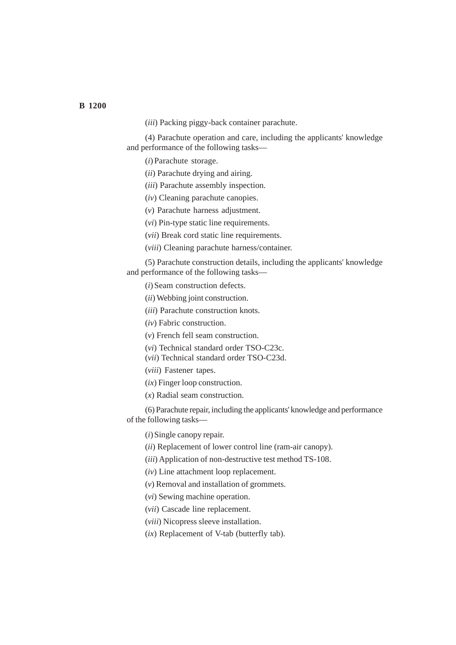**B 1200**

(*iii*) Packing piggy-back container parachute.

(4) Parachute operation and care, including the applicants' knowledge and performance of the following tasks—

(*i*) Parachute storage.

- (*ii*) Parachute drying and airing.
- (*iii*) Parachute assembly inspection.
- (*iv*) Cleaning parachute canopies.
- (*v*) Parachute harness adjustment.
- (*vi*) Pin-type static line requirements.
- (*vii*) Break cord static line requirements.
- (*viii*) Cleaning parachute harness/container.

(5) Parachute construction details, including the applicants' knowledge and performance of the following tasks—

(*i*) Seam construction defects.

- (*ii*) Webbing joint construction.
- (*iii*) Parachute construction knots.

(*iv*) Fabric construction.

- (*v*) French fell seam construction.
- (*vi*) Technical standard order TSO-C23c.
- (*vii*) Technical standard order TSO-C23d.
- (*viii*) Fastener tapes.
- (*ix*) Finger loop construction.
- (*x*) Radial seam construction.

(6) Parachute repair, including the applicants' knowledge and performance of the following tasks—

(*i*) Single canopy repair.

- (*ii*) Replacement of lower control line (ram-air canopy).
- (*iii*) Application of non-destructive test method TS-108.
- (*iv*) Line attachment loop replacement.
- (*v*) Removal and installation of grommets.
- (*vi*) Sewing machine operation.
- (*vii*) Cascade line replacement.
- (*viii*) Nicopress sleeve installation.
- (*ix*) Replacement of V-tab (butterfly tab).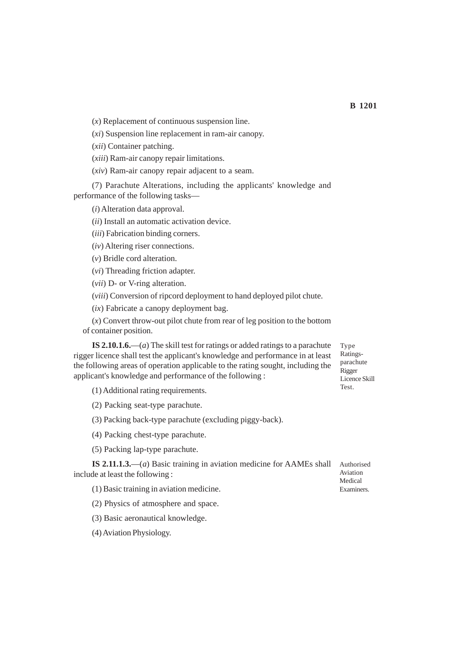(*x*) Replacement of continuous suspension line.

(*xi*) Suspension line replacement in ram-air canopy.

(*xii*) Container patching.

(*xiii*) Ram-air canopy repair limitations.

(*xiv*) Ram-air canopy repair adjacent to a seam.

(7) Parachute Alterations, including the applicants' knowledge and performance of the following tasks—

(*i*) Alteration data approval.

(*ii*) Install an automatic activation device.

(*iii*) Fabrication binding corners.

(*iv*) Altering riser connections.

(*v*) Bridle cord alteration.

(*vi*) Threading friction adapter.

(*vii*) D- or V-ring alteration.

(*viii*) Conversion of ripcord deployment to hand deployed pilot chute.

(*ix*) Fabricate a canopy deployment bag.

(*x*) Convert throw-out pilot chute from rear of leg position to the bottom of container position.

**IS 2.10.1.6.**—(*a*) The skill test for ratings or added ratings to a parachute rigger licence shall test the applicant's knowledge and performance in at least the following areas of operation applicable to the rating sought, including the applicant's knowledge and performance of the following :

(1) Additional rating requirements.

(2) Packing seat-type parachute.

(3) Packing back-type parachute (excluding piggy-back).

(4) Packing chest-type parachute.

(5) Packing lap-type parachute.

**IS 2.11.1.3.**—(*a*) Basic training in aviation medicine for AAMEs shall include at least the following : Authorised Aviation

(1) Basic training in aviation medicine.

(2) Physics of atmosphere and space.

(3) Basic aeronautical knowledge.

(4) Aviation Physiology.

Type Ratingsparachute Rigger Licence Skill Test.

Medical Examiners.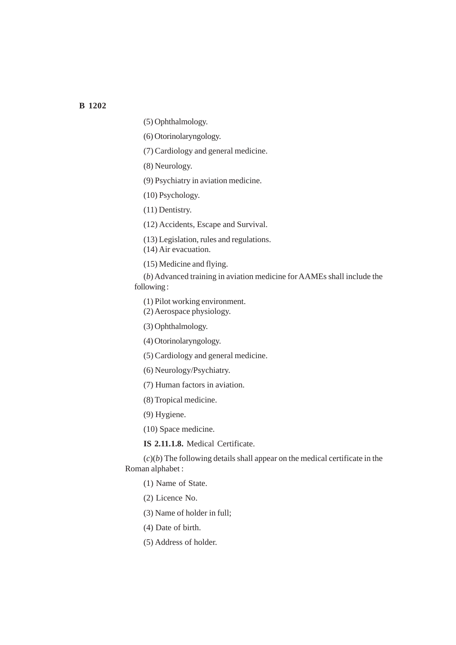(5) Ophthalmology.

(6) Otorinolaryngology.

(7) Cardiology and general medicine.

(8) Neurology.

(9) Psychiatry in aviation medicine.

(10) Psychology.

(11) Dentistry.

(12) Accidents, Escape and Survival.

(13) Legislation, rules and regulations.

(14) Air evacuation.

(15) Medicine and flying.

(*b*) Advanced training in aviation medicine for AAMEs shall include the following :

(1) Pilot working environment.

(2) Aerospace physiology.

(3) Ophthalmology.

(4) Otorinolaryngology.

(5) Cardiology and general medicine.

(6) Neurology/Psychiatry.

(7) Human factors in aviation.

(8) Tropical medicine.

(9) Hygiene.

(10) Space medicine.

**IS 2.11.1.8.** Medical Certificate.

 $(c)(b)$  The following details shall appear on the medical certificate in the Roman alphabet :

(1) Name of State.

(2) Licence No.

(3) Name of holder in full;

(4) Date of birth.

(5) Address of holder.